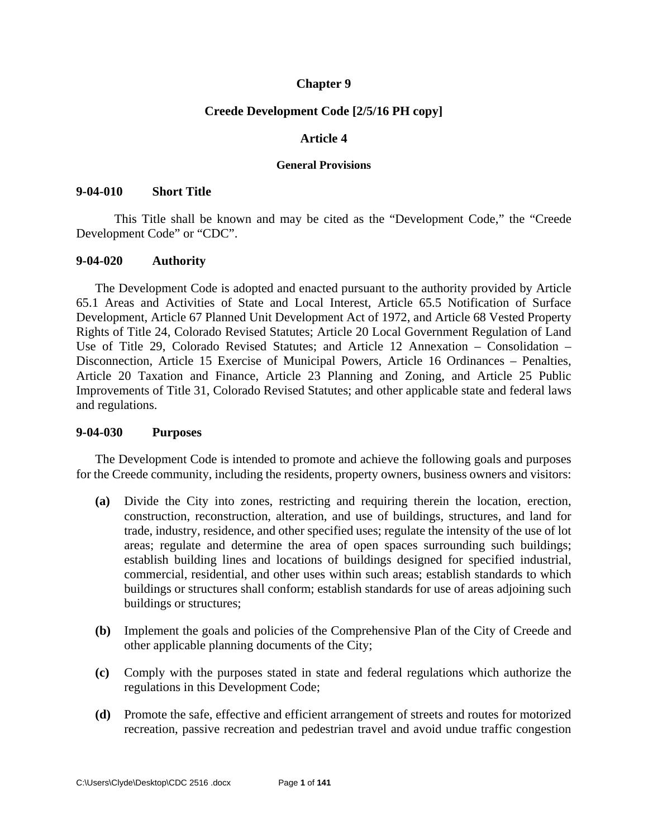### **Chapter 9**

#### **Creede Development Code [2/5/16 PH copy]**

#### **Article 4**

#### **General Provisions**

#### **9-04-010 Short Title**

This Title shall be known and may be cited as the "Development Code," the "Creede Development Code" or "CDC".

#### **9-04-020 Authority**

The Development Code is adopted and enacted pursuant to the authority provided by Article 65.1 Areas and Activities of State and Local Interest, Article 65.5 Notification of Surface Development, Article 67 Planned Unit Development Act of 1972, and Article 68 Vested Property Rights of Title 24, Colorado Revised Statutes; Article 20 Local Government Regulation of Land Use of Title 29, Colorado Revised Statutes; and Article 12 Annexation – Consolidation – Disconnection, Article 15 Exercise of Municipal Powers, Article 16 Ordinances – Penalties, Article 20 Taxation and Finance, Article 23 Planning and Zoning, and Article 25 Public Improvements of Title 31, Colorado Revised Statutes; and other applicable state and federal laws and regulations.

#### **9-04-030 Purposes**

The Development Code is intended to promote and achieve the following goals and purposes for the Creede community, including the residents, property owners, business owners and visitors:

- **(a)** Divide the City into zones, restricting and requiring therein the location, erection, construction, reconstruction, alteration, and use of buildings, structures, and land for trade, industry, residence, and other specified uses; regulate the intensity of the use of lot areas; regulate and determine the area of open spaces surrounding such buildings; establish building lines and locations of buildings designed for specified industrial, commercial, residential, and other uses within such areas; establish standards to which buildings or structures shall conform; establish standards for use of areas adjoining such buildings or structures;
- **(b)** Implement the goals and policies of the Comprehensive Plan of the City of Creede and other applicable planning documents of the City;
- **(c)** Comply with the purposes stated in state and federal regulations which authorize the regulations in this Development Code;
- **(d)** Promote the safe, effective and efficient arrangement of streets and routes for motorized recreation, passive recreation and pedestrian travel and avoid undue traffic congestion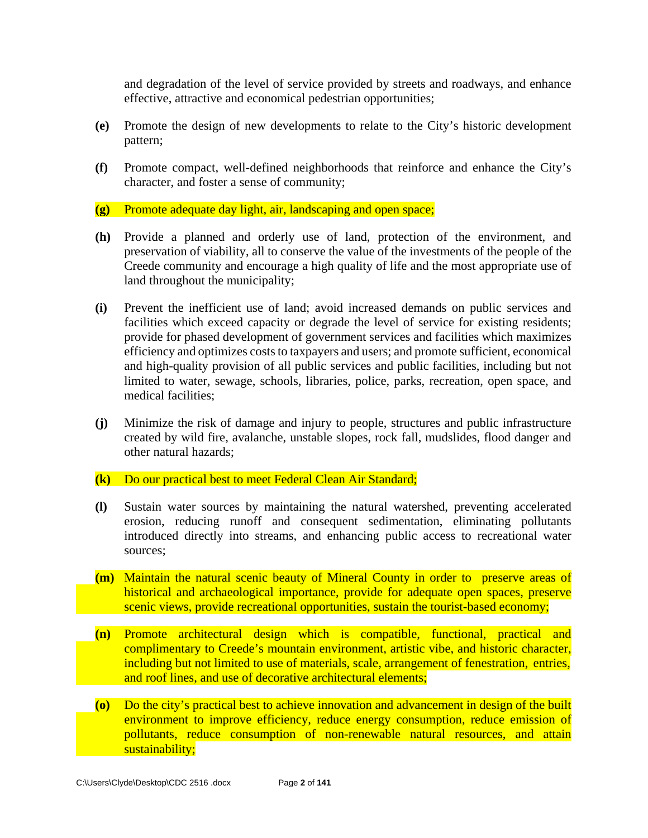and degradation of the level of service provided by streets and roadways, and enhance effective, attractive and economical pedestrian opportunities;

- **(e)** Promote the design of new developments to relate to the City's historic development pattern;
- **(f)** Promote compact, well-defined neighborhoods that reinforce and enhance the City's character, and foster a sense of community;

#### **(g)** Promote adequate day light, air, landscaping and open space;

- **(h)** Provide a planned and orderly use of land, protection of the environment, and preservation of viability, all to conserve the value of the investments of the people of the Creede community and encourage a high quality of life and the most appropriate use of land throughout the municipality;
- **(i)** Prevent the inefficient use of land; avoid increased demands on public services and facilities which exceed capacity or degrade the level of service for existing residents; provide for phased development of government services and facilities which maximizes efficiency and optimizes costs to taxpayers and users; and promote sufficient, economical and high-quality provision of all public services and public facilities, including but not limited to water, sewage, schools, libraries, police, parks, recreation, open space, and medical facilities;
- **(j)** Minimize the risk of damage and injury to people, structures and public infrastructure created by wild fire, avalanche, unstable slopes, rock fall, mudslides, flood danger and other natural hazards;

### **(k)** Do our practical best to meet Federal Clean Air Standard;

- **(l)** Sustain water sources by maintaining the natural watershed, preventing accelerated erosion, reducing runoff and consequent sedimentation, eliminating pollutants introduced directly into streams, and enhancing public access to recreational water sources;
- **(m)** Maintain the natural scenic beauty of Mineral County in order to preserve areas of historical and archaeological importance, provide for adequate open spaces, preserve scenic views, provide recreational opportunities, sustain the tourist-based economy;
- **(n)** Promote architectural design which is compatible, functional, practical and complimentary to Creede's mountain environment, artistic vibe, and historic character, including but not limited to use of materials, scale, arrangement of fenestration, entries, and roof lines, and use of decorative architectural elements;
- **(o)** Do the city's practical best to achieve innovation and advancement in design of the built environment to improve efficiency, reduce energy consumption, reduce emission of pollutants, reduce consumption of non-renewable natural resources, and attain sustainability;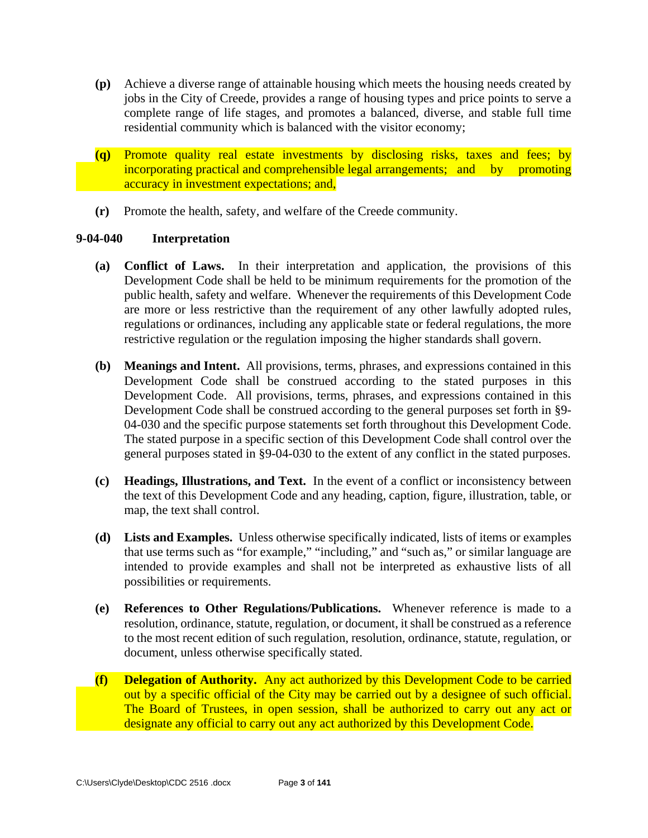- **(p)** Achieve a diverse range of attainable housing which meets the housing needs created by jobs in the City of Creede, provides a range of housing types and price points to serve a complete range of life stages, and promotes a balanced, diverse, and stable full time residential community which is balanced with the visitor economy;
- **(q)** Promote quality real estate investments by disclosing risks, taxes and fees; by incorporating practical and comprehensible legal arrangements; and by promoting accuracy in investment expectations; and,
- **(r)** Promote the health, safety, and welfare of the Creede community.

# **9-04-040 Interpretation**

- **(a) Conflict of Laws.** In their interpretation and application, the provisions of this Development Code shall be held to be minimum requirements for the promotion of the public health, safety and welfare. Whenever the requirements of this Development Code are more or less restrictive than the requirement of any other lawfully adopted rules, regulations or ordinances, including any applicable state or federal regulations, the more restrictive regulation or the regulation imposing the higher standards shall govern.
- **(b) Meanings and Intent.** All provisions, terms, phrases, and expressions contained in this Development Code shall be construed according to the stated purposes in this Development Code. All provisions, terms, phrases, and expressions contained in this Development Code shall be construed according to the general purposes set forth in §9- 04-030 and the specific purpose statements set forth throughout this Development Code. The stated purpose in a specific section of this Development Code shall control over the general purposes stated in §9-04-030 to the extent of any conflict in the stated purposes.
- **(c) Headings, Illustrations, and Text.** In the event of a conflict or inconsistency between the text of this Development Code and any heading, caption, figure, illustration, table, or map, the text shall control.
- **(d) Lists and Examples.** Unless otherwise specifically indicated, lists of items or examples that use terms such as "for example," "including," and "such as," or similar language are intended to provide examples and shall not be interpreted as exhaustive lists of all possibilities or requirements.
- **(e) References to Other Regulations/Publications.** Whenever reference is made to a resolution, ordinance, statute, regulation, or document, it shall be construed as a reference to the most recent edition of such regulation, resolution, ordinance, statute, regulation, or document, unless otherwise specifically stated.
- **(f) Delegation of Authority.** Any act authorized by this Development Code to be carried out by a specific official of the City may be carried out by a designee of such official. The Board of Trustees, in open session, shall be authorized to carry out any act or designate any official to carry out any act authorized by this Development Code.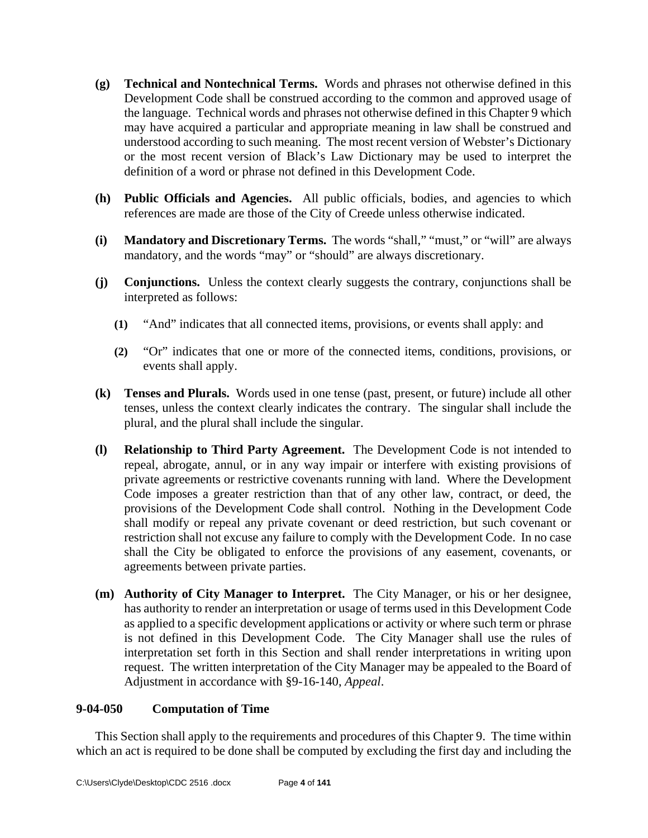- **(g) Technical and Nontechnical Terms.** Words and phrases not otherwise defined in this Development Code shall be construed according to the common and approved usage of the language. Technical words and phrases not otherwise defined in this Chapter 9 which may have acquired a particular and appropriate meaning in law shall be construed and understood according to such meaning. The most recent version of Webster's Dictionary or the most recent version of Black's Law Dictionary may be used to interpret the definition of a word or phrase not defined in this Development Code.
- **(h) Public Officials and Agencies.** All public officials, bodies, and agencies to which references are made are those of the City of Creede unless otherwise indicated.
- **(i) Mandatory and Discretionary Terms.** The words "shall," "must," or "will" are always mandatory, and the words "may" or "should" are always discretionary.
- **(j) Conjunctions.** Unless the context clearly suggests the contrary, conjunctions shall be interpreted as follows:
	- **(1)** "And" indicates that all connected items, provisions, or events shall apply: and
	- **(2)** "Or" indicates that one or more of the connected items, conditions, provisions, or events shall apply.
- **(k) Tenses and Plurals.** Words used in one tense (past, present, or future) include all other tenses, unless the context clearly indicates the contrary. The singular shall include the plural, and the plural shall include the singular.
- **(l) Relationship to Third Party Agreement.** The Development Code is not intended to repeal, abrogate, annul, or in any way impair or interfere with existing provisions of private agreements or restrictive covenants running with land. Where the Development Code imposes a greater restriction than that of any other law, contract, or deed, the provisions of the Development Code shall control. Nothing in the Development Code shall modify or repeal any private covenant or deed restriction, but such covenant or restriction shall not excuse any failure to comply with the Development Code. In no case shall the City be obligated to enforce the provisions of any easement, covenants, or agreements between private parties.
- **(m) Authority of City Manager to Interpret.** The City Manager, or his or her designee, has authority to render an interpretation or usage of terms used in this Development Code as applied to a specific development applications or activity or where such term or phrase is not defined in this Development Code. The City Manager shall use the rules of interpretation set forth in this Section and shall render interpretations in writing upon request. The written interpretation of the City Manager may be appealed to the Board of Adjustment in accordance with §9-16-140, *Appeal*.

### **9-04-050 Computation of Time**

This Section shall apply to the requirements and procedures of this Chapter 9. The time within which an act is required to be done shall be computed by excluding the first day and including the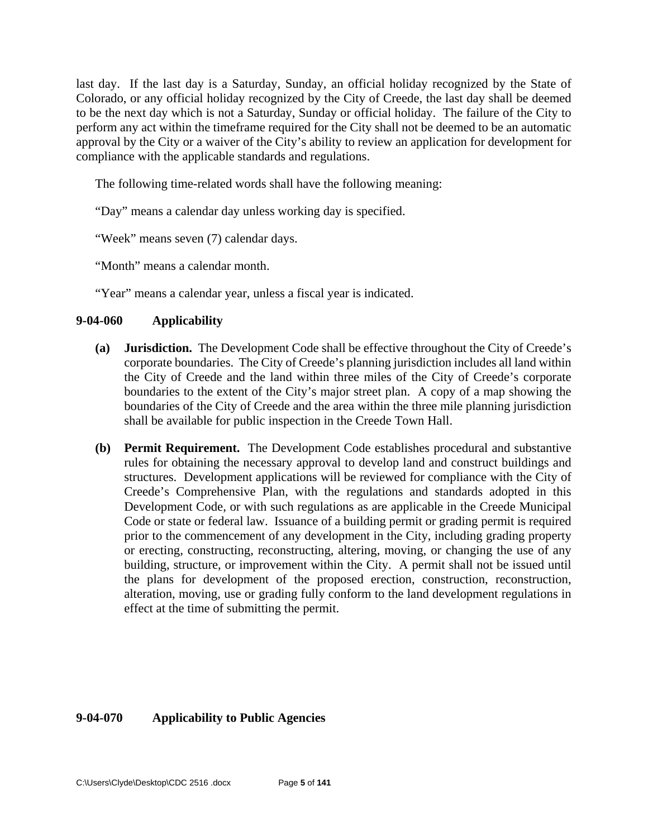last day. If the last day is a Saturday, Sunday, an official holiday recognized by the State of Colorado, or any official holiday recognized by the City of Creede, the last day shall be deemed to be the next day which is not a Saturday, Sunday or official holiday. The failure of the City to perform any act within the timeframe required for the City shall not be deemed to be an automatic approval by the City or a waiver of the City's ability to review an application for development for compliance with the applicable standards and regulations.

The following time-related words shall have the following meaning:

"Day" means a calendar day unless working day is specified.

"Week" means seven (7) calendar days.

"Month" means a calendar month.

"Year" means a calendar year, unless a fiscal year is indicated.

# **9-04-060 Applicability**

- **(a) Jurisdiction.** The Development Code shall be effective throughout the City of Creede's corporate boundaries. The City of Creede's planning jurisdiction includes all land within the City of Creede and the land within three miles of the City of Creede's corporate boundaries to the extent of the City's major street plan. A copy of a map showing the boundaries of the City of Creede and the area within the three mile planning jurisdiction shall be available for public inspection in the Creede Town Hall.
- **(b) Permit Requirement.** The Development Code establishes procedural and substantive rules for obtaining the necessary approval to develop land and construct buildings and structures. Development applications will be reviewed for compliance with the City of Creede's Comprehensive Plan, with the regulations and standards adopted in this Development Code, or with such regulations as are applicable in the Creede Municipal Code or state or federal law. Issuance of a building permit or grading permit is required prior to the commencement of any development in the City, including grading property or erecting, constructing, reconstructing, altering, moving, or changing the use of any building, structure, or improvement within the City. A permit shall not be issued until the plans for development of the proposed erection, construction, reconstruction, alteration, moving, use or grading fully conform to the land development regulations in effect at the time of submitting the permit.

# **9-04-070 Applicability to Public Agencies**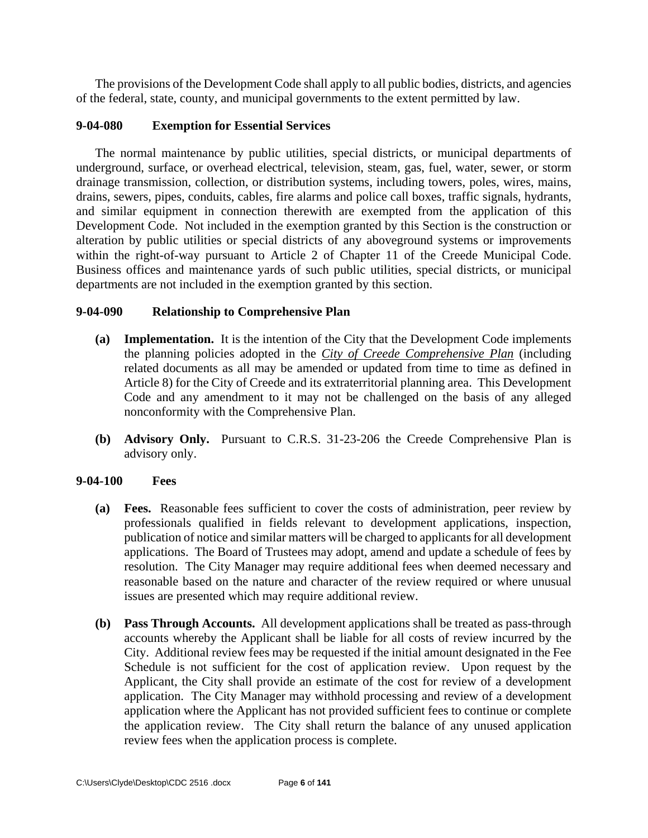The provisions of the Development Code shall apply to all public bodies, districts, and agencies of the federal, state, county, and municipal governments to the extent permitted by law.

## **9-04-080 Exemption for Essential Services**

The normal maintenance by public utilities, special districts, or municipal departments of underground, surface, or overhead electrical, television, steam, gas, fuel, water, sewer, or storm drainage transmission, collection, or distribution systems, including towers, poles, wires, mains, drains, sewers, pipes, conduits, cables, fire alarms and police call boxes, traffic signals, hydrants, and similar equipment in connection therewith are exempted from the application of this Development Code. Not included in the exemption granted by this Section is the construction or alteration by public utilities or special districts of any aboveground systems or improvements within the right-of-way pursuant to Article 2 of Chapter 11 of the Creede Municipal Code. Business offices and maintenance yards of such public utilities, special districts, or municipal departments are not included in the exemption granted by this section.

# **9-04-090 Relationship to Comprehensive Plan**

- **(a) Implementation.** It is the intention of the City that the Development Code implements the planning policies adopted in the *City of Creede Comprehensive Plan* (including related documents as all may be amended or updated from time to time as defined in Article 8) for the City of Creede and its extraterritorial planning area. This Development Code and any amendment to it may not be challenged on the basis of any alleged nonconformity with the Comprehensive Plan.
- **(b) Advisory Only.** Pursuant to C.R.S. 31-23-206 the Creede Comprehensive Plan is advisory only.

### **9-04-100 Fees**

- **(a) Fees.** Reasonable fees sufficient to cover the costs of administration, peer review by professionals qualified in fields relevant to development applications, inspection, publication of notice and similar matters will be charged to applicants for all development applications. The Board of Trustees may adopt, amend and update a schedule of fees by resolution. The City Manager may require additional fees when deemed necessary and reasonable based on the nature and character of the review required or where unusual issues are presented which may require additional review.
- **(b) Pass Through Accounts.** All development applications shall be treated as pass-through accounts whereby the Applicant shall be liable for all costs of review incurred by the City. Additional review fees may be requested if the initial amount designated in the Fee Schedule is not sufficient for the cost of application review. Upon request by the Applicant, the City shall provide an estimate of the cost for review of a development application. The City Manager may withhold processing and review of a development application where the Applicant has not provided sufficient fees to continue or complete the application review. The City shall return the balance of any unused application review fees when the application process is complete.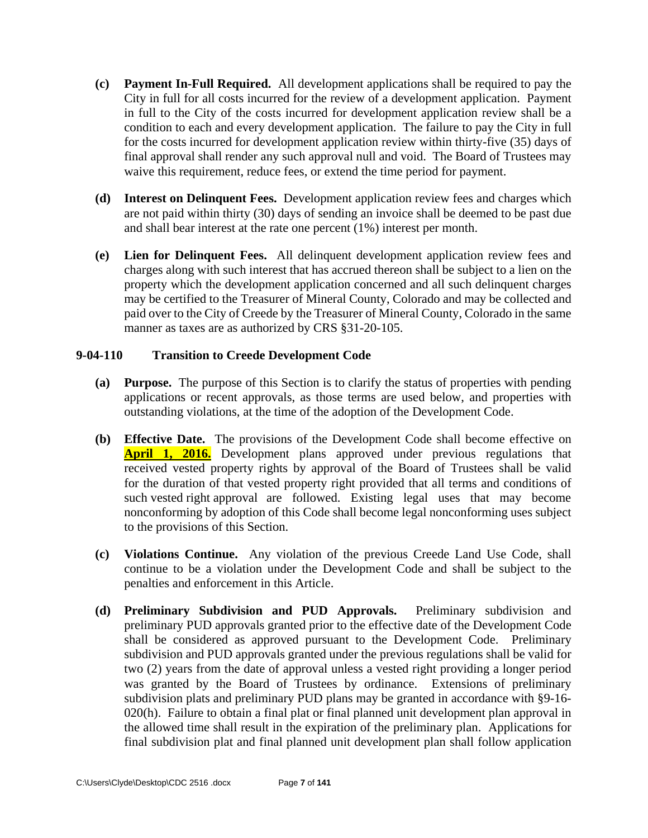- **(c) Payment In-Full Required.** All development applications shall be required to pay the City in full for all costs incurred for the review of a development application. Payment in full to the City of the costs incurred for development application review shall be a condition to each and every development application. The failure to pay the City in full for the costs incurred for development application review within thirty-five (35) days of final approval shall render any such approval null and void. The Board of Trustees may waive this requirement, reduce fees, or extend the time period for payment.
- **(d) Interest on Delinquent Fees.** Development application review fees and charges which are not paid within thirty (30) days of sending an invoice shall be deemed to be past due and shall bear interest at the rate one percent (1%) interest per month.
- **(e) Lien for Delinquent Fees.** All delinquent development application review fees and charges along with such interest that has accrued thereon shall be subject to a lien on the property which the development application concerned and all such delinquent charges may be certified to the Treasurer of Mineral County, Colorado and may be collected and paid over to the City of Creede by the Treasurer of Mineral County, Colorado in the same manner as taxes are as authorized by CRS §31-20-105.

### **9-04-110 Transition to Creede Development Code**

- **(a) Purpose.** The purpose of this Section is to clarify the status of properties with pending applications or recent approvals, as those terms are used below, and properties with outstanding violations, at the time of the adoption of the Development Code.
- **(b) Effective Date.** The provisions of the Development Code shall become effective on **April 1, 2016.** Development plans approved under previous regulations that received vested property rights by approval of the Board of Trustees shall be valid for the duration of that vested property right provided that all terms and conditions of such vested right approval are followed. Existing legal uses that may become nonconforming by adoption of this Code shall become legal nonconforming uses subject to the provisions of this Section.
- **(c) Violations Continue.** Any violation of the previous Creede Land Use Code, shall continue to be a violation under the Development Code and shall be subject to the penalties and enforcement in this Article.
- **(d) Preliminary Subdivision and PUD Approvals.** Preliminary subdivision and preliminary PUD approvals granted prior to the effective date of the Development Code shall be considered as approved pursuant to the Development Code. Preliminary subdivision and PUD approvals granted under the previous regulations shall be valid for two (2) years from the date of approval unless a vested right providing a longer period was granted by the Board of Trustees by ordinance. Extensions of preliminary subdivision plats and preliminary PUD plans may be granted in accordance with §9-16- 020(h). Failure to obtain a final plat or final planned unit development plan approval in the allowed time shall result in the expiration of the preliminary plan. Applications for final subdivision plat and final planned unit development plan shall follow application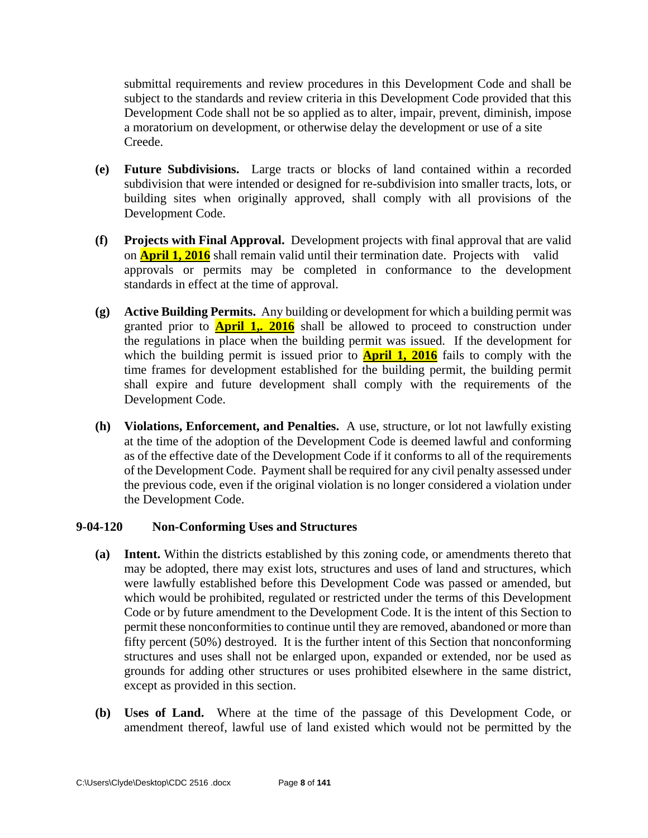submittal requirements and review procedures in this Development Code and shall be subject to the standards and review criteria in this Development Code provided that this Development Code shall not be so applied as to alter, impair, prevent, diminish, impose a moratorium on development, or otherwise delay the development or use of a site Creede.

- **(e) Future Subdivisions.** Large tracts or blocks of land contained within a recorded subdivision that were intended or designed for re-subdivision into smaller tracts, lots, or building sites when originally approved, shall comply with all provisions of the Development Code.
- **(f) Projects with Final Approval.** Development projects with final approval that are valid on **April 1, 2016** shall remain valid until their termination date. Projects with valid approvals or permits may be completed in conformance to the development standards in effect at the time of approval.
- **(g) Active Building Permits.** Any building or development for which a building permit was granted prior to **April 1,. 2016** shall be allowed to proceed to construction under the regulations in place when the building permit was issued. If the development for which the building permit is issued prior to **April 1, 2016** fails to comply with the time frames for development established for the building permit, the building permit shall expire and future development shall comply with the requirements of the Development Code.
- **(h) Violations, Enforcement, and Penalties.** A use, structure, or lot not lawfully existing at the time of the adoption of the Development Code is deemed lawful and conforming as of the effective date of the Development Code if it conforms to all of the requirements of the Development Code. Payment shall be required for any civil penalty assessed under the previous code, even if the original violation is no longer considered a violation under the Development Code.

### **9-04-120 Non-Conforming Uses and Structures**

- **(a) Intent.** Within the districts established by this zoning code, or amendments thereto that may be adopted, there may exist lots, structures and uses of land and structures, which were lawfully established before this Development Code was passed or amended, but which would be prohibited, regulated or restricted under the terms of this Development Code or by future amendment to the Development Code. It is the intent of this Section to permit these nonconformities to continue until they are removed, abandoned or more than fifty percent (50%) destroyed. It is the further intent of this Section that nonconforming structures and uses shall not be enlarged upon, expanded or extended, nor be used as grounds for adding other structures or uses prohibited elsewhere in the same district, except as provided in this section.
- **(b) Uses of Land.** Where at the time of the passage of this Development Code, or amendment thereof, lawful use of land existed which would not be permitted by the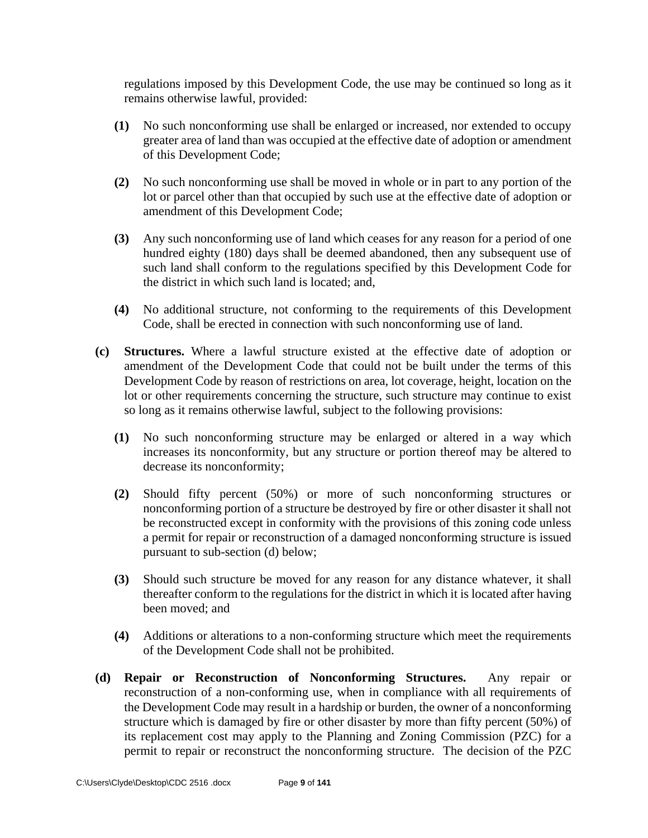regulations imposed by this Development Code, the use may be continued so long as it remains otherwise lawful, provided:

- **(1)** No such nonconforming use shall be enlarged or increased, nor extended to occupy greater area of land than was occupied at the effective date of adoption or amendment of this Development Code;
- **(2)** No such nonconforming use shall be moved in whole or in part to any portion of the lot or parcel other than that occupied by such use at the effective date of adoption or amendment of this Development Code;
- **(3)** Any such nonconforming use of land which ceases for any reason for a period of one hundred eighty (180) days shall be deemed abandoned, then any subsequent use of such land shall conform to the regulations specified by this Development Code for the district in which such land is located; and,
- **(4)** No additional structure, not conforming to the requirements of this Development Code, shall be erected in connection with such nonconforming use of land.
- **(c) Structures.** Where a lawful structure existed at the effective date of adoption or amendment of the Development Code that could not be built under the terms of this Development Code by reason of restrictions on area, lot coverage, height, location on the lot or other requirements concerning the structure, such structure may continue to exist so long as it remains otherwise lawful, subject to the following provisions:
	- **(1)** No such nonconforming structure may be enlarged or altered in a way which increases its nonconformity, but any structure or portion thereof may be altered to decrease its nonconformity;
	- **(2)** Should fifty percent (50%) or more of such nonconforming structures or nonconforming portion of a structure be destroyed by fire or other disaster it shall not be reconstructed except in conformity with the provisions of this zoning code unless a permit for repair or reconstruction of a damaged nonconforming structure is issued pursuant to sub-section (d) below;
	- **(3)** Should such structure be moved for any reason for any distance whatever, it shall thereafter conform to the regulations for the district in which it is located after having been moved; and
	- **(4)** Additions or alterations to a non-conforming structure which meet the requirements of the Development Code shall not be prohibited.
- **(d) Repair or Reconstruction of Nonconforming Structures.** Any repair or reconstruction of a non-conforming use, when in compliance with all requirements of the Development Code may result in a hardship or burden, the owner of a nonconforming structure which is damaged by fire or other disaster by more than fifty percent (50%) of its replacement cost may apply to the Planning and Zoning Commission (PZC) for a permit to repair or reconstruct the nonconforming structure. The decision of the PZC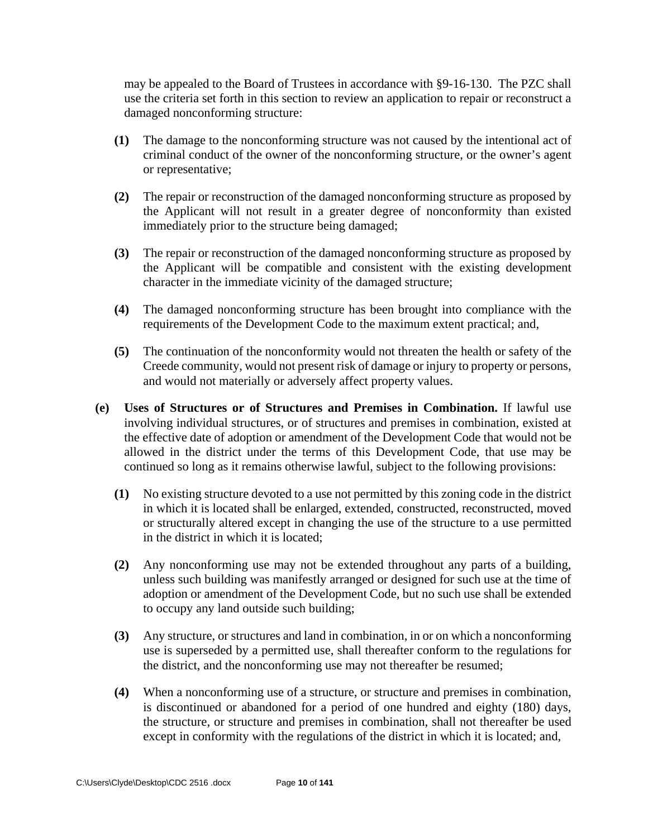may be appealed to the Board of Trustees in accordance with §9-16-130. The PZC shall use the criteria set forth in this section to review an application to repair or reconstruct a damaged nonconforming structure:

- **(1)** The damage to the nonconforming structure was not caused by the intentional act of criminal conduct of the owner of the nonconforming structure, or the owner's agent or representative;
- **(2)** The repair or reconstruction of the damaged nonconforming structure as proposed by the Applicant will not result in a greater degree of nonconformity than existed immediately prior to the structure being damaged;
- **(3)** The repair or reconstruction of the damaged nonconforming structure as proposed by the Applicant will be compatible and consistent with the existing development character in the immediate vicinity of the damaged structure;
- **(4)** The damaged nonconforming structure has been brought into compliance with the requirements of the Development Code to the maximum extent practical; and,
- **(5)** The continuation of the nonconformity would not threaten the health or safety of the Creede community, would not present risk of damage or injury to property or persons, and would not materially or adversely affect property values.
- **(e) Uses of Structures or of Structures and Premises in Combination.** If lawful use involving individual structures, or of structures and premises in combination, existed at the effective date of adoption or amendment of the Development Code that would not be allowed in the district under the terms of this Development Code, that use may be continued so long as it remains otherwise lawful, subject to the following provisions:
	- **(1)** No existing structure devoted to a use not permitted by this zoning code in the district in which it is located shall be enlarged, extended, constructed, reconstructed, moved or structurally altered except in changing the use of the structure to a use permitted in the district in which it is located;
	- **(2)** Any nonconforming use may not be extended throughout any parts of a building, unless such building was manifestly arranged or designed for such use at the time of adoption or amendment of the Development Code, but no such use shall be extended to occupy any land outside such building;
	- **(3)** Any structure, or structures and land in combination, in or on which a nonconforming use is superseded by a permitted use, shall thereafter conform to the regulations for the district, and the nonconforming use may not thereafter be resumed;
	- **(4)** When a nonconforming use of a structure, or structure and premises in combination, is discontinued or abandoned for a period of one hundred and eighty (180) days, the structure, or structure and premises in combination, shall not thereafter be used except in conformity with the regulations of the district in which it is located; and,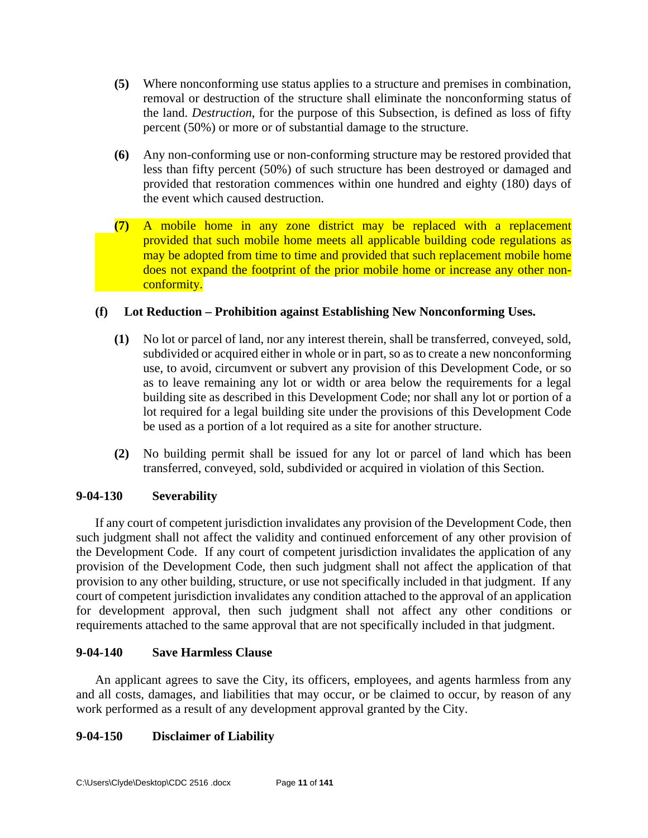- **(5)** Where nonconforming use status applies to a structure and premises in combination, removal or destruction of the structure shall eliminate the nonconforming status of the land. *Destruction*, for the purpose of this Subsection, is defined as loss of fifty percent (50%) or more or of substantial damage to the structure.
- **(6)** Any non-conforming use or non-conforming structure may be restored provided that less than fifty percent (50%) of such structure has been destroyed or damaged and provided that restoration commences within one hundred and eighty (180) days of the event which caused destruction.
- **(7)** A mobile home in any zone district may be replaced with a replacement provided that such mobile home meets all applicable building code regulations as may be adopted from time to time and provided that such replacement mobile home does not expand the footprint of the prior mobile home or increase any other non conformity.

# **(f) Lot Reduction – Prohibition against Establishing New Nonconforming Uses.**

- **(1)** No lot or parcel of land, nor any interest therein, shall be transferred, conveyed, sold, subdivided or acquired either in whole or in part, so as to create a new nonconforming use, to avoid, circumvent or subvert any provision of this Development Code, or so as to leave remaining any lot or width or area below the requirements for a legal building site as described in this Development Code; nor shall any lot or portion of a lot required for a legal building site under the provisions of this Development Code be used as a portion of a lot required as a site for another structure.
- **(2)** No building permit shall be issued for any lot or parcel of land which has been transferred, conveyed, sold, subdivided or acquired in violation of this Section.

### **9-04-130 Severability**

If any court of competent jurisdiction invalidates any provision of the Development Code, then such judgment shall not affect the validity and continued enforcement of any other provision of the Development Code. If any court of competent jurisdiction invalidates the application of any provision of the Development Code, then such judgment shall not affect the application of that provision to any other building, structure, or use not specifically included in that judgment. If any court of competent jurisdiction invalidates any condition attached to the approval of an application for development approval, then such judgment shall not affect any other conditions or requirements attached to the same approval that are not specifically included in that judgment.

### **9-04-140 Save Harmless Clause**

An applicant agrees to save the City, its officers, employees, and agents harmless from any and all costs, damages, and liabilities that may occur, or be claimed to occur, by reason of any work performed as a result of any development approval granted by the City.

### **9-04-150 Disclaimer of Liability**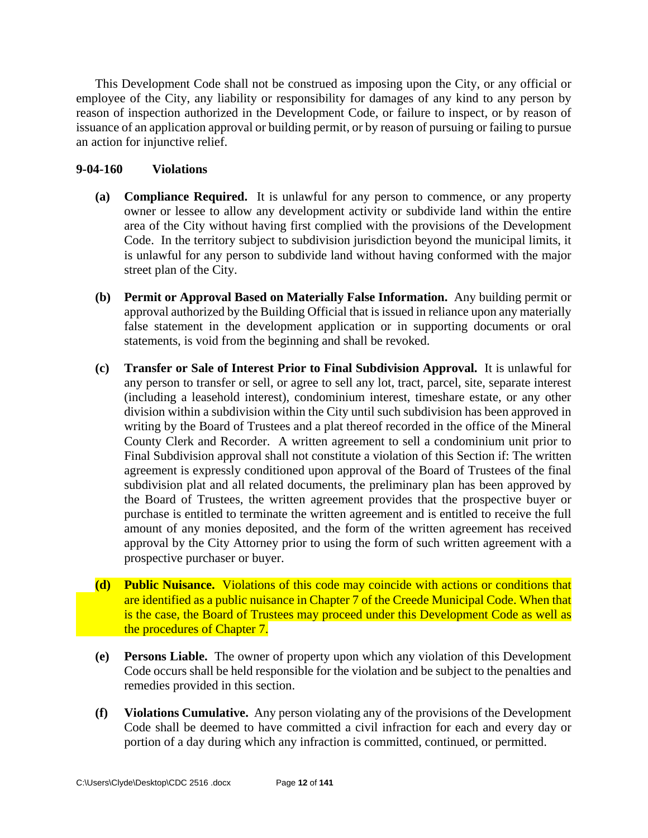This Development Code shall not be construed as imposing upon the City, or any official or employee of the City, any liability or responsibility for damages of any kind to any person by reason of inspection authorized in the Development Code, or failure to inspect, or by reason of issuance of an application approval or building permit, or by reason of pursuing or failing to pursue an action for injunctive relief.

#### **9-04-160 Violations**

- **(a) Compliance Required.** It is unlawful for any person to commence, or any property owner or lessee to allow any development activity or subdivide land within the entire area of the City without having first complied with the provisions of the Development Code. In the territory subject to subdivision jurisdiction beyond the municipal limits, it is unlawful for any person to subdivide land without having conformed with the major street plan of the City.
- **(b) Permit or Approval Based on Materially False Information.** Any building permit or approval authorized by the Building Official that is issued in reliance upon any materially false statement in the development application or in supporting documents or oral statements, is void from the beginning and shall be revoked.
- **(c) Transfer or Sale of Interest Prior to Final Subdivision Approval.** It is unlawful for any person to transfer or sell, or agree to sell any lot, tract, parcel, site, separate interest (including a leasehold interest), condominium interest, timeshare estate, or any other division within a subdivision within the City until such subdivision has been approved in writing by the Board of Trustees and a plat thereof recorded in the office of the Mineral County Clerk and Recorder. A written agreement to sell a condominium unit prior to Final Subdivision approval shall not constitute a violation of this Section if: The written agreement is expressly conditioned upon approval of the Board of Trustees of the final subdivision plat and all related documents, the preliminary plan has been approved by the Board of Trustees, the written agreement provides that the prospective buyer or purchase is entitled to terminate the written agreement and is entitled to receive the full amount of any monies deposited, and the form of the written agreement has received approval by the City Attorney prior to using the form of such written agreement with a prospective purchaser or buyer.
- **(d) Public Nuisance.** Violations of this code may coincide with actions or conditions that are identified as a public nuisance in Chapter 7 of the Creede Municipal Code. When that is the case, the Board of Trustees may proceed under this Development Code as well as the procedures of Chapter 7.
- **(e) Persons Liable.** The owner of property upon which any violation of this Development Code occurs shall be held responsible for the violation and be subject to the penalties and remedies provided in this section.
- **(f) Violations Cumulative.** Any person violating any of the provisions of the Development Code shall be deemed to have committed a civil infraction for each and every day or portion of a day during which any infraction is committed, continued, or permitted.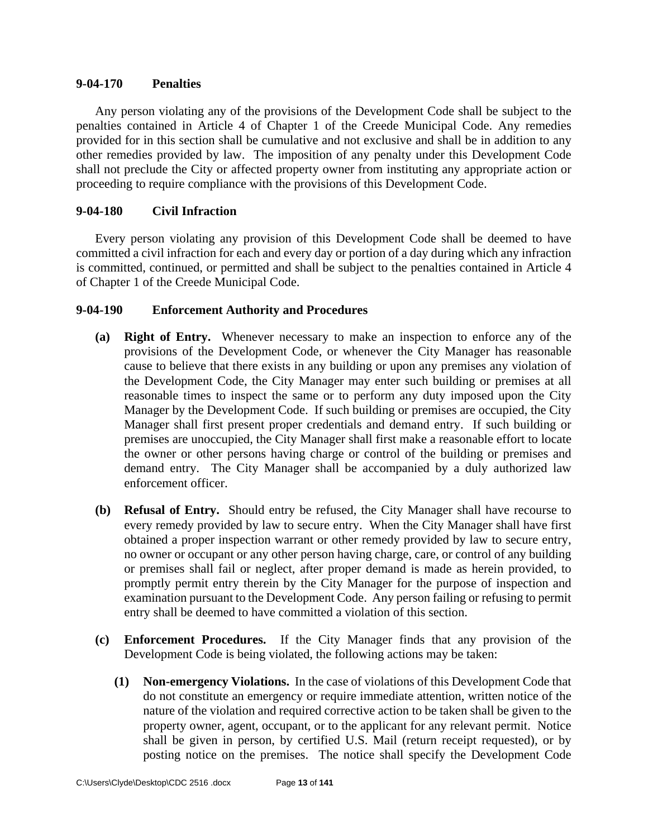#### **9-04-170 Penalties**

Any person violating any of the provisions of the Development Code shall be subject to the penalties contained in Article 4 of Chapter 1 of the Creede Municipal Code. Any remedies provided for in this section shall be cumulative and not exclusive and shall be in addition to any other remedies provided by law. The imposition of any penalty under this Development Code shall not preclude the City or affected property owner from instituting any appropriate action or proceeding to require compliance with the provisions of this Development Code.

### **9-04-180 Civil Infraction**

Every person violating any provision of this Development Code shall be deemed to have committed a civil infraction for each and every day or portion of a day during which any infraction is committed, continued, or permitted and shall be subject to the penalties contained in Article 4 of Chapter 1 of the Creede Municipal Code.

### **9-04-190 Enforcement Authority and Procedures**

- **(a) Right of Entry.** Whenever necessary to make an inspection to enforce any of the provisions of the Development Code, or whenever the City Manager has reasonable cause to believe that there exists in any building or upon any premises any violation of the Development Code, the City Manager may enter such building or premises at all reasonable times to inspect the same or to perform any duty imposed upon the City Manager by the Development Code. If such building or premises are occupied, the City Manager shall first present proper credentials and demand entry. If such building or premises are unoccupied, the City Manager shall first make a reasonable effort to locate the owner or other persons having charge or control of the building or premises and demand entry. The City Manager shall be accompanied by a duly authorized law enforcement officer.
- **(b) Refusal of Entry.** Should entry be refused, the City Manager shall have recourse to every remedy provided by law to secure entry. When the City Manager shall have first obtained a proper inspection warrant or other remedy provided by law to secure entry, no owner or occupant or any other person having charge, care, or control of any building or premises shall fail or neglect, after proper demand is made as herein provided, to promptly permit entry therein by the City Manager for the purpose of inspection and examination pursuant to the Development Code. Any person failing or refusing to permit entry shall be deemed to have committed a violation of this section.
- **(c) Enforcement Procedures.** If the City Manager finds that any provision of the Development Code is being violated, the following actions may be taken:
	- **(1) Non-emergency Violations.** In the case of violations of this Development Code that do not constitute an emergency or require immediate attention, written notice of the nature of the violation and required corrective action to be taken shall be given to the property owner, agent, occupant, or to the applicant for any relevant permit. Notice shall be given in person, by certified U.S. Mail (return receipt requested), or by posting notice on the premises. The notice shall specify the Development Code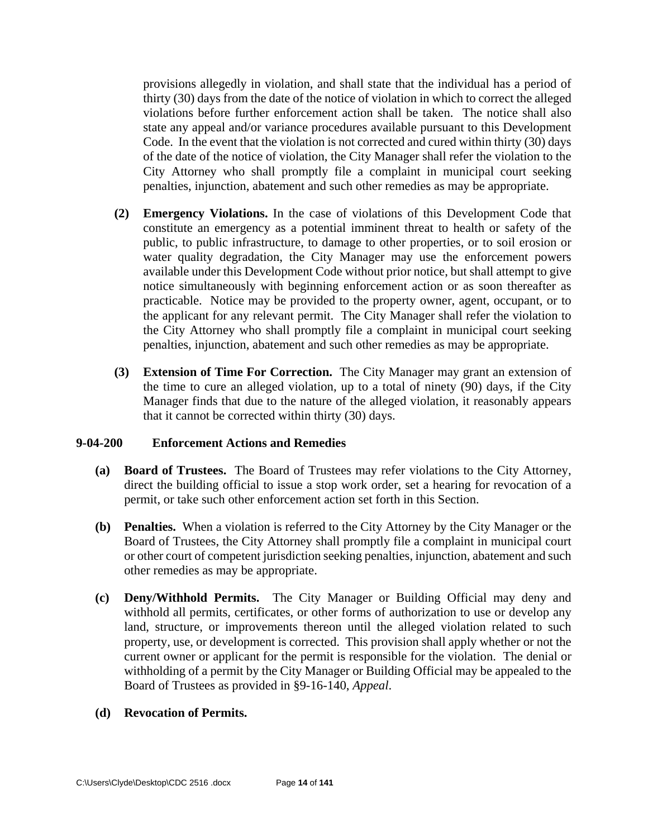provisions allegedly in violation, and shall state that the individual has a period of thirty (30) days from the date of the notice of violation in which to correct the alleged violations before further enforcement action shall be taken. The notice shall also state any appeal and/or variance procedures available pursuant to this Development Code. In the event that the violation is not corrected and cured within thirty (30) days of the date of the notice of violation, the City Manager shall refer the violation to the City Attorney who shall promptly file a complaint in municipal court seeking penalties, injunction, abatement and such other remedies as may be appropriate.

- **(2) Emergency Violations.** In the case of violations of this Development Code that constitute an emergency as a potential imminent threat to health or safety of the public, to public infrastructure, to damage to other properties, or to soil erosion or water quality degradation, the City Manager may use the enforcement powers available under this Development Code without prior notice, but shall attempt to give notice simultaneously with beginning enforcement action or as soon thereafter as practicable. Notice may be provided to the property owner, agent, occupant, or to the applicant for any relevant permit. The City Manager shall refer the violation to the City Attorney who shall promptly file a complaint in municipal court seeking penalties, injunction, abatement and such other remedies as may be appropriate.
- **(3) Extension of Time For Correction.** The City Manager may grant an extension of the time to cure an alleged violation, up to a total of ninety (90) days, if the City Manager finds that due to the nature of the alleged violation, it reasonably appears that it cannot be corrected within thirty (30) days.

### **9-04-200 Enforcement Actions and Remedies**

- **(a) Board of Trustees.** The Board of Trustees may refer violations to the City Attorney, direct the building official to issue a stop work order, set a hearing for revocation of a permit, or take such other enforcement action set forth in this Section.
- **(b) Penalties.** When a violation is referred to the City Attorney by the City Manager or the Board of Trustees, the City Attorney shall promptly file a complaint in municipal court or other court of competent jurisdiction seeking penalties, injunction, abatement and such other remedies as may be appropriate.
- **(c) Deny/Withhold Permits.** The City Manager or Building Official may deny and withhold all permits, certificates, or other forms of authorization to use or develop any land, structure, or improvements thereon until the alleged violation related to such property, use, or development is corrected. This provision shall apply whether or not the current owner or applicant for the permit is responsible for the violation. The denial or withholding of a permit by the City Manager or Building Official may be appealed to the Board of Trustees as provided in §9-16-140, *Appeal*.
- **(d) Revocation of Permits.**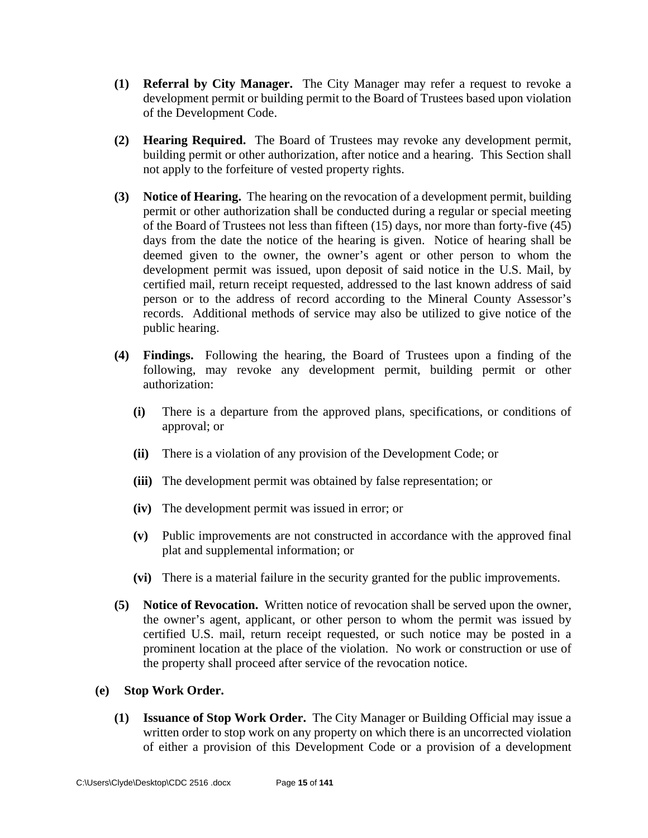- **(1) Referral by City Manager.** The City Manager may refer a request to revoke a development permit or building permit to the Board of Trustees based upon violation of the Development Code.
- **(2) Hearing Required.** The Board of Trustees may revoke any development permit, building permit or other authorization, after notice and a hearing. This Section shall not apply to the forfeiture of vested property rights.
- **(3) Notice of Hearing.** The hearing on the revocation of a development permit, building permit or other authorization shall be conducted during a regular or special meeting of the Board of Trustees not less than fifteen (15) days, nor more than forty-five (45) days from the date the notice of the hearing is given. Notice of hearing shall be deemed given to the owner, the owner's agent or other person to whom the development permit was issued, upon deposit of said notice in the U.S. Mail, by certified mail, return receipt requested, addressed to the last known address of said person or to the address of record according to the Mineral County Assessor's records. Additional methods of service may also be utilized to give notice of the public hearing.
- **(4) Findings.** Following the hearing, the Board of Trustees upon a finding of the following, may revoke any development permit, building permit or other authorization:
	- **(i)** There is a departure from the approved plans, specifications, or conditions of approval; or
	- **(ii)** There is a violation of any provision of the Development Code; or
	- **(iii)** The development permit was obtained by false representation; or
	- **(iv)** The development permit was issued in error; or
	- **(v)** Public improvements are not constructed in accordance with the approved final plat and supplemental information; or
	- **(vi)** There is a material failure in the security granted for the public improvements.
- **(5) Notice of Revocation.** Written notice of revocation shall be served upon the owner, the owner's agent, applicant, or other person to whom the permit was issued by certified U.S. mail, return receipt requested, or such notice may be posted in a prominent location at the place of the violation. No work or construction or use of the property shall proceed after service of the revocation notice.

### **(e) Stop Work Order.**

**(1) Issuance of Stop Work Order.** The City Manager or Building Official may issue a written order to stop work on any property on which there is an uncorrected violation of either a provision of this Development Code or a provision of a development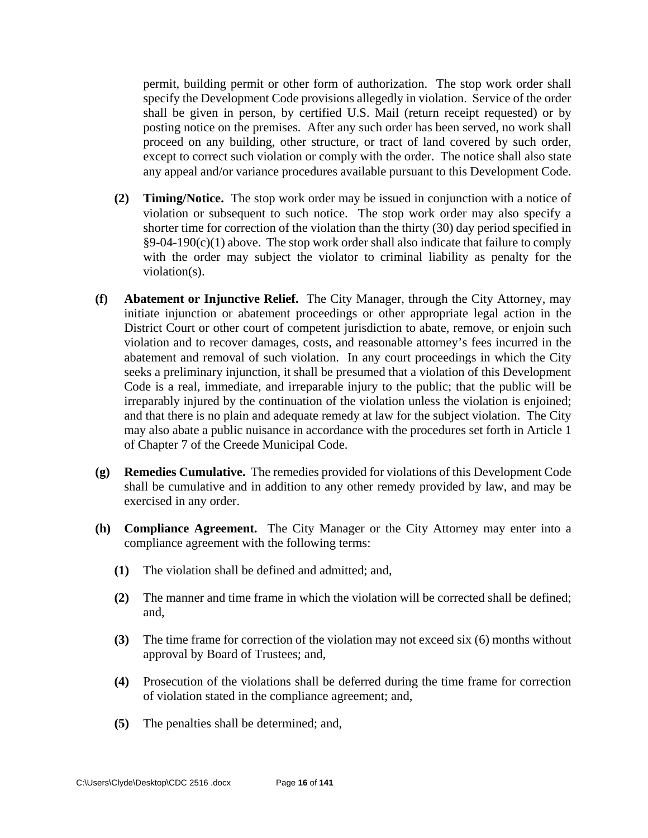permit, building permit or other form of authorization. The stop work order shall specify the Development Code provisions allegedly in violation. Service of the order shall be given in person, by certified U.S. Mail (return receipt requested) or by posting notice on the premises. After any such order has been served, no work shall proceed on any building, other structure, or tract of land covered by such order, except to correct such violation or comply with the order. The notice shall also state any appeal and/or variance procedures available pursuant to this Development Code.

- **(2) Timing/Notice.** The stop work order may be issued in conjunction with a notice of violation or subsequent to such notice. The stop work order may also specify a shorter time for correction of the violation than the thirty (30) day period specified in  $§9-04-190(c)(1)$  above. The stop work order shall also indicate that failure to comply with the order may subject the violator to criminal liability as penalty for the violation(s).
- **(f) Abatement or Injunctive Relief.** The City Manager, through the City Attorney, may initiate injunction or abatement proceedings or other appropriate legal action in the District Court or other court of competent jurisdiction to abate, remove, or enjoin such violation and to recover damages, costs, and reasonable attorney's fees incurred in the abatement and removal of such violation. In any court proceedings in which the City seeks a preliminary injunction, it shall be presumed that a violation of this Development Code is a real, immediate, and irreparable injury to the public; that the public will be irreparably injured by the continuation of the violation unless the violation is enjoined; and that there is no plain and adequate remedy at law for the subject violation. The City may also abate a public nuisance in accordance with the procedures set forth in Article 1 of Chapter 7 of the Creede Municipal Code.
- **(g) Remedies Cumulative.** The remedies provided for violations of this Development Code shall be cumulative and in addition to any other remedy provided by law, and may be exercised in any order.
- **(h) Compliance Agreement.** The City Manager or the City Attorney may enter into a compliance agreement with the following terms:
	- **(1)** The violation shall be defined and admitted; and,
	- **(2)** The manner and time frame in which the violation will be corrected shall be defined; and,
	- **(3)** The time frame for correction of the violation may not exceed six (6) months without approval by Board of Trustees; and,
	- **(4)** Prosecution of the violations shall be deferred during the time frame for correction of violation stated in the compliance agreement; and,
	- **(5)** The penalties shall be determined; and,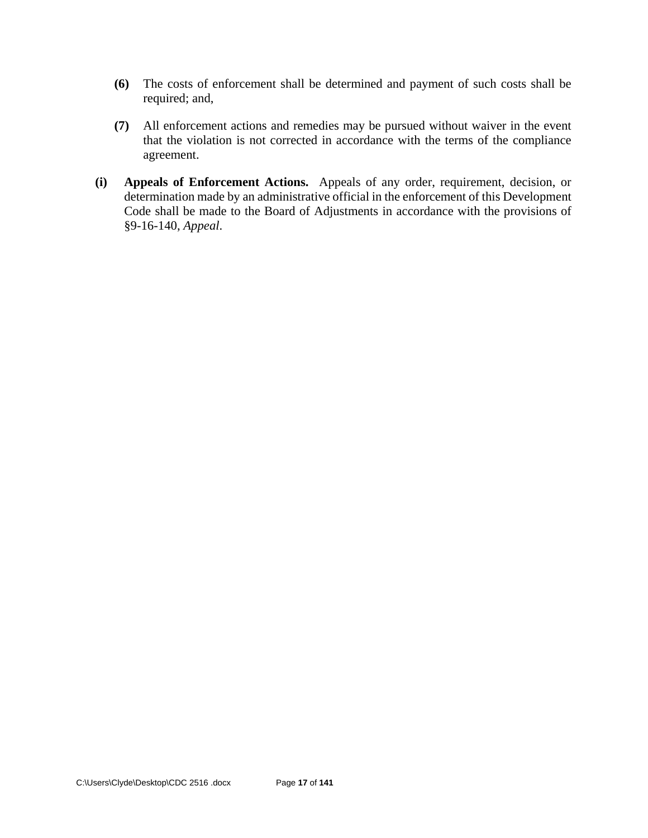- **(6)** The costs of enforcement shall be determined and payment of such costs shall be required; and,
- **(7)** All enforcement actions and remedies may be pursued without waiver in the event that the violation is not corrected in accordance with the terms of the compliance agreement.
- **(i) Appeals of Enforcement Actions.** Appeals of any order, requirement, decision, or determination made by an administrative official in the enforcement of this Development Code shall be made to the Board of Adjustments in accordance with the provisions of §9-16-140, *Appeal*.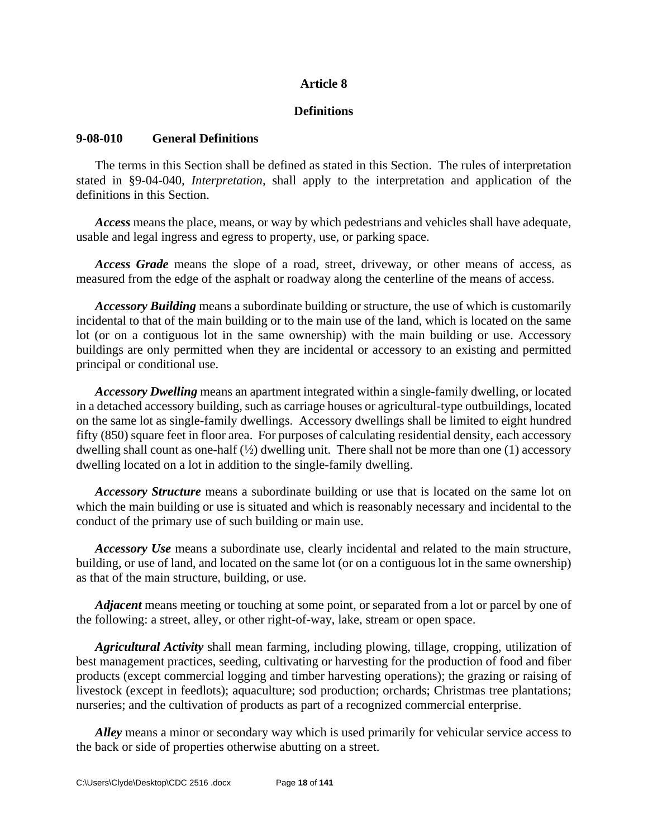# **Article 8**

#### **Definitions**

#### **9-08-010 General Definitions**

The terms in this Section shall be defined as stated in this Section. The rules of interpretation stated in §9-04-040*, Interpretation,* shall apply to the interpretation and application of the definitions in this Section.

*Access* means the place, means, or way by which pedestrians and vehicles shall have adequate, usable and legal ingress and egress to property, use, or parking space.

*Access Grade* means the slope of a road, street, driveway, or other means of access, as measured from the edge of the asphalt or roadway along the centerline of the means of access.

*Accessory Building* means a subordinate building or structure, the use of which is customarily incidental to that of the main building or to the main use of the land, which is located on the same lot (or on a contiguous lot in the same ownership) with the main building or use. Accessory buildings are only permitted when they are incidental or accessory to an existing and permitted principal or conditional use.

*Accessory Dwelling* means an apartment integrated within a single-family dwelling, or located in a detached accessory building, such as carriage houses or agricultural-type outbuildings, located on the same lot as single-family dwellings. Accessory dwellings shall be limited to eight hundred fifty (850) square feet in floor area. For purposes of calculating residential density, each accessory dwelling shall count as one-half  $(\frac{1}{2})$  dwelling unit. There shall not be more than one (1) accessory dwelling located on a lot in addition to the single-family dwelling.

*Accessory Structure* means a subordinate building or use that is located on the same lot on which the main building or use is situated and which is reasonably necessary and incidental to the conduct of the primary use of such building or main use.

*Accessory Use* means a subordinate use, clearly incidental and related to the main structure, building, or use of land, and located on the same lot (or on a contiguous lot in the same ownership) as that of the main structure, building, or use.

*Adjacent* means meeting or touching at some point, or separated from a lot or parcel by one of the following: a street, alley, or other right-of-way, lake, stream or open space.

*Agricultural Activity* shall mean farming, including plowing, tillage, cropping, utilization of best management practices, seeding, cultivating or harvesting for the production of food and fiber products (except commercial logging and timber harvesting operations); the grazing or raising of livestock (except in feedlots); aquaculture; sod production; orchards; Christmas tree plantations; nurseries; and the cultivation of products as part of a recognized commercial enterprise.

*Alley* means a minor or secondary way which is used primarily for vehicular service access to the back or side of properties otherwise abutting on a street.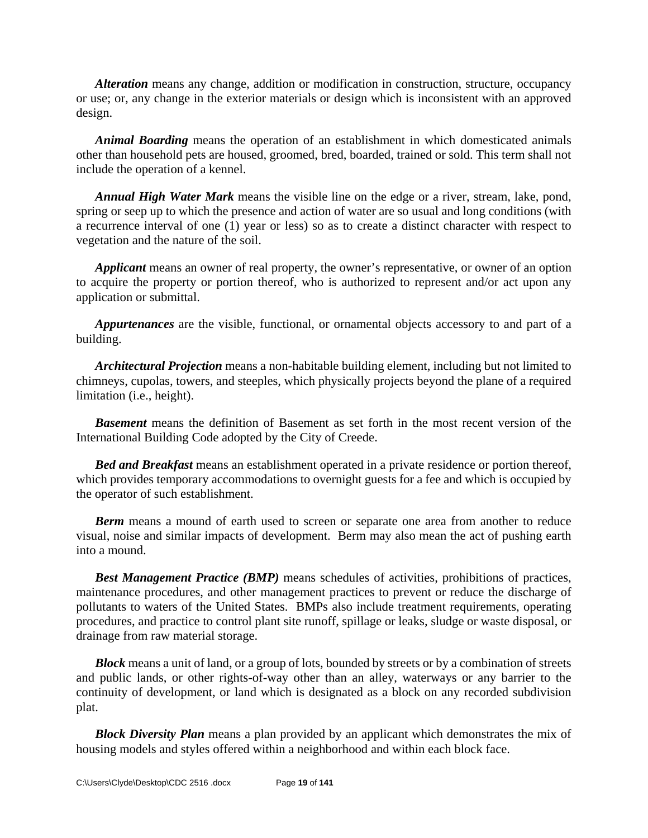*Alteration* means any change, addition or modification in construction, structure, occupancy or use; or, any change in the exterior materials or design which is inconsistent with an approved design.

*Animal Boarding* means the operation of an establishment in which domesticated animals other than household pets are housed, groomed, bred, boarded, trained or sold. This term shall not include the operation of a kennel.

*Annual High Water Mark* means the visible line on the edge or a river, stream, lake, pond, spring or seep up to which the presence and action of water are so usual and long conditions (with a recurrence interval of one (1) year or less) so as to create a distinct character with respect to vegetation and the nature of the soil.

*Applicant* means an owner of real property, the owner's representative, or owner of an option to acquire the property or portion thereof, who is authorized to represent and/or act upon any application or submittal.

*Appurtenances* are the visible, functional, or ornamental objects accessory to and part of a building.

*Architectural Projection* means a non-habitable building element, including but not limited to chimneys, cupolas, towers, and steeples, which physically projects beyond the plane of a required limitation (i.e., height).

*Basement* means the definition of Basement as set forth in the most recent version of the International Building Code adopted by the City of Creede.

*Bed and Breakfast* means an establishment operated in a private residence or portion thereof, which provides temporary accommodations to overnight guests for a fee and which is occupied by the operator of such establishment.

*Berm* means a mound of earth used to screen or separate one area from another to reduce visual, noise and similar impacts of development. Berm may also mean the act of pushing earth into a mound.

*Best Management Practice (BMP)* means schedules of activities, prohibitions of practices, maintenance procedures, and other management practices to prevent or reduce the discharge of pollutants to waters of the United States. BMPs also include treatment requirements, operating procedures, and practice to control plant site runoff, spillage or leaks, sludge or waste disposal, or drainage from raw material storage.

*Block* means a unit of land, or a group of lots, bounded by streets or by a combination of streets and public lands, or other rights-of-way other than an alley, waterways or any barrier to the continuity of development, or land which is designated as a block on any recorded subdivision plat.

*Block Diversity Plan* means a plan provided by an applicant which demonstrates the mix of housing models and styles offered within a neighborhood and within each block face.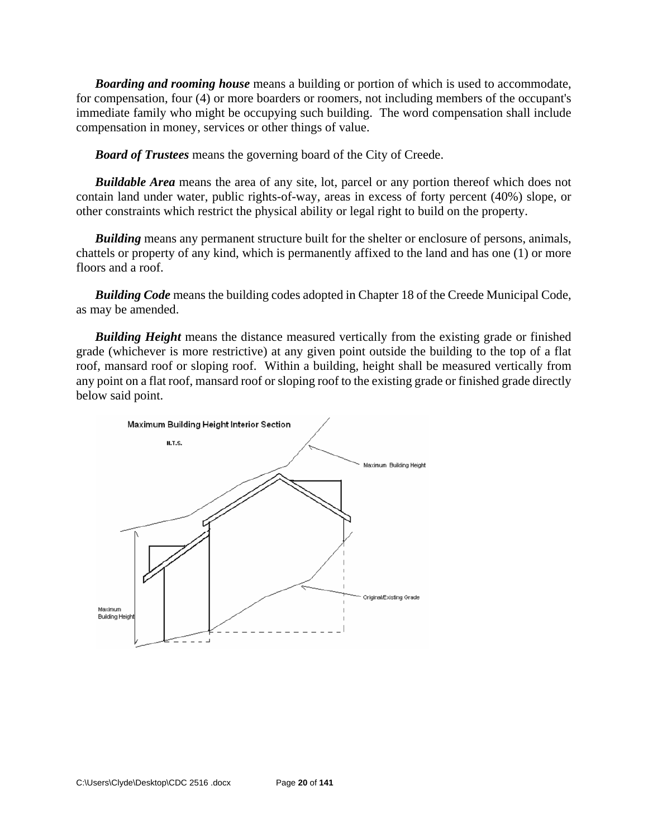*Boarding and rooming house* means a building or portion of which is used to accommodate, for compensation, four (4) or more boarders or roomers, not including members of the occupant's immediate family who might be occupying such building. The word compensation shall include compensation in money, services or other things of value.

*Board of Trustees* means the governing board of the City of Creede.

*Buildable Area* means the area of any site, lot, parcel or any portion thereof which does not contain land under water, public rights-of-way, areas in excess of forty percent (40%) slope, or other constraints which restrict the physical ability or legal right to build on the property.

*Building* means any permanent structure built for the shelter or enclosure of persons, animals, chattels or property of any kind, which is permanently affixed to the land and has one (1) or more floors and a roof.

*Building Code* means the building codes adopted in Chapter 18 of the Creede Municipal Code, as may be amended.

*Building Height* means the distance measured vertically from the existing grade or finished grade (whichever is more restrictive) at any given point outside the building to the top of a flat roof, mansard roof or sloping roof. Within a building, height shall be measured vertically from any point on a flat roof, mansard roof or sloping roof to the existing grade or finished grade directly below said point.

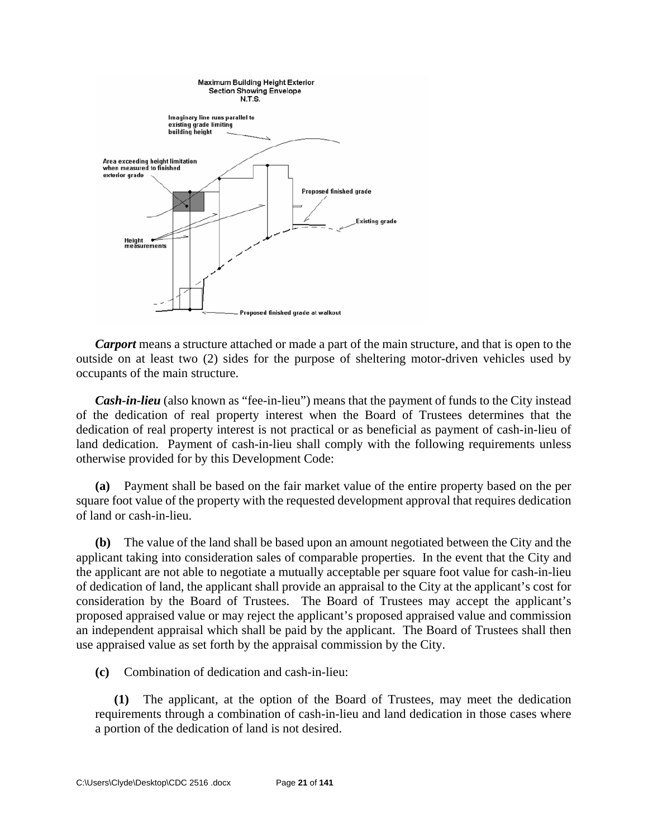

*Carport* means a structure attached or made a part of the main structure, and that is open to the outside on at least two (2) sides for the purpose of sheltering motor-driven vehicles used by occupants of the main structure.

*Cash-in-lieu* (also known as "fee-in-lieu") means that the payment of funds to the City instead of the dedication of real property interest when the Board of Trustees determines that the dedication of real property interest is not practical or as beneficial as payment of cash-in-lieu of land dedication. Payment of cash-in-lieu shall comply with the following requirements unless otherwise provided for by this Development Code:

**(a)** Payment shall be based on the fair market value of the entire property based on the per square foot value of the property with the requested development approval that requires dedication of land or cash-in-lieu.

**(b)** The value of the land shall be based upon an amount negotiated between the City and the applicant taking into consideration sales of comparable properties. In the event that the City and the applicant are not able to negotiate a mutually acceptable per square foot value for cash-in-lieu of dedication of land, the applicant shall provide an appraisal to the City at the applicant's cost for consideration by the Board of Trustees. The Board of Trustees may accept the applicant's proposed appraised value or may reject the applicant's proposed appraised value and commission an independent appraisal which shall be paid by the applicant. The Board of Trustees shall then use appraised value as set forth by the appraisal commission by the City.

**(c)** Combination of dedication and cash-in-lieu:

**(1)** The applicant, at the option of the Board of Trustees, may meet the dedication requirements through a combination of cash-in-lieu and land dedication in those cases where a portion of the dedication of land is not desired.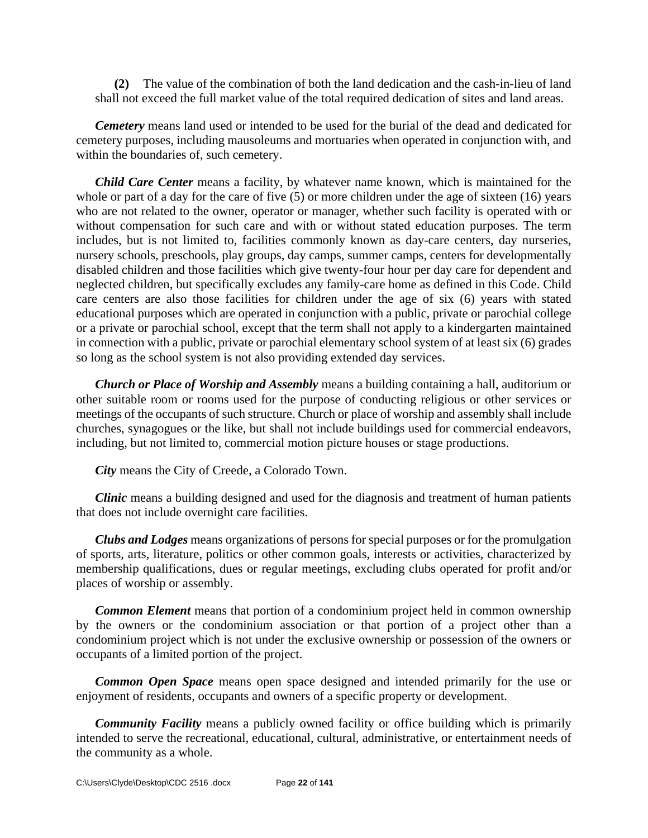**(2)** The value of the combination of both the land dedication and the cash-in-lieu of land shall not exceed the full market value of the total required dedication of sites and land areas.

*Cemetery* means land used or intended to be used for the burial of the dead and dedicated for cemetery purposes, including mausoleums and mortuaries when operated in conjunction with, and within the boundaries of, such cemetery.

*Child Care Center* means a facility, by whatever name known, which is maintained for the whole or part of a day for the care of five (5) or more children under the age of sixteen (16) years who are not related to the owner, operator or manager, whether such facility is operated with or without compensation for such care and with or without stated education purposes. The term includes, but is not limited to, facilities commonly known as day-care centers, day nurseries, nursery schools, preschools, play groups, day camps, summer camps, centers for developmentally disabled children and those facilities which give twenty-four hour per day care for dependent and neglected children, but specifically excludes any family-care home as defined in this Code. Child care centers are also those facilities for children under the age of six (6) years with stated educational purposes which are operated in conjunction with a public, private or parochial college or a private or parochial school, except that the term shall not apply to a kindergarten maintained in connection with a public, private or parochial elementary school system of at least six (6) grades so long as the school system is not also providing extended day services.

*Church or Place of Worship and Assembly* means a building containing a hall, auditorium or other suitable room or rooms used for the purpose of conducting religious or other services or meetings of the occupants of such structure. Church or place of worship and assembly shall include churches, synagogues or the like, but shall not include buildings used for commercial endeavors, including, but not limited to, commercial motion picture houses or stage productions.

*City* means the City of Creede, a Colorado Town.

*Clinic* means a building designed and used for the diagnosis and treatment of human patients that does not include overnight care facilities.

*Clubs and Lodges* means organizations of persons for special purposes or for the promulgation of sports, arts, literature, politics or other common goals, interests or activities, characterized by membership qualifications, dues or regular meetings, excluding clubs operated for profit and/or places of worship or assembly.

*Common Element* means that portion of a condominium project held in common ownership by the owners or the condominium association or that portion of a project other than a condominium project which is not under the exclusive ownership or possession of the owners or occupants of a limited portion of the project.

*Common Open Space* means open space designed and intended primarily for the use or enjoyment of residents, occupants and owners of a specific property or development.

*Community Facility* means a publicly owned facility or office building which is primarily intended to serve the recreational, educational, cultural, administrative, or entertainment needs of the community as a whole.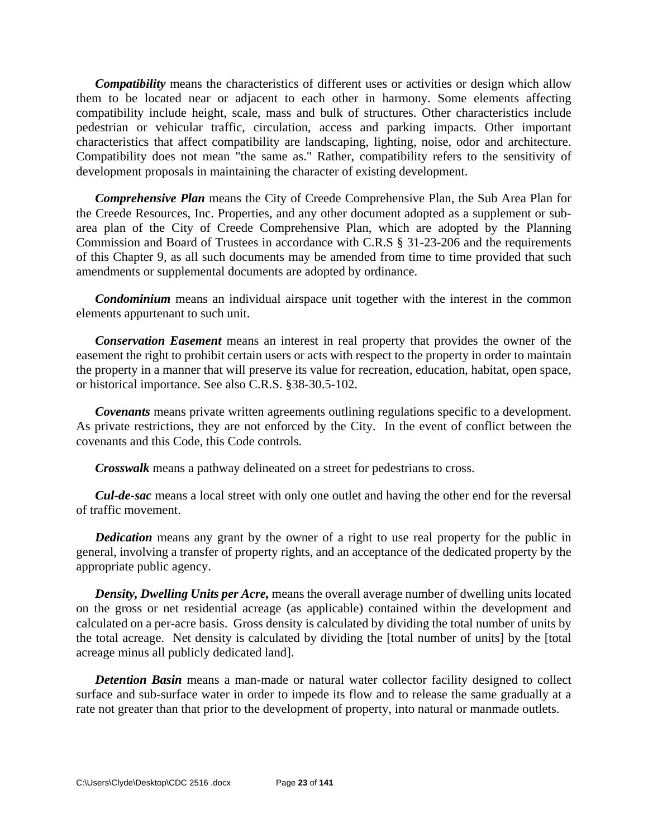*Compatibility* means the characteristics of different uses or activities or design which allow them to be located near or adjacent to each other in harmony. Some elements affecting compatibility include height, scale, mass and bulk of structures. Other characteristics include pedestrian or vehicular traffic, circulation, access and parking impacts. Other important characteristics that affect compatibility are landscaping, lighting, noise, odor and architecture. Compatibility does not mean "the same as." Rather, compatibility refers to the sensitivity of development proposals in maintaining the character of existing development.

*Comprehensive Plan* means the City of Creede Comprehensive Plan, the Sub Area Plan for the Creede Resources, Inc. Properties, and any other document adopted as a supplement or subarea plan of the City of Creede Comprehensive Plan, which are adopted by the Planning Commission and Board of Trustees in accordance with C.R.S § 31-23-206 and the requirements of this Chapter 9, as all such documents may be amended from time to time provided that such amendments or supplemental documents are adopted by ordinance.

*Condominium* means an individual airspace unit together with the interest in the common elements appurtenant to such unit.

*Conservation Easement* means an interest in real property that provides the owner of the easement the right to prohibit certain users or acts with respect to the property in order to maintain the property in a manner that will preserve its value for recreation, education, habitat, open space, or historical importance. See also C.R.S. §38-30.5-102.

*Covenants* means private written agreements outlining regulations specific to a development. As private restrictions, they are not enforced by the City. In the event of conflict between the covenants and this Code, this Code controls.

*Crosswalk* means a pathway delineated on a street for pedestrians to cross.

*Cul-de-sac* means a local street with only one outlet and having the other end for the reversal of traffic movement.

*Dedication* means any grant by the owner of a right to use real property for the public in general, involving a transfer of property rights, and an acceptance of the dedicated property by the appropriate public agency.

*Density, Dwelling Units per Acre,* means the overall average number of dwelling units located on the gross or net residential acreage (as applicable) contained within the development and calculated on a per-acre basis. Gross density is calculated by dividing the total number of units by the total acreage. Net density is calculated by dividing the [total number of units] by the [total acreage minus all publicly dedicated land].

*Detention Basin* means a man-made or natural water collector facility designed to collect surface and sub-surface water in order to impede its flow and to release the same gradually at a rate not greater than that prior to the development of property, into natural or manmade outlets.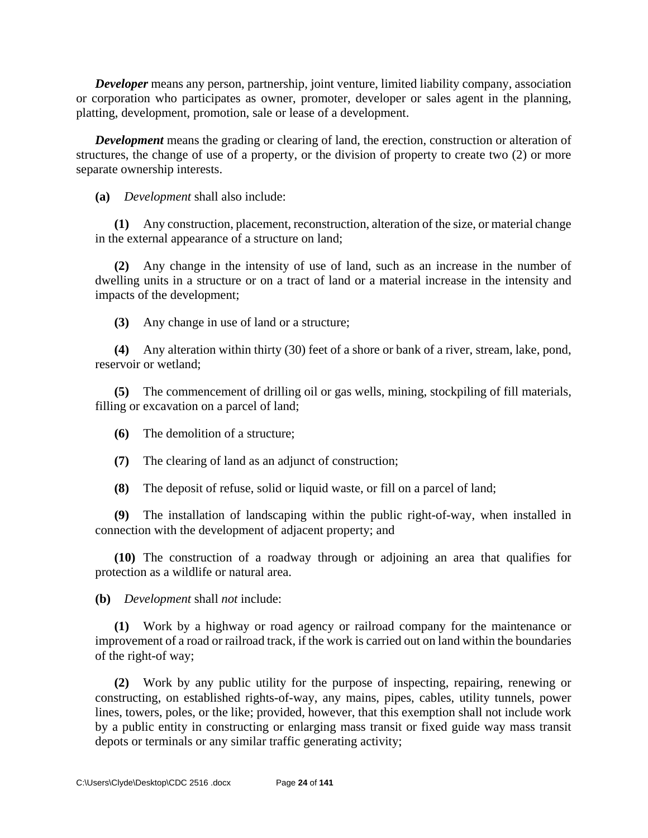*Developer* means any person, partnership, joint venture, limited liability company, association or corporation who participates as owner, promoter, developer or sales agent in the planning, platting, development, promotion, sale or lease of a development.

*Development* means the grading or clearing of land, the erection, construction or alteration of structures, the change of use of a property, or the division of property to create two (2) or more separate ownership interests.

**(a)** *Development* shall also include:

**(1)** Any construction, placement, reconstruction, alteration of the size, or material change in the external appearance of a structure on land;

**(2)** Any change in the intensity of use of land, such as an increase in the number of dwelling units in a structure or on a tract of land or a material increase in the intensity and impacts of the development;

**(3)** Any change in use of land or a structure;

**(4)** Any alteration within thirty (30) feet of a shore or bank of a river, stream, lake, pond, reservoir or wetland;

**(5)** The commencement of drilling oil or gas wells, mining, stockpiling of fill materials, filling or excavation on a parcel of land;

**(6)** The demolition of a structure;

**(7)** The clearing of land as an adjunct of construction;

**(8)** The deposit of refuse, solid or liquid waste, or fill on a parcel of land;

**(9)** The installation of landscaping within the public right-of-way, when installed in connection with the development of adjacent property; and

**(10)** The construction of a roadway through or adjoining an area that qualifies for protection as a wildlife or natural area.

**(b)** *Development* shall *not* include:

**(1)** Work by a highway or road agency or railroad company for the maintenance or improvement of a road or railroad track, if the work is carried out on land within the boundaries of the right-of way;

**(2)** Work by any public utility for the purpose of inspecting, repairing, renewing or constructing, on established rights-of-way, any mains, pipes, cables, utility tunnels, power lines, towers, poles, or the like; provided, however, that this exemption shall not include work by a public entity in constructing or enlarging mass transit or fixed guide way mass transit depots or terminals or any similar traffic generating activity;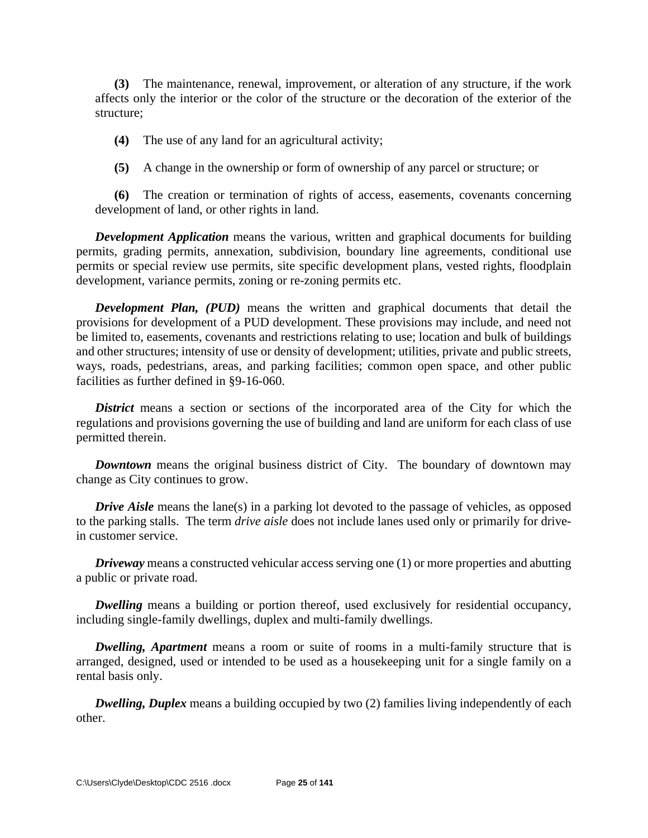**(3)** The maintenance, renewal, improvement, or alteration of any structure, if the work affects only the interior or the color of the structure or the decoration of the exterior of the structure;

**(4)** The use of any land for an agricultural activity;

**(5)** A change in the ownership or form of ownership of any parcel or structure; or

**(6)** The creation or termination of rights of access, easements, covenants concerning development of land, or other rights in land.

*Development Application* means the various, written and graphical documents for building permits, grading permits, annexation, subdivision, boundary line agreements, conditional use permits or special review use permits, site specific development plans, vested rights, floodplain development, variance permits, zoning or re-zoning permits etc.

*Development Plan, (PUD)* means the written and graphical documents that detail the provisions for development of a PUD development. These provisions may include, and need not be limited to, easements, covenants and restrictions relating to use; location and bulk of buildings and other structures; intensity of use or density of development; utilities, private and public streets, ways, roads, pedestrians, areas, and parking facilities; common open space, and other public facilities as further defined in §9-16-060.

**District** means a section or sections of the incorporated area of the City for which the regulations and provisions governing the use of building and land are uniform for each class of use permitted therein.

*Downtown* means the original business district of City. The boundary of downtown may change as City continues to grow.

*Drive Aisle* means the lane(s) in a parking lot devoted to the passage of vehicles, as opposed to the parking stalls. The term *drive aisle* does not include lanes used only or primarily for drivein customer service.

*Driveway* means a constructed vehicular access serving one (1) or more properties and abutting a public or private road.

**Dwelling** means a building or portion thereof, used exclusively for residential occupancy, including single-family dwellings, duplex and multi-family dwellings.

*Dwelling, Apartment* means a room or suite of rooms in a multi-family structure that is arranged, designed, used or intended to be used as a housekeeping unit for a single family on a rental basis only.

*Dwelling, Duplex* means a building occupied by two (2) families living independently of each other.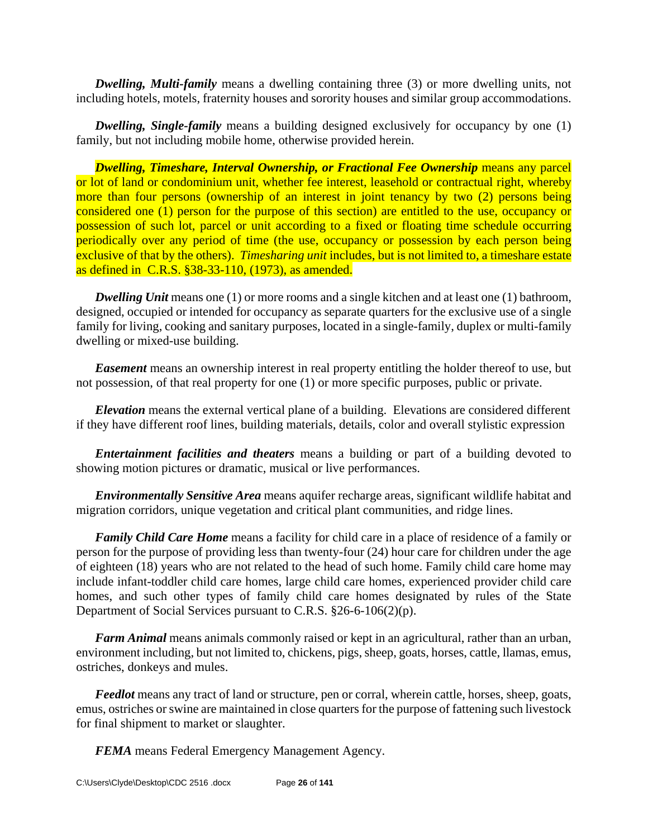*Dwelling, Multi-family* means a dwelling containing three (3) or more dwelling units, not including hotels, motels, fraternity houses and sorority houses and similar group accommodations.

*Dwelling, Single-family* means a building designed exclusively for occupancy by one (1) family, but not including mobile home, otherwise provided herein.

*Dwelling, Timeshare, Interval Ownership, or Fractional Fee Ownership* **means any parcel** or lot of land or condominium unit, whether fee interest, leasehold or contractual right, whereby more than four persons (ownership of an interest in joint tenancy by two (2) persons being considered one (1) person for the purpose of this section) are entitled to the use, occupancy or possession of such lot, parcel or unit according to a fixed or floating time schedule occurring periodically over any period of time (the use, occupancy or possession by each person being exclusive of that by the others). *Timesharing unit* includes, but is not limited to, a timeshare estate as defined in C.R.S. §38-33-110, (1973), as amended.

**Dwelling Unit** means one (1) or more rooms and a single kitchen and at least one (1) bathroom, designed, occupied or intended for occupancy as separate quarters for the exclusive use of a single family for living, cooking and sanitary purposes, located in a single-family, duplex or multi-family dwelling or mixed-use building.

**Easement** means an ownership interest in real property entitling the holder thereof to use, but not possession, of that real property for one (1) or more specific purposes, public or private.

*Elevation* means the external vertical plane of a building. Elevations are considered different if they have different roof lines, building materials, details, color and overall stylistic expression

*Entertainment facilities and theaters* means a building or part of a building devoted to showing motion pictures or dramatic, musical or live performances.

*Environmentally Sensitive Area* means aquifer recharge areas, significant wildlife habitat and migration corridors, unique vegetation and critical plant communities, and ridge lines.

*Family Child Care Home* means a facility for child care in a place of residence of a family or person for the purpose of providing less than twenty-four (24) hour care for children under the age of eighteen (18) years who are not related to the head of such home. Family child care home may include infant-toddler child care homes, large child care homes, experienced provider child care homes, and such other types of family child care homes designated by rules of the State Department of Social Services pursuant to C.R.S. §26-6-106(2)(p).

*Farm Animal* means animals commonly raised or kept in an agricultural, rather than an urban, environment including, but not limited to, chickens, pigs, sheep, goats, horses, cattle, llamas, emus, ostriches, donkeys and mules.

*Feedlot* means any tract of land or structure, pen or corral, wherein cattle, horses, sheep, goats, emus, ostriches or swine are maintained in close quarters for the purpose of fattening such livestock for final shipment to market or slaughter.

*FEMA* means Federal Emergency Management Agency.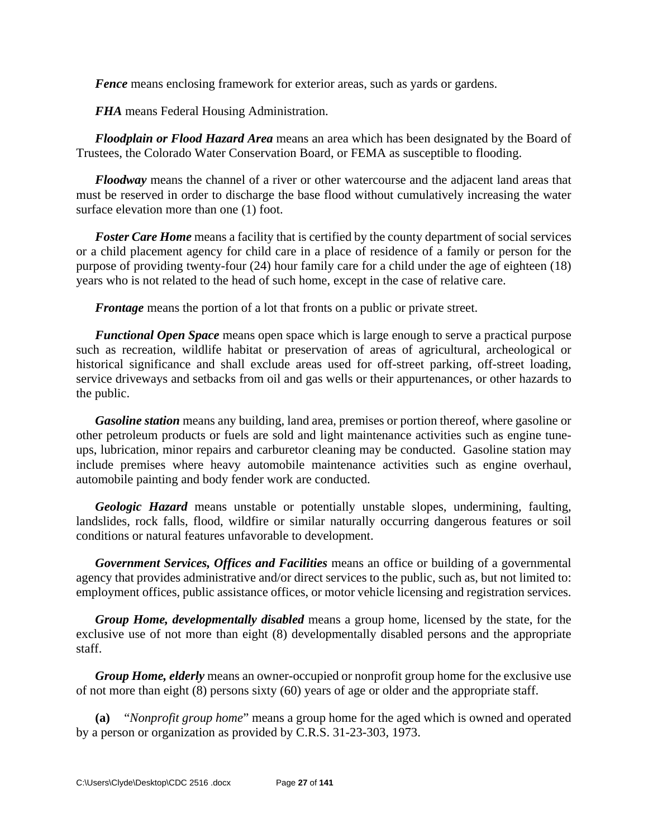*Fence* means enclosing framework for exterior areas, such as yards or gardens.

*FHA* means Federal Housing Administration.

*Floodplain or Flood Hazard Area* means an area which has been designated by the Board of Trustees, the Colorado Water Conservation Board, or FEMA as susceptible to flooding.

*Floodway* means the channel of a river or other watercourse and the adjacent land areas that must be reserved in order to discharge the base flood without cumulatively increasing the water surface elevation more than one  $(1)$  foot.

*Foster Care Home* means a facility that is certified by the county department of social services or a child placement agency for child care in a place of residence of a family or person for the purpose of providing twenty-four (24) hour family care for a child under the age of eighteen (18) years who is not related to the head of such home, except in the case of relative care.

*Frontage* means the portion of a lot that fronts on a public or private street.

*Functional Open Space* means open space which is large enough to serve a practical purpose such as recreation, wildlife habitat or preservation of areas of agricultural, archeological or historical significance and shall exclude areas used for off-street parking, off-street loading, service driveways and setbacks from oil and gas wells or their appurtenances, or other hazards to the public.

*Gasoline station* means any building, land area, premises or portion thereof, where gasoline or other petroleum products or fuels are sold and light maintenance activities such as engine tuneups, lubrication, minor repairs and carburetor cleaning may be conducted. Gasoline station may include premises where heavy automobile maintenance activities such as engine overhaul, automobile painting and body fender work are conducted.

*Geologic Hazard* means unstable or potentially unstable slopes, undermining, faulting, landslides, rock falls, flood, wildfire or similar naturally occurring dangerous features or soil conditions or natural features unfavorable to development.

*Government Services, Offices and Facilities* means an office or building of a governmental agency that provides administrative and/or direct services to the public, such as, but not limited to: employment offices, public assistance offices, or motor vehicle licensing and registration services.

*Group Home, developmentally disabled* means a group home, licensed by the state, for the exclusive use of not more than eight (8) developmentally disabled persons and the appropriate staff.

*Group Home, elderly* means an owner-occupied or nonprofit group home for the exclusive use of not more than eight (8) persons sixty (60) years of age or older and the appropriate staff.

**(a)** "*Nonprofit group home*" means a group home for the aged which is owned and operated by a person or organization as provided by C.R.S. 31-23-303, 1973.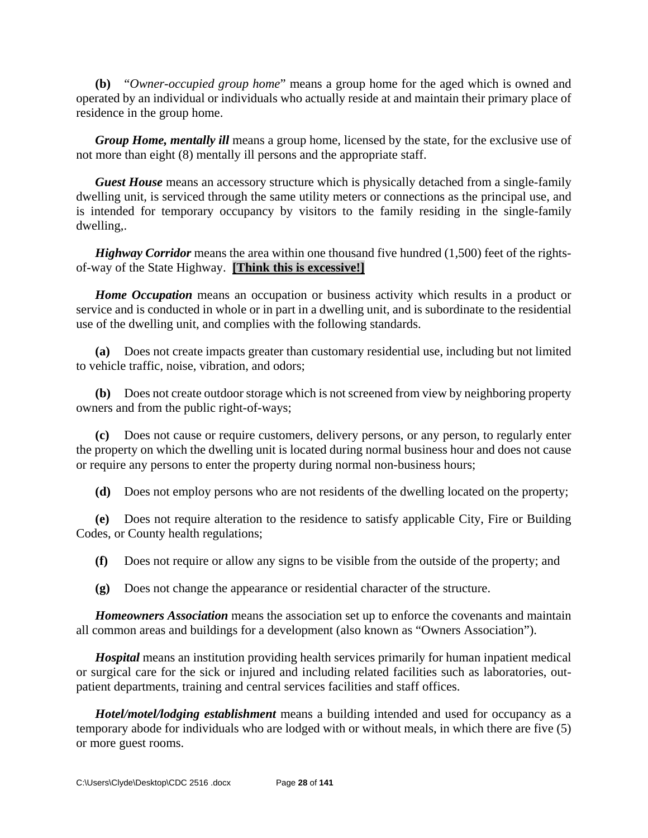**(b)** "*Owner-occupied group home*" means a group home for the aged which is owned and operated by an individual or individuals who actually reside at and maintain their primary place of residence in the group home.

*Group Home, mentally ill* means a group home, licensed by the state, for the exclusive use of not more than eight (8) mentally ill persons and the appropriate staff.

*Guest House* means an accessory structure which is physically detached from a single-family dwelling unit, is serviced through the same utility meters or connections as the principal use, and is intended for temporary occupancy by visitors to the family residing in the single-family dwelling,.

*Highway Corridor* means the area within one thousand five hundred (1,500) feet of the rightsof-way of the State Highway. **[Think this is excessive!]**

*Home Occupation* means an occupation or business activity which results in a product or service and is conducted in whole or in part in a dwelling unit, and is subordinate to the residential use of the dwelling unit, and complies with the following standards.

**(a)** Does not create impacts greater than customary residential use, including but not limited to vehicle traffic, noise, vibration, and odors;

**(b)** Does not create outdoor storage which is not screened from view by neighboring property owners and from the public right-of-ways;

**(c)** Does not cause or require customers, delivery persons, or any person, to regularly enter the property on which the dwelling unit is located during normal business hour and does not cause or require any persons to enter the property during normal non-business hours;

**(d)** Does not employ persons who are not residents of the dwelling located on the property;

**(e)** Does not require alteration to the residence to satisfy applicable City, Fire or Building Codes, or County health regulations;

**(f)** Does not require or allow any signs to be visible from the outside of the property; and

**(g)** Does not change the appearance or residential character of the structure.

*Homeowners Association* means the association set up to enforce the covenants and maintain all common areas and buildings for a development (also known as "Owners Association").

*Hospital* means an institution providing health services primarily for human inpatient medical or surgical care for the sick or injured and including related facilities such as laboratories, outpatient departments, training and central services facilities and staff offices.

*Hotel/motel/lodging establishment* means a building intended and used for occupancy as a temporary abode for individuals who are lodged with or without meals, in which there are five (5) or more guest rooms.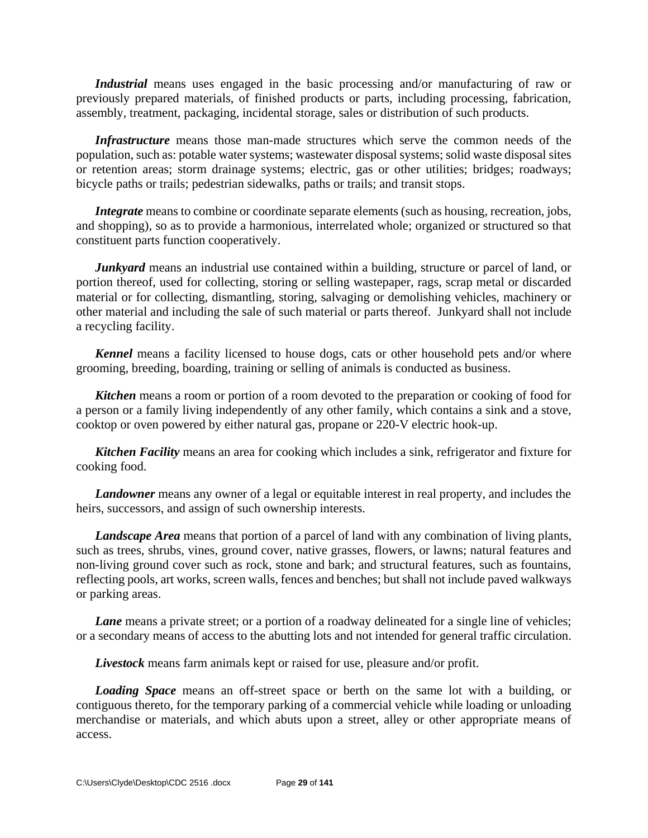*Industrial* means uses engaged in the basic processing and/or manufacturing of raw or previously prepared materials, of finished products or parts, including processing, fabrication, assembly, treatment, packaging, incidental storage, sales or distribution of such products.

*Infrastructure* means those man-made structures which serve the common needs of the population, such as: potable water systems; wastewater disposal systems; solid waste disposal sites or retention areas; storm drainage systems; electric, gas or other utilities; bridges; roadways; bicycle paths or trails; pedestrian sidewalks, paths or trails; and transit stops.

*Integrate* means to combine or coordinate separate elements (such as housing, recreation, jobs, and shopping), so as to provide a harmonious, interrelated whole; organized or structured so that constituent parts function cooperatively.

*Junkyard* means an industrial use contained within a building, structure or parcel of land, or portion thereof, used for collecting, storing or selling wastepaper, rags, scrap metal or discarded material or for collecting, dismantling, storing, salvaging or demolishing vehicles, machinery or other material and including the sale of such material or parts thereof. Junkyard shall not include a recycling facility.

*Kennel* means a facility licensed to house dogs, cats or other household pets and/or where grooming, breeding, boarding, training or selling of animals is conducted as business.

*Kitchen* means a room or portion of a room devoted to the preparation or cooking of food for a person or a family living independently of any other family, which contains a sink and a stove, cooktop or oven powered by either natural gas, propane or 220-V electric hook-up.

*Kitchen Facility* means an area for cooking which includes a sink, refrigerator and fixture for cooking food.

*Landowner* means any owner of a legal or equitable interest in real property, and includes the heirs, successors, and assign of such ownership interests.

*Landscape Area* means that portion of a parcel of land with any combination of living plants, such as trees, shrubs, vines, ground cover, native grasses, flowers, or lawns; natural features and non-living ground cover such as rock, stone and bark; and structural features, such as fountains, reflecting pools, art works, screen walls, fences and benches; but shall not include paved walkways or parking areas.

*Lane* means a private street; or a portion of a roadway delineated for a single line of vehicles; or a secondary means of access to the abutting lots and not intended for general traffic circulation.

*Livestock* means farm animals kept or raised for use, pleasure and/or profit.

*Loading Space* means an off-street space or berth on the same lot with a building, or contiguous thereto, for the temporary parking of a commercial vehicle while loading or unloading merchandise or materials, and which abuts upon a street, alley or other appropriate means of access.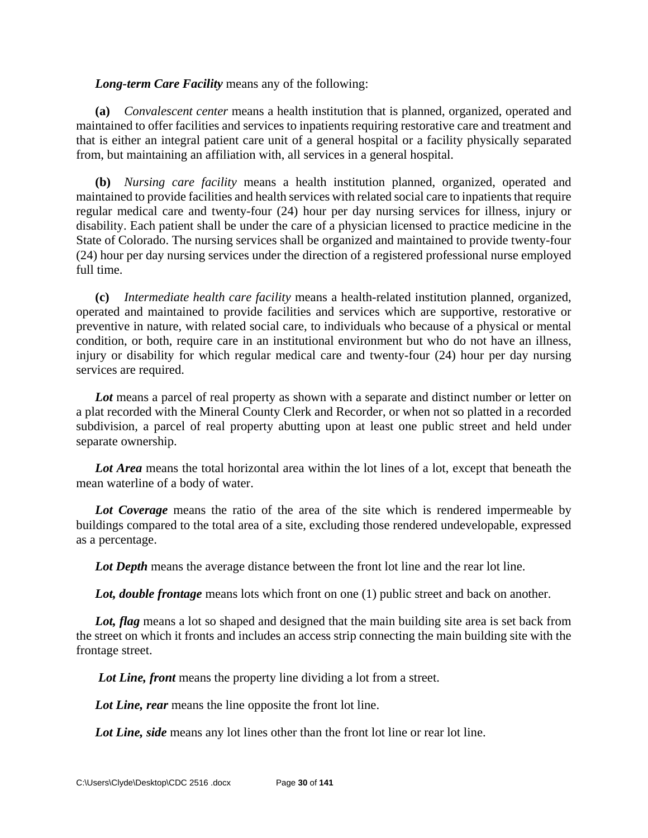### *Long-term Care Facility* means any of the following:

**(a)** *Convalescent center* means a health institution that is planned, organized, operated and maintained to offer facilities and services to inpatients requiring restorative care and treatment and that is either an integral patient care unit of a general hospital or a facility physically separated from, but maintaining an affiliation with, all services in a general hospital.

**(b)** *Nursing care facility* means a health institution planned, organized, operated and maintained to provide facilities and health services with related social care to inpatients that require regular medical care and twenty-four (24) hour per day nursing services for illness, injury or disability. Each patient shall be under the care of a physician licensed to practice medicine in the State of Colorado. The nursing services shall be organized and maintained to provide twenty-four (24) hour per day nursing services under the direction of a registered professional nurse employed full time.

**(c)** *Intermediate health care facility* means a health-related institution planned, organized, operated and maintained to provide facilities and services which are supportive, restorative or preventive in nature, with related social care, to individuals who because of a physical or mental condition, or both, require care in an institutional environment but who do not have an illness, injury or disability for which regular medical care and twenty-four (24) hour per day nursing services are required.

Lot means a parcel of real property as shown with a separate and distinct number or letter on a plat recorded with the Mineral County Clerk and Recorder, or when not so platted in a recorded subdivision, a parcel of real property abutting upon at least one public street and held under separate ownership.

*Lot Area* means the total horizontal area within the lot lines of a lot, except that beneath the mean waterline of a body of water.

*Lot Coverage* means the ratio of the area of the site which is rendered impermeable by buildings compared to the total area of a site, excluding those rendered undevelopable, expressed as a percentage.

*Lot Depth* means the average distance between the front lot line and the rear lot line.

*Lot, double frontage* means lots which front on one (1) public street and back on another.

Lot, flag means a lot so shaped and designed that the main building site area is set back from the street on which it fronts and includes an access strip connecting the main building site with the frontage street.

Lot Line, front means the property line dividing a lot from a street.

*Lot Line, rear* means the line opposite the front lot line.

Lot Line, side means any lot lines other than the front lot line or rear lot line.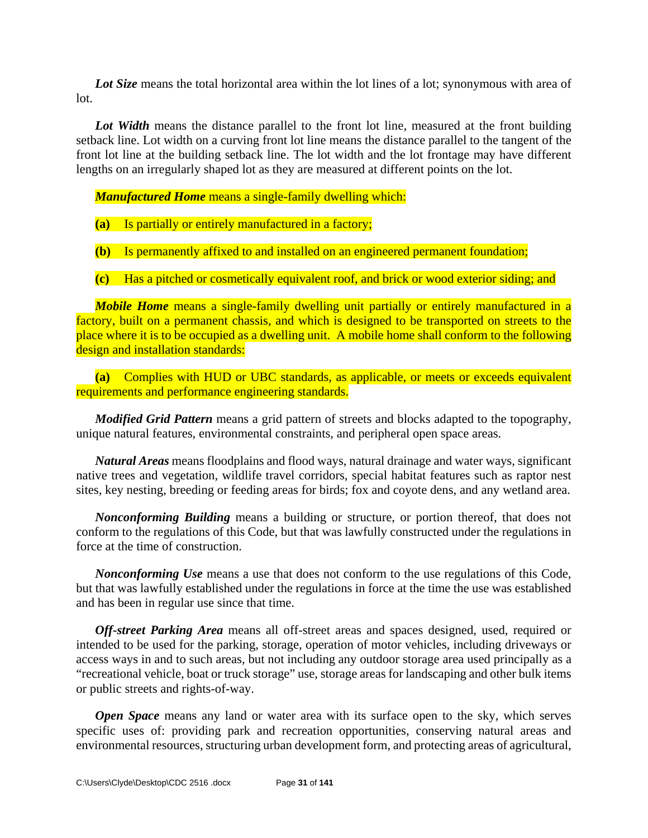Lot Size means the total horizontal area within the lot lines of a lot; synonymous with area of lot.

Lot Width means the distance parallel to the front lot line, measured at the front building setback line. Lot width on a curving front lot line means the distance parallel to the tangent of the front lot line at the building setback line. The lot width and the lot frontage may have different lengths on an irregularly shaped lot as they are measured at different points on the lot.

*Manufactured Home* means a single-family dwelling which:

**(a)** Is partially or entirely manufactured in a factory;

**(b)** Is permanently affixed to and installed on an engineered permanent foundation;

**(c)** Has a pitched or cosmetically equivalent roof, and brick or wood exterior siding; and

*Mobile Home* means a single-family dwelling unit partially or entirely manufactured in a factory, built on a permanent chassis, and which is designed to be transported on streets to the place where it is to be occupied as a dwelling unit. A mobile home shall conform to the following design and installation standards:

**(a)** Complies with HUD or UBC standards, as applicable, or meets or exceeds equivalent requirements and performance engineering standards.

*Modified Grid Pattern* means a grid pattern of streets and blocks adapted to the topography, unique natural features, environmental constraints, and peripheral open space areas.

*Natural Areas* means floodplains and flood ways, natural drainage and water ways, significant native trees and vegetation, wildlife travel corridors, special habitat features such as raptor nest sites, key nesting, breeding or feeding areas for birds; fox and coyote dens, and any wetland area.

*Nonconforming Building* means a building or structure, or portion thereof, that does not conform to the regulations of this Code, but that was lawfully constructed under the regulations in force at the time of construction.

*Nonconforming Use* means a use that does not conform to the use regulations of this Code, but that was lawfully established under the regulations in force at the time the use was established and has been in regular use since that time.

*Off-street Parking Area* means all off-street areas and spaces designed, used, required or intended to be used for the parking, storage, operation of motor vehicles, including driveways or access ways in and to such areas, but not including any outdoor storage area used principally as a "recreational vehicle, boat or truck storage" use, storage areas for landscaping and other bulk items or public streets and rights-of-way.

*Open Space* means any land or water area with its surface open to the sky, which serves specific uses of: providing park and recreation opportunities, conserving natural areas and environmental resources, structuring urban development form, and protecting areas of agricultural,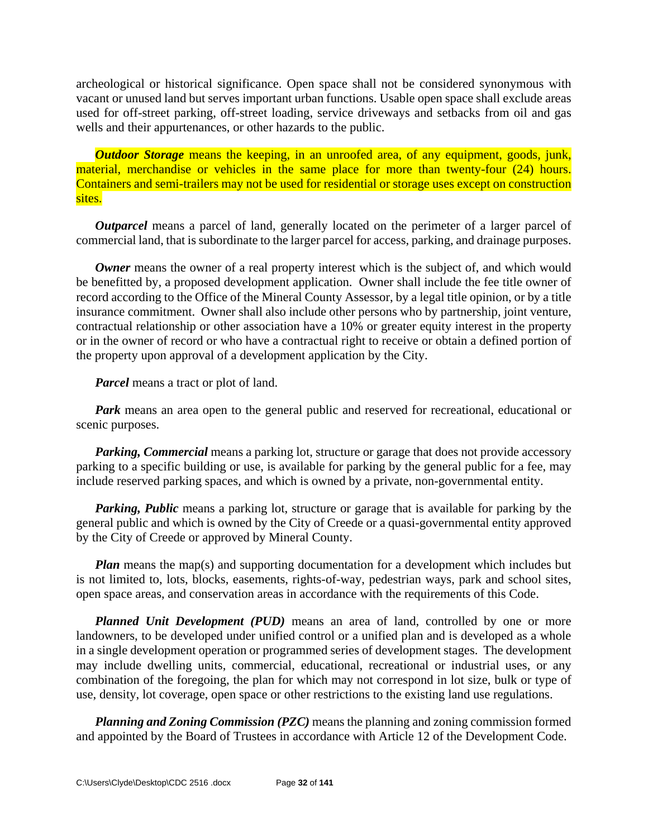archeological or historical significance. Open space shall not be considered synonymous with vacant or unused land but serves important urban functions. Usable open space shall exclude areas used for off-street parking, off-street loading, service driveways and setbacks from oil and gas wells and their appurtenances, or other hazards to the public.

*Outdoor Storage* means the keeping, in an unroofed area, of any equipment, goods, junk, material, merchandise or vehicles in the same place for more than twenty-four (24) hours. Containers and semi-trailers may not be used for residential or storage uses except on construction sites.

*Outparcel* means a parcel of land, generally located on the perimeter of a larger parcel of commercial land, that is subordinate to the larger parcel for access, parking, and drainage purposes.

**Owner** means the owner of a real property interest which is the subject of, and which would be benefitted by, a proposed development application. Owner shall include the fee title owner of record according to the Office of the Mineral County Assessor, by a legal title opinion, or by a title insurance commitment. Owner shall also include other persons who by partnership, joint venture, contractual relationship or other association have a 10% or greater equity interest in the property or in the owner of record or who have a contractual right to receive or obtain a defined portion of the property upon approval of a development application by the City.

*Parcel* means a tract or plot of land.

*Park* means an area open to the general public and reserved for recreational, educational or scenic purposes.

*Parking, Commercial* means a parking lot, structure or garage that does not provide accessory parking to a specific building or use, is available for parking by the general public for a fee, may include reserved parking spaces, and which is owned by a private, non-governmental entity.

**Parking, Public** means a parking lot, structure or garage that is available for parking by the general public and which is owned by the City of Creede or a quasi-governmental entity approved by the City of Creede or approved by Mineral County.

*Plan* means the map(s) and supporting documentation for a development which includes but is not limited to, lots, blocks, easements, rights-of-way, pedestrian ways, park and school sites, open space areas, and conservation areas in accordance with the requirements of this Code.

*Planned Unit Development (PUD)* means an area of land, controlled by one or more landowners, to be developed under unified control or a unified plan and is developed as a whole in a single development operation or programmed series of development stages. The development may include dwelling units, commercial, educational, recreational or industrial uses, or any combination of the foregoing, the plan for which may not correspond in lot size, bulk or type of use, density, lot coverage, open space or other restrictions to the existing land use regulations.

*Planning and Zoning Commission (PZC)* means the planning and zoning commission formed and appointed by the Board of Trustees in accordance with Article 12 of the Development Code.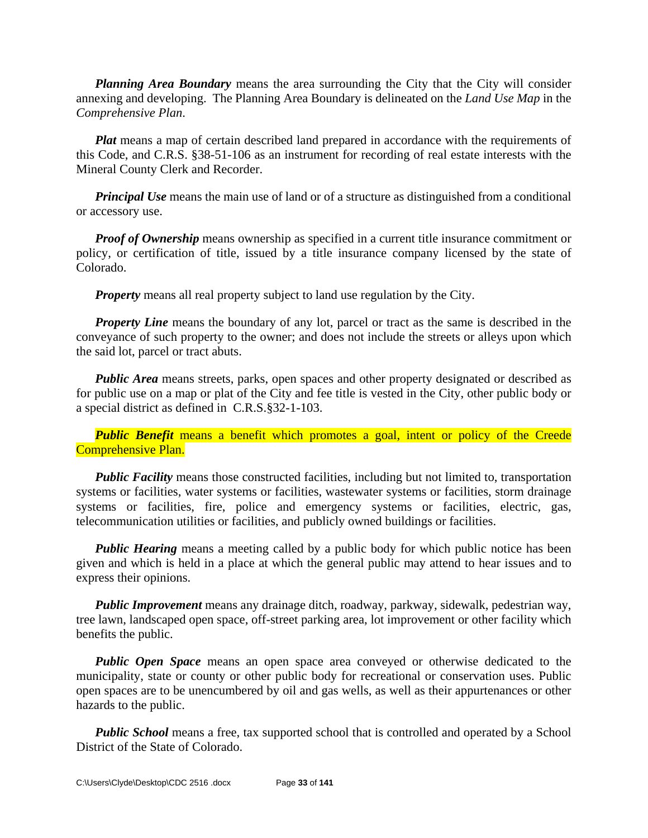*Planning Area Boundary* means the area surrounding the City that the City will consider annexing and developing. The Planning Area Boundary is delineated on the *Land Use Map* in the *Comprehensive Plan*.

*Plat* means a map of certain described land prepared in accordance with the requirements of this Code, and C.R.S. §38-51-106 as an instrument for recording of real estate interests with the Mineral County Clerk and Recorder.

**Principal Use** means the main use of land or of a structure as distinguished from a conditional or accessory use.

*Proof of Ownership* means ownership as specified in a current title insurance commitment or policy, or certification of title, issued by a title insurance company licensed by the state of Colorado.

*Property* means all real property subject to land use regulation by the City.

*Property Line* means the boundary of any lot, parcel or tract as the same is described in the conveyance of such property to the owner; and does not include the streets or alleys upon which the said lot, parcel or tract abuts.

*Public Area* means streets, parks, open spaces and other property designated or described as for public use on a map or plat of the City and fee title is vested in the City, other public body or a special district as defined in C.R.S.§32-1-103.

**Public Benefit** means a benefit which promotes a goal, intent or policy of the Creede Comprehensive Plan.

*Public Facility* means those constructed facilities, including but not limited to, transportation systems or facilities, water systems or facilities, wastewater systems or facilities, storm drainage systems or facilities, fire, police and emergency systems or facilities, electric, gas, telecommunication utilities or facilities, and publicly owned buildings or facilities.

*Public Hearing* means a meeting called by a public body for which public notice has been given and which is held in a place at which the general public may attend to hear issues and to express their opinions.

*Public Improvement* means any drainage ditch, roadway, parkway, sidewalk, pedestrian way, tree lawn, landscaped open space, off-street parking area, lot improvement or other facility which benefits the public.

*Public Open Space* means an open space area conveyed or otherwise dedicated to the municipality, state or county or other public body for recreational or conservation uses. Public open spaces are to be unencumbered by oil and gas wells, as well as their appurtenances or other hazards to the public.

**Public School** means a free, tax supported school that is controlled and operated by a School District of the State of Colorado.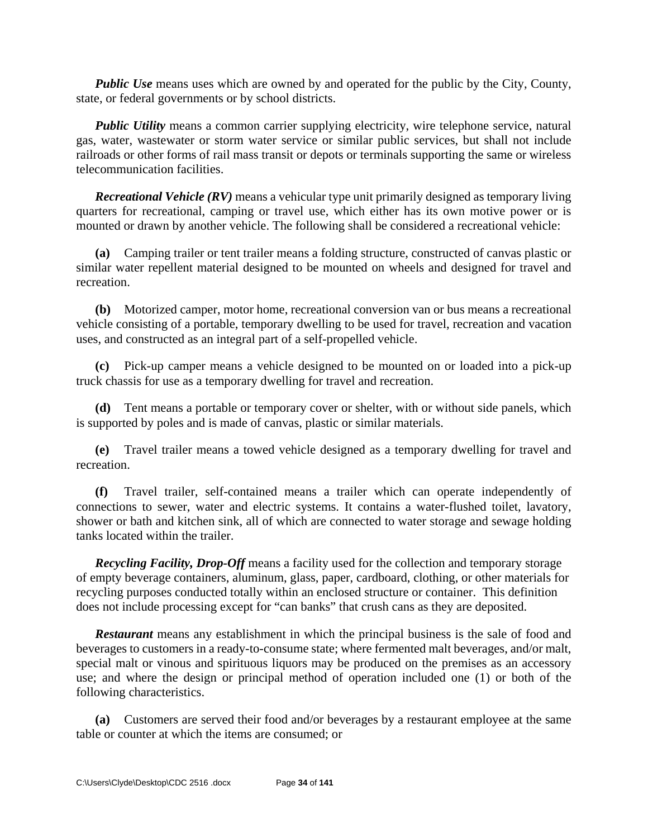**Public Use** means uses which are owned by and operated for the public by the City, County, state, or federal governments or by school districts.

**Public Utility** means a common carrier supplying electricity, wire telephone service, natural gas, water, wastewater or storm water service or similar public services, but shall not include railroads or other forms of rail mass transit or depots or terminals supporting the same or wireless telecommunication facilities.

*Recreational Vehicle (RV)* means a vehicular type unit primarily designed as temporary living quarters for recreational, camping or travel use, which either has its own motive power or is mounted or drawn by another vehicle. The following shall be considered a recreational vehicle:

**(a)** Camping trailer or tent trailer means a folding structure, constructed of canvas plastic or similar water repellent material designed to be mounted on wheels and designed for travel and recreation.

**(b)** Motorized camper, motor home, recreational conversion van or bus means a recreational vehicle consisting of a portable, temporary dwelling to be used for travel, recreation and vacation uses, and constructed as an integral part of a self-propelled vehicle.

**(c)** Pick-up camper means a vehicle designed to be mounted on or loaded into a pick-up truck chassis for use as a temporary dwelling for travel and recreation.

**(d)** Tent means a portable or temporary cover or shelter, with or without side panels, which is supported by poles and is made of canvas, plastic or similar materials.

**(e)** Travel trailer means a towed vehicle designed as a temporary dwelling for travel and recreation.

**(f)** Travel trailer, self-contained means a trailer which can operate independently of connections to sewer, water and electric systems. It contains a water-flushed toilet, lavatory, shower or bath and kitchen sink, all of which are connected to water storage and sewage holding tanks located within the trailer.

*Recycling Facility, Drop-Off* means a facility used for the collection and temporary storage of empty beverage containers, aluminum, glass, paper, cardboard, clothing, or other materials for recycling purposes conducted totally within an enclosed structure or container. This definition does not include processing except for "can banks" that crush cans as they are deposited.

*Restaurant* means any establishment in which the principal business is the sale of food and beverages to customers in a ready-to-consume state; where fermented malt beverages, and/or malt, special malt or vinous and spirituous liquors may be produced on the premises as an accessory use; and where the design or principal method of operation included one (1) or both of the following characteristics.

**(a)** Customers are served their food and/or beverages by a restaurant employee at the same table or counter at which the items are consumed; or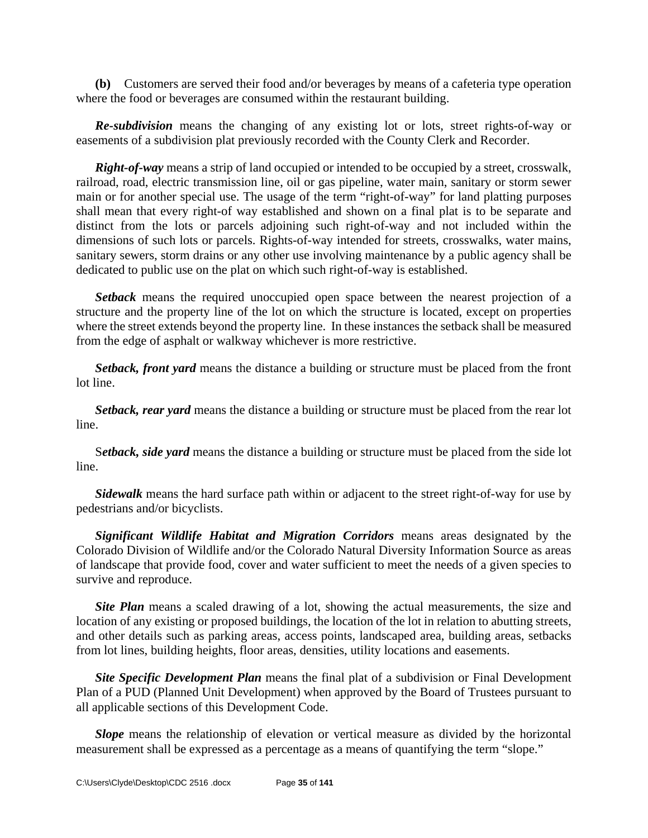**(b)** Customers are served their food and/or beverages by means of a cafeteria type operation where the food or beverages are consumed within the restaurant building.

*Re-subdivision* means the changing of any existing lot or lots, street rights-of-way or easements of a subdivision plat previously recorded with the County Clerk and Recorder.

*Right-of-way* means a strip of land occupied or intended to be occupied by a street, crosswalk, railroad, road, electric transmission line, oil or gas pipeline, water main, sanitary or storm sewer main or for another special use. The usage of the term "right-of-way" for land platting purposes shall mean that every right-of way established and shown on a final plat is to be separate and distinct from the lots or parcels adjoining such right-of-way and not included within the dimensions of such lots or parcels. Rights-of-way intended for streets, crosswalks, water mains, sanitary sewers, storm drains or any other use involving maintenance by a public agency shall be dedicated to public use on the plat on which such right-of-way is established.

*Setback* means the required unoccupied open space between the nearest projection of a structure and the property line of the lot on which the structure is located, except on properties where the street extends beyond the property line. In these instances the setback shall be measured from the edge of asphalt or walkway whichever is more restrictive.

*Setback, front yard* means the distance a building or structure must be placed from the front lot line.

*Setback, rear yard* means the distance a building or structure must be placed from the rear lot line.

S*etback, side yard* means the distance a building or structure must be placed from the side lot line.

*Sidewalk* means the hard surface path within or adjacent to the street right-of-way for use by pedestrians and/or bicyclists.

*Significant Wildlife Habitat and Migration Corridors* means areas designated by the Colorado Division of Wildlife and/or the Colorado Natural Diversity Information Source as areas of landscape that provide food, cover and water sufficient to meet the needs of a given species to survive and reproduce.

*Site Plan* means a scaled drawing of a lot, showing the actual measurements, the size and location of any existing or proposed buildings, the location of the lot in relation to abutting streets, and other details such as parking areas, access points, landscaped area, building areas, setbacks from lot lines, building heights, floor areas, densities, utility locations and easements.

*Site Specific Development Plan* means the final plat of a subdivision or Final Development Plan of a PUD (Planned Unit Development) when approved by the Board of Trustees pursuant to all applicable sections of this Development Code.

*Slope* means the relationship of elevation or vertical measure as divided by the horizontal measurement shall be expressed as a percentage as a means of quantifying the term "slope."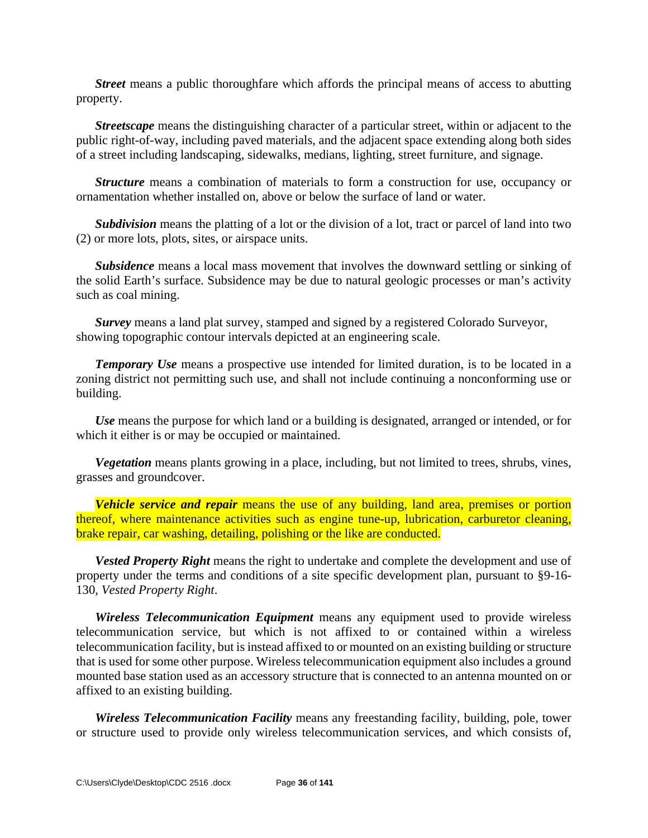*Street* means a public thoroughfare which affords the principal means of access to abutting property.

*Streetscape* means the distinguishing character of a particular street, within or adjacent to the public right-of-way, including paved materials, and the adjacent space extending along both sides of a street including landscaping, sidewalks, medians, lighting, street furniture, and signage.

*Structure* means a combination of materials to form a construction for use, occupancy or ornamentation whether installed on, above or below the surface of land or water.

*Subdivision* means the platting of a lot or the division of a lot, tract or parcel of land into two (2) or more lots, plots, sites, or airspace units.

*Subsidence* means a local mass movement that involves the downward settling or sinking of the solid Earth's surface. Subsidence may be due to natural geologic processes or man's activity such as coal mining.

*Survey* means a land plat survey, stamped and signed by a registered Colorado Surveyor, showing topographic contour intervals depicted at an engineering scale.

*Temporary Use* means a prospective use intended for limited duration, is to be located in a zoning district not permitting such use, and shall not include continuing a nonconforming use or building.

*Use* means the purpose for which land or a building is designated, arranged or intended, or for which it either is or may be occupied or maintained.

*Vegetation* means plants growing in a place, including, but not limited to trees, shrubs, vines, grasses and groundcover.

*Vehicle service and repair* means the use of any building, land area, premises or portion thereof, where maintenance activities such as engine tune-up, lubrication, carburetor cleaning, brake repair, car washing, detailing, polishing or the like are conducted.

*Vested Property Right* means the right to undertake and complete the development and use of property under the terms and conditions of a site specific development plan, pursuant to §9-16- 130, *Vested Property Right*.

*Wireless Telecommunication Equipment* means any equipment used to provide wireless telecommunication service, but which is not affixed to or contained within a wireless telecommunication facility, but is instead affixed to or mounted on an existing building or structure that is used for some other purpose. Wireless telecommunication equipment also includes a ground mounted base station used as an accessory structure that is connected to an antenna mounted on or affixed to an existing building.

*Wireless Telecommunication Facility* means any freestanding facility, building, pole, tower or structure used to provide only wireless telecommunication services, and which consists of,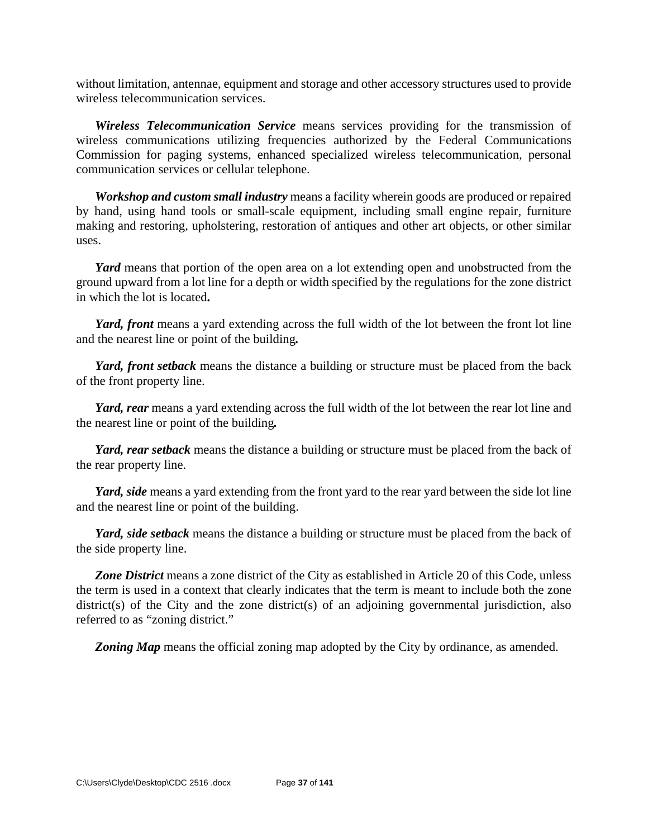without limitation, antennae, equipment and storage and other accessory structures used to provide wireless telecommunication services.

*Wireless Telecommunication Service* means services providing for the transmission of wireless communications utilizing frequencies authorized by the Federal Communications Commission for paging systems, enhanced specialized wireless telecommunication, personal communication services or cellular telephone.

*Workshop and custom small industry* means a facility wherein goods are produced or repaired by hand, using hand tools or small-scale equipment, including small engine repair, furniture making and restoring, upholstering, restoration of antiques and other art objects, or other similar uses.

*Yard* means that portion of the open area on a lot extending open and unobstructed from the ground upward from a lot line for a depth or width specified by the regulations for the zone district in which the lot is located**.**

*Yard, front* means a yard extending across the full width of the lot between the front lot line and the nearest line or point of the building*.*

Yard, front setback means the distance a building or structure must be placed from the back of the front property line.

Yard, rear means a yard extending across the full width of the lot between the rear lot line and the nearest line or point of the building*.*

Yard, rear setback means the distance a building or structure must be placed from the back of the rear property line.

*Yard, side* means a yard extending from the front yard to the rear yard between the side lot line and the nearest line or point of the building.

*Yard, side setback* means the distance a building or structure must be placed from the back of the side property line.

Zone District means a zone district of the City as established in Article 20 of this Code, unless the term is used in a context that clearly indicates that the term is meant to include both the zone district(s) of the City and the zone district(s) of an adjoining governmental jurisdiction, also referred to as "zoning district."

**Zoning Map** means the official zoning map adopted by the City by ordinance, as amended.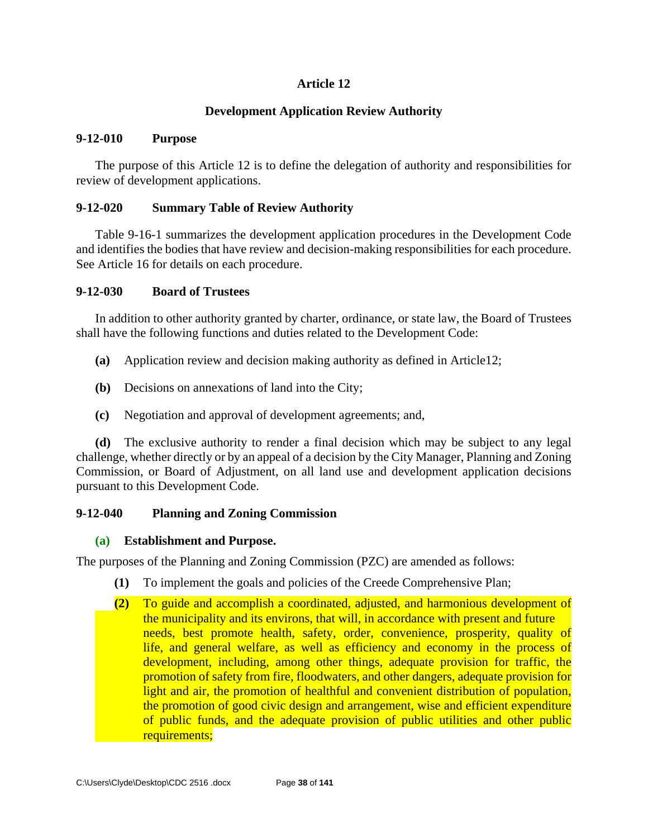## **Article 12**

## **Development Application Review Authority**

#### **9-12-010 Purpose**

The purpose of this Article 12 is to define the delegation of authority and responsibilities for review of development applications.

#### **9-12-020 Summary Table of Review Authority**

Table 9-16-1 summarizes the development application procedures in the Development Code and identifies the bodies that have review and decision-making responsibilities for each procedure. See Article 16 for details on each procedure.

#### **9-12-030 Board of Trustees**

In addition to other authority granted by charter, ordinance, or state law, the Board of Trustees shall have the following functions and duties related to the Development Code:

- **(a)** Application review and decision making authority as defined in Article12;
- **(b)** Decisions on annexations of land into the City;
- **(c)** Negotiation and approval of development agreements; and,

**(d)** The exclusive authority to render a final decision which may be subject to any legal challenge, whether directly or by an appeal of a decision by the City Manager, Planning and Zoning Commission, or Board of Adjustment, on all land use and development application decisions pursuant to this Development Code.

### **9-12-040 Planning and Zoning Commission**

### **(a) Establishment and Purpose.**

The purposes of the Planning and Zoning Commission (PZC) are amended as follows:

- **(1)** To implement the goals and policies of the Creede Comprehensive Plan;
- **(2)** To guide and accomplish a coordinated, adjusted, and harmonious development of the municipality and its environs, that will, in accordance with present and future needs, best promote health, safety, order, convenience, prosperity, quality of life, and general welfare, as well as efficiency and economy in the process of development, including, among other things, adequate provision for traffic, the promotion of safety from fire, floodwaters, and other dangers, adequate provision for light and air, the promotion of healthful and convenient distribution of population, the promotion of good civic design and arrangement, wise and efficient expenditure of public funds, and the adequate provision of public utilities and other public requirements;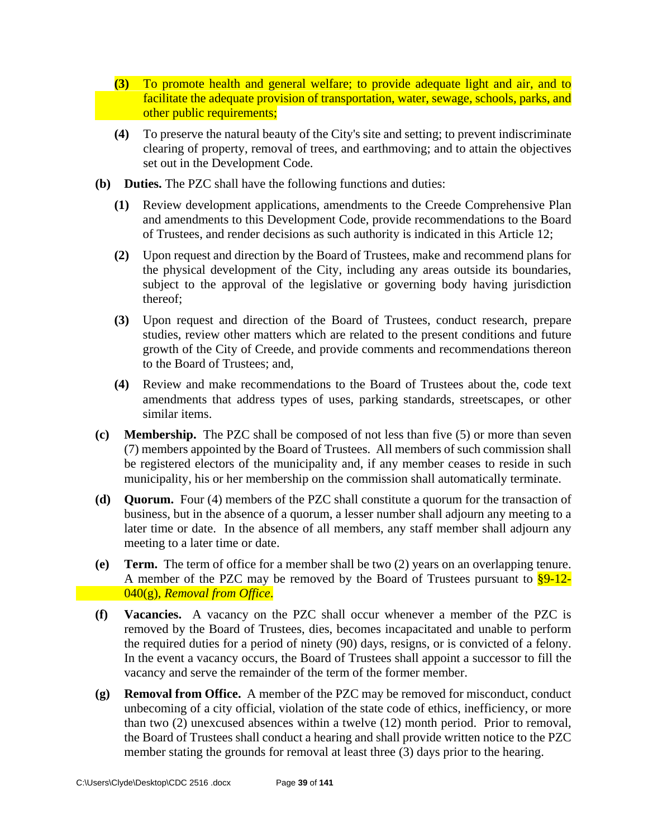- **(3)** To promote health and general welfare; to provide adequate light and air, and to facilitate the adequate provision of transportation, water, sewage, schools, parks, and other public requirements;
- **(4)** To preserve the natural beauty of the City's site and setting; to prevent indiscriminate clearing of property, removal of trees, and earthmoving; and to attain the objectives set out in the Development Code.
- **(b) Duties.** The PZC shall have the following functions and duties:
	- **(1)** Review development applications, amendments to the Creede Comprehensive Plan and amendments to this Development Code, provide recommendations to the Board of Trustees, and render decisions as such authority is indicated in this Article 12;
	- **(2)** Upon request and direction by the Board of Trustees, make and recommend plans for the physical development of the City, including any areas outside its boundaries, subject to the approval of the legislative or governing body having jurisdiction thereof;
	- **(3)** Upon request and direction of the Board of Trustees, conduct research, prepare studies, review other matters which are related to the present conditions and future growth of the City of Creede, and provide comments and recommendations thereon to the Board of Trustees; and,
	- **(4)** Review and make recommendations to the Board of Trustees about the, code text amendments that address types of uses, parking standards, streetscapes, or other similar items.
- **(c) Membership.** The PZC shall be composed of not less than five (5) or more than seven (7) members appointed by the Board of Trustees. All members of such commission shall be registered electors of the municipality and, if any member ceases to reside in such municipality, his or her membership on the commission shall automatically terminate.
- **(d) Quorum.** Four (4) members of the PZC shall constitute a quorum for the transaction of business, but in the absence of a quorum, a lesser number shall adjourn any meeting to a later time or date. In the absence of all members, any staff member shall adjourn any meeting to a later time or date.
- **(e) Term.** The term of office for a member shall be two (2) years on an overlapping tenure. A member of the PZC may be removed by the Board of Trustees pursuant to §9-12- 040(g), *Removal from Office*.
- **(f) Vacancies.** A vacancy on the PZC shall occur whenever a member of the PZC is removed by the Board of Trustees, dies, becomes incapacitated and unable to perform the required duties for a period of ninety (90) days, resigns, or is convicted of a felony. In the event a vacancy occurs, the Board of Trustees shall appoint a successor to fill the vacancy and serve the remainder of the term of the former member.
- **(g) Removal from Office.** A member of the PZC may be removed for misconduct, conduct unbecoming of a city official, violation of the state code of ethics, inefficiency, or more than two (2) unexcused absences within a twelve (12) month period. Prior to removal, the Board of Trustees shall conduct a hearing and shall provide written notice to the PZC member stating the grounds for removal at least three (3) days prior to the hearing.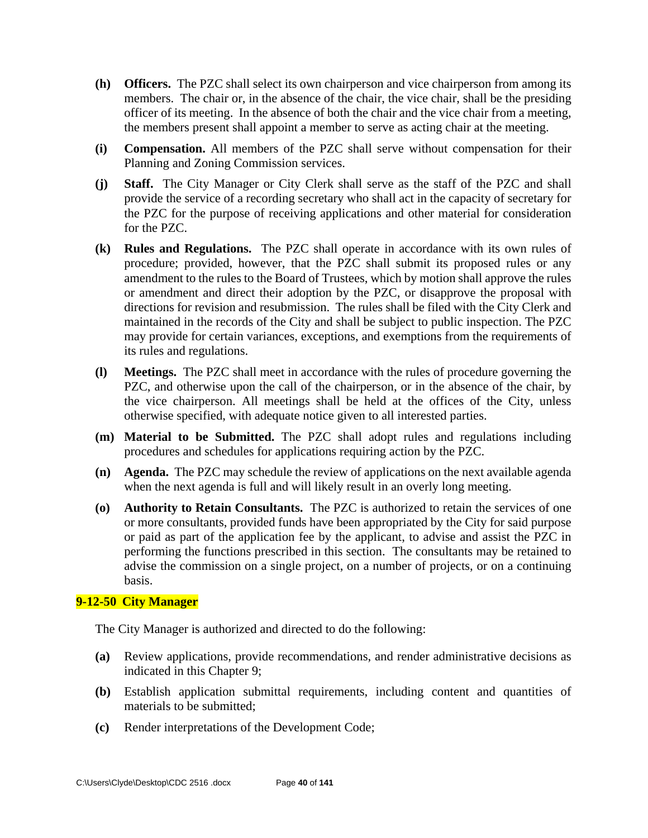- **(h) Officers.** The PZC shall select its own chairperson and vice chairperson from among its members. The chair or, in the absence of the chair, the vice chair, shall be the presiding officer of its meeting. In the absence of both the chair and the vice chair from a meeting, the members present shall appoint a member to serve as acting chair at the meeting.
- **(i) Compensation.** All members of the PZC shall serve without compensation for their Planning and Zoning Commission services.
- **(j) Staff.** The City Manager or City Clerk shall serve as the staff of the PZC and shall provide the service of a recording secretary who shall act in the capacity of secretary for the PZC for the purpose of receiving applications and other material for consideration for the PZC.
- **(k) Rules and Regulations.** The PZC shall operate in accordance with its own rules of procedure; provided, however, that the PZC shall submit its proposed rules or any amendment to the rules to the Board of Trustees, which by motion shall approve the rules or amendment and direct their adoption by the PZC, or disapprove the proposal with directions for revision and resubmission. The rules shall be filed with the City Clerk and maintained in the records of the City and shall be subject to public inspection. The PZC may provide for certain variances, exceptions, and exemptions from the requirements of its rules and regulations.
- **(l) Meetings.** The PZC shall meet in accordance with the rules of procedure governing the PZC, and otherwise upon the call of the chairperson, or in the absence of the chair, by the vice chairperson. All meetings shall be held at the offices of the City, unless otherwise specified, with adequate notice given to all interested parties.
- **(m) Material to be Submitted.** The PZC shall adopt rules and regulations including procedures and schedules for applications requiring action by the PZC.
- **(n) Agenda.** The PZC may schedule the review of applications on the next available agenda when the next agenda is full and will likely result in an overly long meeting.
- **(o) Authority to Retain Consultants.** The PZC is authorized to retain the services of one or more consultants, provided funds have been appropriated by the City for said purpose or paid as part of the application fee by the applicant, to advise and assist the PZC in performing the functions prescribed in this section. The consultants may be retained to advise the commission on a single project, on a number of projects, or on a continuing basis.

# **9-12-50 City Manager**

The City Manager is authorized and directed to do the following:

- **(a)** Review applications, provide recommendations, and render administrative decisions as indicated in this Chapter 9;
- **(b)** Establish application submittal requirements, including content and quantities of materials to be submitted;
- **(c)** Render interpretations of the Development Code;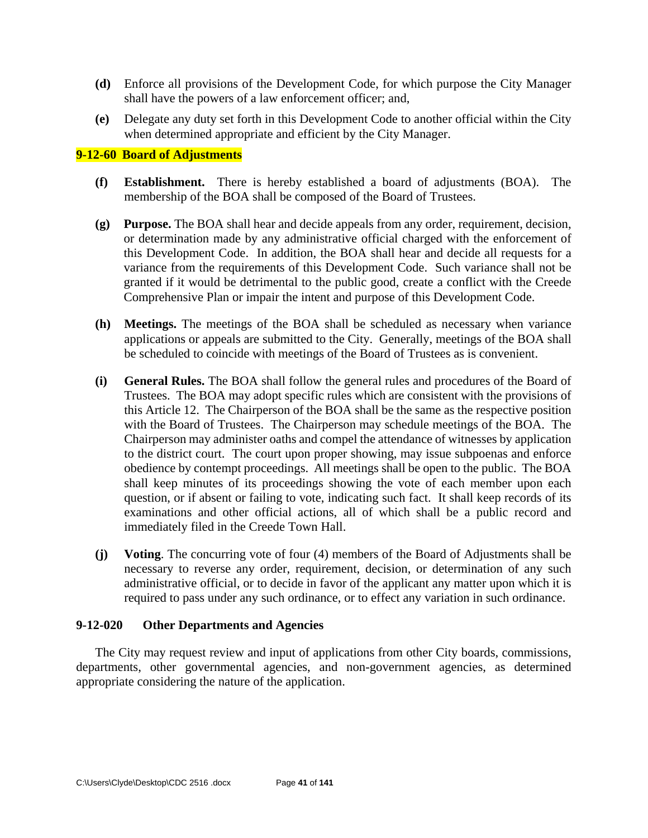- **(d)** Enforce all provisions of the Development Code, for which purpose the City Manager shall have the powers of a law enforcement officer; and,
- **(e)** Delegate any duty set forth in this Development Code to another official within the City when determined appropriate and efficient by the City Manager.

#### **9-12-60 Board of Adjustments**

- **(f) Establishment.** There is hereby established a board of adjustments (BOA). The membership of the BOA shall be composed of the Board of Trustees.
- **(g) Purpose.** The BOA shall hear and decide appeals from any order, requirement, decision, or determination made by any administrative official charged with the enforcement of this Development Code. In addition, the BOA shall hear and decide all requests for a variance from the requirements of this Development Code. Such variance shall not be granted if it would be detrimental to the public good, create a conflict with the Creede Comprehensive Plan or impair the intent and purpose of this Development Code.
- **(h) Meetings.** The meetings of the BOA shall be scheduled as necessary when variance applications or appeals are submitted to the City. Generally, meetings of the BOA shall be scheduled to coincide with meetings of the Board of Trustees as is convenient.
- **(i) General Rules.** The BOA shall follow the general rules and procedures of the Board of Trustees. The BOA may adopt specific rules which are consistent with the provisions of this Article 12. The Chairperson of the BOA shall be the same as the respective position with the Board of Trustees. The Chairperson may schedule meetings of the BOA. The Chairperson may administer oaths and compel the attendance of witnesses by application to the district court. The court upon proper showing, may issue subpoenas and enforce obedience by contempt proceedings. All meetings shall be open to the public. The BOA shall keep minutes of its proceedings showing the vote of each member upon each question, or if absent or failing to vote, indicating such fact. It shall keep records of its examinations and other official actions, all of which shall be a public record and immediately filed in the Creede Town Hall.
- **(j) Voting**. The concurring vote of four (4) members of the Board of Adjustments shall be necessary to reverse any order, requirement, decision, or determination of any such administrative official, or to decide in favor of the applicant any matter upon which it is required to pass under any such ordinance, or to effect any variation in such ordinance.

#### **9-12-020 Other Departments and Agencies**

The City may request review and input of applications from other City boards, commissions, departments, other governmental agencies, and non-government agencies, as determined appropriate considering the nature of the application.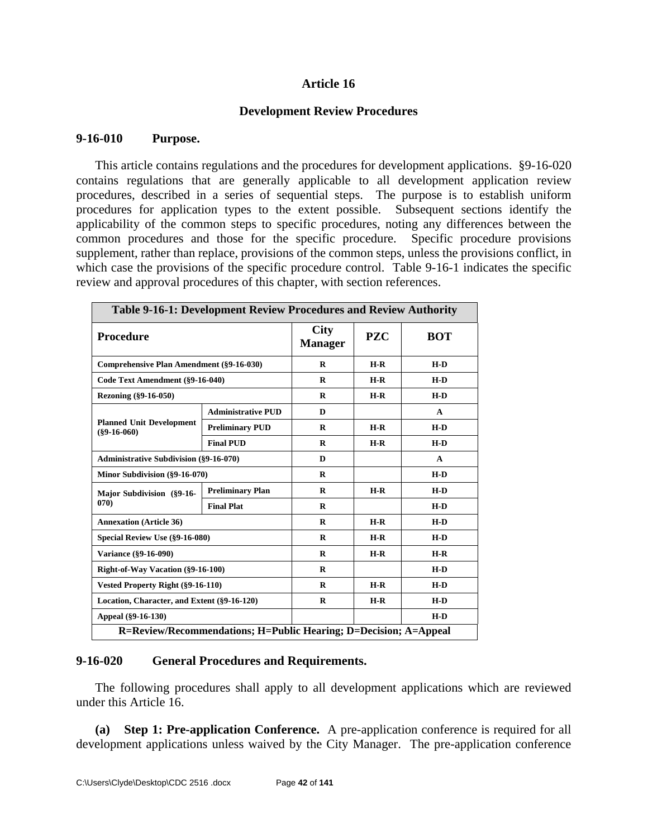### **Article 16**

## **Development Review Procedures**

#### **9-16-010 Purpose.**

This article contains regulations and the procedures for development applications. §9-16-020 contains regulations that are generally applicable to all development application review procedures, described in a series of sequential steps. The purpose is to establish uniform procedures for application types to the extent possible. Subsequent sections identify the applicability of the common steps to specific procedures, noting any differences between the common procedures and those for the specific procedure. Specific procedure provisions supplement, rather than replace, provisions of the common steps, unless the provisions conflict, in which case the provisions of the specific procedure control. Table 9-16-1 indicates the specific review and approval procedures of this chapter, with section references.

| <b>Table 9-16-1: Development Review Procedures and Review Authority</b> |                           |                               |            |              |  |
|-------------------------------------------------------------------------|---------------------------|-------------------------------|------------|--------------|--|
| <b>Procedure</b>                                                        |                           | <b>City</b><br><b>Manager</b> | <b>PZC</b> | <b>BOT</b>   |  |
| Comprehensive Plan Amendment (§9-16-030)                                |                           | R                             | $H-R$      | $H-D$        |  |
| Code Text Amendment (§9-16-040)                                         |                           | $\bf{R}$                      | $H-R$      | $H-D$        |  |
| Rezoning (§9-16-050)                                                    |                           | $\bf{R}$                      | $H-R$      | $H-D$        |  |
| <b>Planned Unit Development</b><br>$(89-16-060)$                        | <b>Administrative PUD</b> | D                             |            | $\mathbf{A}$ |  |
|                                                                         | <b>Preliminary PUD</b>    | $\bf{R}$                      | $H-R$      | $H-D$        |  |
|                                                                         | <b>Final PUD</b>          | R                             | $H-R$      | $H-D$        |  |
| <b>Administrative Subdivision (§9-16-070)</b>                           |                           | D                             |            | $\mathbf{A}$ |  |
| Minor Subdivision (§9-16-070)                                           |                           | $\bf{R}$                      |            | $H-D$        |  |
| Major Subdivision (§9-16-<br>070)                                       | <b>Preliminary Plan</b>   | R                             | $H-R$      | $H-D$        |  |
|                                                                         | <b>Final Plat</b>         | $\bf{R}$                      |            | $H-D$        |  |
| <b>Annexation (Article 36)</b>                                          |                           | R                             | $H-R$      | $H-D$        |  |
| Special Review Use (§9-16-080)                                          |                           | R                             | $H-R$      | $H-D$        |  |
| Variance (§9-16-090)                                                    |                           | $\bf{R}$                      | $H-R$      | $H-R$        |  |
| Right-of-Way Vacation (§9-16-100)                                       |                           | $\bf{R}$                      |            | $H-D$        |  |
| Vested Property Right (§9-16-110)                                       |                           | R                             | $H-R$      | $H-D$        |  |
| Location, Character, and Extent (§9-16-120)                             |                           | R                             | $H-R$      | $H-D$        |  |
| Appeal (§9-16-130)                                                      |                           |                               |            | $H-D$        |  |
| R=Review/Recommendations; H=Public Hearing; D=Decision; A=Appeal        |                           |                               |            |              |  |

### **9-16-020 General Procedures and Requirements.**

The following procedures shall apply to all development applications which are reviewed under this Article 16.

**(a) Step 1: Pre-application Conference.** A pre-application conference is required for all development applications unless waived by the City Manager. The pre-application conference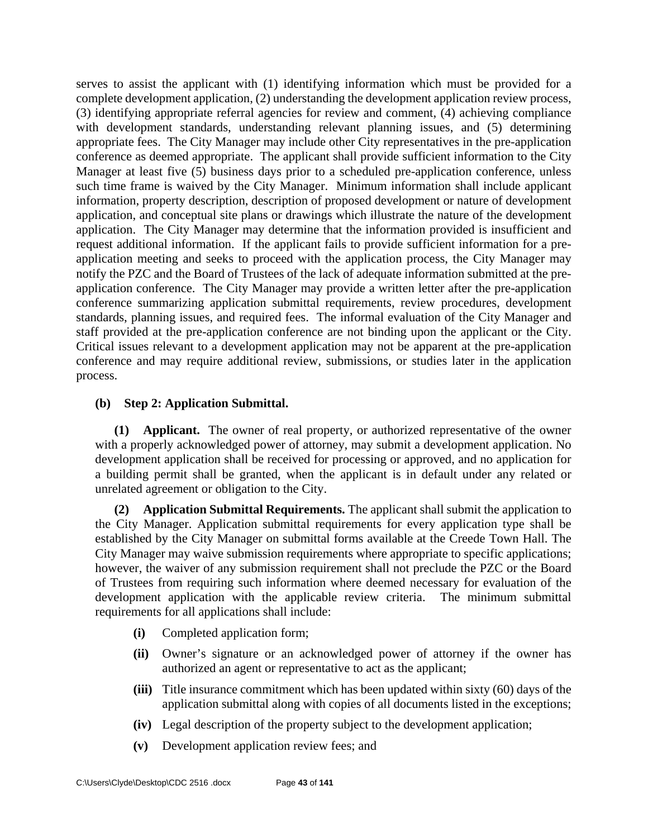serves to assist the applicant with (1) identifying information which must be provided for a complete development application, (2) understanding the development application review process, (3) identifying appropriate referral agencies for review and comment, (4) achieving compliance with development standards, understanding relevant planning issues, and (5) determining appropriate fees. The City Manager may include other City representatives in the pre-application conference as deemed appropriate. The applicant shall provide sufficient information to the City Manager at least five (5) business days prior to a scheduled pre-application conference, unless such time frame is waived by the City Manager. Minimum information shall include applicant information, property description, description of proposed development or nature of development application, and conceptual site plans or drawings which illustrate the nature of the development application. The City Manager may determine that the information provided is insufficient and request additional information. If the applicant fails to provide sufficient information for a preapplication meeting and seeks to proceed with the application process, the City Manager may notify the PZC and the Board of Trustees of the lack of adequate information submitted at the preapplication conference. The City Manager may provide a written letter after the pre-application conference summarizing application submittal requirements, review procedures, development standards, planning issues, and required fees. The informal evaluation of the City Manager and staff provided at the pre-application conference are not binding upon the applicant or the City. Critical issues relevant to a development application may not be apparent at the pre-application conference and may require additional review, submissions, or studies later in the application process.

## **(b) Step 2: Application Submittal.**

**(1) Applicant.** The owner of real property, or authorized representative of the owner with a properly acknowledged power of attorney, may submit a development application. No development application shall be received for processing or approved, and no application for a building permit shall be granted, when the applicant is in default under any related or unrelated agreement or obligation to the City.

**(2) Application Submittal Requirements.** The applicant shall submit the application to the City Manager. Application submittal requirements for every application type shall be established by the City Manager on submittal forms available at the Creede Town Hall. The City Manager may waive submission requirements where appropriate to specific applications; however, the waiver of any submission requirement shall not preclude the PZC or the Board of Trustees from requiring such information where deemed necessary for evaluation of the development application with the applicable review criteria. The minimum submittal requirements for all applications shall include:

- **(i)** Completed application form;
- **(ii)** Owner's signature or an acknowledged power of attorney if the owner has authorized an agent or representative to act as the applicant;
- **(iii)** Title insurance commitment which has been updated within sixty (60) days of the application submittal along with copies of all documents listed in the exceptions;
- **(iv)** Legal description of the property subject to the development application;
- **(v)** Development application review fees; and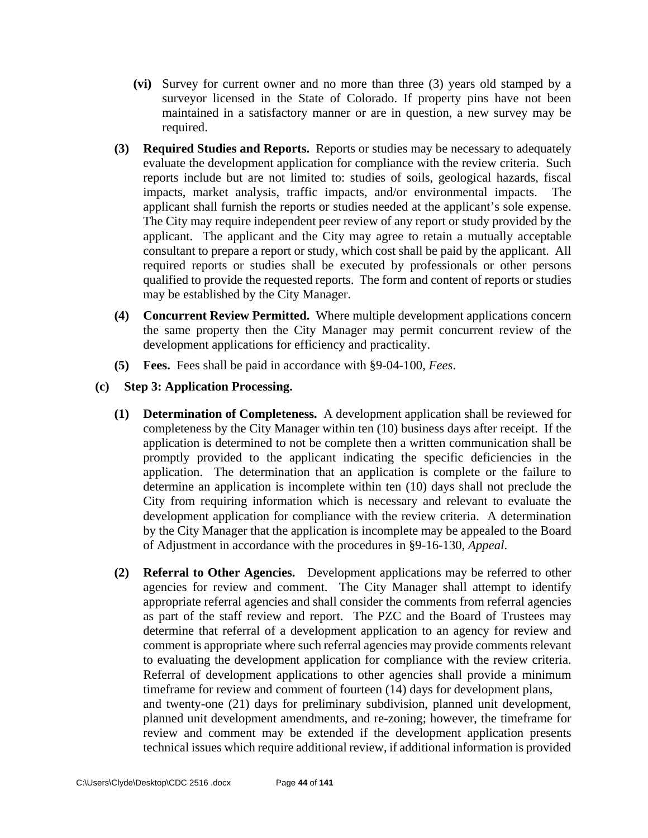- **(vi)** Survey for current owner and no more than three (3) years old stamped by a surveyor licensed in the State of Colorado. If property pins have not been maintained in a satisfactory manner or are in question, a new survey may be required.
- **(3) Required Studies and Reports.** Reports or studies may be necessary to adequately evaluate the development application for compliance with the review criteria. Such reports include but are not limited to: studies of soils, geological hazards, fiscal impacts, market analysis, traffic impacts, and/or environmental impacts. applicant shall furnish the reports or studies needed at the applicant's sole expense. The City may require independent peer review of any report or study provided by the applicant. The applicant and the City may agree to retain a mutually acceptable consultant to prepare a report or study, which cost shall be paid by the applicant. All required reports or studies shall be executed by professionals or other persons qualified to provide the requested reports. The form and content of reports or studies may be established by the City Manager.
- **(4) Concurrent Review Permitted.** Where multiple development applications concern the same property then the City Manager may permit concurrent review of the development applications for efficiency and practicality.
- **(5) Fees.** Fees shall be paid in accordance with §9-04-100, *Fees*.
- **(c) Step 3: Application Processing.** 
	- **(1) Determination of Completeness.** A development application shall be reviewed for completeness by the City Manager within ten (10) business days after receipt. If the application is determined to not be complete then a written communication shall be promptly provided to the applicant indicating the specific deficiencies in the application. The determination that an application is complete or the failure to determine an application is incomplete within ten (10) days shall not preclude the City from requiring information which is necessary and relevant to evaluate the development application for compliance with the review criteria. A determination by the City Manager that the application is incomplete may be appealed to the Board of Adjustment in accordance with the procedures in §9-16-130, *Appeal*.
	- **(2) Referral to Other Agencies.** Development applications may be referred to other agencies for review and comment. The City Manager shall attempt to identify appropriate referral agencies and shall consider the comments from referral agencies as part of the staff review and report. The PZC and the Board of Trustees may determine that referral of a development application to an agency for review and comment is appropriate where such referral agencies may provide comments relevant to evaluating the development application for compliance with the review criteria. Referral of development applications to other agencies shall provide a minimum timeframe for review and comment of fourteen (14) days for development plans, and twenty-one (21) days for preliminary subdivision, planned unit development, planned unit development amendments, and re-zoning; however, the timeframe for review and comment may be extended if the development application presents technical issues which require additional review, if additional information is provided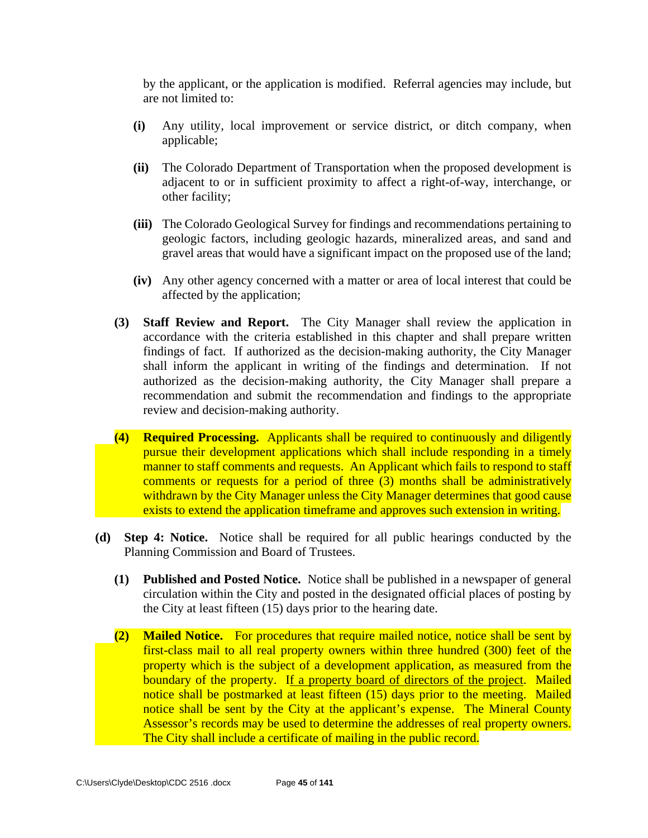by the applicant, or the application is modified. Referral agencies may include, but are not limited to:

- **(i)** Any utility, local improvement or service district, or ditch company, when applicable;
- **(ii)** The Colorado Department of Transportation when the proposed development is adjacent to or in sufficient proximity to affect a right-of-way, interchange, or other facility;
- **(iii)** The Colorado Geological Survey for findings and recommendations pertaining to geologic factors, including geologic hazards, mineralized areas, and sand and gravel areas that would have a significant impact on the proposed use of the land;
- **(iv)** Any other agency concerned with a matter or area of local interest that could be affected by the application;
- **(3) Staff Review and Report.** The City Manager shall review the application in accordance with the criteria established in this chapter and shall prepare written findings of fact. If authorized as the decision-making authority, the City Manager shall inform the applicant in writing of the findings and determination. If not authorized as the decision-making authority, the City Manager shall prepare a recommendation and submit the recommendation and findings to the appropriate review and decision-making authority.
- **(4) Required Processing.** Applicants shall be required to continuously and diligently pursue their development applications which shall include responding in a timely manner to staff comments and requests. An Applicant which fails to respond to staff comments or requests for a period of three (3) months shall be administratively withdrawn by the City Manager unless the City Manager determines that good cause exists to extend the application timeframe and approves such extension in writing.
- **(d) Step 4: Notice.** Notice shall be required for all public hearings conducted by the Planning Commission and Board of Trustees.
	- **(1) Published and Posted Notice.** Notice shall be published in a newspaper of general circulation within the City and posted in the designated official places of posting by the City at least fifteen (15) days prior to the hearing date.
	- **(2) Mailed Notice.** For procedures that require mailed notice, notice shall be sent by first-class mail to all real property owners within three hundred (300) feet of the property which is the subject of a development application, as measured from the boundary of the property. If a property board of directors of the project. Mailed notice shall be postmarked at least fifteen (15) days prior to the meeting. Mailed notice shall be sent by the City at the applicant's expense. The Mineral County Assessor's records may be used to determine the addresses of real property owners. The City shall include a certificate of mailing in the public record.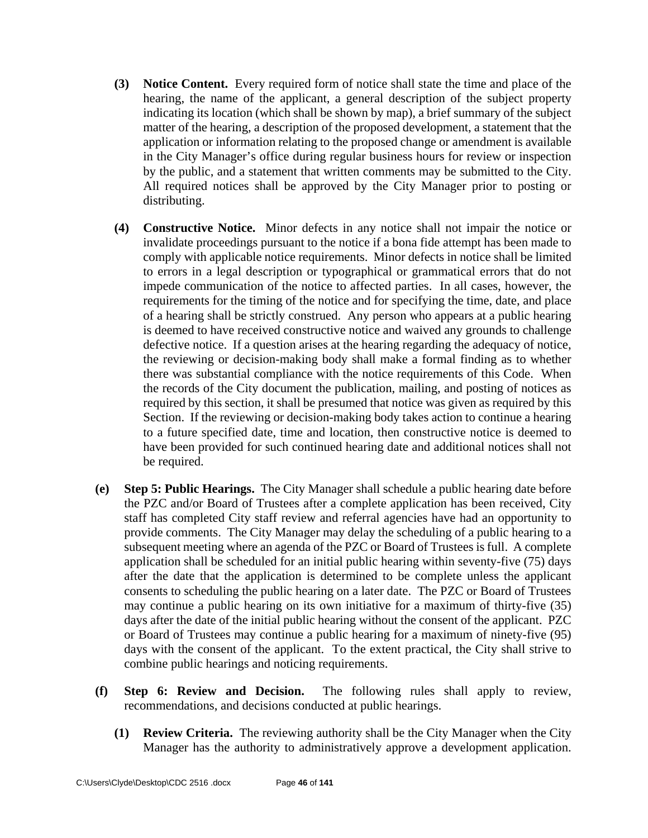- **(3) Notice Content.** Every required form of notice shall state the time and place of the hearing, the name of the applicant, a general description of the subject property indicating its location (which shall be shown by map), a brief summary of the subject matter of the hearing, a description of the proposed development, a statement that the application or information relating to the proposed change or amendment is available in the City Manager's office during regular business hours for review or inspection by the public, and a statement that written comments may be submitted to the City. All required notices shall be approved by the City Manager prior to posting or distributing.
- **(4) Constructive Notice.** Minor defects in any notice shall not impair the notice or invalidate proceedings pursuant to the notice if a bona fide attempt has been made to comply with applicable notice requirements. Minor defects in notice shall be limited to errors in a legal description or typographical or grammatical errors that do not impede communication of the notice to affected parties. In all cases, however, the requirements for the timing of the notice and for specifying the time, date, and place of a hearing shall be strictly construed. Any person who appears at a public hearing is deemed to have received constructive notice and waived any grounds to challenge defective notice. If a question arises at the hearing regarding the adequacy of notice, the reviewing or decision-making body shall make a formal finding as to whether there was substantial compliance with the notice requirements of this Code. When the records of the City document the publication, mailing, and posting of notices as required by this section, it shall be presumed that notice was given as required by this Section. If the reviewing or decision-making body takes action to continue a hearing to a future specified date, time and location, then constructive notice is deemed to have been provided for such continued hearing date and additional notices shall not be required.
- **(e) Step 5: Public Hearings.** The City Manager shall schedule a public hearing date before the PZC and/or Board of Trustees after a complete application has been received, City staff has completed City staff review and referral agencies have had an opportunity to provide comments. The City Manager may delay the scheduling of a public hearing to a subsequent meeting where an agenda of the PZC or Board of Trustees is full. A complete application shall be scheduled for an initial public hearing within seventy-five (75) days after the date that the application is determined to be complete unless the applicant consents to scheduling the public hearing on a later date. The PZC or Board of Trustees may continue a public hearing on its own initiative for a maximum of thirty-five (35) days after the date of the initial public hearing without the consent of the applicant. PZC or Board of Trustees may continue a public hearing for a maximum of ninety-five (95) days with the consent of the applicant. To the extent practical, the City shall strive to combine public hearings and noticing requirements.
- **(f) Step 6: Review and Decision.** The following rules shall apply to review, recommendations, and decisions conducted at public hearings.
	- **(1) Review Criteria.** The reviewing authority shall be the City Manager when the City Manager has the authority to administratively approve a development application.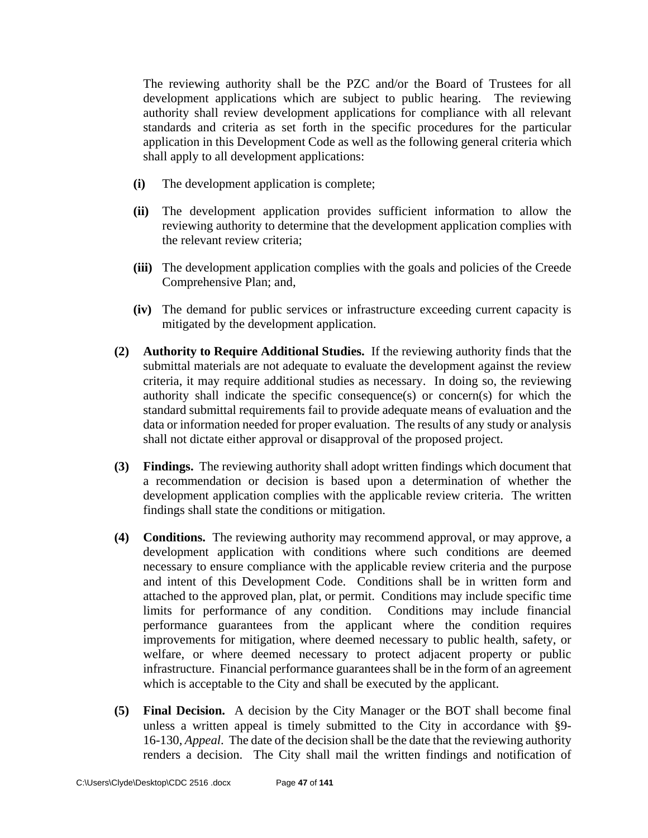The reviewing authority shall be the PZC and/or the Board of Trustees for all development applications which are subject to public hearing. The reviewing authority shall review development applications for compliance with all relevant standards and criteria as set forth in the specific procedures for the particular application in this Development Code as well as the following general criteria which shall apply to all development applications:

- **(i)** The development application is complete;
- **(ii)** The development application provides sufficient information to allow the reviewing authority to determine that the development application complies with the relevant review criteria;
- **(iii)** The development application complies with the goals and policies of the Creede Comprehensive Plan; and,
- **(iv)** The demand for public services or infrastructure exceeding current capacity is mitigated by the development application.
- **(2) Authority to Require Additional Studies.** If the reviewing authority finds that the submittal materials are not adequate to evaluate the development against the review criteria, it may require additional studies as necessary. In doing so, the reviewing authority shall indicate the specific consequence(s) or concern(s) for which the standard submittal requirements fail to provide adequate means of evaluation and the data or information needed for proper evaluation. The results of any study or analysis shall not dictate either approval or disapproval of the proposed project.
- **(3) Findings.** The reviewing authority shall adopt written findings which document that a recommendation or decision is based upon a determination of whether the development application complies with the applicable review criteria. The written findings shall state the conditions or mitigation.
- **(4) Conditions.** The reviewing authority may recommend approval, or may approve, a development application with conditions where such conditions are deemed necessary to ensure compliance with the applicable review criteria and the purpose and intent of this Development Code. Conditions shall be in written form and attached to the approved plan, plat, or permit. Conditions may include specific time limits for performance of any condition. Conditions may include financial performance guarantees from the applicant where the condition requires improvements for mitigation, where deemed necessary to public health, safety, or welfare, or where deemed necessary to protect adjacent property or public infrastructure. Financial performance guarantees shall be in the form of an agreement which is acceptable to the City and shall be executed by the applicant.
- **(5) Final Decision.** A decision by the City Manager or the BOT shall become final unless a written appeal is timely submitted to the City in accordance with §9- 16-130, *Appeal*. The date of the decision shall be the date that the reviewing authority renders a decision. The City shall mail the written findings and notification of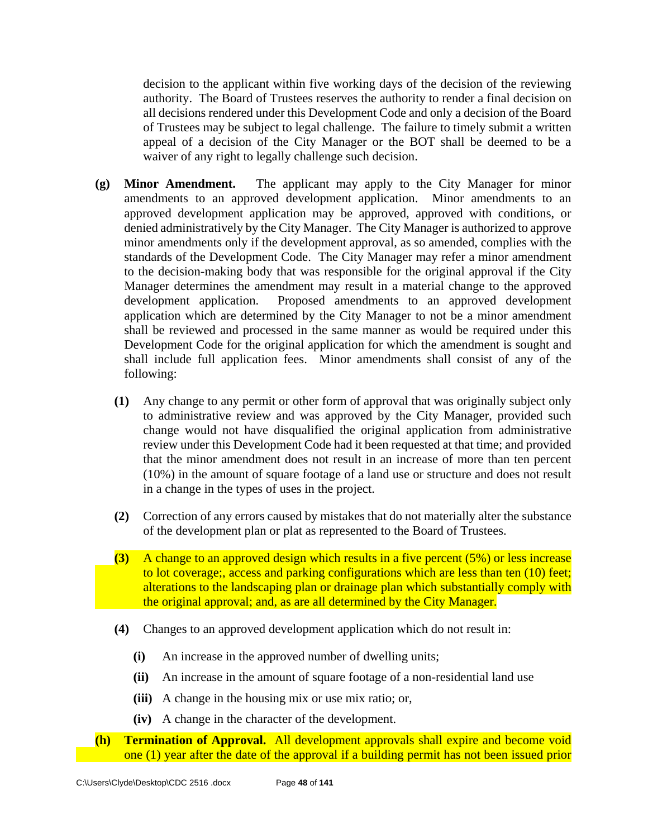decision to the applicant within five working days of the decision of the reviewing authority. The Board of Trustees reserves the authority to render a final decision on all decisions rendered under this Development Code and only a decision of the Board of Trustees may be subject to legal challenge. The failure to timely submit a written appeal of a decision of the City Manager or the BOT shall be deemed to be a waiver of any right to legally challenge such decision.

- **(g) Minor Amendment.** The applicant may apply to the City Manager for minor amendments to an approved development application. Minor amendments to an approved development application may be approved, approved with conditions, or denied administratively by the City Manager. The City Manager is authorized to approve minor amendments only if the development approval, as so amended, complies with the standards of the Development Code. The City Manager may refer a minor amendment to the decision-making body that was responsible for the original approval if the City Manager determines the amendment may result in a material change to the approved development application. Proposed amendments to an approved development application which are determined by the City Manager to not be a minor amendment shall be reviewed and processed in the same manner as would be required under this Development Code for the original application for which the amendment is sought and shall include full application fees. Minor amendments shall consist of any of the following:
	- **(1)** Any change to any permit or other form of approval that was originally subject only to administrative review and was approved by the City Manager, provided such change would not have disqualified the original application from administrative review under this Development Code had it been requested at that time; and provided that the minor amendment does not result in an increase of more than ten percent (10%) in the amount of square footage of a land use or structure and does not result in a change in the types of uses in the project.
	- **(2)** Correction of any errors caused by mistakes that do not materially alter the substance of the development plan or plat as represented to the Board of Trustees.
	- **(3)** A change to an approved design which results in a five percent (5%) or less increase to lot coverage;, access and parking configurations which are less than ten (10) feet; alterations to the landscaping plan or drainage plan which substantially comply with the original approval; and, as are all determined by the City Manager.
	- **(4)** Changes to an approved development application which do not result in:
		- **(i)** An increase in the approved number of dwelling units;
		- **(ii)** An increase in the amount of square footage of a non-residential land use
		- **(iii)** A change in the housing mix or use mix ratio; or,
		- **(iv)** A change in the character of the development.
- **(h) Termination of Approval.** All development approvals shall expire and become void one (1) year after the date of the approval if a building permit has not been issued prior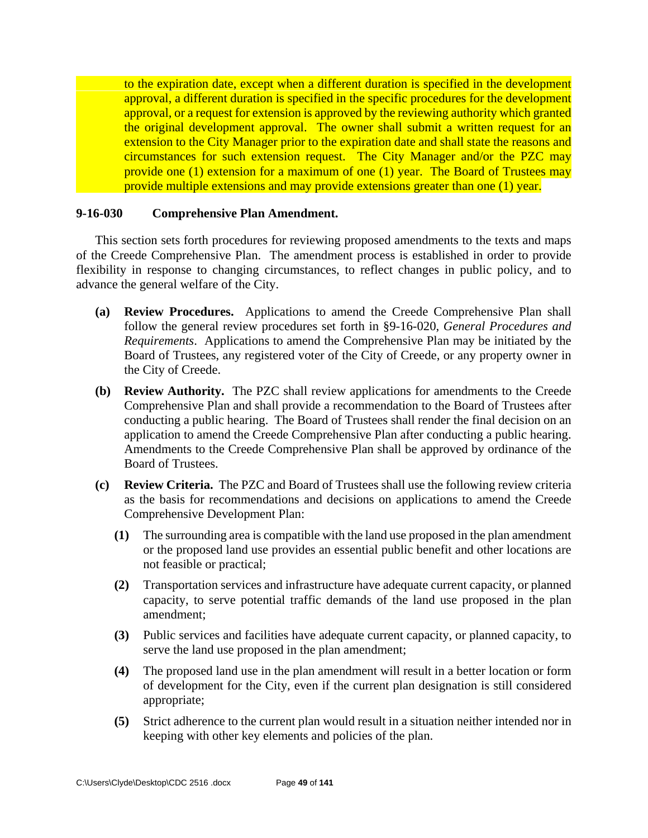to the expiration date, except when a different duration is specified in the development approval, a different duration is specified in the specific procedures for the development approval, or a request for extension is approved by the reviewing authority which granted the original development approval. The owner shall submit a written request for an extension to the City Manager prior to the expiration date and shall state the reasons and circumstances for such extension request. The City Manager and/or the PZC may provide one (1) extension for a maximum of one (1) year. The Board of Trustees may provide multiple extensions and may provide extensions greater than one (1) year.

#### **9-16-030 Comprehensive Plan Amendment.**

This section sets forth procedures for reviewing proposed amendments to the texts and maps of the Creede Comprehensive Plan. The amendment process is established in order to provide flexibility in response to changing circumstances, to reflect changes in public policy, and to advance the general welfare of the City.

- **(a) Review Procedures.** Applications to amend the Creede Comprehensive Plan shall follow the general review procedures set forth in §9-16-020, *General Procedures and Requirements*. Applications to amend the Comprehensive Plan may be initiated by the Board of Trustees, any registered voter of the City of Creede, or any property owner in the City of Creede.
- **(b) Review Authority.** The PZC shall review applications for amendments to the Creede Comprehensive Plan and shall provide a recommendation to the Board of Trustees after conducting a public hearing. The Board of Trustees shall render the final decision on an application to amend the Creede Comprehensive Plan after conducting a public hearing. Amendments to the Creede Comprehensive Plan shall be approved by ordinance of the Board of Trustees.
- **(c) Review Criteria.** The PZC and Board of Trustees shall use the following review criteria as the basis for recommendations and decisions on applications to amend the Creede Comprehensive Development Plan:
	- **(1)** The surrounding area is compatible with the land use proposed in the plan amendment or the proposed land use provides an essential public benefit and other locations are not feasible or practical;
	- **(2)** Transportation services and infrastructure have adequate current capacity, or planned capacity, to serve potential traffic demands of the land use proposed in the plan amendment;
	- **(3)** Public services and facilities have adequate current capacity, or planned capacity, to serve the land use proposed in the plan amendment;
	- **(4)** The proposed land use in the plan amendment will result in a better location or form of development for the City, even if the current plan designation is still considered appropriate;
	- **(5)** Strict adherence to the current plan would result in a situation neither intended nor in keeping with other key elements and policies of the plan.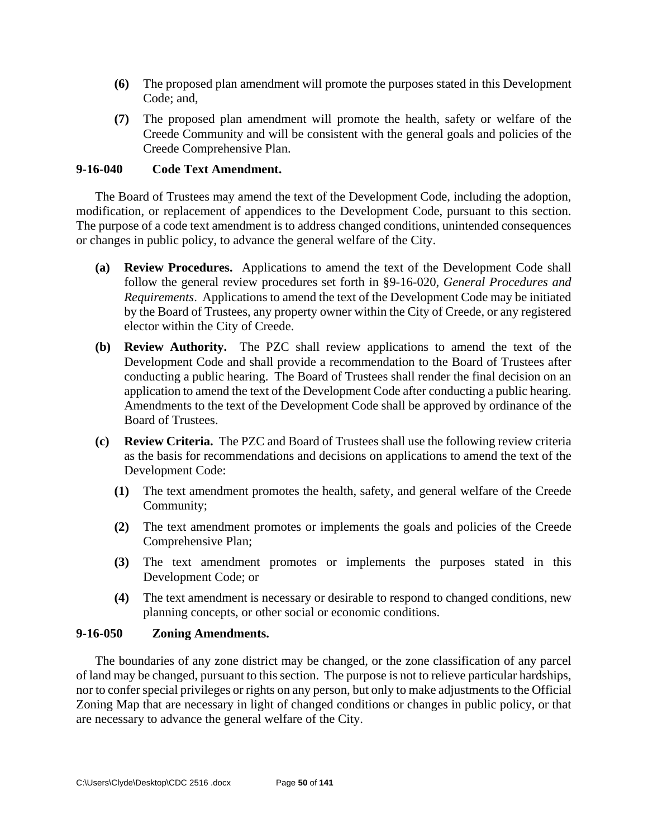- **(6)** The proposed plan amendment will promote the purposes stated in this Development Code; and,
- **(7)** The proposed plan amendment will promote the health, safety or welfare of the Creede Community and will be consistent with the general goals and policies of the Creede Comprehensive Plan.

### **9-16-040 Code Text Amendment.**

The Board of Trustees may amend the text of the Development Code, including the adoption, modification, or replacement of appendices to the Development Code, pursuant to this section. The purpose of a code text amendment is to address changed conditions, unintended consequences or changes in public policy, to advance the general welfare of the City.

- **(a) Review Procedures.** Applications to amend the text of the Development Code shall follow the general review procedures set forth in §9-16-020, *General Procedures and Requirements*. Applications to amend the text of the Development Code may be initiated by the Board of Trustees, any property owner within the City of Creede, or any registered elector within the City of Creede.
- **(b) Review Authority.** The PZC shall review applications to amend the text of the Development Code and shall provide a recommendation to the Board of Trustees after conducting a public hearing. The Board of Trustees shall render the final decision on an application to amend the text of the Development Code after conducting a public hearing. Amendments to the text of the Development Code shall be approved by ordinance of the Board of Trustees.
- **(c) Review Criteria.** The PZC and Board of Trustees shall use the following review criteria as the basis for recommendations and decisions on applications to amend the text of the Development Code:
	- **(1)** The text amendment promotes the health, safety, and general welfare of the Creede Community;
	- **(2)** The text amendment promotes or implements the goals and policies of the Creede Comprehensive Plan;
	- **(3)** The text amendment promotes or implements the purposes stated in this Development Code; or
	- **(4)** The text amendment is necessary or desirable to respond to changed conditions, new planning concepts, or other social or economic conditions.

#### **9-16-050 Zoning Amendments.**

The boundaries of any zone district may be changed, or the zone classification of any parcel of land may be changed, pursuant to this section. The purpose is not to relieve particular hardships, nor to confer special privileges or rights on any person, but only to make adjustments to the Official Zoning Map that are necessary in light of changed conditions or changes in public policy, or that are necessary to advance the general welfare of the City.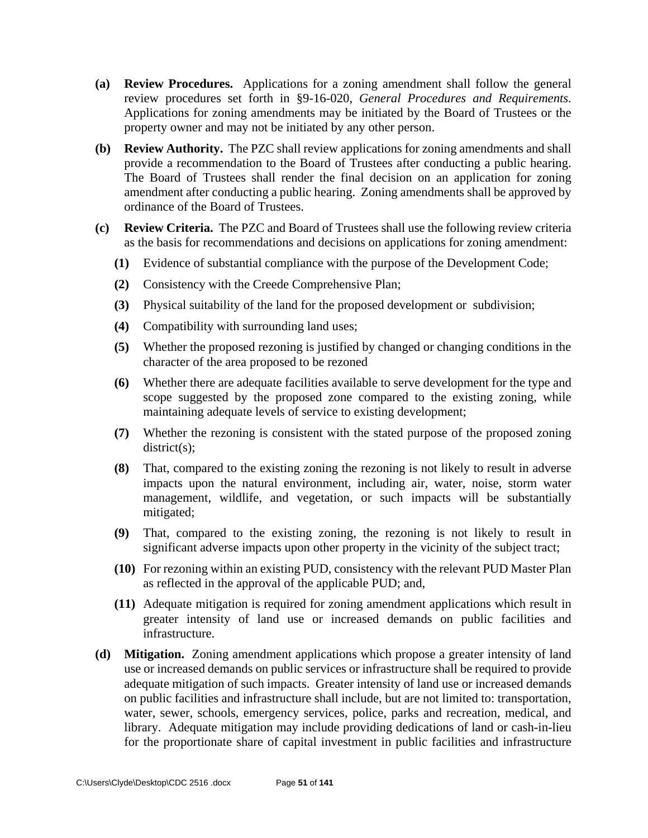- **(a) Review Procedures.** Applications for a zoning amendment shall follow the general review procedures set forth in §9-16-020, *General Procedures and Requirements*. Applications for zoning amendments may be initiated by the Board of Trustees or the property owner and may not be initiated by any other person.
- **(b) Review Authority.** The PZC shall review applications for zoning amendments and shall provide a recommendation to the Board of Trustees after conducting a public hearing. The Board of Trustees shall render the final decision on an application for zoning amendment after conducting a public hearing. Zoning amendments shall be approved by ordinance of the Board of Trustees.
- **(c) Review Criteria.** The PZC and Board of Trustees shall use the following review criteria as the basis for recommendations and decisions on applications for zoning amendment:
	- **(1)** Evidence of substantial compliance with the purpose of the Development Code;
	- **(2)** Consistency with the Creede Comprehensive Plan;
	- **(3)** Physical suitability of the land for the proposed development or subdivision;
	- **(4)** Compatibility with surrounding land uses;
	- **(5)** Whether the proposed rezoning is justified by changed or changing conditions in the character of the area proposed to be rezoned
	- **(6)** Whether there are adequate facilities available to serve development for the type and scope suggested by the proposed zone compared to the existing zoning, while maintaining adequate levels of service to existing development;
	- **(7)** Whether the rezoning is consistent with the stated purpose of the proposed zoning district(s);
	- **(8)** That, compared to the existing zoning the rezoning is not likely to result in adverse impacts upon the natural environment, including air, water, noise, storm water management, wildlife, and vegetation, or such impacts will be substantially mitigated;
	- **(9)** That, compared to the existing zoning, the rezoning is not likely to result in significant adverse impacts upon other property in the vicinity of the subject tract;
	- **(10)** For rezoning within an existing PUD, consistency with the relevant PUD Master Plan as reflected in the approval of the applicable PUD; and,
	- **(11)** Adequate mitigation is required for zoning amendment applications which result in greater intensity of land use or increased demands on public facilities and infrastructure.
- **(d) Mitigation.** Zoning amendment applications which propose a greater intensity of land use or increased demands on public services or infrastructure shall be required to provide adequate mitigation of such impacts. Greater intensity of land use or increased demands on public facilities and infrastructure shall include, but are not limited to: transportation, water, sewer, schools, emergency services, police, parks and recreation, medical, and library. Adequate mitigation may include providing dedications of land or cash-in-lieu for the proportionate share of capital investment in public facilities and infrastructure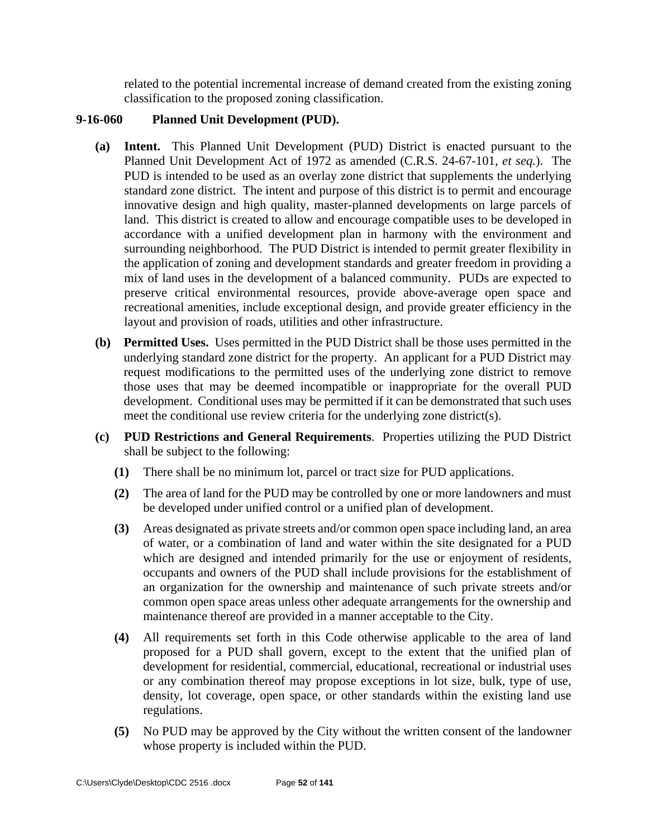related to the potential incremental increase of demand created from the existing zoning classification to the proposed zoning classification.

# **9-16-060 Planned Unit Development (PUD).**

- **(a) Intent.** This Planned Unit Development (PUD) District is enacted pursuant to the Planned Unit Development Act of 1972 as amended (C.R.S. 24-67-101, *et seq.*). The PUD is intended to be used as an overlay zone district that supplements the underlying standard zone district. The intent and purpose of this district is to permit and encourage innovative design and high quality, master-planned developments on large parcels of land. This district is created to allow and encourage compatible uses to be developed in accordance with a unified development plan in harmony with the environment and surrounding neighborhood. The PUD District is intended to permit greater flexibility in the application of zoning and development standards and greater freedom in providing a mix of land uses in the development of a balanced community. PUDs are expected to preserve critical environmental resources, provide above-average open space and recreational amenities, include exceptional design, and provide greater efficiency in the layout and provision of roads, utilities and other infrastructure.
- **(b) Permitted Uses.** Uses permitted in the PUD District shall be those uses permitted in the underlying standard zone district for the property. An applicant for a PUD District may request modifications to the permitted uses of the underlying zone district to remove those uses that may be deemed incompatible or inappropriate for the overall PUD development. Conditional uses may be permitted if it can be demonstrated that such uses meet the conditional use review criteria for the underlying zone district(s).
- **(c) PUD Restrictions and General Requirements**. Properties utilizing the PUD District shall be subject to the following:
	- **(1)** There shall be no minimum lot, parcel or tract size for PUD applications.
	- **(2)** The area of land for the PUD may be controlled by one or more landowners and must be developed under unified control or a unified plan of development.
	- **(3)** Areas designated as private streets and/or common open space including land, an area of water, or a combination of land and water within the site designated for a PUD which are designed and intended primarily for the use or enjoyment of residents, occupants and owners of the PUD shall include provisions for the establishment of an organization for the ownership and maintenance of such private streets and/or common open space areas unless other adequate arrangements for the ownership and maintenance thereof are provided in a manner acceptable to the City.
	- **(4)** All requirements set forth in this Code otherwise applicable to the area of land proposed for a PUD shall govern, except to the extent that the unified plan of development for residential, commercial, educational, recreational or industrial uses or any combination thereof may propose exceptions in lot size, bulk, type of use, density, lot coverage, open space, or other standards within the existing land use regulations.
	- **(5)** No PUD may be approved by the City without the written consent of the landowner whose property is included within the PUD.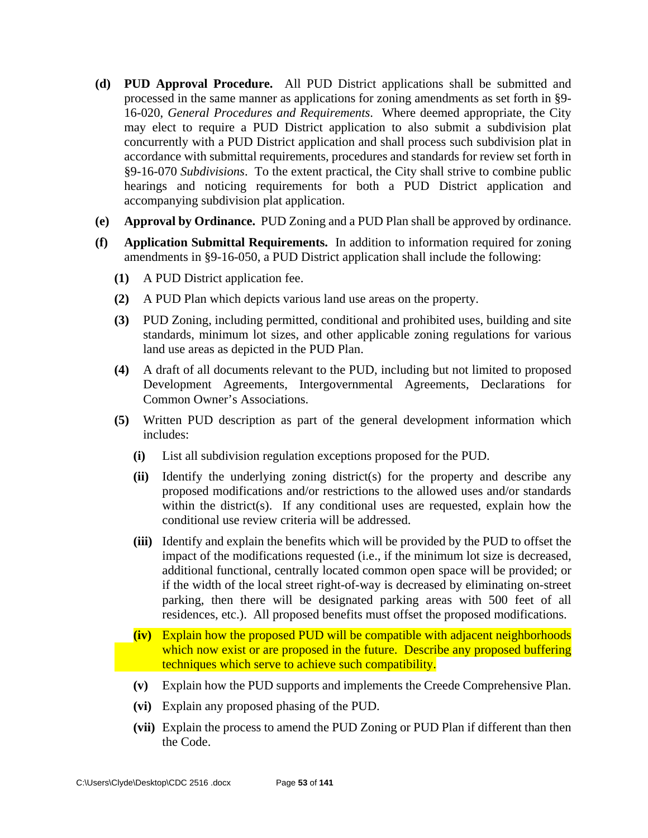- **(d) PUD Approval Procedure.** All PUD District applications shall be submitted and processed in the same manner as applications for zoning amendments as set forth in §9- 16-020, *General Procedures and Requirements*. Where deemed appropriate, the City may elect to require a PUD District application to also submit a subdivision plat concurrently with a PUD District application and shall process such subdivision plat in accordance with submittal requirements, procedures and standards for review set forth in §9-16-070 *Subdivisions*. To the extent practical, the City shall strive to combine public hearings and noticing requirements for both a PUD District application and accompanying subdivision plat application.
- **(e) Approval by Ordinance.** PUD Zoning and a PUD Plan shall be approved by ordinance.
- **(f) Application Submittal Requirements.** In addition to information required for zoning amendments in §9-16-050, a PUD District application shall include the following:
	- **(1)** A PUD District application fee.
	- **(2)** A PUD Plan which depicts various land use areas on the property.
	- **(3)** PUD Zoning, including permitted, conditional and prohibited uses, building and site standards, minimum lot sizes, and other applicable zoning regulations for various land use areas as depicted in the PUD Plan.
	- **(4)** A draft of all documents relevant to the PUD, including but not limited to proposed Development Agreements, Intergovernmental Agreements, Declarations for Common Owner's Associations.
	- **(5)** Written PUD description as part of the general development information which includes:
		- **(i)** List all subdivision regulation exceptions proposed for the PUD.
		- **(ii)** Identify the underlying zoning district(s) for the property and describe any proposed modifications and/or restrictions to the allowed uses and/or standards within the district(s). If any conditional uses are requested, explain how the conditional use review criteria will be addressed.
		- **(iii)** Identify and explain the benefits which will be provided by the PUD to offset the impact of the modifications requested (i.e., if the minimum lot size is decreased, additional functional, centrally located common open space will be provided; or if the width of the local street right-of-way is decreased by eliminating on-street parking, then there will be designated parking areas with 500 feet of all residences, etc.). All proposed benefits must offset the proposed modifications.
		- **(iv)** Explain how the proposed PUD will be compatible with adjacent neighborhoods which now exist or are proposed in the future. Describe any proposed buffering techniques which serve to achieve such compatibility.
		- **(v)** Explain how the PUD supports and implements the Creede Comprehensive Plan.
		- **(vi)** Explain any proposed phasing of the PUD.
		- **(vii)** Explain the process to amend the PUD Zoning or PUD Plan if different than then the Code.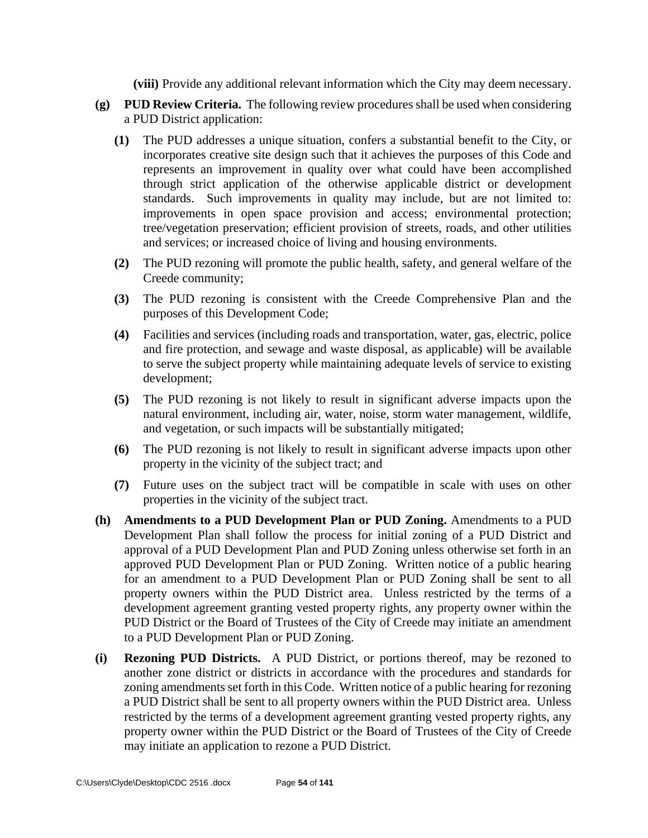**(viii)** Provide any additional relevant information which the City may deem necessary.

- **(g) PUD Review Criteria.** The following review procedures shall be used when considering a PUD District application:
	- **(1)** The PUD addresses a unique situation, confers a substantial benefit to the City, or incorporates creative site design such that it achieves the purposes of this Code and represents an improvement in quality over what could have been accomplished through strict application of the otherwise applicable district or development standards. Such improvements in quality may include, but are not limited to: improvements in open space provision and access; environmental protection; tree/vegetation preservation; efficient provision of streets, roads, and other utilities and services; or increased choice of living and housing environments.
	- **(2)** The PUD rezoning will promote the public health, safety, and general welfare of the Creede community;
	- **(3)** The PUD rezoning is consistent with the Creede Comprehensive Plan and the purposes of this Development Code;
	- **(4)** Facilities and services (including roads and transportation, water, gas, electric, police and fire protection, and sewage and waste disposal, as applicable) will be available to serve the subject property while maintaining adequate levels of service to existing development;
	- **(5)** The PUD rezoning is not likely to result in significant adverse impacts upon the natural environment, including air, water, noise, storm water management, wildlife, and vegetation, or such impacts will be substantially mitigated;
	- **(6)** The PUD rezoning is not likely to result in significant adverse impacts upon other property in the vicinity of the subject tract; and
	- **(7)** Future uses on the subject tract will be compatible in scale with uses on other properties in the vicinity of the subject tract.
- **(h) Amendments to a PUD Development Plan or PUD Zoning.** Amendments to a PUD Development Plan shall follow the process for initial zoning of a PUD District and approval of a PUD Development Plan and PUD Zoning unless otherwise set forth in an approved PUD Development Plan or PUD Zoning. Written notice of a public hearing for an amendment to a PUD Development Plan or PUD Zoning shall be sent to all property owners within the PUD District area. Unless restricted by the terms of a development agreement granting vested property rights, any property owner within the PUD District or the Board of Trustees of the City of Creede may initiate an amendment to a PUD Development Plan or PUD Zoning.
- **(i) Rezoning PUD Districts.** A PUD District, or portions thereof, may be rezoned to another zone district or districts in accordance with the procedures and standards for zoning amendments set forth in this Code. Written notice of a public hearing for rezoning a PUD District shall be sent to all property owners within the PUD District area. Unless restricted by the terms of a development agreement granting vested property rights, any property owner within the PUD District or the Board of Trustees of the City of Creede may initiate an application to rezone a PUD District.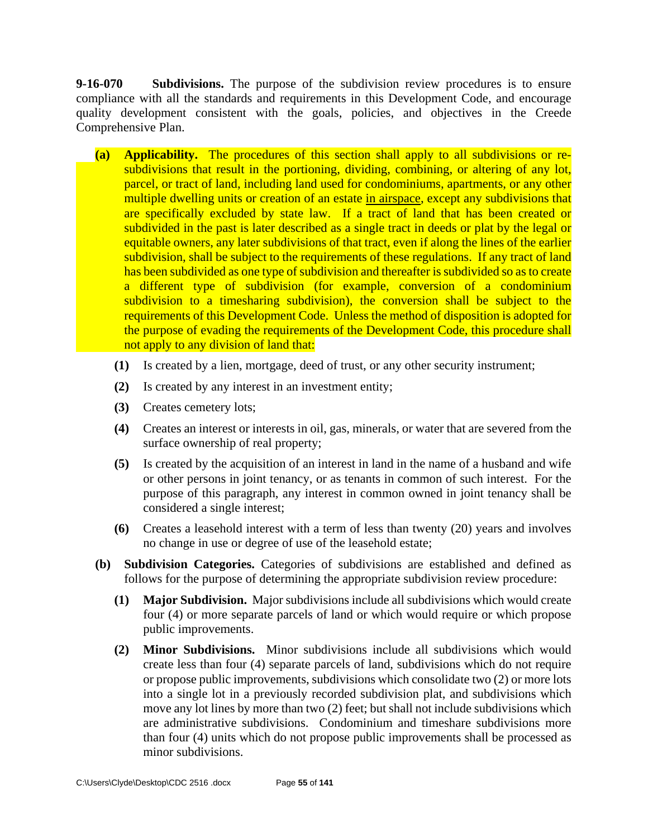**9-16-070 Subdivisions.** The purpose of the subdivision review procedures is to ensure compliance with all the standards and requirements in this Development Code, and encourage quality development consistent with the goals, policies, and objectives in the Creede Comprehensive Plan.

- **(a) Applicability.** The procedures of this section shall apply to all subdivisions or re subdivisions that result in the portioning, dividing, combining, or altering of any lot, parcel, or tract of land, including land used for condominiums, apartments, or any other multiple dwelling units or creation of an estate in airspace, except any subdivisions that are specifically excluded by state law. If a tract of land that has been created or subdivided in the past is later described as a single tract in deeds or plat by the legal or equitable owners, any later subdivisions of that tract, even if along the lines of the earlier subdivision, shall be subject to the requirements of these regulations. If any tract of land has been subdivided as one type of subdivision and thereafter is subdivided so as to create a different type of subdivision (for example, conversion of a condominium subdivision to a timesharing subdivision), the conversion shall be subject to the requirements of this Development Code. Unless the method of disposition is adopted for the purpose of evading the requirements of the Development Code, this procedure shall not apply to any division of land that:
	- **(1)** Is created by a lien, mortgage, deed of trust, or any other security instrument;
	- **(2)** Is created by any interest in an investment entity;
	- **(3)** Creates cemetery lots;
	- **(4)** Creates an interest or interests in oil, gas, minerals, or water that are severed from the surface ownership of real property;
	- **(5)** Is created by the acquisition of an interest in land in the name of a husband and wife or other persons in joint tenancy, or as tenants in common of such interest. For the purpose of this paragraph, any interest in common owned in joint tenancy shall be considered a single interest;
	- **(6)** Creates a leasehold interest with a term of less than twenty (20) years and involves no change in use or degree of use of the leasehold estate;
- **(b) Subdivision Categories.** Categories of subdivisions are established and defined as follows for the purpose of determining the appropriate subdivision review procedure:
	- **(1) Major Subdivision.** Major subdivisions include all subdivisions which would create four (4) or more separate parcels of land or which would require or which propose public improvements.
	- **(2) Minor Subdivisions.** Minor subdivisions include all subdivisions which would create less than four (4) separate parcels of land, subdivisions which do not require or propose public improvements, subdivisions which consolidate two (2) or more lots into a single lot in a previously recorded subdivision plat, and subdivisions which move any lot lines by more than two (2) feet; but shall not include subdivisions which are administrative subdivisions. Condominium and timeshare subdivisions more than four (4) units which do not propose public improvements shall be processed as minor subdivisions.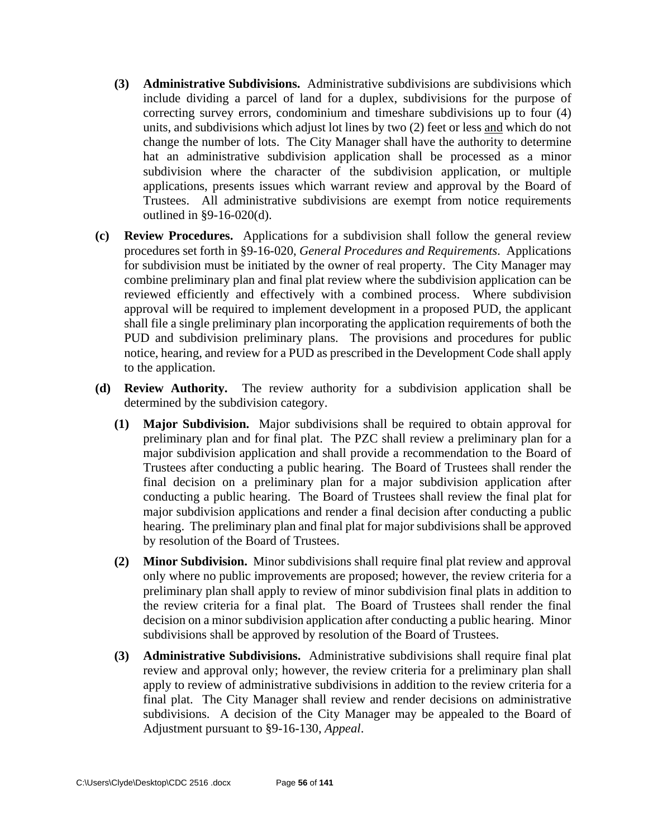- **(3) Administrative Subdivisions.** Administrative subdivisions are subdivisions which include dividing a parcel of land for a duplex, subdivisions for the purpose of correcting survey errors, condominium and timeshare subdivisions up to four (4) units, and subdivisions which adjust lot lines by two (2) feet or less and which do not change the number of lots. The City Manager shall have the authority to determine hat an administrative subdivision application shall be processed as a minor subdivision where the character of the subdivision application, or multiple applications, presents issues which warrant review and approval by the Board of Trustees. All administrative subdivisions are exempt from notice requirements outlined in §9-16-020(d).
- **(c) Review Procedures.** Applications for a subdivision shall follow the general review procedures set forth in §9-16-020, *General Procedures and Requirements*. Applications for subdivision must be initiated by the owner of real property. The City Manager may combine preliminary plan and final plat review where the subdivision application can be reviewed efficiently and effectively with a combined process. Where subdivision approval will be required to implement development in a proposed PUD, the applicant shall file a single preliminary plan incorporating the application requirements of both the PUD and subdivision preliminary plans. The provisions and procedures for public notice, hearing, and review for a PUD as prescribed in the Development Code shall apply to the application.
- **(d) Review Authority.** The review authority for a subdivision application shall be determined by the subdivision category.
	- **(1) Major Subdivision.** Major subdivisions shall be required to obtain approval for preliminary plan and for final plat. The PZC shall review a preliminary plan for a major subdivision application and shall provide a recommendation to the Board of Trustees after conducting a public hearing. The Board of Trustees shall render the final decision on a preliminary plan for a major subdivision application after conducting a public hearing. The Board of Trustees shall review the final plat for major subdivision applications and render a final decision after conducting a public hearing. The preliminary plan and final plat for major subdivisions shall be approved by resolution of the Board of Trustees.
	- **(2) Minor Subdivision.** Minor subdivisions shall require final plat review and approval only where no public improvements are proposed; however, the review criteria for a preliminary plan shall apply to review of minor subdivision final plats in addition to the review criteria for a final plat. The Board of Trustees shall render the final decision on a minor subdivision application after conducting a public hearing. Minor subdivisions shall be approved by resolution of the Board of Trustees.
	- **(3) Administrative Subdivisions.** Administrative subdivisions shall require final plat review and approval only; however, the review criteria for a preliminary plan shall apply to review of administrative subdivisions in addition to the review criteria for a final plat. The City Manager shall review and render decisions on administrative subdivisions. A decision of the City Manager may be appealed to the Board of Adjustment pursuant to §9-16-130, *Appeal*.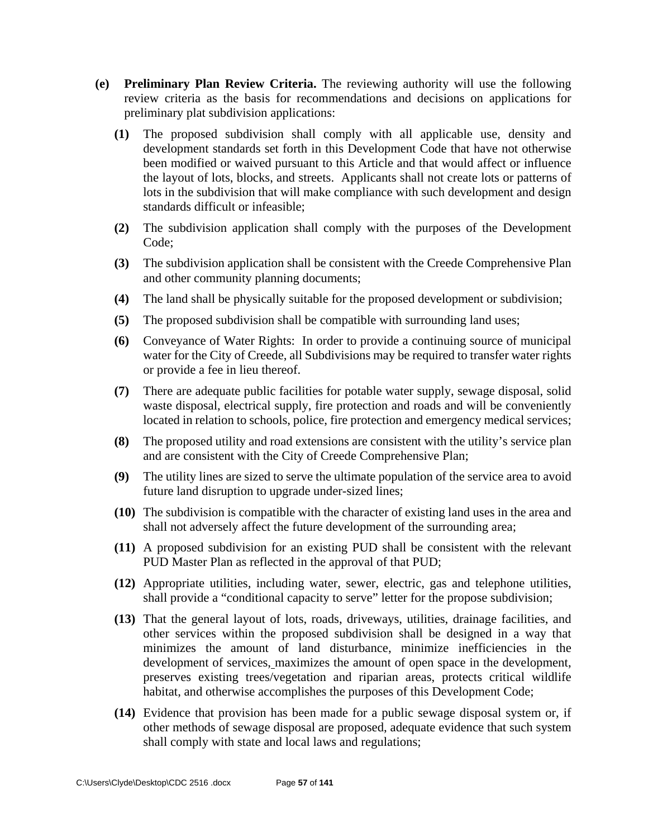- **(e) Preliminary Plan Review Criteria.** The reviewing authority will use the following review criteria as the basis for recommendations and decisions on applications for preliminary plat subdivision applications:
	- **(1)** The proposed subdivision shall comply with all applicable use, density and development standards set forth in this Development Code that have not otherwise been modified or waived pursuant to this Article and that would affect or influence the layout of lots, blocks, and streets. Applicants shall not create lots or patterns of lots in the subdivision that will make compliance with such development and design standards difficult or infeasible;
	- **(2)** The subdivision application shall comply with the purposes of the Development Code;
	- **(3)** The subdivision application shall be consistent with the Creede Comprehensive Plan and other community planning documents;
	- **(4)** The land shall be physically suitable for the proposed development or subdivision;
	- **(5)** The proposed subdivision shall be compatible with surrounding land uses;
	- **(6)** Conveyance of Water Rights: In order to provide a continuing source of municipal water for the City of Creede, all Subdivisions may be required to transfer water rights or provide a fee in lieu thereof.
	- **(7)** There are adequate public facilities for potable water supply, sewage disposal, solid waste disposal, electrical supply, fire protection and roads and will be conveniently located in relation to schools, police, fire protection and emergency medical services;
	- **(8)** The proposed utility and road extensions are consistent with the utility's service plan and are consistent with the City of Creede Comprehensive Plan;
	- **(9)** The utility lines are sized to serve the ultimate population of the service area to avoid future land disruption to upgrade under-sized lines;
	- **(10)** The subdivision is compatible with the character of existing land uses in the area and shall not adversely affect the future development of the surrounding area;
	- **(11)** A proposed subdivision for an existing PUD shall be consistent with the relevant PUD Master Plan as reflected in the approval of that PUD;
	- **(12)** Appropriate utilities, including water, sewer, electric, gas and telephone utilities, shall provide a "conditional capacity to serve" letter for the propose subdivision;
	- **(13)** That the general layout of lots, roads, driveways, utilities, drainage facilities, and other services within the proposed subdivision shall be designed in a way that minimizes the amount of land disturbance, minimize inefficiencies in the development of services, maximizes the amount of open space in the development, preserves existing trees/vegetation and riparian areas, protects critical wildlife habitat, and otherwise accomplishes the purposes of this Development Code;
	- **(14)** Evidence that provision has been made for a public sewage disposal system or, if other methods of sewage disposal are proposed, adequate evidence that such system shall comply with state and local laws and regulations;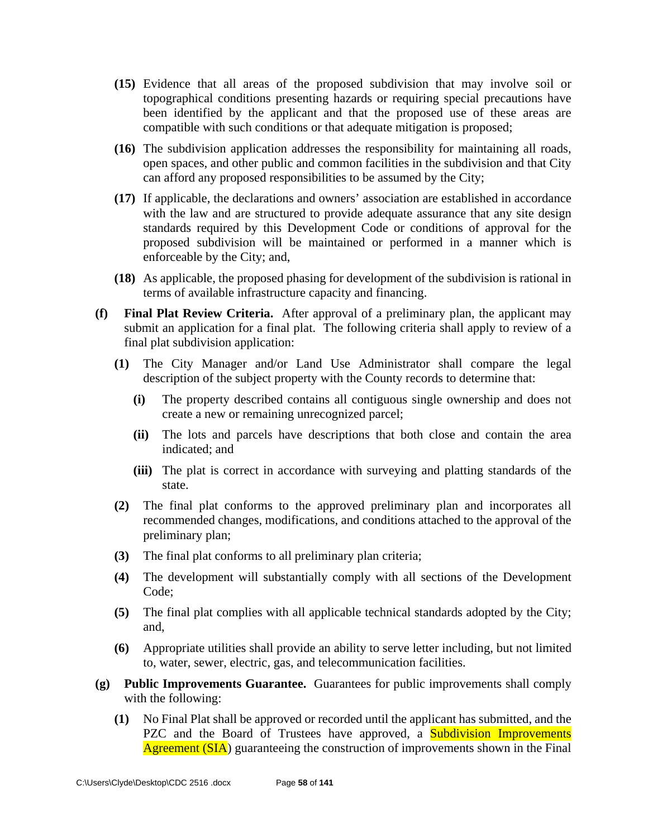- **(15)** Evidence that all areas of the proposed subdivision that may involve soil or topographical conditions presenting hazards or requiring special precautions have been identified by the applicant and that the proposed use of these areas are compatible with such conditions or that adequate mitigation is proposed;
- **(16)** The subdivision application addresses the responsibility for maintaining all roads, open spaces, and other public and common facilities in the subdivision and that City can afford any proposed responsibilities to be assumed by the City;
- **(17)** If applicable, the declarations and owners' association are established in accordance with the law and are structured to provide adequate assurance that any site design standards required by this Development Code or conditions of approval for the proposed subdivision will be maintained or performed in a manner which is enforceable by the City; and,
- **(18)** As applicable, the proposed phasing for development of the subdivision is rational in terms of available infrastructure capacity and financing.
- **(f) Final Plat Review Criteria.** After approval of a preliminary plan, the applicant may submit an application for a final plat. The following criteria shall apply to review of a final plat subdivision application:
	- **(1)** The City Manager and/or Land Use Administrator shall compare the legal description of the subject property with the County records to determine that:
		- **(i)** The property described contains all contiguous single ownership and does not create a new or remaining unrecognized parcel;
		- **(ii)** The lots and parcels have descriptions that both close and contain the area indicated; and
		- **(iii)** The plat is correct in accordance with surveying and platting standards of the state.
	- **(2)** The final plat conforms to the approved preliminary plan and incorporates all recommended changes, modifications, and conditions attached to the approval of the preliminary plan;
	- **(3)** The final plat conforms to all preliminary plan criteria;
	- **(4)** The development will substantially comply with all sections of the Development Code;
	- **(5)** The final plat complies with all applicable technical standards adopted by the City; and,
	- **(6)** Appropriate utilities shall provide an ability to serve letter including, but not limited to, water, sewer, electric, gas, and telecommunication facilities.
- **(g) Public Improvements Guarantee.** Guarantees for public improvements shall comply with the following:
	- **(1)** No Final Plat shall be approved or recorded until the applicant has submitted, and the PZC and the Board of Trustees have approved, a **Subdivision Improvements** Agreement (SIA) guaranteeing the construction of improvements shown in the Final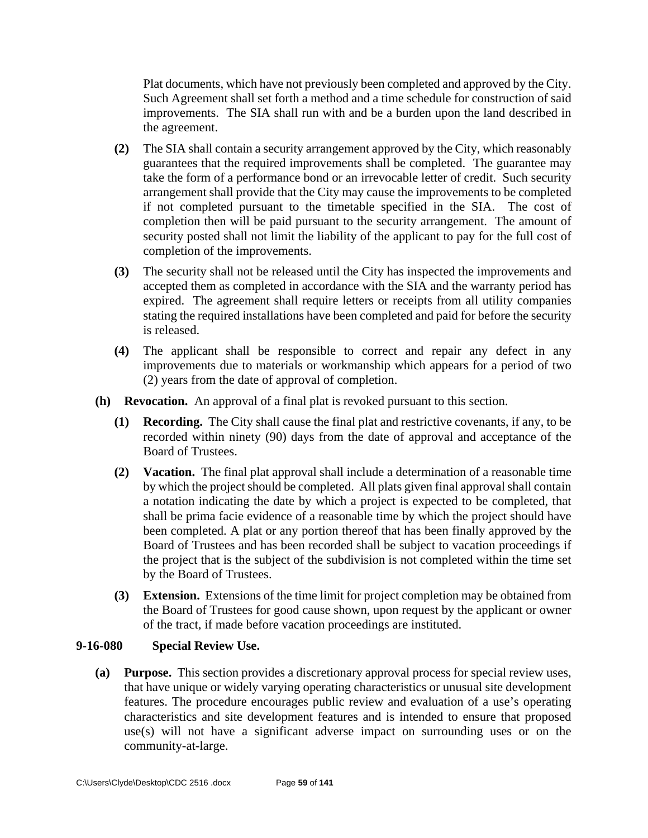Plat documents, which have not previously been completed and approved by the City. Such Agreement shall set forth a method and a time schedule for construction of said improvements. The SIA shall run with and be a burden upon the land described in the agreement.

- **(2)** The SIA shall contain a security arrangement approved by the City, which reasonably guarantees that the required improvements shall be completed. The guarantee may take the form of a performance bond or an irrevocable letter of credit. Such security arrangement shall provide that the City may cause the improvements to be completed if not completed pursuant to the timetable specified in the SIA. The cost of completion then will be paid pursuant to the security arrangement. The amount of security posted shall not limit the liability of the applicant to pay for the full cost of completion of the improvements.
- **(3)** The security shall not be released until the City has inspected the improvements and accepted them as completed in accordance with the SIA and the warranty period has expired. The agreement shall require letters or receipts from all utility companies stating the required installations have been completed and paid for before the security is released.
- **(4)** The applicant shall be responsible to correct and repair any defect in any improvements due to materials or workmanship which appears for a period of two (2) years from the date of approval of completion.
- **(h) Revocation.** An approval of a final plat is revoked pursuant to this section.
	- **(1) Recording.** The City shall cause the final plat and restrictive covenants, if any, to be recorded within ninety (90) days from the date of approval and acceptance of the Board of Trustees.
	- **(2) Vacation.** The final plat approval shall include a determination of a reasonable time by which the project should be completed. All plats given final approval shall contain a notation indicating the date by which a project is expected to be completed, that shall be prima facie evidence of a reasonable time by which the project should have been completed. A plat or any portion thereof that has been finally approved by the Board of Trustees and has been recorded shall be subject to vacation proceedings if the project that is the subject of the subdivision is not completed within the time set by the Board of Trustees.
	- **(3) Extension.** Extensions of the time limit for project completion may be obtained from the Board of Trustees for good cause shown, upon request by the applicant or owner of the tract, if made before vacation proceedings are instituted.

### **9-16-080 Special Review Use.**

**(a) Purpose.** This section provides a discretionary approval process for special review uses, that have unique or widely varying operating characteristics or unusual site development features. The procedure encourages public review and evaluation of a use's operating characteristics and site development features and is intended to ensure that proposed use(s) will not have a significant adverse impact on surrounding uses or on the community-at-large.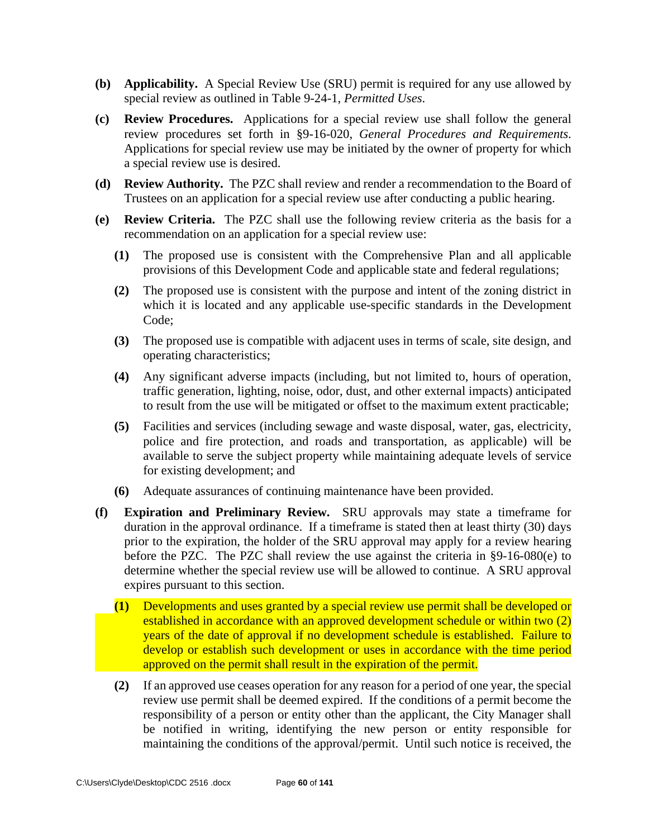- **(b) Applicability.** A Special Review Use (SRU) permit is required for any use allowed by special review as outlined in Table 9-24-1, *Permitted Uses*.
- **(c) Review Procedures.** Applications for a special review use shall follow the general review procedures set forth in §9-16-020, *General Procedures and Requirements*. Applications for special review use may be initiated by the owner of property for which a special review use is desired.
- **(d) Review Authority.** The PZC shall review and render a recommendation to the Board of Trustees on an application for a special review use after conducting a public hearing.
- **(e) Review Criteria.** The PZC shall use the following review criteria as the basis for a recommendation on an application for a special review use:
	- **(1)** The proposed use is consistent with the Comprehensive Plan and all applicable provisions of this Development Code and applicable state and federal regulations;
	- **(2)** The proposed use is consistent with the purpose and intent of the zoning district in which it is located and any applicable use-specific standards in the Development Code;
	- **(3)** The proposed use is compatible with adjacent uses in terms of scale, site design, and operating characteristics;
	- **(4)** Any significant adverse impacts (including, but not limited to, hours of operation, traffic generation, lighting, noise, odor, dust, and other external impacts) anticipated to result from the use will be mitigated or offset to the maximum extent practicable;
	- **(5)** Facilities and services (including sewage and waste disposal, water, gas, electricity, police and fire protection, and roads and transportation, as applicable) will be available to serve the subject property while maintaining adequate levels of service for existing development; and
	- **(6)** Adequate assurances of continuing maintenance have been provided.
- **(f) Expiration and Preliminary Review.** SRU approvals may state a timeframe for duration in the approval ordinance. If a timeframe is stated then at least thirty (30) days prior to the expiration, the holder of the SRU approval may apply for a review hearing before the PZC. The PZC shall review the use against the criteria in §9-16-080(e) to determine whether the special review use will be allowed to continue. A SRU approval expires pursuant to this section.
	- **(1)** Developments and uses granted by a special review use permit shall be developed or established in accordance with an approved development schedule or within two (2) years of the date of approval if no development schedule is established. Failure to develop or establish such development or uses in accordance with the time period approved on the permit shall result in the expiration of the permit.
	- **(2)** If an approved use ceases operation for any reason for a period of one year, the special review use permit shall be deemed expired. If the conditions of a permit become the responsibility of a person or entity other than the applicant, the City Manager shall be notified in writing, identifying the new person or entity responsible for maintaining the conditions of the approval/permit. Until such notice is received, the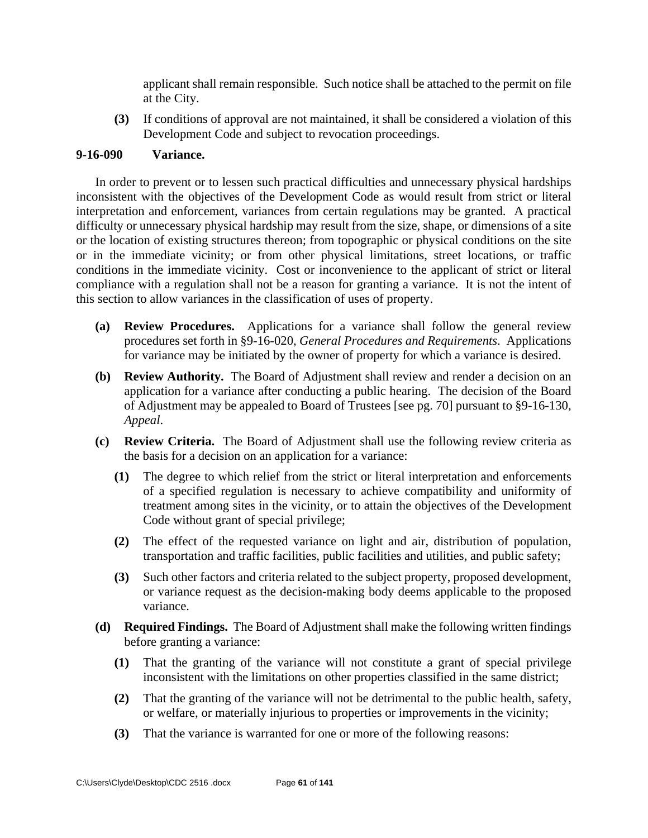applicant shall remain responsible. Such notice shall be attached to the permit on file at the City.

**(3)** If conditions of approval are not maintained, it shall be considered a violation of this Development Code and subject to revocation proceedings.

### **9-16-090 Variance.**

In order to prevent or to lessen such practical difficulties and unnecessary physical hardships inconsistent with the objectives of the Development Code as would result from strict or literal interpretation and enforcement, variances from certain regulations may be granted. A practical difficulty or unnecessary physical hardship may result from the size, shape, or dimensions of a site or the location of existing structures thereon; from topographic or physical conditions on the site or in the immediate vicinity; or from other physical limitations, street locations, or traffic conditions in the immediate vicinity. Cost or inconvenience to the applicant of strict or literal compliance with a regulation shall not be a reason for granting a variance. It is not the intent of this section to allow variances in the classification of uses of property.

- **(a) Review Procedures.** Applications for a variance shall follow the general review procedures set forth in §9-16-020, *General Procedures and Requirements*. Applications for variance may be initiated by the owner of property for which a variance is desired.
- **(b) Review Authority.** The Board of Adjustment shall review and render a decision on an application for a variance after conducting a public hearing. The decision of the Board of Adjustment may be appealed to Board of Trustees [see pg. 70] pursuant to §9-16-130, *Appeal*.
- **(c) Review Criteria.** The Board of Adjustment shall use the following review criteria as the basis for a decision on an application for a variance:
	- **(1)** The degree to which relief from the strict or literal interpretation and enforcements of a specified regulation is necessary to achieve compatibility and uniformity of treatment among sites in the vicinity, or to attain the objectives of the Development Code without grant of special privilege;
	- **(2)** The effect of the requested variance on light and air, distribution of population, transportation and traffic facilities, public facilities and utilities, and public safety;
	- **(3)** Such other factors and criteria related to the subject property, proposed development, or variance request as the decision-making body deems applicable to the proposed variance.
- **(d) Required Findings.** The Board of Adjustment shall make the following written findings before granting a variance:
	- **(1)** That the granting of the variance will not constitute a grant of special privilege inconsistent with the limitations on other properties classified in the same district;
	- **(2)** That the granting of the variance will not be detrimental to the public health, safety, or welfare, or materially injurious to properties or improvements in the vicinity;
	- **(3)** That the variance is warranted for one or more of the following reasons: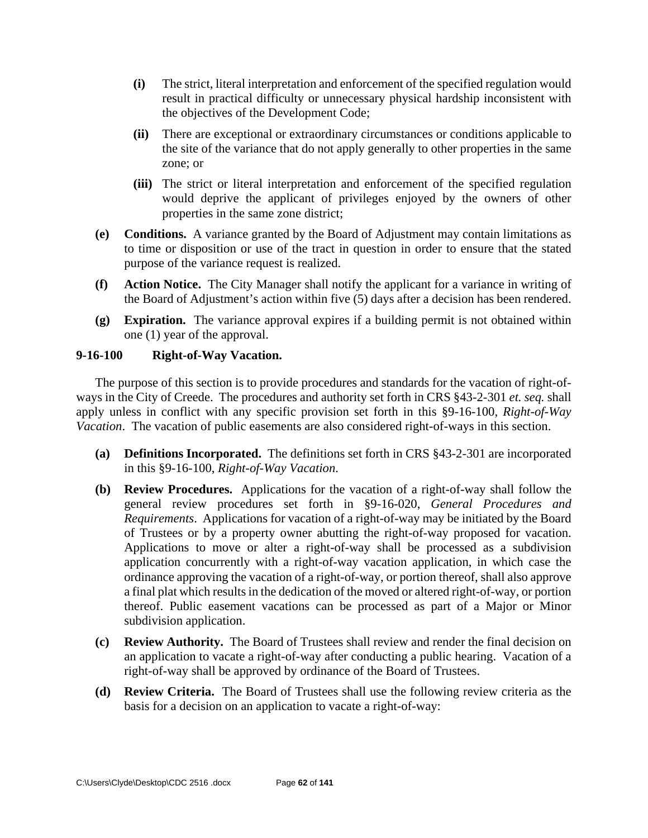- **(i)** The strict, literal interpretation and enforcement of the specified regulation would result in practical difficulty or unnecessary physical hardship inconsistent with the objectives of the Development Code;
- **(ii)** There are exceptional or extraordinary circumstances or conditions applicable to the site of the variance that do not apply generally to other properties in the same zone; or
- **(iii)** The strict or literal interpretation and enforcement of the specified regulation would deprive the applicant of privileges enjoyed by the owners of other properties in the same zone district;
- **(e) Conditions.** A variance granted by the Board of Adjustment may contain limitations as to time or disposition or use of the tract in question in order to ensure that the stated purpose of the variance request is realized.
- **(f) Action Notice.** The City Manager shall notify the applicant for a variance in writing of the Board of Adjustment's action within five (5) days after a decision has been rendered.
- **(g) Expiration.** The variance approval expires if a building permit is not obtained within one (1) year of the approval.

## **9-16-100 Right-of-Way Vacation.**

The purpose of this section is to provide procedures and standards for the vacation of right-ofways in the City of Creede. The procedures and authority set forth in CRS §43-2-301 *et. seq.* shall apply unless in conflict with any specific provision set forth in this §9-16-100, *Right-of-Way Vacation*. The vacation of public easements are also considered right-of-ways in this section.

- **(a) Definitions Incorporated.** The definitions set forth in CRS §43-2-301 are incorporated in this §9-16-100, *Right-of-Way Vacation*.
- **(b) Review Procedures.** Applications for the vacation of a right-of-way shall follow the general review procedures set forth in §9-16-020, *General Procedures and Requirements*. Applications for vacation of a right-of-way may be initiated by the Board of Trustees or by a property owner abutting the right-of-way proposed for vacation. Applications to move or alter a right-of-way shall be processed as a subdivision application concurrently with a right-of-way vacation application, in which case the ordinance approving the vacation of a right-of-way, or portion thereof, shall also approve a final plat which results in the dedication of the moved or altered right-of-way, or portion thereof. Public easement vacations can be processed as part of a Major or Minor subdivision application.
- **(c) Review Authority.** The Board of Trustees shall review and render the final decision on an application to vacate a right-of-way after conducting a public hearing. Vacation of a right-of-way shall be approved by ordinance of the Board of Trustees.
- **(d) Review Criteria.** The Board of Trustees shall use the following review criteria as the basis for a decision on an application to vacate a right-of-way: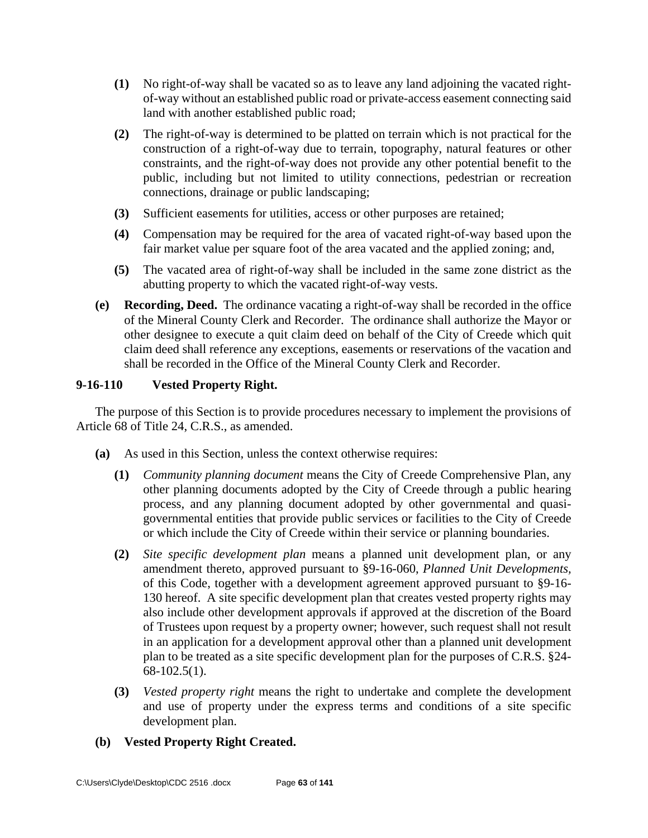- **(1)** No right-of-way shall be vacated so as to leave any land adjoining the vacated right of-way without an established public road or private-access easement connecting said land with another established public road;
- **(2)** The right-of-way is determined to be platted on terrain which is not practical for the construction of a right-of-way due to terrain, topography, natural features or other constraints, and the right-of-way does not provide any other potential benefit to the public, including but not limited to utility connections, pedestrian or recreation connections, drainage or public landscaping;
- **(3)** Sufficient easements for utilities, access or other purposes are retained;
- **(4)** Compensation may be required for the area of vacated right-of-way based upon the fair market value per square foot of the area vacated and the applied zoning; and,
- **(5)** The vacated area of right-of-way shall be included in the same zone district as the abutting property to which the vacated right-of-way vests.
- **(e) Recording, Deed.** The ordinance vacating a right-of-way shall be recorded in the office of the Mineral County Clerk and Recorder. The ordinance shall authorize the Mayor or other designee to execute a quit claim deed on behalf of the City of Creede which quit claim deed shall reference any exceptions, easements or reservations of the vacation and shall be recorded in the Office of the Mineral County Clerk and Recorder.

# **9-16-110 Vested Property Right.**

The purpose of this Section is to provide procedures necessary to implement the provisions of Article 68 of Title 24, C.R.S., as amended.

- **(a)** As used in this Section, unless the context otherwise requires:
	- **(1)** *Community planning document* means the City of Creede Comprehensive Plan, any other planning documents adopted by the City of Creede through a public hearing process, and any planning document adopted by other governmental and quasi governmental entities that provide public services or facilities to the City of Creede or which include the City of Creede within their service or planning boundaries.
	- **(2)** *Site specific development plan* means a planned unit development plan, or any amendment thereto, approved pursuant to §9-16-060, *Planned Unit Developments,* of this Code, together with a development agreement approved pursuant to §9-16- 130 hereof. A site specific development plan that creates vested property rights may also include other development approvals if approved at the discretion of the Board of Trustees upon request by a property owner; however, such request shall not result in an application for a development approval other than a planned unit development plan to be treated as a site specific development plan for the purposes of C.R.S. §24- 68-102.5(1).
	- **(3)** *Vested property right* means the right to undertake and complete the development and use of property under the express terms and conditions of a site specific development plan.
- **(b) Vested Property Right Created.**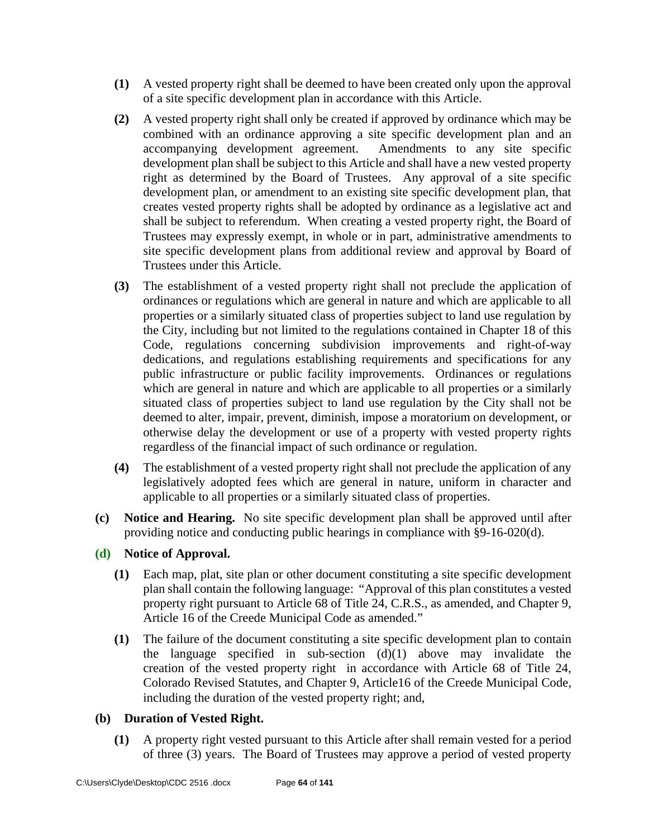- **(1)** A vested property right shall be deemed to have been created only upon the approval of a site specific development plan in accordance with this Article.
- **(2)** A vested property right shall only be created if approved by ordinance which may be combined with an ordinance approving a site specific development plan and an accompanying development agreement. Amendments to any site specific development plan shall be subject to this Article and shall have a new vested property right as determined by the Board of Trustees. Any approval of a site specific development plan, or amendment to an existing site specific development plan, that creates vested property rights shall be adopted by ordinance as a legislative act and shall be subject to referendum. When creating a vested property right, the Board of Trustees may expressly exempt, in whole or in part, administrative amendments to site specific development plans from additional review and approval by Board of Trustees under this Article.
- **(3)** The establishment of a vested property right shall not preclude the application of ordinances or regulations which are general in nature and which are applicable to all properties or a similarly situated class of properties subject to land use regulation by the City, including but not limited to the regulations contained in Chapter 18 of this Code, regulations concerning subdivision improvements and right-of-way dedications, and regulations establishing requirements and specifications for any public infrastructure or public facility improvements. Ordinances or regulations which are general in nature and which are applicable to all properties or a similarly situated class of properties subject to land use regulation by the City shall not be deemed to alter, impair, prevent, diminish, impose a moratorium on development, or otherwise delay the development or use of a property with vested property rights regardless of the financial impact of such ordinance or regulation.
- **(4)** The establishment of a vested property right shall not preclude the application of any legislatively adopted fees which are general in nature, uniform in character and applicable to all properties or a similarly situated class of properties.
- **(c) Notice and Hearing.** No site specific development plan shall be approved until after providing notice and conducting public hearings in compliance with §9-16-020(d).
- **(d) Notice of Approval.** 
	- **(1)** Each map, plat, site plan or other document constituting a site specific development plan shall contain the following language: "Approval of this plan constitutes a vested property right pursuant to Article 68 of Title 24, C.R.S., as amended, and Chapter 9, Article 16 of the Creede Municipal Code as amended."
	- **(1)** The failure of the document constituting a site specific development plan to contain the language specified in sub-section  $(d)(1)$  above may invalidate the creation of the vested property right in accordance with Article 68 of Title 24, Colorado Revised Statutes, and Chapter 9, Article16 of the Creede Municipal Code, including the duration of the vested property right; and,

### **(b) Duration of Vested Right.**

**(1)** A property right vested pursuant to this Article after shall remain vested for a period of three (3) years. The Board of Trustees may approve a period of vested property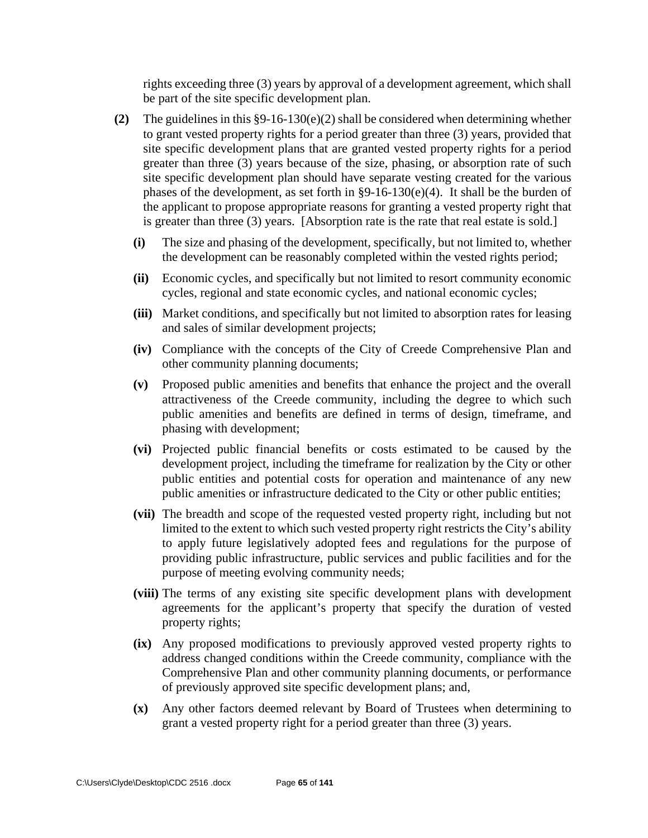rights exceeding three (3) years by approval of a development agreement, which shall be part of the site specific development plan.

- **(2)** The guidelines in this §9-16-130(e)(2) shall be considered when determining whether to grant vested property rights for a period greater than three (3) years, provided that site specific development plans that are granted vested property rights for a period greater than three (3) years because of the size, phasing, or absorption rate of such site specific development plan should have separate vesting created for the various phases of the development, as set forth in  $\S9-16-130(e)(4)$ . It shall be the burden of the applicant to propose appropriate reasons for granting a vested property right that is greater than three (3) years. [Absorption rate is the rate that real estate is sold.]
	- **(i)** The size and phasing of the development, specifically, but not limited to, whether the development can be reasonably completed within the vested rights period;
	- **(ii)** Economic cycles, and specifically but not limited to resort community economic cycles, regional and state economic cycles, and national economic cycles;
	- **(iii)** Market conditions, and specifically but not limited to absorption rates for leasing and sales of similar development projects;
	- **(iv)** Compliance with the concepts of the City of Creede Comprehensive Plan and other community planning documents;
	- **(v)** Proposed public amenities and benefits that enhance the project and the overall attractiveness of the Creede community, including the degree to which such public amenities and benefits are defined in terms of design, timeframe, and phasing with development;
	- **(vi)** Projected public financial benefits or costs estimated to be caused by the development project, including the timeframe for realization by the City or other public entities and potential costs for operation and maintenance of any new public amenities or infrastructure dedicated to the City or other public entities;
	- **(vii)** The breadth and scope of the requested vested property right, including but not limited to the extent to which such vested property right restricts the City's ability to apply future legislatively adopted fees and regulations for the purpose of providing public infrastructure, public services and public facilities and for the purpose of meeting evolving community needs;
	- **(viii)** The terms of any existing site specific development plans with development agreements for the applicant's property that specify the duration of vested property rights;
	- **(ix)** Any proposed modifications to previously approved vested property rights to address changed conditions within the Creede community, compliance with the Comprehensive Plan and other community planning documents, or performance of previously approved site specific development plans; and,
	- **(x)** Any other factors deemed relevant by Board of Trustees when determining to grant a vested property right for a period greater than three (3) years.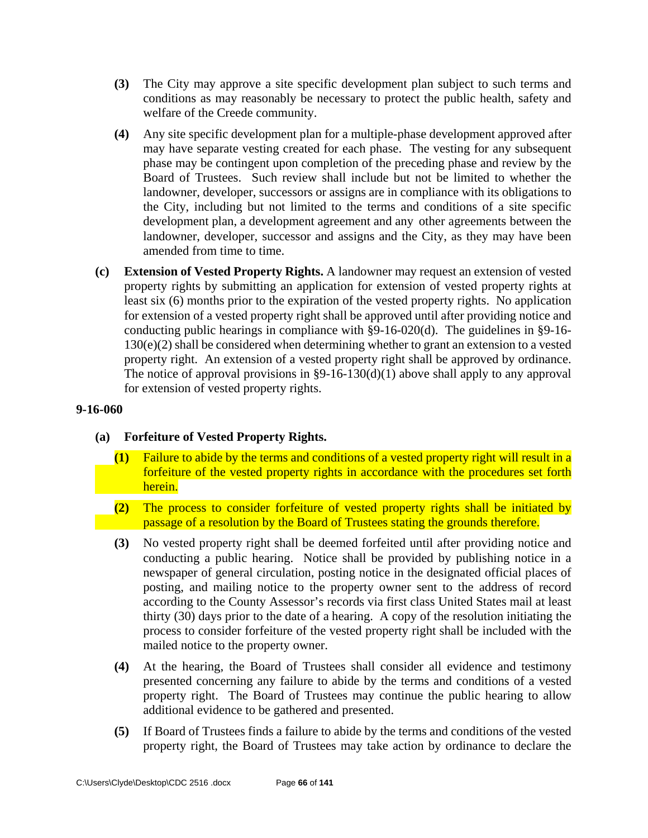- **(3)** The City may approve a site specific development plan subject to such terms and conditions as may reasonably be necessary to protect the public health, safety and welfare of the Creede community.
- **(4)** Any site specific development plan for a multiple-phase development approved after may have separate vesting created for each phase. The vesting for any subsequent phase may be contingent upon completion of the preceding phase and review by the Board of Trustees. Such review shall include but not be limited to whether the landowner, developer, successors or assigns are in compliance with its obligations to the City, including but not limited to the terms and conditions of a site specific development plan, a development agreement and any other agreements between the landowner, developer, successor and assigns and the City, as they may have been amended from time to time.
- **(c) Extension of Vested Property Rights.** A landowner may request an extension of vested property rights by submitting an application for extension of vested property rights at least six (6) months prior to the expiration of the vested property rights. No application for extension of a vested property right shall be approved until after providing notice and conducting public hearings in compliance with §9-16-020(d). The guidelines in §9-16-  $130(e)(2)$  shall be considered when determining whether to grant an extension to a vested property right. An extension of a vested property right shall be approved by ordinance. The notice of approval provisions in  $\S9-16-130(d)(1)$  above shall apply to any approval for extension of vested property rights.

### **9-16-060**

# **(a) Forfeiture of Vested Property Rights.**

- **(1)** Failure to abide by the terms and conditions of a vested property right will result in a forfeiture of the vested property rights in accordance with the procedures set forth herein.
- **(2)** The process to consider forfeiture of vested property rights shall be initiated by passage of a resolution by the Board of Trustees stating the grounds therefore.
- **(3)** No vested property right shall be deemed forfeited until after providing notice and conducting a public hearing. Notice shall be provided by publishing notice in a newspaper of general circulation, posting notice in the designated official places of posting, and mailing notice to the property owner sent to the address of record according to the County Assessor's records via first class United States mail at least thirty (30) days prior to the date of a hearing. A copy of the resolution initiating the process to consider forfeiture of the vested property right shall be included with the mailed notice to the property owner.
- **(4)** At the hearing, the Board of Trustees shall consider all evidence and testimony presented concerning any failure to abide by the terms and conditions of a vested property right. The Board of Trustees may continue the public hearing to allow additional evidence to be gathered and presented.
- **(5)** If Board of Trustees finds a failure to abide by the terms and conditions of the vested property right, the Board of Trustees may take action by ordinance to declare the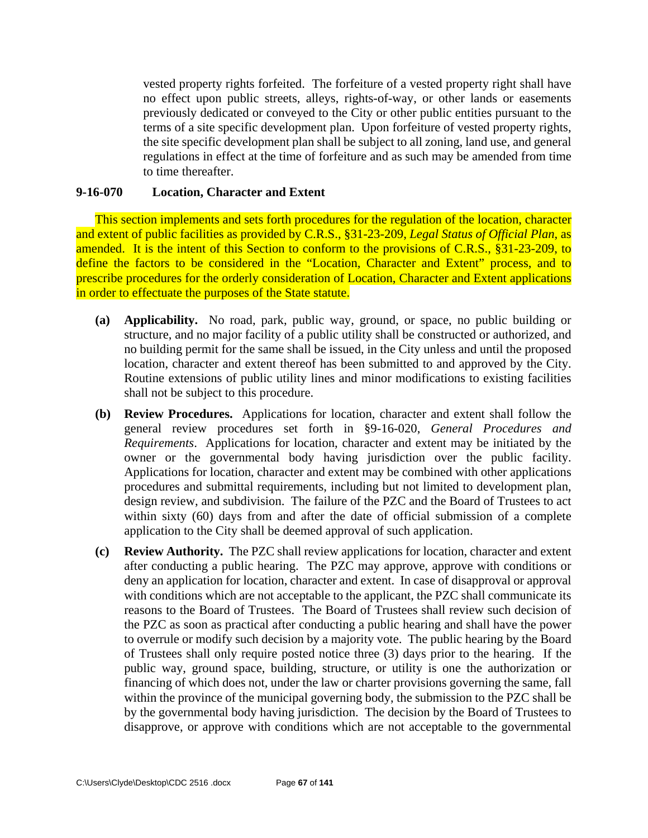vested property rights forfeited. The forfeiture of a vested property right shall have no effect upon public streets, alleys, rights-of-way, or other lands or easements previously dedicated or conveyed to the City or other public entities pursuant to the terms of a site specific development plan. Upon forfeiture of vested property rights, the site specific development plan shall be subject to all zoning, land use, and general regulations in effect at the time of forfeiture and as such may be amended from time to time thereafter.

## **9-16-070 Location, Character and Extent**

This section implements and sets forth procedures for the regulation of the location, character and extent of public facilities as provided by C.R.S., §31-23-209, *Legal Status of Official Plan*, as amended. It is the intent of this Section to conform to the provisions of C.R.S., §31-23-209, to define the factors to be considered in the "Location, Character and Extent" process, and to prescribe procedures for the orderly consideration of Location, Character and Extent applications in order to effectuate the purposes of the State statute.

- **(a) Applicability.** No road, park, public way, ground, or space, no public building or structure, and no major facility of a public utility shall be constructed or authorized, and no building permit for the same shall be issued, in the City unless and until the proposed location, character and extent thereof has been submitted to and approved by the City. Routine extensions of public utility lines and minor modifications to existing facilities shall not be subject to this procedure.
- **(b) Review Procedures.** Applications for location, character and extent shall follow the general review procedures set forth in §9-16-020, *General Procedures and Requirements*. Applications for location, character and extent may be initiated by the owner or the governmental body having jurisdiction over the public facility. Applications for location, character and extent may be combined with other applications procedures and submittal requirements, including but not limited to development plan, design review, and subdivision. The failure of the PZC and the Board of Trustees to act within sixty (60) days from and after the date of official submission of a complete application to the City shall be deemed approval of such application.
- **(c) Review Authority.** The PZC shall review applications for location, character and extent after conducting a public hearing. The PZC may approve, approve with conditions or deny an application for location, character and extent. In case of disapproval or approval with conditions which are not acceptable to the applicant, the PZC shall communicate its reasons to the Board of Trustees. The Board of Trustees shall review such decision of the PZC as soon as practical after conducting a public hearing and shall have the power to overrule or modify such decision by a majority vote. The public hearing by the Board of Trustees shall only require posted notice three (3) days prior to the hearing. If the public way, ground space, building, structure, or utility is one the authorization or financing of which does not, under the law or charter provisions governing the same, fall within the province of the municipal governing body, the submission to the PZC shall be by the governmental body having jurisdiction. The decision by the Board of Trustees to disapprove, or approve with conditions which are not acceptable to the governmental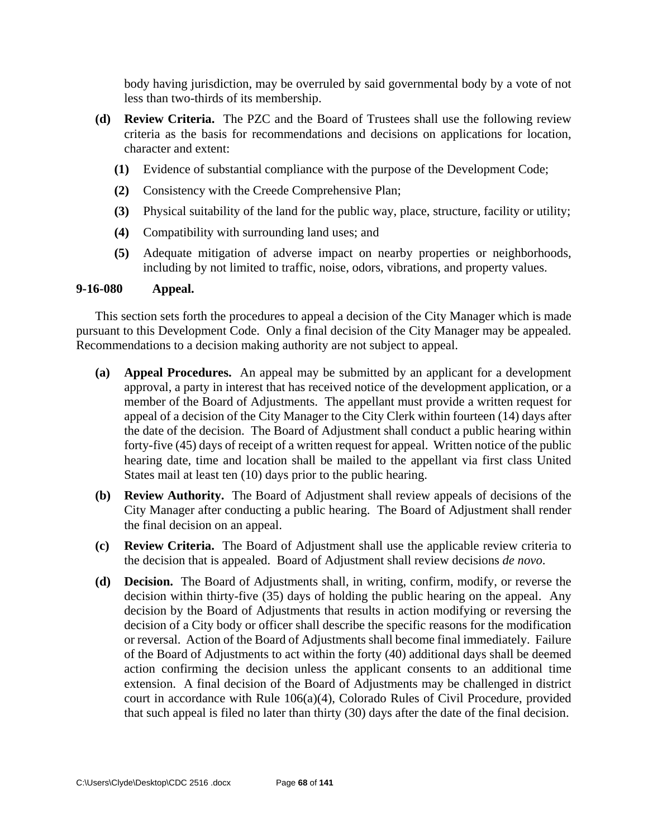body having jurisdiction, may be overruled by said governmental body by a vote of not less than two-thirds of its membership.

- **(d) Review Criteria.** The PZC and the Board of Trustees shall use the following review criteria as the basis for recommendations and decisions on applications for location, character and extent:
	- **(1)** Evidence of substantial compliance with the purpose of the Development Code;
	- **(2)** Consistency with the Creede Comprehensive Plan;
	- **(3)** Physical suitability of the land for the public way, place, structure, facility or utility;
	- **(4)** Compatibility with surrounding land uses; and
	- **(5)** Adequate mitigation of adverse impact on nearby properties or neighborhoods, including by not limited to traffic, noise, odors, vibrations, and property values.

#### **9-16-080 Appeal.**

This section sets forth the procedures to appeal a decision of the City Manager which is made pursuant to this Development Code. Only a final decision of the City Manager may be appealed. Recommendations to a decision making authority are not subject to appeal.

- **(a) Appeal Procedures.** An appeal may be submitted by an applicant for a development approval, a party in interest that has received notice of the development application, or a member of the Board of Adjustments. The appellant must provide a written request for appeal of a decision of the City Manager to the City Clerk within fourteen (14) days after the date of the decision. The Board of Adjustment shall conduct a public hearing within forty-five (45) days of receipt of a written request for appeal. Written notice of the public hearing date, time and location shall be mailed to the appellant via first class United States mail at least ten (10) days prior to the public hearing.
- **(b) Review Authority.** The Board of Adjustment shall review appeals of decisions of the City Manager after conducting a public hearing. The Board of Adjustment shall render the final decision on an appeal.
- **(c) Review Criteria.** The Board of Adjustment shall use the applicable review criteria to the decision that is appealed. Board of Adjustment shall review decisions *de novo*.
- **(d) Decision.** The Board of Adjustments shall, in writing, confirm, modify, or reverse the decision within thirty-five (35) days of holding the public hearing on the appeal. Any decision by the Board of Adjustments that results in action modifying or reversing the decision of a City body or officer shall describe the specific reasons for the modification or reversal. Action of the Board of Adjustments shall become final immediately. Failure of the Board of Adjustments to act within the forty (40) additional days shall be deemed action confirming the decision unless the applicant consents to an additional time extension. A final decision of the Board of Adjustments may be challenged in district court in accordance with Rule 106(a)(4), Colorado Rules of Civil Procedure, provided that such appeal is filed no later than thirty (30) days after the date of the final decision.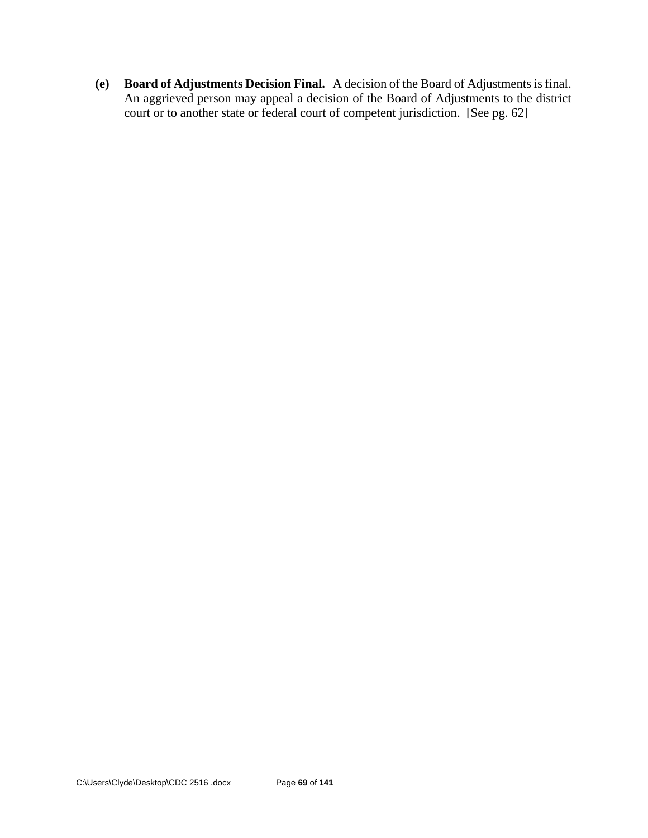**(e) Board of Adjustments Decision Final.** A decision of the Board of Adjustments is final. An aggrieved person may appeal a decision of the Board of Adjustments to the district court or to another state or federal court of competent jurisdiction. [See pg. 62]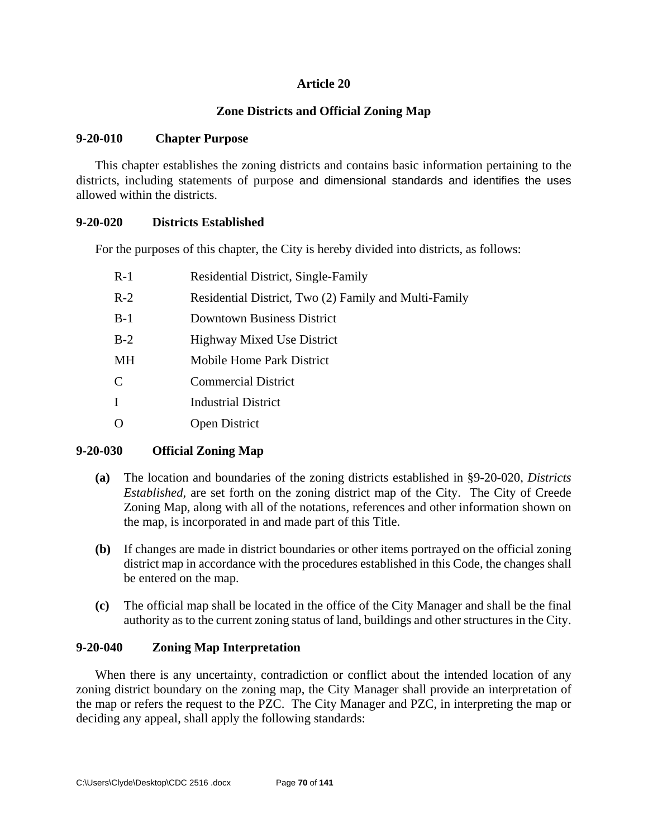## **Article 20**

## **Zone Districts and Official Zoning Map**

#### **9-20-010 Chapter Purpose**

This chapter establishes the zoning districts and contains basic information pertaining to the districts, including statements of purpose and dimensional standards and identifies the uses allowed within the districts.

### **9-20-020 Districts Established**

For the purposes of this chapter, the City is hereby divided into districts, as follows:

| $R-1$ | Residential District, Single-Family                   |
|-------|-------------------------------------------------------|
| $R-2$ | Residential District, Two (2) Family and Multi-Family |
| $B-1$ | <b>Downtown Business District</b>                     |
| $B-2$ | <b>Highway Mixed Use District</b>                     |
| MН    | Mobile Home Park District                             |
| C     | <b>Commercial District</b>                            |
|       | Industrial District                                   |
|       | <b>Open District</b>                                  |

### **9-20-030 Official Zoning Map**

- **(a)** The location and boundaries of the zoning districts established in §9-20-020, *Districts Established,* are set forth on the zoning district map of the City. The City of Creede Zoning Map, along with all of the notations, references and other information shown on the map, is incorporated in and made part of this Title.
- **(b)** If changes are made in district boundaries or other items portrayed on the official zoning district map in accordance with the procedures established in this Code, the changes shall be entered on the map.
- **(c)** The official map shall be located in the office of the City Manager and shall be the final authority as to the current zoning status of land, buildings and other structures in the City.

### **9-20-040 Zoning Map Interpretation**

When there is any uncertainty, contradiction or conflict about the intended location of any zoning district boundary on the zoning map, the City Manager shall provide an interpretation of the map or refers the request to the PZC. The City Manager and PZC, in interpreting the map or deciding any appeal, shall apply the following standards: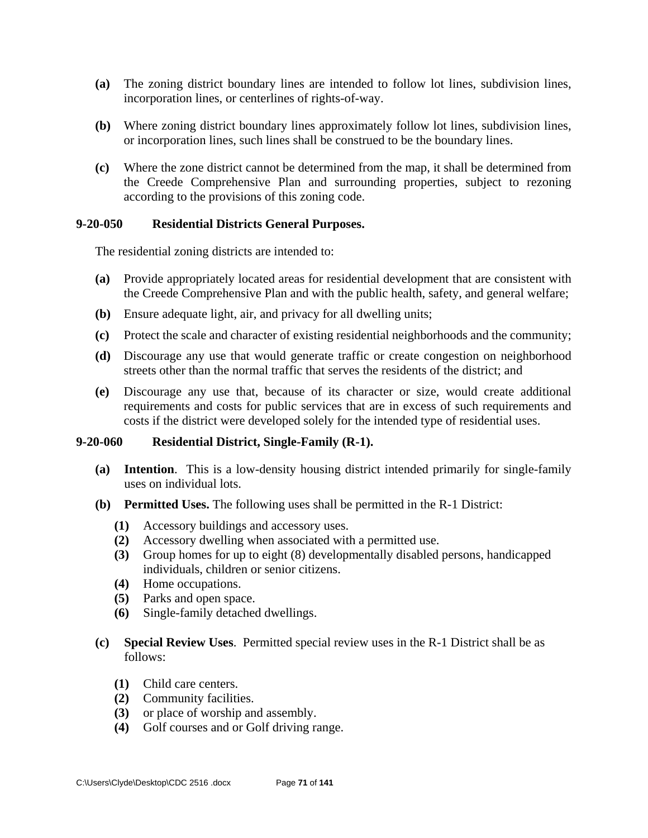- **(a)** The zoning district boundary lines are intended to follow lot lines, subdivision lines, incorporation lines, or centerlines of rights-of-way.
- **(b)** Where zoning district boundary lines approximately follow lot lines, subdivision lines, or incorporation lines, such lines shall be construed to be the boundary lines.
- **(c)** Where the zone district cannot be determined from the map, it shall be determined from the Creede Comprehensive Plan and surrounding properties, subject to rezoning according to the provisions of this zoning code.

### **9-20-050 Residential Districts General Purposes.**

The residential zoning districts are intended to:

- **(a)** Provide appropriately located areas for residential development that are consistent with the Creede Comprehensive Plan and with the public health, safety, and general welfare;
- **(b)** Ensure adequate light, air, and privacy for all dwelling units;
- **(c)** Protect the scale and character of existing residential neighborhoods and the community;
- **(d)** Discourage any use that would generate traffic or create congestion on neighborhood streets other than the normal traffic that serves the residents of the district; and
- **(e)** Discourage any use that, because of its character or size, would create additional requirements and costs for public services that are in excess of such requirements and costs if the district were developed solely for the intended type of residential uses.

### **9-20-060 Residential District, Single-Family (R-1).**

- **(a) Intention**. This is a low-density housing district intended primarily for single-family uses on individual lots.
- **(b) Permitted Uses.** The following uses shall be permitted in the R-1 District:
	- **(1)** Accessory buildings and accessory uses.
	- **(2)** Accessory dwelling when associated with a permitted use.
	- **(3)** Group homes for up to eight (8) developmentally disabled persons, handicapped individuals, children or senior citizens.
	- **(4)** Home occupations.
	- **(5)** Parks and open space.
	- **(6)** Single-family detached dwellings.
- **(c) Special Review Uses**. Permitted special review uses in the R-1 District shall be as follows:
	- **(1)** Child care centers.
	- **(2)** Community facilities.
	- **(3)** or place of worship and assembly.
	- **(4)** Golf courses and or Golf driving range.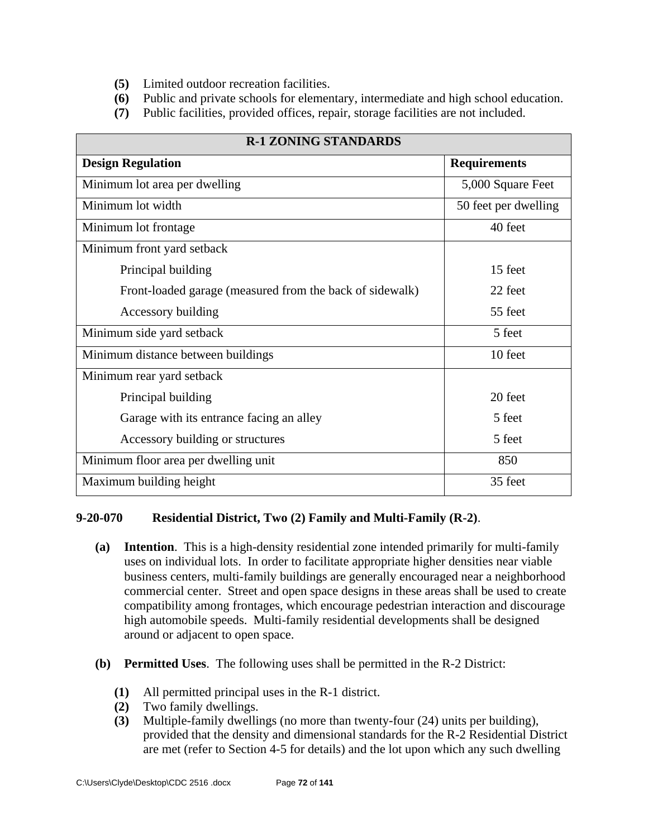- **(5)** Limited outdoor recreation facilities.
- **(6)** Public and private schools for elementary, intermediate and high school education.
- **(7)** Public facilities, provided offices, repair, storage facilities are not included.

| <b>R-1 ZONING STANDARDS</b>                              |                      |  |  |  |
|----------------------------------------------------------|----------------------|--|--|--|
| <b>Design Regulation</b>                                 | <b>Requirements</b>  |  |  |  |
| Minimum lot area per dwelling                            | 5,000 Square Feet    |  |  |  |
| Minimum lot width                                        | 50 feet per dwelling |  |  |  |
| Minimum lot frontage                                     | 40 feet              |  |  |  |
| Minimum front yard setback                               |                      |  |  |  |
| Principal building                                       | 15 feet              |  |  |  |
| Front-loaded garage (measured from the back of sidewalk) | 22 feet              |  |  |  |
| Accessory building                                       | 55 feet              |  |  |  |
| Minimum side yard setback                                | 5 feet               |  |  |  |
| Minimum distance between buildings                       | 10 feet              |  |  |  |
| Minimum rear yard setback                                |                      |  |  |  |
| Principal building                                       | 20 feet              |  |  |  |
| Garage with its entrance facing an alley                 | 5 feet               |  |  |  |
| Accessory building or structures                         | 5 feet               |  |  |  |
| Minimum floor area per dwelling unit                     | 850                  |  |  |  |
| Maximum building height                                  | 35 feet              |  |  |  |

### **9-20-070 Residential District, Two (2) Family and Multi-Family (R-2)**.

- **(a) Intention**. This is a high-density residential zone intended primarily for multi-family uses on individual lots. In order to facilitate appropriate higher densities near viable business centers, multi-family buildings are generally encouraged near a neighborhood commercial center. Street and open space designs in these areas shall be used to create compatibility among frontages, which encourage pedestrian interaction and discourage high automobile speeds. Multi-family residential developments shall be designed around or adjacent to open space.
- **(b) Permitted Uses**. The following uses shall be permitted in the R-2 District:
	- **(1)** All permitted principal uses in the R-1 district.
	- **(2)** Two family dwellings.
	- **(3)** Multiple-family dwellings (no more than twenty-four (24) units per building), provided that the density and dimensional standards for the R-2 Residential District are met (refer to Section 4-5 for details) and the lot upon which any such dwelling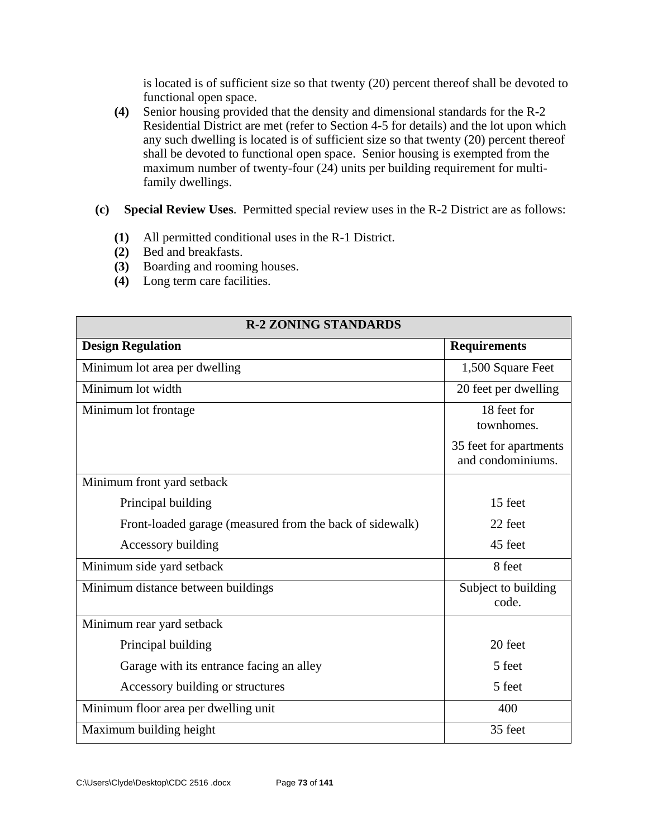is located is of sufficient size so that twenty (20) percent thereof shall be devoted to functional open space.

- **(4)** Senior housing provided that the density and dimensional standards for the R-2 Residential District are met (refer to Section 4-5 for details) and the lot upon which any such dwelling is located is of sufficient size so that twenty (20) percent thereof shall be devoted to functional open space. Senior housing is exempted from the maximum number of twenty-four (24) units per building requirement for multi family dwellings.
- **(c) Special Review Uses**. Permitted special review uses in the R-2 District are as follows:
	- **(1)** All permitted conditional uses in the R-1 District.
	- **(2)** Bed and breakfasts.
	- **(3)** Boarding and rooming houses.
	- **(4)** Long term care facilities.

| <b>R-2 ZONING STANDARDS</b>                              |                                             |  |  |  |  |  |
|----------------------------------------------------------|---------------------------------------------|--|--|--|--|--|
| <b>Design Regulation</b>                                 | <b>Requirements</b>                         |  |  |  |  |  |
| Minimum lot area per dwelling                            | 1,500 Square Feet                           |  |  |  |  |  |
| Minimum lot width                                        | 20 feet per dwelling                        |  |  |  |  |  |
| Minimum lot frontage                                     | 18 feet for<br>townhomes.                   |  |  |  |  |  |
|                                                          | 35 feet for apartments<br>and condominiums. |  |  |  |  |  |
| Minimum front yard setback                               |                                             |  |  |  |  |  |
| Principal building                                       | 15 feet                                     |  |  |  |  |  |
| Front-loaded garage (measured from the back of sidewalk) | 22 feet                                     |  |  |  |  |  |
| Accessory building                                       | 45 feet                                     |  |  |  |  |  |
| Minimum side yard setback                                | 8 feet                                      |  |  |  |  |  |
| Minimum distance between buildings                       | Subject to building<br>code.                |  |  |  |  |  |
| Minimum rear yard setback                                |                                             |  |  |  |  |  |
| Principal building                                       | 20 feet                                     |  |  |  |  |  |
| Garage with its entrance facing an alley                 | 5 feet                                      |  |  |  |  |  |
| Accessory building or structures                         | 5 feet                                      |  |  |  |  |  |
| Minimum floor area per dwelling unit                     | 400                                         |  |  |  |  |  |
| Maximum building height                                  | 35 feet                                     |  |  |  |  |  |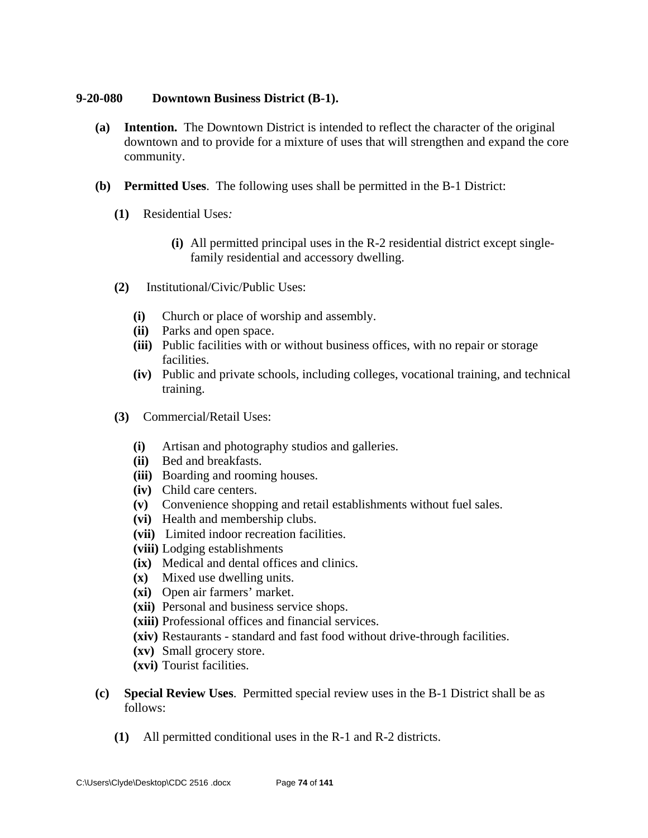#### **9-20-080 Downtown Business District (B-1).**

- **(a) Intention.** The Downtown District is intended to reflect the character of the original downtown and to provide for a mixture of uses that will strengthen and expand the core community.
- **(b) Permitted Uses**. The following uses shall be permitted in the B-1 District:
	- **(1)** Residential Uses*:*
		- **(i)** All permitted principal uses in the R-2 residential district except single family residential and accessory dwelling.
	- **(2)** Institutional/Civic/Public Uses:
		- **(i)** Church or place of worship and assembly.
		- **(ii)** Parks and open space.
		- **(iii)** Public facilities with or without business offices, with no repair or storage facilities.
		- **(iv)** Public and private schools, including colleges, vocational training, and technical training.
	- **(3)** Commercial/Retail Uses:
		- **(i)** Artisan and photography studios and galleries.
		- **(ii)** Bed and breakfasts.
		- **(iii)** Boarding and rooming houses.
		- **(iv)** Child care centers.
		- **(v)** Convenience shopping and retail establishments without fuel sales.
		- **(vi)** Health and membership clubs.
		- **(vii)** Limited indoor recreation facilities.
		- **(viii)** Lodging establishments
		- **(ix)** Medical and dental offices and clinics.
		- **(x)** Mixed use dwelling units.
		- **(xi)** Open air farmers' market.
		- **(xii)** Personal and business service shops.
		- **(xiii)** Professional offices and financial services.
		- **(xiv)** Restaurants standard and fast food without drive-through facilities.
		- **(xv)** Small grocery store.
		- **(xvi)** Tourist facilities.
- **(c) Special Review Uses**. Permitted special review uses in the B-1 District shall be as follows:
	- **(1)** All permitted conditional uses in the R-1 and R-2 districts.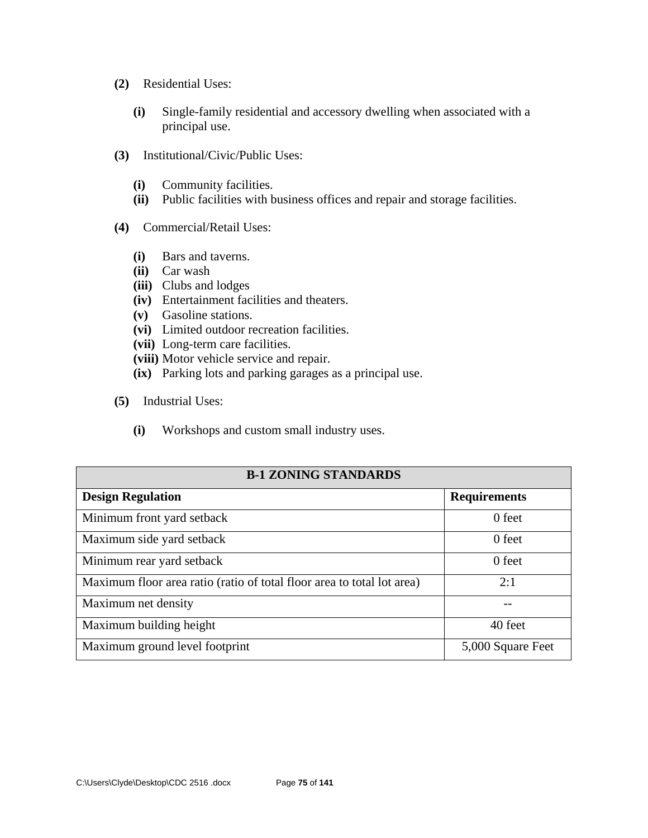- **(2)** Residential Uses:
	- **(i)** Single-family residential and accessory dwelling when associated with a principal use.
- **(3)** Institutional/Civic/Public Uses:
	- **(i)** Community facilities.
	- **(ii)** Public facilities with business offices and repair and storage facilities.
- **(4)** Commercial/Retail Uses:
	- **(i)** Bars and taverns.
	- **(ii)** Car wash
	- **(iii)** Clubs and lodges
	- **(iv)** Entertainment facilities and theaters.
	- **(v)** Gasoline stations.
	- **(vi)** Limited outdoor recreation facilities.
	- **(vii)** Long-term care facilities.
	- **(viii)** Motor vehicle service and repair.
	- **(ix)** Parking lots and parking garages as a principal use.
- **(5)** Industrial Uses:
	- **(i)** Workshops and custom small industry uses.

| <b>B-1 ZONING STANDARDS</b>                                            |                     |  |  |  |  |  |
|------------------------------------------------------------------------|---------------------|--|--|--|--|--|
| <b>Design Regulation</b>                                               | <b>Requirements</b> |  |  |  |  |  |
| Minimum front yard setback                                             | 0 feet              |  |  |  |  |  |
| Maximum side yard setback                                              | 0 feet              |  |  |  |  |  |
| Minimum rear yard setback                                              | 0 feet              |  |  |  |  |  |
| Maximum floor area ratio (ratio of total floor area to total lot area) | 2:1                 |  |  |  |  |  |
| Maximum net density                                                    |                     |  |  |  |  |  |
| Maximum building height                                                | 40 feet             |  |  |  |  |  |
| Maximum ground level footprint                                         | 5,000 Square Feet   |  |  |  |  |  |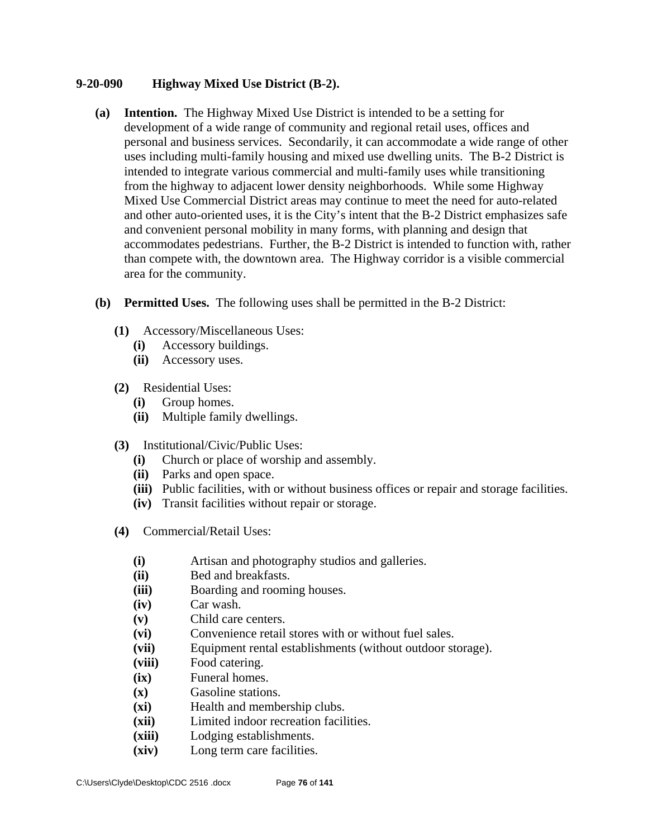#### **9-20-090 Highway Mixed Use District (B-2).**

- **(a) Intention.** The Highway Mixed Use District is intended to be a setting for development of a wide range of community and regional retail uses, offices and personal and business services. Secondarily, it can accommodate a wide range of other uses including multi-family housing and mixed use dwelling units. The B-2 District is intended to integrate various commercial and multi-family uses while transitioning from the highway to adjacent lower density neighborhoods. While some Highway Mixed Use Commercial District areas may continue to meet the need for auto-related and other auto-oriented uses, it is the City's intent that the B-2 District emphasizes safe and convenient personal mobility in many forms, with planning and design that accommodates pedestrians. Further, the B-2 District is intended to function with, rather than compete with, the downtown area. The Highway corridor is a visible commercial area for the community.
- **(b) Permitted Uses.** The following uses shall be permitted in the B-2 District:
	- **(1)** Accessory/Miscellaneous Uses:
		- **(i)** Accessory buildings.
		- **(ii)** Accessory uses.
	- **(2)** Residential Uses:
		- **(i)** Group homes.
		- **(ii)** Multiple family dwellings.
	- **(3)** Institutional/Civic/Public Uses:
		- **(i)** Church or place of worship and assembly.
		- **(ii)** Parks and open space.
		- **(iii)** Public facilities, with or without business offices or repair and storage facilities.
		- **(iv)** Transit facilities without repair or storage.
	- **(4)** Commercial/Retail Uses:
		- **(i)** Artisan and photography studios and galleries.
		- **(ii)** Bed and breakfasts.
		- **(iii)** Boarding and rooming houses.
		- **(iv)** Car wash.
		- **(v)** Child care centers.
		- **(vi)** Convenience retail stores with or without fuel sales.
		- **(vii)** Equipment rental establishments (without outdoor storage).
		- **(viii)** Food catering.
		- **(ix)** Funeral homes.
		- **(x)** Gasoline stations.
		- **(xi)** Health and membership clubs.
		- **(xii)** Limited indoor recreation facilities.
		- **(xiii)** Lodging establishments.
		- **(xiv)** Long term care facilities.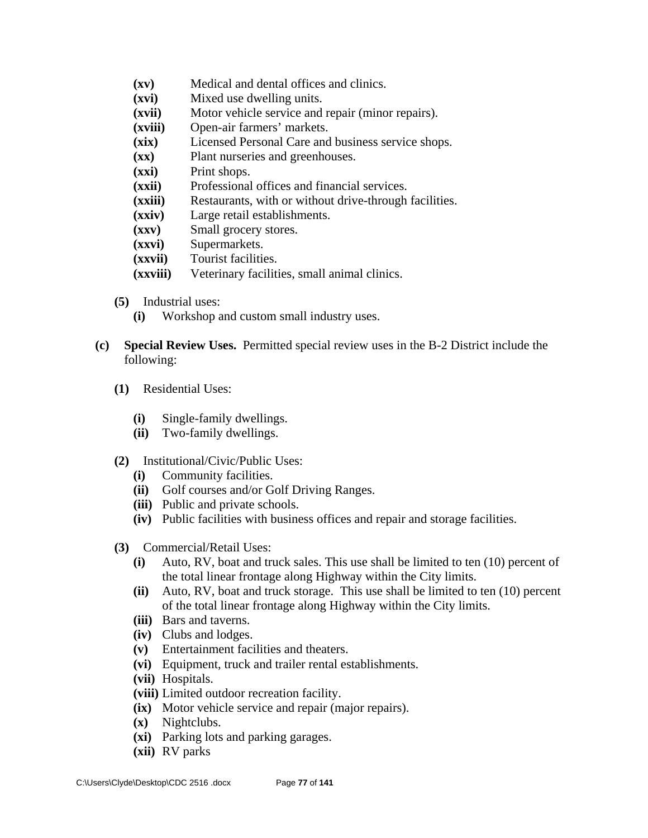- **(xv)** Medical and dental offices and clinics.
- **(xvi)** Mixed use dwelling units.
- **(xvii)** Motor vehicle service and repair (minor repairs).
- **(xviii)** Open-air farmers' markets.
- **(xix)** Licensed Personal Care and business service shops.
- **(xx)** Plant nurseries and greenhouses.
- **(xxi)** Print shops.
- **(xxii)** Professional offices and financial services.
- **(xxiii)** Restaurants, with or without drive-through facilities.
- **(xxiv)** Large retail establishments.
- **(xxv)** Small grocery stores.
- **(xxvi)** Supermarkets.
- **(xxvii)** Tourist facilities.
- **(xxviii)** Veterinary facilities, small animal clinics.
- **(5)** Industrial uses:
	- **(i)** Workshop and custom small industry uses.
- **(c) Special Review Uses.** Permitted special review uses in the B-2 District include the following:
	- **(1)** Residential Uses:
		- **(i)** Single-family dwellings.
		- **(ii)** Two-family dwellings.
	- **(2)** Institutional/Civic/Public Uses:
		- **(i)** Community facilities.
		- **(ii)** Golf courses and/or Golf Driving Ranges.
		- **(iii)** Public and private schools.
		- **(iv)** Public facilities with business offices and repair and storage facilities.
	- **(3)** Commercial/Retail Uses:
		- **(i)** Auto, RV, boat and truck sales. This use shall be limited to ten (10) percent of the total linear frontage along Highway within the City limits.
		- **(ii)** Auto, RV, boat and truck storage. This use shall be limited to ten (10) percent of the total linear frontage along Highway within the City limits.
		- **(iii)** Bars and taverns.
		- **(iv)** Clubs and lodges.
		- **(v)** Entertainment facilities and theaters.
		- **(vi)** Equipment, truck and trailer rental establishments.
		- **(vii)** Hospitals.
		- **(viii)** Limited outdoor recreation facility.
		- **(ix)** Motor vehicle service and repair (major repairs).
		- **(x)** Nightclubs.
		- **(xi)** Parking lots and parking garages.
		- **(xii)** RV parks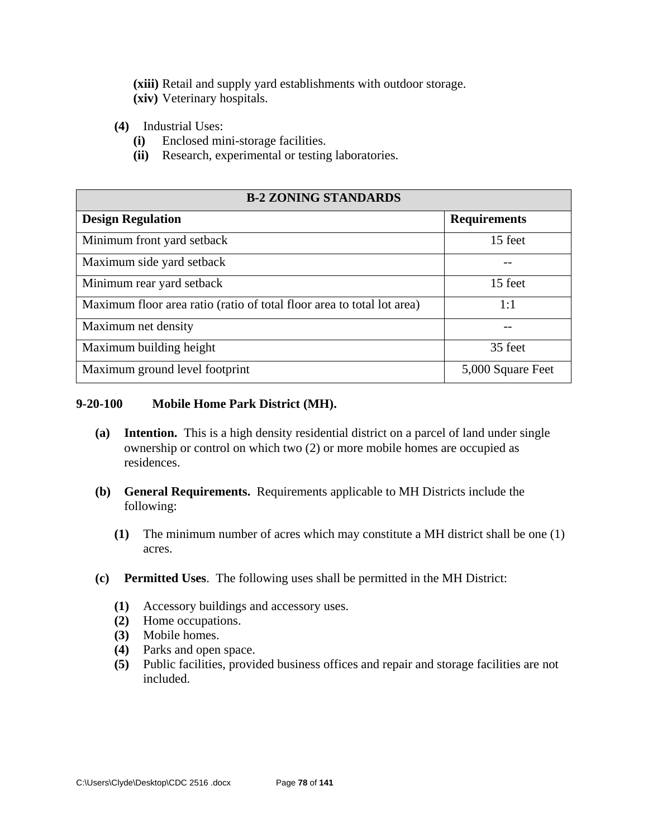**(xiii)** Retail and supply yard establishments with outdoor storage. **(xiv)** Veterinary hospitals.

- **(4)** Industrial Uses:
	- **(i)** Enclosed mini-storage facilities.
	- **(ii)** Research, experimental or testing laboratories.

| <b>B-2 ZONING STANDARDS</b>                                            |                     |  |  |  |  |  |
|------------------------------------------------------------------------|---------------------|--|--|--|--|--|
| <b>Design Regulation</b>                                               | <b>Requirements</b> |  |  |  |  |  |
| Minimum front yard setback                                             | 15 feet             |  |  |  |  |  |
| Maximum side yard setback                                              |                     |  |  |  |  |  |
| Minimum rear yard setback                                              | 15 feet             |  |  |  |  |  |
| Maximum floor area ratio (ratio of total floor area to total lot area) | 1:1                 |  |  |  |  |  |
| Maximum net density                                                    |                     |  |  |  |  |  |
| Maximum building height                                                | 35 feet             |  |  |  |  |  |
| Maximum ground level footprint                                         | 5,000 Square Feet   |  |  |  |  |  |

#### **9-20-100 Mobile Home Park District (MH).**

- **(a) Intention.** This is a high density residential district on a parcel of land under single ownership or control on which two (2) or more mobile homes are occupied as residences.
- **(b) General Requirements.** Requirements applicable to MH Districts include the following:
	- **(1)** The minimum number of acres which may constitute a MH district shall be one (1) acres.
- **(c) Permitted Uses**. The following uses shall be permitted in the MH District:
	- **(1)** Accessory buildings and accessory uses.
	- **(2)** Home occupations.
	- **(3)** Mobile homes.
	- **(4)** Parks and open space.
	- **(5)** Public facilities, provided business offices and repair and storage facilities are not included.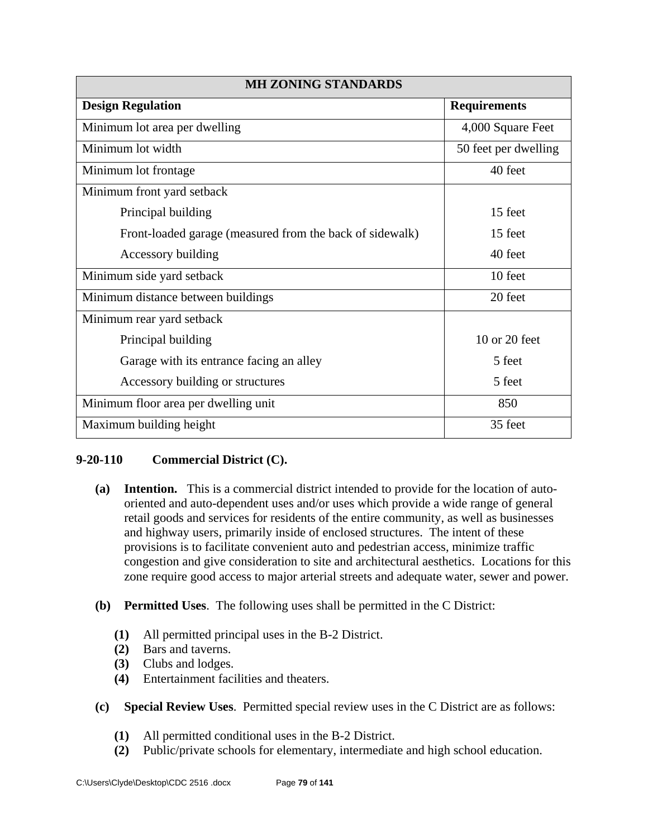| <b>MH ZONING STANDARDS</b>                               |                      |  |  |  |  |  |  |
|----------------------------------------------------------|----------------------|--|--|--|--|--|--|
| <b>Design Regulation</b>                                 | <b>Requirements</b>  |  |  |  |  |  |  |
| Minimum lot area per dwelling                            | 4,000 Square Feet    |  |  |  |  |  |  |
| Minimum lot width                                        | 50 feet per dwelling |  |  |  |  |  |  |
| Minimum lot frontage                                     | 40 feet              |  |  |  |  |  |  |
| Minimum front yard setback                               |                      |  |  |  |  |  |  |
| Principal building                                       | 15 feet              |  |  |  |  |  |  |
| Front-loaded garage (measured from the back of sidewalk) | 15 feet              |  |  |  |  |  |  |
| Accessory building                                       | 40 feet              |  |  |  |  |  |  |
| Minimum side yard setback                                | 10 feet              |  |  |  |  |  |  |
| Minimum distance between buildings                       | 20 feet              |  |  |  |  |  |  |
| Minimum rear yard setback                                |                      |  |  |  |  |  |  |
| Principal building                                       | 10 or 20 feet        |  |  |  |  |  |  |
| Garage with its entrance facing an alley                 | 5 feet               |  |  |  |  |  |  |
| Accessory building or structures                         | 5 feet               |  |  |  |  |  |  |
| Minimum floor area per dwelling unit                     | 850                  |  |  |  |  |  |  |
| Maximum building height                                  | 35 feet              |  |  |  |  |  |  |

# **9-20-110 Commercial District (C).**

- **(a) Intention.** This is a commercial district intended to provide for the location of auto oriented and auto-dependent uses and/or uses which provide a wide range of general retail goods and services for residents of the entire community, as well as businesses and highway users, primarily inside of enclosed structures. The intent of these provisions is to facilitate convenient auto and pedestrian access, minimize traffic congestion and give consideration to site and architectural aesthetics. Locations for this zone require good access to major arterial streets and adequate water, sewer and power.
- **(b) Permitted Uses**. The following uses shall be permitted in the C District:
	- **(1)** All permitted principal uses in the B-2 District.
	- **(2)** Bars and taverns.
	- **(3)** Clubs and lodges.
	- **(4)** Entertainment facilities and theaters.
- **(c) Special Review Uses**. Permitted special review uses in the C District are as follows:
	- **(1)** All permitted conditional uses in the B-2 District.
	- **(2)** Public/private schools for elementary, intermediate and high school education.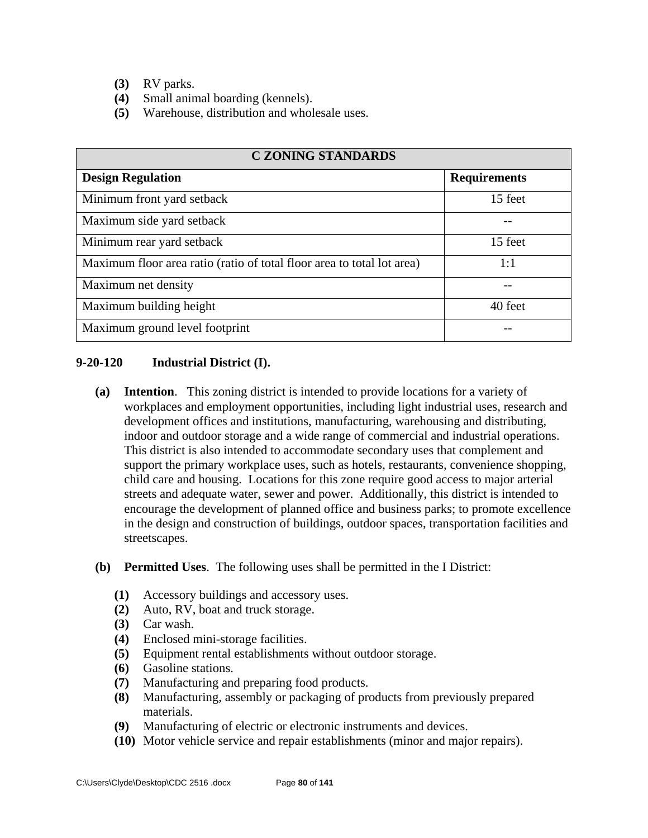- **(3)** RV parks.
- **(4)** Small animal boarding (kennels).
- **(5)** Warehouse, distribution and wholesale uses.

| <b>C ZONING STANDARDS</b>                                              |                     |  |  |  |  |  |
|------------------------------------------------------------------------|---------------------|--|--|--|--|--|
| <b>Design Regulation</b>                                               | <b>Requirements</b> |  |  |  |  |  |
| Minimum front yard setback                                             | 15 feet             |  |  |  |  |  |
| Maximum side yard setback                                              |                     |  |  |  |  |  |
| Minimum rear yard setback                                              | 15 feet             |  |  |  |  |  |
| Maximum floor area ratio (ratio of total floor area to total lot area) | 1:1                 |  |  |  |  |  |
| Maximum net density                                                    |                     |  |  |  |  |  |
| Maximum building height                                                | 40 feet             |  |  |  |  |  |
| Maximum ground level footprint                                         |                     |  |  |  |  |  |

### **9-20-120 Industrial District (I).**

- **(a) Intention**. This zoning district is intended to provide locations for a variety of workplaces and employment opportunities, including light industrial uses, research and development offices and institutions, manufacturing, warehousing and distributing, indoor and outdoor storage and a wide range of commercial and industrial operations. This district is also intended to accommodate secondary uses that complement and support the primary workplace uses, such as hotels, restaurants, convenience shopping, child care and housing. Locations for this zone require good access to major arterial streets and adequate water, sewer and power. Additionally, this district is intended to encourage the development of planned office and business parks; to promote excellence in the design and construction of buildings, outdoor spaces, transportation facilities and streetscapes.
- **(b) Permitted Uses**. The following uses shall be permitted in the I District:
	- **(1)** Accessory buildings and accessory uses.
	- **(2)** Auto, RV, boat and truck storage.
	- **(3)** Car wash.
	- **(4)** Enclosed mini-storage facilities.
	- **(5)** Equipment rental establishments without outdoor storage.
	- **(6)** Gasoline stations.
	- **(7)** Manufacturing and preparing food products.
	- **(8)** Manufacturing, assembly or packaging of products from previously prepared materials.
	- **(9)** Manufacturing of electric or electronic instruments and devices.
	- **(10)** Motor vehicle service and repair establishments (minor and major repairs).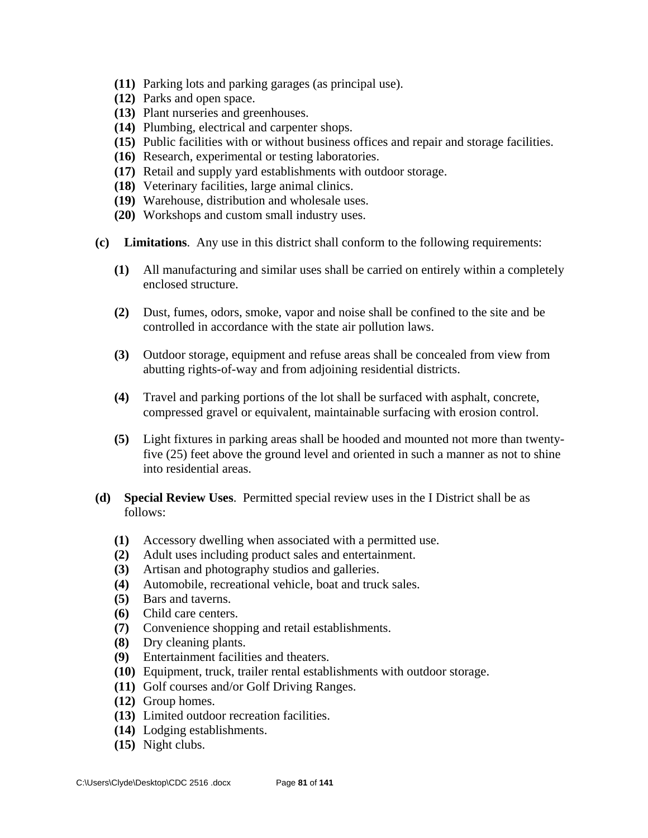- **(11)** Parking lots and parking garages (as principal use).
- **(12)** Parks and open space.
- **(13)** Plant nurseries and greenhouses.
- **(14)** Plumbing, electrical and carpenter shops.
- **(15)** Public facilities with or without business offices and repair and storage facilities.
- **(16)** Research, experimental or testing laboratories.
- **(17)** Retail and supply yard establishments with outdoor storage.
- **(18)** Veterinary facilities, large animal clinics.
- **(19)** Warehouse, distribution and wholesale uses.
- **(20)** Workshops and custom small industry uses.
- **(c) Limitations**. Any use in this district shall conform to the following requirements:
	- **(1)** All manufacturing and similar uses shall be carried on entirely within a completely enclosed structure.
	- **(2)** Dust, fumes, odors, smoke, vapor and noise shall be confined to the site and be controlled in accordance with the state air pollution laws.
	- **(3)** Outdoor storage, equipment and refuse areas shall be concealed from view from abutting rights-of-way and from adjoining residential districts.
	- **(4)** Travel and parking portions of the lot shall be surfaced with asphalt, concrete, compressed gravel or equivalent, maintainable surfacing with erosion control.
	- **(5)** Light fixtures in parking areas shall be hooded and mounted not more than twenty five (25) feet above the ground level and oriented in such a manner as not to shine into residential areas.
- **(d) Special Review Uses**.Permitted special review uses in the I District shall be as follows:
	- **(1)** Accessory dwelling when associated with a permitted use.
	- **(2)** Adult uses including product sales and entertainment.
	- **(3)** Artisan and photography studios and galleries.
	- **(4)** Automobile, recreational vehicle, boat and truck sales.
	- **(5)** Bars and taverns.
	- **(6)** Child care centers.
	- **(7)** Convenience shopping and retail establishments.
	- **(8)** Dry cleaning plants.
	- **(9)** Entertainment facilities and theaters.
	- **(10)** Equipment, truck, trailer rental establishments with outdoor storage.
	- **(11)** Golf courses and/or Golf Driving Ranges.
	- **(12)** Group homes.
	- **(13)** Limited outdoor recreation facilities.
	- **(14)** Lodging establishments.
	- **(15)** Night clubs.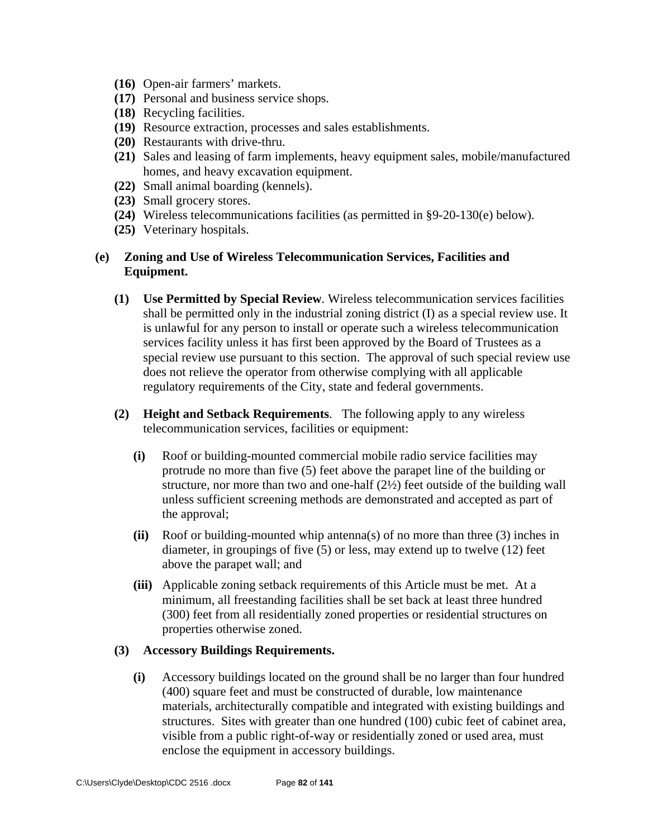- **(16)** Open-air farmers' markets.
- **(17)** Personal and business service shops.
- **(18)** Recycling facilities.
- **(19)** Resource extraction, processes and sales establishments.
- **(20)** Restaurants with drive-thru.
- **(21)** Sales and leasing of farm implements, heavy equipment sales, mobile/manufactured homes, and heavy excavation equipment.
- **(22)** Small animal boarding (kennels).
- **(23)** Small grocery stores.
- **(24)** Wireless telecommunications facilities (as permitted in §9-20-130(e) below).
- **(25)** Veterinary hospitals.

### **(e) Zoning and Use of Wireless Telecommunication Services, Facilities and Equipment.**

- **(1) Use Permitted by Special Review**. Wireless telecommunication services facilities shall be permitted only in the industrial zoning district (I) as a special review use. It is unlawful for any person to install or operate such a wireless telecommunication services facility unless it has first been approved by the Board of Trustees as a special review use pursuant to this section. The approval of such special review use does not relieve the operator from otherwise complying with all applicable regulatory requirements of the City, state and federal governments.
- **(2) Height and Setback Requirements**. The following apply to any wireless telecommunication services, facilities or equipment:
	- **(i)** Roof or building-mounted commercial mobile radio service facilities may protrude no more than five (5) feet above the parapet line of the building or structure, nor more than two and one-half  $(2<sup>i</sup>2)$  feet outside of the building wall unless sufficient screening methods are demonstrated and accepted as part of the approval;
	- **(ii)** Roof or building-mounted whip antenna(s) of no more than three (3) inches in diameter, in groupings of five (5) or less, may extend up to twelve (12) feet above the parapet wall; and
	- **(iii)** Applicable zoning setback requirements of this Article must be met. At a minimum, all freestanding facilities shall be set back at least three hundred (300) feet from all residentially zoned properties or residential structures on properties otherwise zoned.

#### **(3) Accessory Buildings Requirements.**

**(i)** Accessory buildings located on the ground shall be no larger than four hundred (400) square feet and must be constructed of durable, low maintenance materials, architecturally compatible and integrated with existing buildings and structures. Sites with greater than one hundred (100) cubic feet of cabinet area, visible from a public right-of-way or residentially zoned or used area, must enclose the equipment in accessory buildings.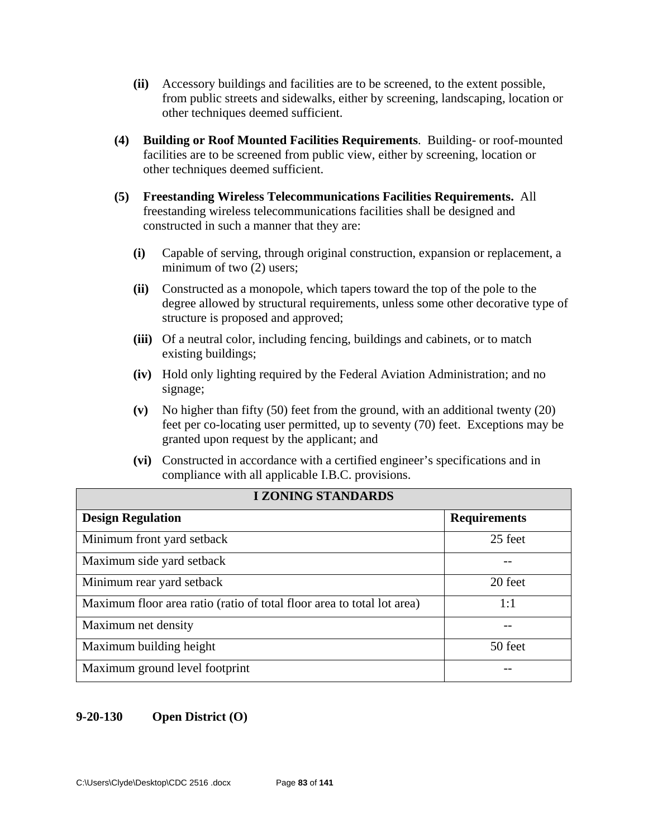- **(ii)** Accessory buildings and facilities are to be screened, to the extent possible, from public streets and sidewalks, either by screening, landscaping, location or other techniques deemed sufficient.
- **(4) Building or Roof Mounted Facilities Requirements**. Building- or roof-mounted facilities are to be screened from public view, either by screening, location or other techniques deemed sufficient.
- **(5) Freestanding Wireless Telecommunications Facilities Requirements.** All freestanding wireless telecommunications facilities shall be designed and constructed in such a manner that they are:
	- **(i)** Capable of serving, through original construction, expansion or replacement, a minimum of two  $(2)$  users;
	- **(ii)** Constructed as a monopole, which tapers toward the top of the pole to the degree allowed by structural requirements, unless some other decorative type of structure is proposed and approved;
	- **(iii)** Of a neutral color, including fencing, buildings and cabinets, or to match existing buildings;
	- **(iv)** Hold only lighting required by the Federal Aviation Administration; and no signage;
	- **(v)** No higher than fifty (50) feet from the ground, with an additional twenty (20) feet per co-locating user permitted, up to seventy (70) feet. Exceptions may be granted upon request by the applicant; and
	- **(vi)** Constructed in accordance with a certified engineer's specifications and in compliance with all applicable I.B.C. provisions.

| <b>I ZONING STANDARDS</b>                                              |                     |  |  |  |  |  |
|------------------------------------------------------------------------|---------------------|--|--|--|--|--|
| <b>Design Regulation</b>                                               | <b>Requirements</b> |  |  |  |  |  |
| Minimum front yard setback                                             | 25 feet             |  |  |  |  |  |
| Maximum side yard setback                                              |                     |  |  |  |  |  |
| Minimum rear yard setback                                              | 20 feet             |  |  |  |  |  |
| Maximum floor area ratio (ratio of total floor area to total lot area) | 1:1                 |  |  |  |  |  |
| Maximum net density                                                    |                     |  |  |  |  |  |
| Maximum building height                                                | 50 feet             |  |  |  |  |  |
| Maximum ground level footprint                                         |                     |  |  |  |  |  |

# **9-20-130 Open District (O)**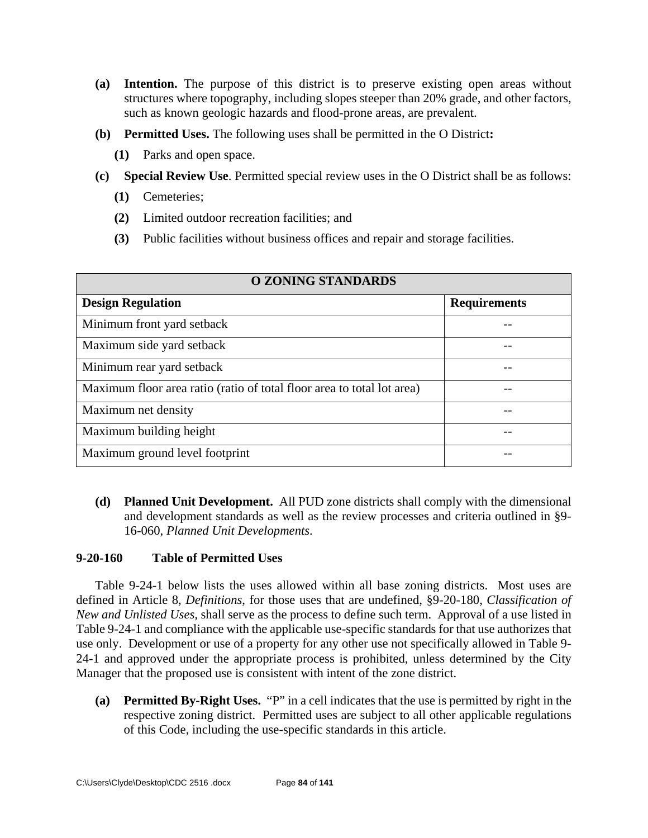- **(a) Intention.** The purpose of this district is to preserve existing open areas without structures where topography, including slopes steeper than 20% grade, and other factors, such as known geologic hazards and flood-prone areas, are prevalent.
- **(b) Permitted Uses.** The following uses shall be permitted in the O District**:** 
	- **(1)** Parks and open space.
- **(c) Special Review Use**. Permitted special review uses in the O District shall be as follows:
	- **(1)** Cemeteries;
	- **(2)** Limited outdoor recreation facilities; and
	- **(3)** Public facilities without business offices and repair and storage facilities.

| <b>O ZONING STANDARDS</b>                                              |                     |  |  |  |  |  |
|------------------------------------------------------------------------|---------------------|--|--|--|--|--|
| <b>Design Regulation</b>                                               | <b>Requirements</b> |  |  |  |  |  |
| Minimum front yard setback                                             |                     |  |  |  |  |  |
| Maximum side yard setback                                              |                     |  |  |  |  |  |
| Minimum rear yard setback                                              |                     |  |  |  |  |  |
| Maximum floor area ratio (ratio of total floor area to total lot area) |                     |  |  |  |  |  |
| Maximum net density                                                    |                     |  |  |  |  |  |
| Maximum building height                                                |                     |  |  |  |  |  |
| Maximum ground level footprint                                         |                     |  |  |  |  |  |

**(d) Planned Unit Development.** All PUD zone districts shall comply with the dimensional and development standards as well as the review processes and criteria outlined in §9- 16-060, *Planned Unit Developments*.

### **9-20-160 Table of Permitted Uses**

Table 9-24-1 below lists the uses allowed within all base zoning districts. Most uses are defined in Article 8, *Definitions*, for those uses that are undefined, §9-20-180, *Classification of New and Unlisted Uses,* shall serve as the process to define such term. Approval of a use listed in Table 9-24-1 and compliance with the applicable use-specific standards for that use authorizes that use only. Development or use of a property for any other use not specifically allowed in Table 9- 24-1 and approved under the appropriate process is prohibited, unless determined by the City Manager that the proposed use is consistent with intent of the zone district.

**(a) Permitted By-Right Uses.** "P" in a cell indicates that the use is permitted by right in the respective zoning district. Permitted uses are subject to all other applicable regulations of this Code, including the use-specific standards in this article.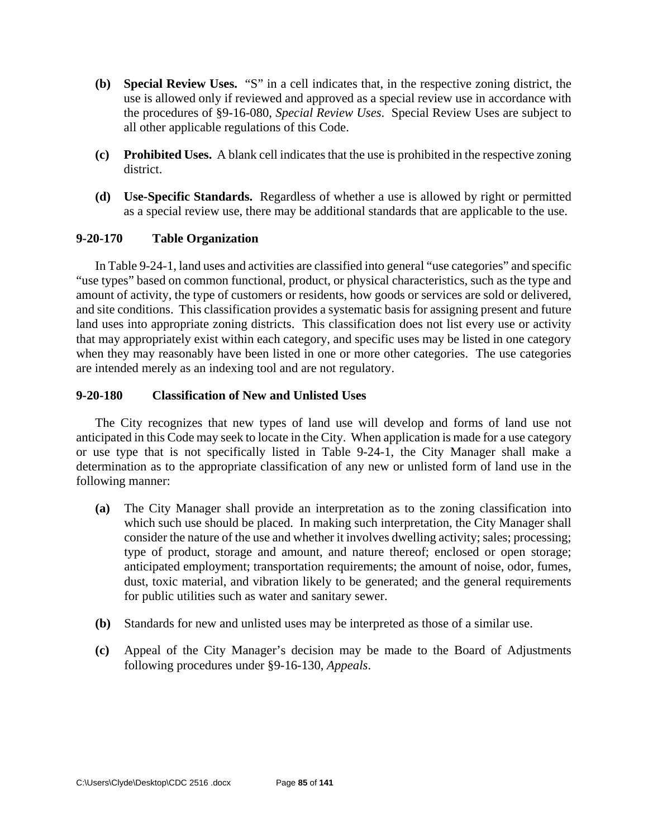- **(b) Special Review Uses.** "S" in a cell indicates that, in the respective zoning district, the use is allowed only if reviewed and approved as a special review use in accordance with the procedures of §9-16-080, *Special Review Uses*. Special Review Uses are subject to all other applicable regulations of this Code.
- **(c) Prohibited Uses.** A blank cell indicates that the use is prohibited in the respective zoning district.
- **(d) Use-Specific Standards.** Regardless of whether a use is allowed by right or permitted as a special review use, there may be additional standards that are applicable to the use.

### **9-20-170 Table Organization**

In Table 9-24-1, land uses and activities are classified into general "use categories" and specific "use types" based on common functional, product, or physical characteristics, such as the type and amount of activity, the type of customers or residents, how goods or services are sold or delivered, and site conditions. This classification provides a systematic basis for assigning present and future land uses into appropriate zoning districts. This classification does not list every use or activity that may appropriately exist within each category, and specific uses may be listed in one category when they may reasonably have been listed in one or more other categories. The use categories are intended merely as an indexing tool and are not regulatory.

#### **9-20-180 Classification of New and Unlisted Uses**

The City recognizes that new types of land use will develop and forms of land use not anticipated in this Code may seek to locate in the City. When application is made for a use category or use type that is not specifically listed in Table 9-24-1, the City Manager shall make a determination as to the appropriate classification of any new or unlisted form of land use in the following manner:

- **(a)** The City Manager shall provide an interpretation as to the zoning classification into which such use should be placed. In making such interpretation, the City Manager shall consider the nature of the use and whether it involves dwelling activity; sales; processing; type of product, storage and amount, and nature thereof; enclosed or open storage; anticipated employment; transportation requirements; the amount of noise, odor, fumes, dust, toxic material, and vibration likely to be generated; and the general requirements for public utilities such as water and sanitary sewer.
- **(b)** Standards for new and unlisted uses may be interpreted as those of a similar use.
- **(c)** Appeal of the City Manager's decision may be made to the Board of Adjustments following procedures under §9-16-130, *Appeals*.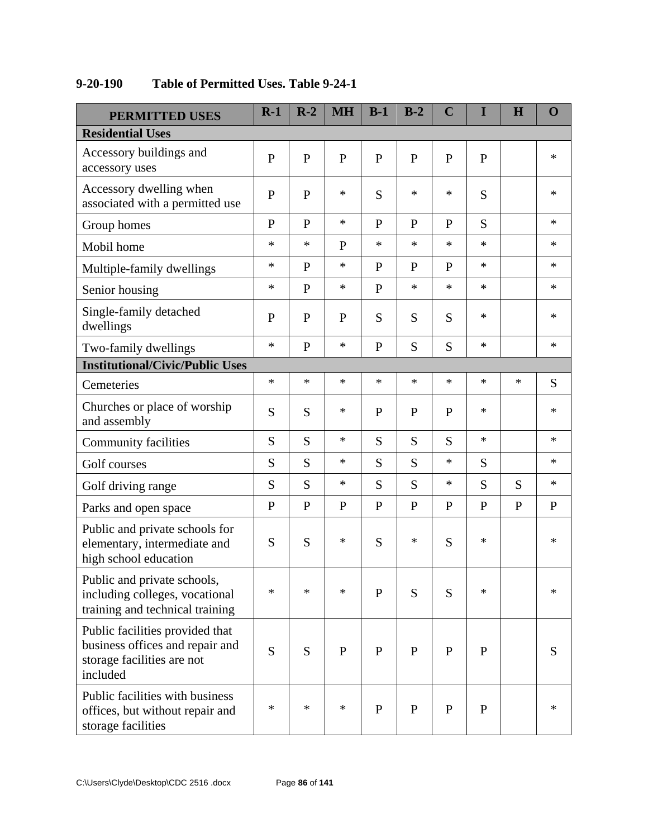| <b>PERMITTED USES</b>                                                                                        | $R-1$        | $R-2$        | <b>MH</b>    | $B-1$        | $B-2$        | $\overline{C}$ | I            | H            | $\mathbf 0$  |
|--------------------------------------------------------------------------------------------------------------|--------------|--------------|--------------|--------------|--------------|----------------|--------------|--------------|--------------|
| <b>Residential Uses</b>                                                                                      |              |              |              |              |              |                |              |              |              |
| Accessory buildings and<br>accessory uses                                                                    | ${\bf P}$    | $\mathbf{P}$ | $\mathbf{P}$ | $\mathbf{P}$ | $\mathbf{P}$ | $\mathbf{P}$   | $\mathbf{P}$ |              | $\ast$       |
| Accessory dwelling when<br>associated with a permitted use                                                   | $\mathbf{P}$ | $\mathbf{P}$ | ∗            | S            | *            | ∗              | S            |              | $\ast$       |
| Group homes                                                                                                  | $\mathbf{P}$ | $\mathbf{P}$ | $\ast$       | $\mathbf{P}$ | $\mathbf{P}$ | $\mathbf{P}$   | S            |              | $\ast$       |
| Mobil home                                                                                                   | $\ast$       | *            | $\mathbf{P}$ | $\ast$       | *            | $\ast$         | $\ast$       |              | ∗            |
| Multiple-family dwellings                                                                                    | ∗            | $\mathbf{P}$ | ∗            | P            | $\mathbf{P}$ | $\mathbf{P}$   | $\ast$       |              | ∗            |
| Senior housing                                                                                               | *            | $\mathbf{P}$ | *            | $\mathbf{P}$ | $\ast$       | *              | $\ast$       |              | $\ast$       |
| Single-family detached<br>dwellings                                                                          | $\mathbf{P}$ | $\mathbf{P}$ | $\mathbf P$  | S            | S            | S              | $\ast$       |              | ∗            |
| Two-family dwellings                                                                                         | $\ast$       | $\mathbf{P}$ | ∗            | $\mathbf{P}$ | S            | S              | $\ast$       |              | ∗            |
| <b>Institutional/Civic/Public Uses</b>                                                                       |              |              |              |              |              |                |              |              |              |
| Cemeteries                                                                                                   | $\ast$       | *            | *            | $\ast$       | $\ast$       | $\ast$         | $\ast$       | *            | S            |
| Churches or place of worship<br>and assembly                                                                 | S            | S            | *            | $\mathbf{P}$ | $\mathbf{P}$ | $\mathbf{P}$   | *            |              | $\ast$       |
| Community facilities                                                                                         | S            | S            | *            | S            | S            | S              | $\ast$       |              | $\ast$       |
| Golf courses                                                                                                 | S            | S            | $\ast$       | S            | S            | $\ast$         | S            |              | $\ast$       |
| Golf driving range                                                                                           | S            | S            | *            | S            | S            | $\ast$         | S            | S            | ∗            |
| Parks and open space                                                                                         | $\mathbf P$  | $\mathbf P$  | $\mathbf{P}$ | ${\bf P}$    | ${\bf P}$    | $\mathbf P$    | ${\bf P}$    | $\mathbf{P}$ | $\mathbf{P}$ |
| Public and private schools for<br>elementary, intermediate and<br>high school education                      | S            | S            | $\ast$       | S            | *            | S              | $\ast$       |              | $\ast$       |
| Public and private schools,<br>including colleges, vocational<br>training and technical training             | *            | $\ast$       | *            | $\mathbf{P}$ | S            | S              | *            |              | ∗            |
| Public facilities provided that<br>business offices and repair and<br>storage facilities are not<br>included | S            | S            | $\mathbf{P}$ | ${\bf P}$    | ${\bf P}$    | $\mathbf{P}$   | $\mathbf P$  |              | S            |
| Public facilities with business<br>offices, but without repair and<br>storage facilities                     | *            | *            | *            | $\mathbf{P}$ | ${\bf P}$    | $\mathbf{P}$   | ${\bf P}$    |              | ∗            |

# **9-20-190 Table of Permitted Uses. Table 9-24-1**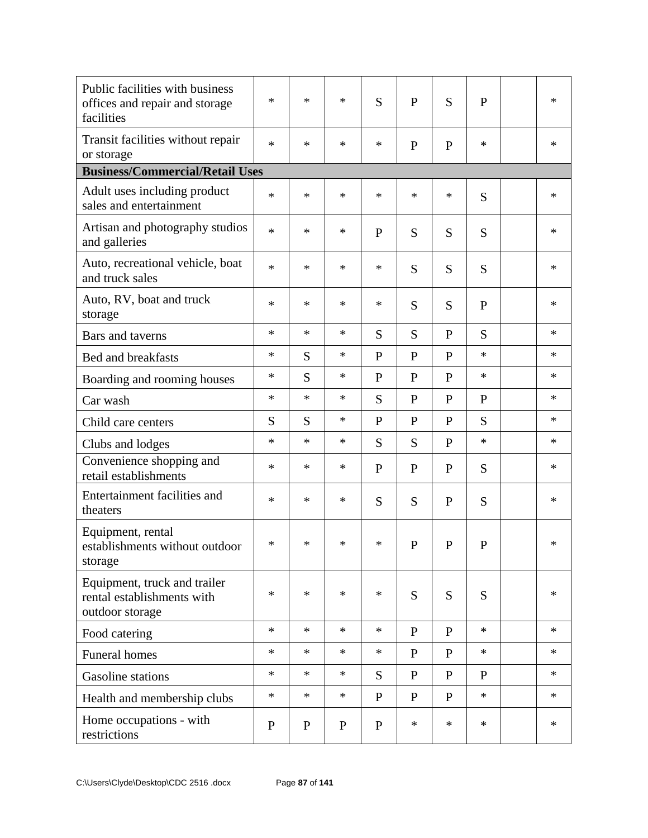| Public facilities with business<br>offices and repair and storage<br>facilities | $\ast$       | $\ast$      | $\ast$      | S            | P            | S            | $\mathbf{P}$ | $\ast$ |
|---------------------------------------------------------------------------------|--------------|-------------|-------------|--------------|--------------|--------------|--------------|--------|
| Transit facilities without repair<br>or storage                                 | $\ast$       | $\ast$      | *           | $\ast$       | $\mathbf{P}$ | $\mathbf{P}$ | $\ast$       | $\ast$ |
| <b>Business/Commercial/Retail Uses</b>                                          |              |             |             |              |              |              |              |        |
| Adult uses including product<br>sales and entertainment                         | $\ast$       | $\ast$      | $\ast$      | $\ast$       | $\ast$       | $\ast$       | S            | $\ast$ |
| Artisan and photography studios<br>and galleries                                | $\ast$       | $\ast$      | *           | $\mathbf{P}$ | S            | S            | S            | *      |
| Auto, recreational vehicle, boat<br>and truck sales                             | $\ast$       | $\ast$      | *           | $\ast$       | S            | S            | S            | $\ast$ |
| Auto, RV, boat and truck<br>storage                                             | $\ast$       | $\ast$      | *           | $\ast$       | S            | S            | $\mathbf{P}$ | *      |
| Bars and taverns                                                                | $\ast$       | $\ast$      | *           | S            | S            | $\mathbf{P}$ | S            | *      |
| <b>Bed and breakfasts</b>                                                       | $\ast$       | S           | *           | $\mathbf{P}$ | $\mathbf{P}$ | P            | $\ast$       | $\ast$ |
| Boarding and rooming houses                                                     | *            | S           | *           | $\mathbf{P}$ | $\mathbf{P}$ | $\mathbf{P}$ | $\ast$       | $\ast$ |
| Car wash                                                                        | $\ast$       | $\ast$      | *           | S            | P            | $\mathbf{P}$ | $\mathbf{P}$ | ∗      |
| Child care centers                                                              | S            | S           | *           | $\mathbf{P}$ | $\mathbf{P}$ | $\mathbf{P}$ | S            | ∗      |
| Clubs and lodges                                                                | *            | $\ast$      | *           | S            | S            | $\mathbf{P}$ | *            | $\ast$ |
| Convenience shopping and<br>retail establishments                               | *            | $\ast$      | *           | $\mathbf{P}$ | $\mathbf{P}$ | $\mathbf{P}$ | S            | $\ast$ |
| Entertainment facilities and<br>theaters                                        | *            | *           | *           | S            | S            | $\mathbf{P}$ | S            | *      |
| Equipment, rental<br>establishments without outdoor<br>storage                  | *            | $\ast$      | *           | $\ast$       | $\mathbf{P}$ | $\mathbf{P}$ | $\mathbf{P}$ | $\ast$ |
| Equipment, truck and trailer<br>rental establishments with<br>outdoor storage   | *            | $\ast$      | *           | *            | S            | S            | S            | $\ast$ |
| Food catering                                                                   | *            | $\ast$      | *           | *            | $\mathbf{P}$ | $\mathbf{P}$ | $\ast$       | $\ast$ |
| Funeral homes                                                                   | $\ast$       | $\ast$      | *           | *            | P            | $\mathbf{P}$ | $\ast$       | $\ast$ |
| <b>Gasoline</b> stations                                                        | *            | $\ast$      | *           | S            | $\mathbf{P}$ | $\mathbf{P}$ | $\mathbf{P}$ | $\ast$ |
| Health and membership clubs                                                     | *            | $\ast$      | *           | $\mathbf{P}$ | $\mathbf{P}$ | $\mathbf{P}$ | *            | $\ast$ |
| Home occupations - with<br>restrictions                                         | $\mathbf{P}$ | $\mathbf P$ | $\mathbf P$ | $\mathbf P$  | *            | *            | *            | $\ast$ |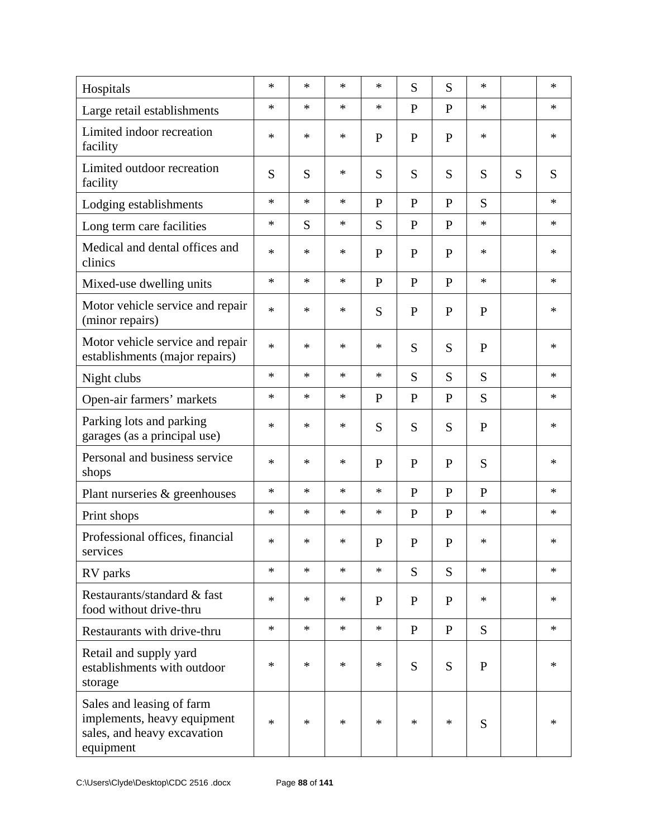| Hospitals                                                                                            | *      | $\ast$ | *      | *            | S            | S            | *            |   | $\ast$ |
|------------------------------------------------------------------------------------------------------|--------|--------|--------|--------------|--------------|--------------|--------------|---|--------|
| Large retail establishments                                                                          | $\ast$ | $\ast$ | $\ast$ | $\ast$       | $\mathbf{P}$ | $\mathbf{P}$ | $\ast$       |   | $\ast$ |
| Limited indoor recreation<br>facility                                                                | *      | $\ast$ | *      | $\mathbf{P}$ | $\mathbf{P}$ | $\mathbf{P}$ | $\ast$       |   | $\ast$ |
| Limited outdoor recreation<br>facility                                                               | S      | S      | *      | S            | S            | S            | S            | S | S      |
| Lodging establishments                                                                               | *      | $\ast$ | *      | $\mathbf{P}$ | $\mathbf{P}$ | $\mathbf{P}$ | S            |   | $\ast$ |
| Long term care facilities                                                                            | *      | S      | *      | S            | $\mathbf{P}$ | $\mathbf{P}$ | *            |   | $\ast$ |
| Medical and dental offices and<br>clinics                                                            | *      | $\ast$ | *      | $\mathbf{P}$ | $\mathbf{P}$ | $\mathbf{P}$ | *            |   | ∗      |
| Mixed-use dwelling units                                                                             | *      | $\ast$ | *      | $\mathbf{P}$ | $\mathbf{P}$ | $\mathbf{P}$ | *            |   | $\ast$ |
| Motor vehicle service and repair<br>(minor repairs)                                                  | $\ast$ | $\ast$ | *      | S            | $\mathbf{P}$ | $\mathbf{P}$ | $\mathbf{P}$ |   | $\ast$ |
| Motor vehicle service and repair<br>establishments (major repairs)                                   | $\ast$ | $\ast$ | *      | *            | S            | S            | $\mathbf{P}$ |   | $\ast$ |
| Night clubs                                                                                          | $\ast$ | $\ast$ | *      | $\ast$       | S            | S            | S            |   | $\ast$ |
| Open-air farmers' markets                                                                            | *      | $\ast$ | *      | $\mathbf{P}$ | $\mathbf{P}$ | $\mathbf{P}$ | S            |   | $\ast$ |
| Parking lots and parking<br>garages (as a principal use)                                             | $\ast$ | $\ast$ | *      | S            | S            | S            | $\mathbf{P}$ |   | $\ast$ |
| Personal and business service<br>shops                                                               | *      | $\ast$ | *      | $\mathbf{P}$ | P            | $\mathbf{P}$ | S            |   | $\ast$ |
| Plant nurseries & greenhouses                                                                        | $\ast$ | $\ast$ | *      | $\ast$       | $\mathbf{P}$ | $\mathbf{P}$ | $\mathbf{P}$ |   | $\ast$ |
| Print shops                                                                                          | *      | $\ast$ | *      | *            | $\mathbf{P}$ | $\mathbf{P}$ | *            |   | $\ast$ |
| Professional offices, financial<br>services                                                          | *      | $\ast$ | *      | $\mathbf{P}$ | $\mathbf{P}$ | ${\bf P}$    | *            |   | ∗      |
| RV parks                                                                                             | *      | $\ast$ | $\ast$ | *            | S            | S            | *            |   | $\ast$ |
| Restaurants/standard & fast<br>food without drive-thru                                               | *      | $\ast$ | *      | P            | $\mathbf{P}$ | $\mathbf{P}$ | *            |   | $\ast$ |
| Restaurants with drive-thru                                                                          | *      | $\ast$ | $\ast$ | $\ast$       | $\mathbf{P}$ | $\mathbf{P}$ | S            |   | $\ast$ |
| Retail and supply yard<br>establishments with outdoor<br>storage                                     | *      | $\ast$ | *      | $\ast$       | S            | S            | $\mathbf{P}$ |   | ∗      |
| Sales and leasing of farm<br>implements, heavy equipment<br>sales, and heavy excavation<br>equipment | $\ast$ | $\ast$ | $\ast$ | $\ast$       | $\ast$       | $\ast$       | S            |   | $\ast$ |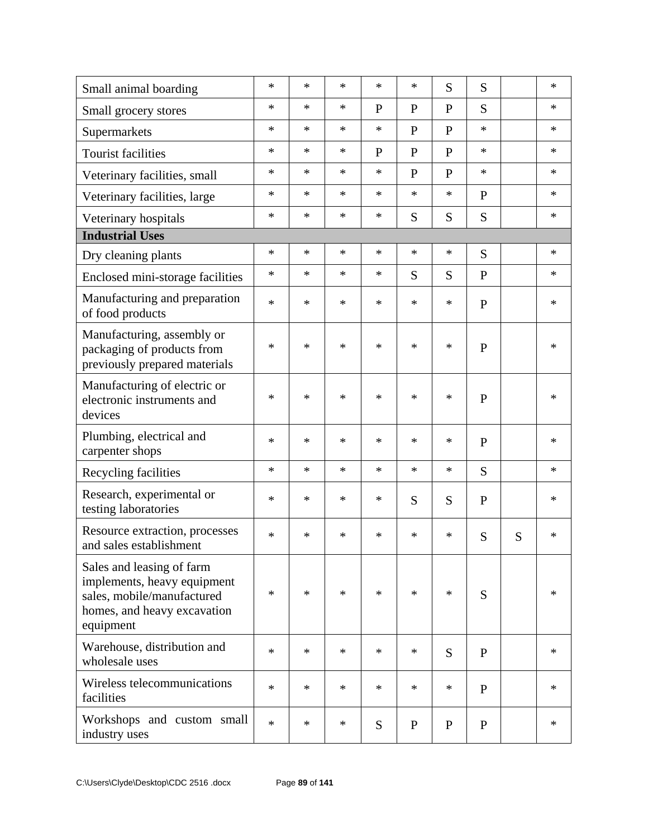| Small animal boarding                                                                                                              | $\ast$ | ∗      | $\ast$ | $\ast$       | $\ast$       | S            | S            |   | $\ast$ |
|------------------------------------------------------------------------------------------------------------------------------------|--------|--------|--------|--------------|--------------|--------------|--------------|---|--------|
| Small grocery stores                                                                                                               | $\ast$ | $\ast$ | *      | $\mathbf{P}$ | $\mathbf{P}$ | $\mathbf{P}$ | S            |   | $\ast$ |
| Supermarkets                                                                                                                       | $\ast$ | $\ast$ | $\ast$ | *            | $\mathbf{P}$ | P            | $\ast$       |   | $\ast$ |
| <b>Tourist facilities</b>                                                                                                          | $\ast$ | $\ast$ | $\ast$ | $\mathbf{P}$ | $\mathbf{P}$ | $\mathbf{P}$ | $\ast$       |   | $\ast$ |
| Veterinary facilities, small                                                                                                       | $\ast$ | $\ast$ | $\ast$ | $\ast$       | $\mathbf{P}$ | $\mathbf{P}$ | $\ast$       |   | $\ast$ |
| Veterinary facilities, large                                                                                                       | $\ast$ | $\ast$ | $\ast$ | $\ast$       | $\ast$       | $\ast$       | $\mathbf{P}$ |   | $\ast$ |
| Veterinary hospitals                                                                                                               | *      | $\ast$ | $\ast$ | *            | S            | S            | S            |   | $\ast$ |
| <b>Industrial Uses</b>                                                                                                             |        |        |        |              |              |              |              |   |        |
| Dry cleaning plants                                                                                                                | $\ast$ | $\ast$ | $\ast$ | $\ast$       | $\ast$       | $\ast$       | S            |   | $\ast$ |
| Enclosed mini-storage facilities                                                                                                   | $\ast$ | $\ast$ | $\ast$ | $\ast$       | S            | S            | $\mathbf{P}$ |   | $\ast$ |
| Manufacturing and preparation<br>of food products                                                                                  | $\ast$ | $\ast$ | $\ast$ | *            | $\ast$       | $\ast$       | $\mathbf{P}$ |   | ∗      |
| Manufacturing, assembly or<br>packaging of products from<br>previously prepared materials                                          | $\ast$ | $\ast$ | $\ast$ | $\ast$       | $\ast$       | $\ast$       | $\mathbf{P}$ |   | $\ast$ |
| Manufacturing of electric or<br>electronic instruments and<br>devices                                                              | $\ast$ | $\ast$ | $\ast$ | $\ast$       | $\ast$       | $\ast$       | $\mathbf{P}$ |   | *      |
| Plumbing, electrical and<br>carpenter shops                                                                                        | *      | ∗      | $\ast$ | *            | $\ast$       | $\ast$       | $\mathbf{P}$ |   | $\ast$ |
| Recycling facilities                                                                                                               | *      | $\ast$ | $\ast$ | $\ast$       | $\ast$       | $\ast$       | S            |   | $\ast$ |
| Research, experimental or<br>testing laboratories                                                                                  | $\ast$ | $\ast$ | $\ast$ | $\ast$       | S            | S            | $\mathbf{P}$ |   | $\ast$ |
| Resource extraction, processes<br>and sales establishment                                                                          | $\ast$ | $\ast$ | $\ast$ | $\ast$       | $\ast$       | $\ast$       | S            | S | $\ast$ |
| Sales and leasing of farm<br>implements, heavy equipment<br>sales, mobile/manufactured<br>homes, and heavy excavation<br>equipment | $\ast$ | $\ast$ | $\ast$ | $\ast$       | $\ast$       | $\ast$       | S            |   | $\ast$ |
| Warehouse, distribution and<br>wholesale uses                                                                                      | $\ast$ | $\ast$ | $\ast$ | $\ast$       | $\ast$       | S            | $\mathbf{P}$ |   | $\ast$ |
| Wireless telecommunications<br>facilities                                                                                          | $\ast$ | $\ast$ | $\ast$ | $\ast$       | $\ast$       | $\ast$       | $\mathbf{P}$ |   | $\ast$ |
| Workshops and custom small<br>industry uses                                                                                        | $\ast$ | $\ast$ | $\ast$ | S            | $\mathbf P$  | $\mathbf{P}$ | $\mathbf{P}$ |   | $\ast$ |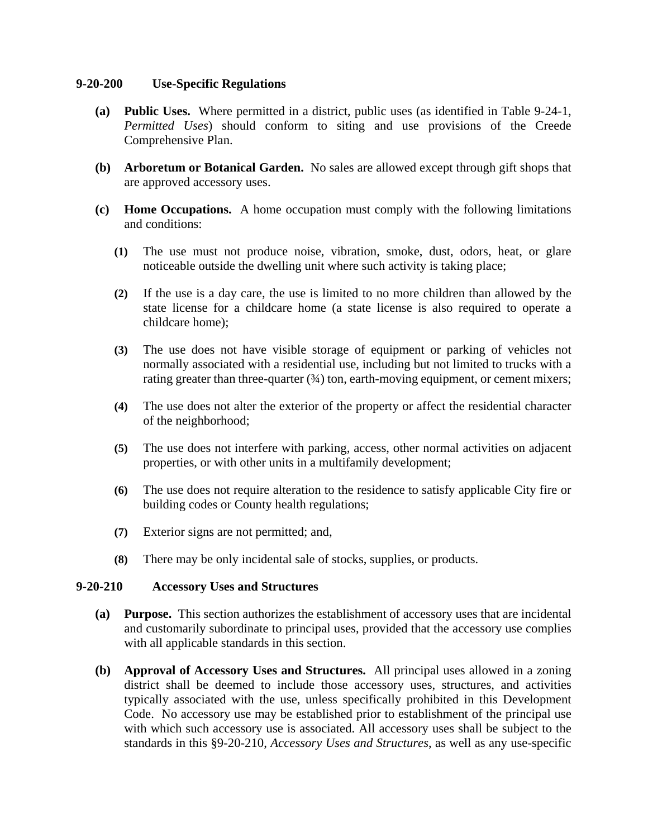#### **9-20-200 Use-Specific Regulations**

- **(a) Public Uses.** Where permitted in a district, public uses (as identified in Table 9-24-1, *Permitted Uses*) should conform to siting and use provisions of the Creede Comprehensive Plan.
- **(b) Arboretum or Botanical Garden.** No sales are allowed except through gift shops that are approved accessory uses.
- **(c) Home Occupations.** A home occupation must comply with the following limitations and conditions:
	- **(1)** The use must not produce noise, vibration, smoke, dust, odors, heat, or glare noticeable outside the dwelling unit where such activity is taking place;
	- **(2)** If the use is a day care, the use is limited to no more children than allowed by the state license for a childcare home (a state license is also required to operate a childcare home);
	- **(3)** The use does not have visible storage of equipment or parking of vehicles not normally associated with a residential use, including but not limited to trucks with a rating greater than three-quarter  $(34)$  ton, earth-moving equipment, or cement mixers;
	- **(4)** The use does not alter the exterior of the property or affect the residential character of the neighborhood;
	- **(5)** The use does not interfere with parking, access, other normal activities on adjacent properties, or with other units in a multifamily development;
	- **(6)** The use does not require alteration to the residence to satisfy applicable City fire or building codes or County health regulations;
	- **(7)** Exterior signs are not permitted; and,
	- **(8)** There may be only incidental sale of stocks, supplies, or products.

#### **9-20-210 Accessory Uses and Structures**

- **(a) Purpose.** This section authorizes the establishment of accessory uses that are incidental and customarily subordinate to principal uses, provided that the accessory use complies with all applicable standards in this section.
- **(b) Approval of Accessory Uses and Structures.** All principal uses allowed in a zoning district shall be deemed to include those accessory uses, structures, and activities typically associated with the use, unless specifically prohibited in this Development Code. No accessory use may be established prior to establishment of the principal use with which such accessory use is associated. All accessory uses shall be subject to the standards in this §9-20-210, *Accessory Uses and Structures*, as well as any use-specific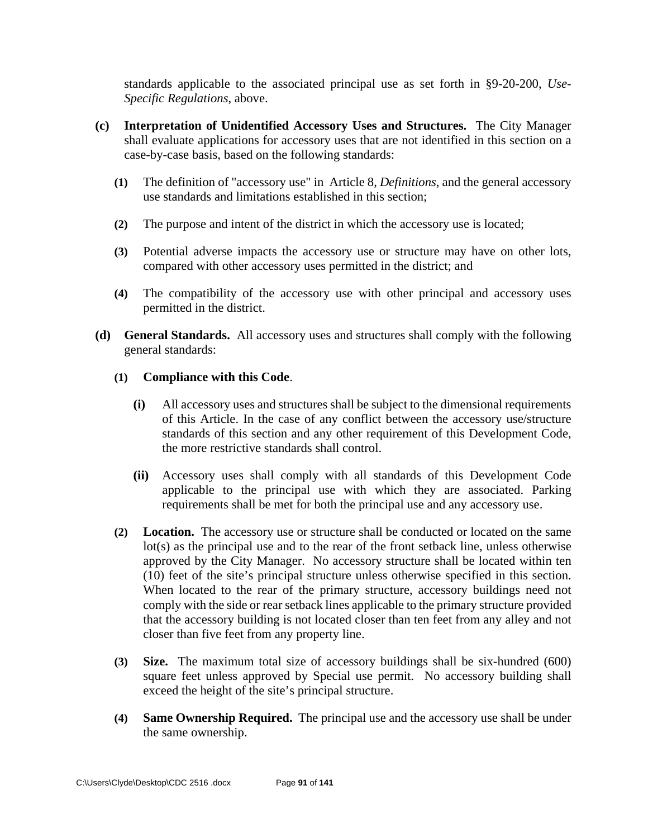standards applicable to the associated principal use as set forth in §9-20-200, *Use- Specific Regulations*, above.

- **(c) Interpretation of Unidentified Accessory Uses and Structures.** The City Manager shall evaluate applications for accessory uses that are not identified in this section on a case-by-case basis, based on the following standards:
	- **(1)** The definition of "accessory use" in Article 8, *Definitions*, and the general accessory use standards and limitations established in this section;
	- **(2)** The purpose and intent of the district in which the accessory use is located;
	- **(3)** Potential adverse impacts the accessory use or structure may have on other lots, compared with other accessory uses permitted in the district; and
	- **(4)** The compatibility of the accessory use with other principal and accessory uses permitted in the district.
- **(d) General Standards.** All accessory uses and structures shall comply with the following general standards:

### **(1) Compliance with this Code**.

- **(i)** All accessory uses and structures shall be subject to the dimensional requirements of this Article. In the case of any conflict between the accessory use/structure standards of this section and any other requirement of this Development Code, the more restrictive standards shall control.
- **(ii)** Accessory uses shall comply with all standards of this Development Code applicable to the principal use with which they are associated. Parking requirements shall be met for both the principal use and any accessory use.
- **(2) Location.** The accessory use or structure shall be conducted or located on the same lot(s) as the principal use and to the rear of the front setback line, unless otherwise approved by the City Manager. No accessory structure shall be located within ten (10) feet of the site's principal structure unless otherwise specified in this section. When located to the rear of the primary structure, accessory buildings need not comply with the side or rear setback lines applicable to the primary structure provided that the accessory building is not located closer than ten feet from any alley and not closer than five feet from any property line.
- **(3) Size.** The maximum total size of accessory buildings shall be six-hundred (600) square feet unless approved by Special use permit. No accessory building shall exceed the height of the site's principal structure.
- **(4) Same Ownership Required.** The principal use and the accessory use shall be under the same ownership.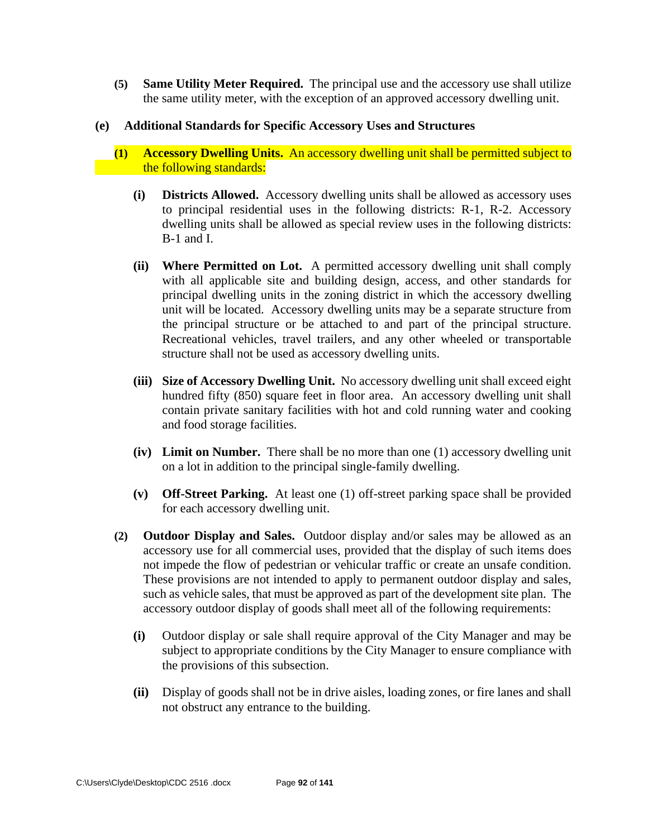**(5) Same Utility Meter Required.** The principal use and the accessory use shall utilize the same utility meter, with the exception of an approved accessory dwelling unit.

#### **(e) Additional Standards for Specific Accessory Uses and Structures**

- **(1) Accessory Dwelling Units.** An accessory dwelling unit shall be permitted subject to the following standards:
	- **(i) Districts Allowed.** Accessory dwelling units shall be allowed as accessory uses to principal residential uses in the following districts: R-1, R-2. Accessory dwelling units shall be allowed as special review uses in the following districts: B-1 and I.
	- **(ii) Where Permitted on Lot.** A permitted accessory dwelling unit shall comply with all applicable site and building design, access, and other standards for principal dwelling units in the zoning district in which the accessory dwelling unit will be located. Accessory dwelling units may be a separate structure from the principal structure or be attached to and part of the principal structure. Recreational vehicles, travel trailers, and any other wheeled or transportable structure shall not be used as accessory dwelling units.
	- **(iii) Size of Accessory Dwelling Unit.** No accessory dwelling unit shall exceed eight hundred fifty (850) square feet in floor area. An accessory dwelling unit shall contain private sanitary facilities with hot and cold running water and cooking and food storage facilities.
	- **(iv) Limit on Number.** There shall be no more than one (1) accessory dwelling unit on a lot in addition to the principal single-family dwelling.
	- **(v) Off-Street Parking.** At least one (1) off-street parking space shall be provided for each accessory dwelling unit.
- **(2) Outdoor Display and Sales.** Outdoor display and/or sales may be allowed as an accessory use for all commercial uses, provided that the display of such items does not impede the flow of pedestrian or vehicular traffic or create an unsafe condition. These provisions are not intended to apply to permanent outdoor display and sales, such as vehicle sales, that must be approved as part of the development site plan. The accessory outdoor display of goods shall meet all of the following requirements:
	- **(i)** Outdoor display or sale shall require approval of the City Manager and may be subject to appropriate conditions by the City Manager to ensure compliance with the provisions of this subsection.
	- **(ii)** Display of goods shall not be in drive aisles, loading zones, or fire lanes and shall not obstruct any entrance to the building.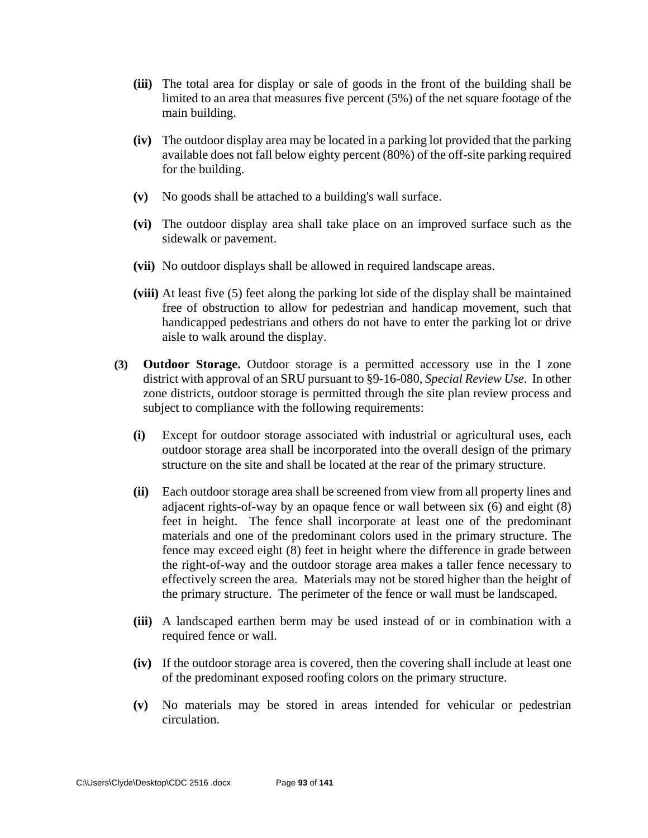- **(iii)** The total area for display or sale of goods in the front of the building shall be limited to an area that measures five percent (5%) of the net square footage of the main building.
- **(iv)** The outdoor display area may be located in a parking lot provided that the parking available does not fall below eighty percent (80%) of the off-site parking required for the building.
- **(v)** No goods shall be attached to a building's wall surface.
- **(vi)** The outdoor display area shall take place on an improved surface such as the sidewalk or pavement.
- **(vii)** No outdoor displays shall be allowed in required landscape areas.
- **(viii)** At least five (5) feet along the parking lot side of the display shall be maintained free of obstruction to allow for pedestrian and handicap movement, such that handicapped pedestrians and others do not have to enter the parking lot or drive aisle to walk around the display.
- **(3) Outdoor Storage.** Outdoor storage is a permitted accessory use in the I zone district with approval of an SRU pursuant to §9-16-080, *Special Review Use*. In other zone districts, outdoor storage is permitted through the site plan review process and subject to compliance with the following requirements:
	- **(i)** Except for outdoor storage associated with industrial or agricultural uses, each outdoor storage area shall be incorporated into the overall design of the primary structure on the site and shall be located at the rear of the primary structure.
	- **(ii)** Each outdoor storage area shall be screened from view from all property lines and adjacent rights-of-way by an opaque fence or wall between six (6) and eight (8) feet in height. The fence shall incorporate at least one of the predominant materials and one of the predominant colors used in the primary structure. The fence may exceed eight (8) feet in height where the difference in grade between the right-of-way and the outdoor storage area makes a taller fence necessary to effectively screen the area. Materials may not be stored higher than the height of the primary structure. The perimeter of the fence or wall must be landscaped.
	- **(iii)** A landscaped earthen berm may be used instead of or in combination with a required fence or wall.
	- **(iv)** If the outdoor storage area is covered, then the covering shall include at least one of the predominant exposed roofing colors on the primary structure.
	- **(v)** No materials may be stored in areas intended for vehicular or pedestrian circulation.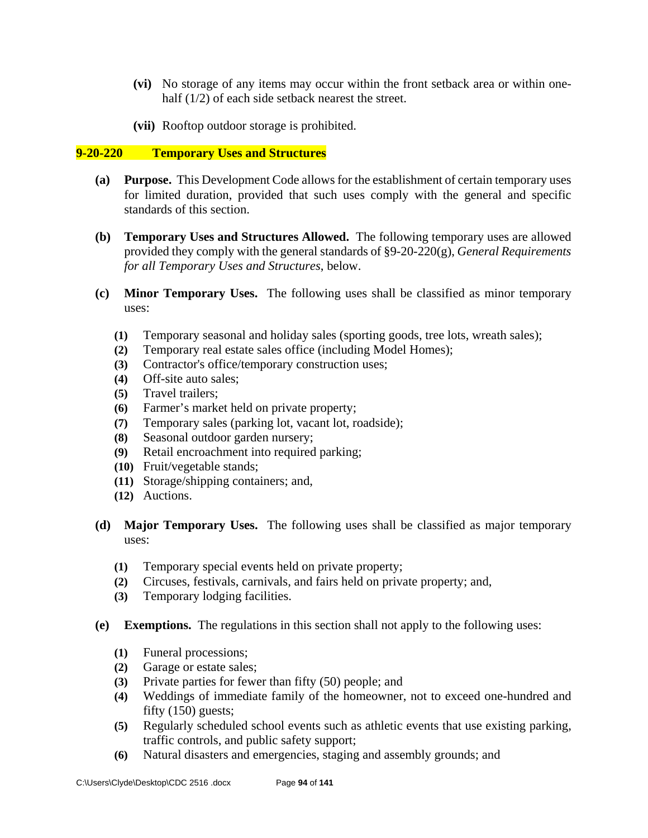- **(vi)** No storage of any items may occur within the front setback area or within one half (1/2) of each side setback nearest the street.
- **(vii)** Rooftop outdoor storage is prohibited.

#### **9-20-220 Temporary Uses and Structures**

- **(a) Purpose.** This Development Code allows for the establishment of certain temporary uses for limited duration, provided that such uses comply with the general and specific standards of this section.
- **(b) Temporary Uses and Structures Allowed.** The following temporary uses are allowed provided they comply with the general standards of §9-20-220(g), *General Requirements for all Temporary Uses and Structures*, below.
- **(c) Minor Temporary Uses.** The following uses shall be classified as minor temporary uses:
	- **(1)** Temporary seasonal and holiday sales (sporting goods, tree lots, wreath sales);
	- **(2)** Temporary real estate sales office (including Model Homes);
	- **(3)** Contractor's office/temporary construction uses;
	- **(4)** Off-site auto sales;
	- **(5)** Travel trailers;
	- **(6)** Farmer's market held on private property;
	- **(7)** Temporary sales (parking lot, vacant lot, roadside);
	- **(8)** Seasonal outdoor garden nursery;
	- **(9)** Retail encroachment into required parking;
	- **(10)** Fruit/vegetable stands;
	- **(11)** Storage/shipping containers; and,
	- **(12)** Auctions.
- **(d) Major Temporary Uses.** The following uses shall be classified as major temporary uses:
	- **(1)** Temporary special events held on private property;
	- **(2)** Circuses, festivals, carnivals, and fairs held on private property; and,
	- **(3)** Temporary lodging facilities.
- **(e) Exemptions.** The regulations in this section shall not apply to the following uses:
	- **(1)** Funeral processions;
	- **(2)** Garage or estate sales;
	- **(3)** Private parties for fewer than fifty (50) people; and
	- **(4)** Weddings of immediate family of the homeowner, not to exceed one-hundred and fifty (150) guests;
	- **(5)** Regularly scheduled school events such as athletic events that use existing parking, traffic controls, and public safety support;
	- **(6)** Natural disasters and emergencies, staging and assembly grounds; and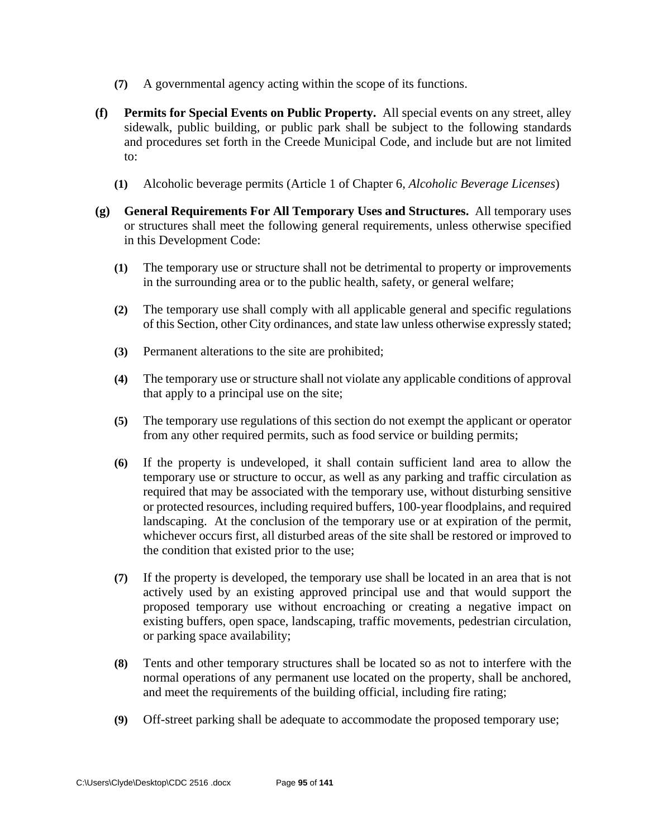- **(7)** A governmental agency acting within the scope of its functions.
- **(f) Permits for Special Events on Public Property.** All special events on any street, alley sidewalk, public building, or public park shall be subject to the following standards and procedures set forth in the Creede Municipal Code, and include but are not limited to:
	- **(1)** Alcoholic beverage permits (Article 1 of Chapter 6, *Alcoholic Beverage Licenses*)
- **(g) General Requirements For All Temporary Uses and Structures.** All temporary uses or structures shall meet the following general requirements, unless otherwise specified in this Development Code:
	- **(1)** The temporary use or structure shall not be detrimental to property or improvements in the surrounding area or to the public health, safety, or general welfare;
	- **(2)** The temporary use shall comply with all applicable general and specific regulations of this Section, other City ordinances, and state law unless otherwise expressly stated;
	- **(3)** Permanent alterations to the site are prohibited;
	- **(4)** The temporary use or structure shall not violate any applicable conditions of approval that apply to a principal use on the site;
	- **(5)** The temporary use regulations of this section do not exempt the applicant or operator from any other required permits, such as food service or building permits;
	- **(6)** If the property is undeveloped, it shall contain sufficient land area to allow the temporary use or structure to occur, as well as any parking and traffic circulation as required that may be associated with the temporary use, without disturbing sensitive or protected resources, including required buffers, 100-year floodplains, and required landscaping. At the conclusion of the temporary use or at expiration of the permit, whichever occurs first, all disturbed areas of the site shall be restored or improved to the condition that existed prior to the use;
	- **(7)** If the property is developed, the temporary use shall be located in an area that is not actively used by an existing approved principal use and that would support the proposed temporary use without encroaching or creating a negative impact on existing buffers, open space, landscaping, traffic movements, pedestrian circulation, or parking space availability;
	- **(8)** Tents and other temporary structures shall be located so as not to interfere with the normal operations of any permanent use located on the property, shall be anchored, and meet the requirements of the building official, including fire rating;
	- **(9)** Off-street parking shall be adequate to accommodate the proposed temporary use;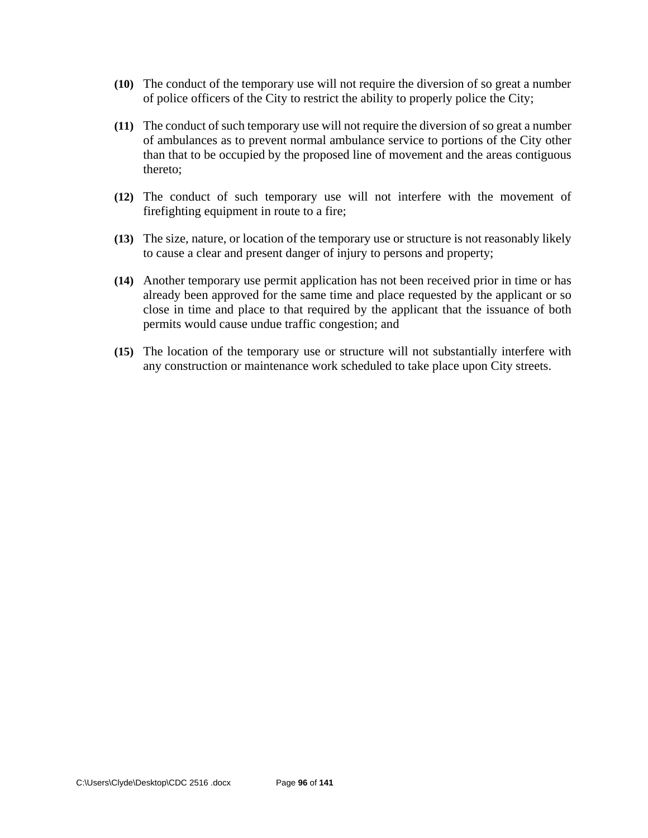- **(10)** The conduct of the temporary use will not require the diversion of so great a number of police officers of the City to restrict the ability to properly police the City;
- **(11)** The conduct of such temporary use will not require the diversion of so great a number of ambulances as to prevent normal ambulance service to portions of the City other than that to be occupied by the proposed line of movement and the areas contiguous thereto;
- **(12)** The conduct of such temporary use will not interfere with the movement of firefighting equipment in route to a fire;
- **(13)** The size, nature, or location of the temporary use or structure is not reasonably likely to cause a clear and present danger of injury to persons and property;
- **(14)** Another temporary use permit application has not been received prior in time or has already been approved for the same time and place requested by the applicant or so close in time and place to that required by the applicant that the issuance of both permits would cause undue traffic congestion; and
- **(15)** The location of the temporary use or structure will not substantially interfere with any construction or maintenance work scheduled to take place upon City streets.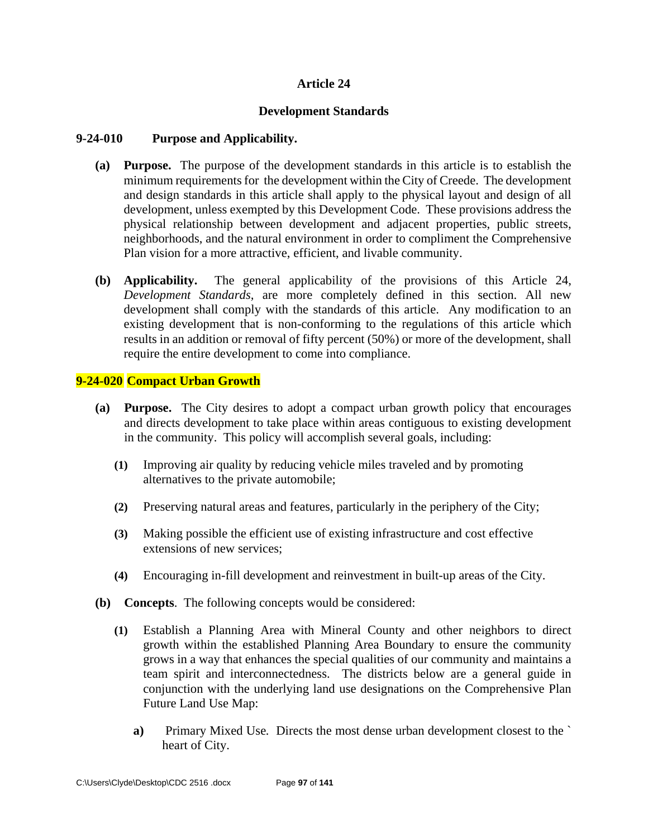### **Article 24**

#### **Development Standards**

#### **9-24-010 Purpose and Applicability.**

- **(a) Purpose.** The purpose of the development standards in this article is to establish the minimum requirements for the development within the City of Creede. The development and design standards in this article shall apply to the physical layout and design of all development, unless exempted by this Development Code. These provisions address the physical relationship between development and adjacent properties, public streets, neighborhoods, and the natural environment in order to compliment the Comprehensive Plan vision for a more attractive, efficient, and livable community.
- **(b) Applicability.** The general applicability of the provisions of this Article 24, *Development Standards,* are more completely defined in this section. All new development shall comply with the standards of this article. Any modification to an existing development that is non-conforming to the regulations of this article which results in an addition or removal of fifty percent (50%) or more of the development, shall require the entire development to come into compliance.

#### **9-24-020 Compact Urban Growth**

- **(a) Purpose.** The City desires to adopt a compact urban growth policy that encourages and directs development to take place within areas contiguous to existing development in the community. This policy will accomplish several goals, including:
	- **(1)** Improving air quality by reducing vehicle miles traveled and by promoting alternatives to the private automobile;
	- **(2)** Preserving natural areas and features, particularly in the periphery of the City;
	- **(3)** Making possible the efficient use of existing infrastructure and cost effective extensions of new services;
	- **(4)** Encouraging in-fill development and reinvestment in built-up areas of the City.
- **(b) Concepts**. The following concepts would be considered:
	- **(1)** Establish a Planning Area with Mineral County and other neighbors to direct growth within the established Planning Area Boundary to ensure the community grows in a way that enhances the special qualities of our community and maintains a team spirit and interconnectedness. The districts below are a general guide in conjunction with the underlying land use designations on the Comprehensive Plan Future Land Use Map:
		- **a)** Primary Mixed Use*.* Directs the most dense urban development closest to the ` heart of City.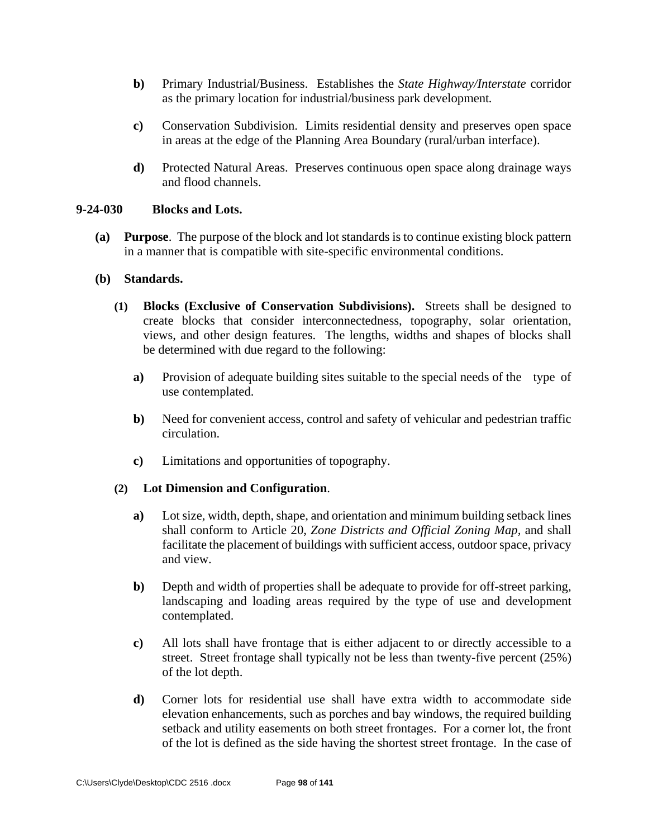- **b)** Primary Industrial/Business. Establishes the *State Highway/Interstate* corridor as the primary location for industrial/business park development*.*
- **c)** Conservation Subdivision. Limits residential density and preserves open space in areas at the edge of the Planning Area Boundary (rural/urban interface).
- **d)** Protected Natural Areas. Preserves continuous open space along drainage ways and flood channels.

#### **9-24-030 Blocks and Lots.**

- **(a) Purpose**. The purpose of the block and lot standards is to continue existing block pattern in a manner that is compatible with site-specific environmental conditions.
- **(b) Standards.** 
	- **(1) Blocks (Exclusive of Conservation Subdivisions).** Streets shall be designed to create blocks that consider interconnectedness, topography, solar orientation, views, and other design features. The lengths, widths and shapes of blocks shall be determined with due regard to the following:
		- **a)** Provision of adequate building sites suitable to the special needs of the type of use contemplated.
		- **b)** Need for convenient access, control and safety of vehicular and pedestrian traffic circulation.
		- **c)** Limitations and opportunities of topography.

#### **(2) Lot Dimension and Configuration**.

- **a)** Lot size, width, depth, shape, and orientation and minimum building setback lines shall conform to Article 20, *Zone Districts and Official Zoning Map,* and shall facilitate the placement of buildings with sufficient access, outdoor space, privacy and view.
- **b)** Depth and width of properties shall be adequate to provide for off-street parking, landscaping and loading areas required by the type of use and development contemplated.
- **c)** All lots shall have frontage that is either adjacent to or directly accessible to a street. Street frontage shall typically not be less than twenty-five percent (25%) of the lot depth.
- **d)** Corner lots for residential use shall have extra width to accommodate side elevation enhancements, such as porches and bay windows, the required building setback and utility easements on both street frontages. For a corner lot, the front of the lot is defined as the side having the shortest street frontage. In the case of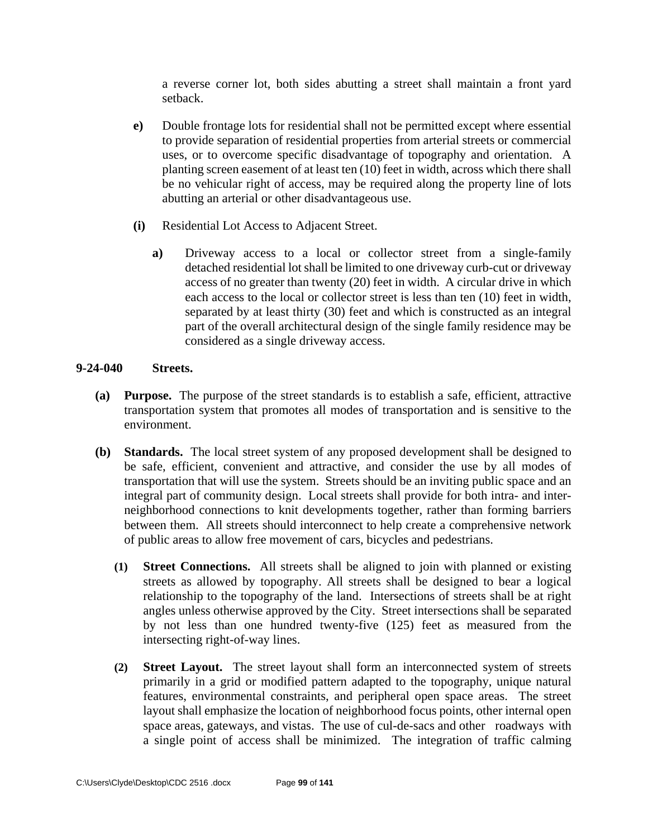a reverse corner lot, both sides abutting a street shall maintain a front yard setback.

- **e)** Double frontage lots for residential shall not be permitted except where essential to provide separation of residential properties from arterial streets or commercial uses, or to overcome specific disadvantage of topography and orientation. A planting screen easement of at least ten (10) feet in width, across which there shall be no vehicular right of access, may be required along the property line of lots abutting an arterial or other disadvantageous use.
- **(i)** Residential Lot Access to Adjacent Street.
	- **a)** Driveway access to a local or collector street from a single-family detached residential lot shall be limited to one driveway curb-cut or driveway access of no greater than twenty (20) feet in width. A circular drive in which each access to the local or collector street is less than ten (10) feet in width, separated by at least thirty (30) feet and which is constructed as an integral part of the overall architectural design of the single family residence may be considered as a single driveway access.

#### **9-24-040 Streets.**

- **(a) Purpose.** The purpose of the street standards is to establish a safe, efficient, attractive transportation system that promotes all modes of transportation and is sensitive to the environment.
- **(b) Standards.** The local street system of any proposed development shall be designed to be safe, efficient, convenient and attractive, and consider the use by all modes of transportation that will use the system. Streets should be an inviting public space and an integral part of community design. Local streets shall provide for both intra- and inter neighborhood connections to knit developments together, rather than forming barriers between them. All streets should interconnect to help create a comprehensive network of public areas to allow free movement of cars, bicycles and pedestrians.
	- **(1) Street Connections.** All streets shall be aligned to join with planned or existing streets as allowed by topography. All streets shall be designed to bear a logical relationship to the topography of the land. Intersections of streets shall be at right angles unless otherwise approved by the City. Street intersections shall be separated by not less than one hundred twenty-five (125) feet as measured from the intersecting right-of-way lines.
	- **(2) Street Layout.** The street layout shall form an interconnected system of streets primarily in a grid or modified pattern adapted to the topography, unique natural features, environmental constraints, and peripheral open space areas. The street layout shall emphasize the location of neighborhood focus points, other internal open space areas, gateways, and vistas. The use of cul-de-sacs and other roadways with a single point of access shall be minimized. The integration of traffic calming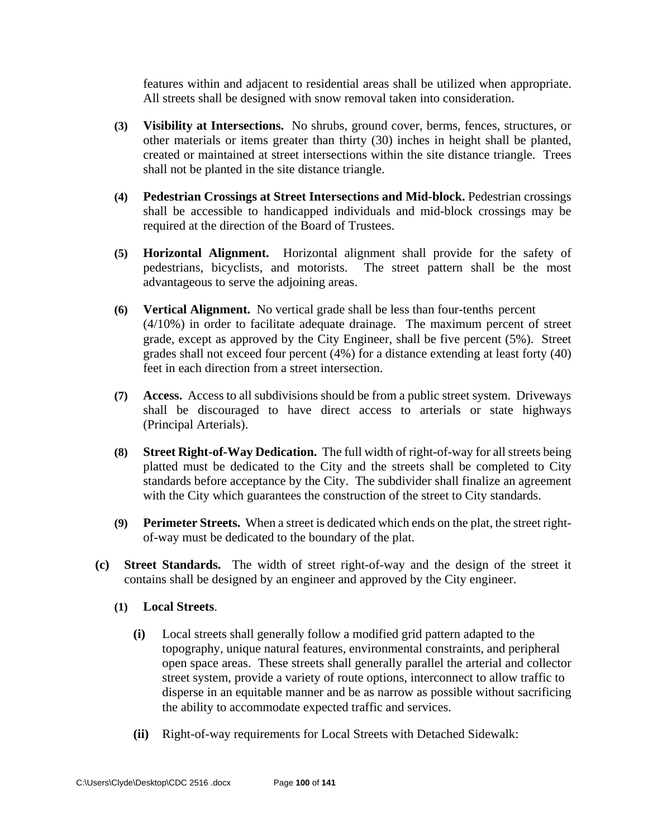features within and adjacent to residential areas shall be utilized when appropriate. All streets shall be designed with snow removal taken into consideration.

- **(3) Visibility at Intersections.** No shrubs, ground cover, berms, fences, structures, or other materials or items greater than thirty (30) inches in height shall be planted, created or maintained at street intersections within the site distance triangle. Trees shall not be planted in the site distance triangle.
- **(4) Pedestrian Crossings at Street Intersections and Mid-block.** Pedestrian crossings shall be accessible to handicapped individuals and mid-block crossings may be required at the direction of the Board of Trustees.
- **(5) Horizontal Alignment.** Horizontal alignment shall provide for the safety of pedestrians, bicyclists, and motorists. The street pattern shall be the most advantageous to serve the adjoining areas.
- **(6) Vertical Alignment.** No vertical grade shall be less than four-tenths percent (4/10%) in order to facilitate adequate drainage. The maximum percent of street grade, except as approved by the City Engineer, shall be five percent (5%). Street grades shall not exceed four percent (4%) for a distance extending at least forty (40) feet in each direction from a street intersection.
- **(7) Access.** Access to all subdivisions should be from a public street system. Driveways shall be discouraged to have direct access to arterials or state highways (Principal Arterials).
- **(8) Street Right-of-Way Dedication.** The full width of right-of-way for all streets being platted must be dedicated to the City and the streets shall be completed to City standards before acceptance by the City. The subdivider shall finalize an agreement with the City which guarantees the construction of the street to City standards.
- **(9) Perimeter Streets.** When a street is dedicated which ends on the plat, the street right of-way must be dedicated to the boundary of the plat.
- **(c) Street Standards.** The width of street right-of-way and the design of the street it contains shall be designed by an engineer and approved by the City engineer.

#### **(1) Local Streets**.

- **(i)** Local streets shall generally follow a modified grid pattern adapted to the topography, unique natural features, environmental constraints, and peripheral open space areas. These streets shall generally parallel the arterial and collector street system, provide a variety of route options, interconnect to allow traffic to disperse in an equitable manner and be as narrow as possible without sacrificing the ability to accommodate expected traffic and services.
- **(ii)** Right-of-way requirements for Local Streets with Detached Sidewalk: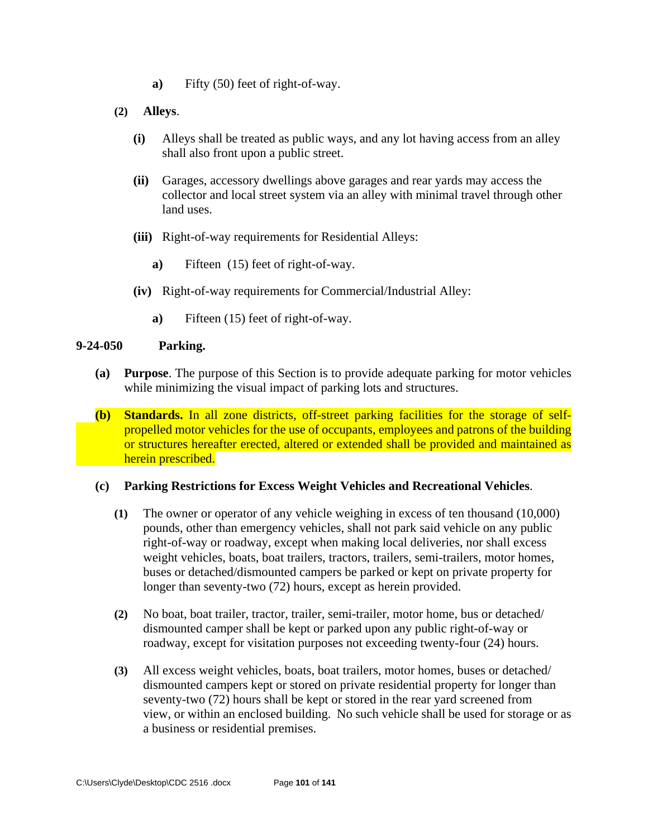- **a)** Fifty (50) feet of right-of-way.
- **(2) Alleys**.
	- **(i)** Alleys shall be treated as public ways, and any lot having access from an alley shall also front upon a public street.
	- **(ii)** Garages, accessory dwellings above garages and rear yards may access the collector and local street system via an alley with minimal travel through other land uses.
	- **(iii)** Right-of-way requirements for Residential Alleys:
		- **a)** Fifteen (15) feet of right-of-way.
	- **(iv)** Right-of-way requirements for Commercial/Industrial Alley:
		- **a)** Fifteen (15) feet of right-of-way.

### **9-24-050 Parking.**

- **(a) Purpose**. The purpose of this Section is to provide adequate parking for motor vehicles while minimizing the visual impact of parking lots and structures.
- **(b) Standards.** In all zone districts, off-street parking facilities for the storage of self propelled motor vehicles for the use of occupants, employees and patrons of the building or structures hereafter erected, altered or extended shall be provided and maintained as herein prescribed.

#### **(c) Parking Restrictions for Excess Weight Vehicles and Recreational Vehicles**.

- **(1)** The owner or operator of any vehicle weighing in excess of ten thousand (10,000) pounds, other than emergency vehicles, shall not park said vehicle on any public right-of-way or roadway, except when making local deliveries, nor shall excess weight vehicles, boats, boat trailers, tractors, trailers, semi-trailers, motor homes, buses or detached/dismounted campers be parked or kept on private property for longer than seventy-two (72) hours, except as herein provided.
- **(2)** No boat, boat trailer, tractor, trailer, semi-trailer, motor home, bus or detached/ dismounted camper shall be kept or parked upon any public right-of-way or roadway, except for visitation purposes not exceeding twenty-four (24) hours.
- **(3)** All excess weight vehicles, boats, boat trailers, motor homes, buses or detached/ dismounted campers kept or stored on private residential property for longer than seventy-two (72) hours shall be kept or stored in the rear yard screened from view, or within an enclosed building. No such vehicle shall be used for storage or as a business or residential premises.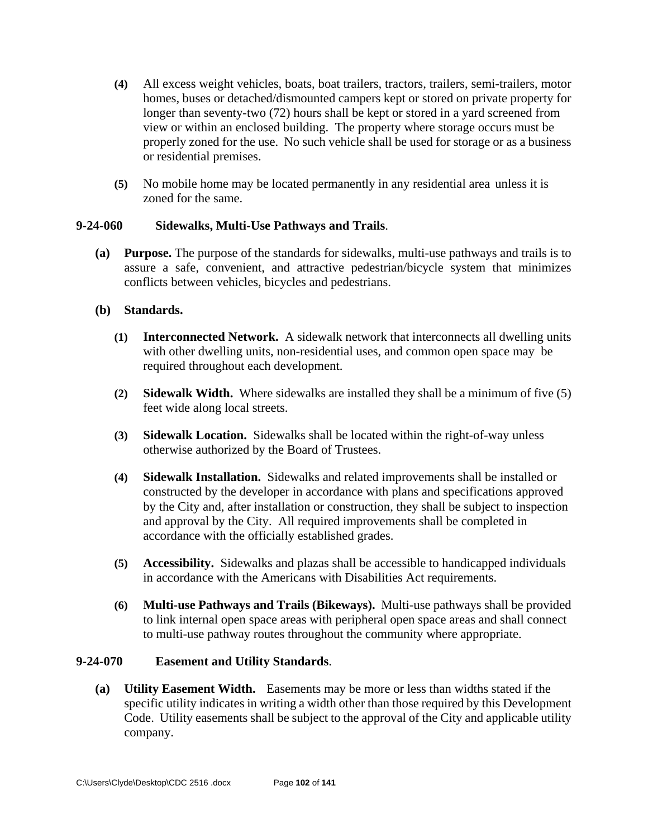- **(4)** All excess weight vehicles, boats, boat trailers, tractors, trailers, semi-trailers, motor homes, buses or detached/dismounted campers kept or stored on private property for longer than seventy-two (72) hours shall be kept or stored in a yard screened from view or within an enclosed building. The property where storage occurs must be properly zoned for the use. No such vehicle shall be used for storage or as a business or residential premises.
- **(5)** No mobile home may be located permanently in any residential area unless it is zoned for the same.

### **9-24-060 Sidewalks, Multi-Use Pathways and Trails**.

**(a) Purpose.** The purpose of the standards for sidewalks, multi-use pathways and trails is to assure a safe, convenient, and attractive pedestrian/bicycle system that minimizes conflicts between vehicles, bicycles and pedestrians.

### **(b) Standards.**

- **(1) Interconnected Network.** A sidewalk network that interconnects all dwelling units with other dwelling units, non-residential uses, and common open space may be required throughout each development.
- **(2) Sidewalk Width.** Where sidewalks are installed they shall be a minimum of five (5) feet wide along local streets.
- **(3) Sidewalk Location.** Sidewalks shall be located within the right-of-way unless otherwise authorized by the Board of Trustees.
- **(4) Sidewalk Installation.** Sidewalks and related improvements shall be installed or constructed by the developer in accordance with plans and specifications approved by the City and, after installation or construction, they shall be subject to inspection and approval by the City. All required improvements shall be completed in accordance with the officially established grades.
- **(5) Accessibility.** Sidewalks and plazas shall be accessible to handicapped individuals in accordance with the Americans with Disabilities Act requirements.
- **(6) Multi-use Pathways and Trails (Bikeways).** Multi-use pathways shall be provided to link internal open space areas with peripheral open space areas and shall connect to multi-use pathway routes throughout the community where appropriate.

#### **9-24-070 Easement and Utility Standards**.

**(a) Utility Easement Width.** Easements may be more or less than widths stated if the specific utility indicates in writing a width other than those required by this Development Code. Utility easements shall be subject to the approval of the City and applicable utility company.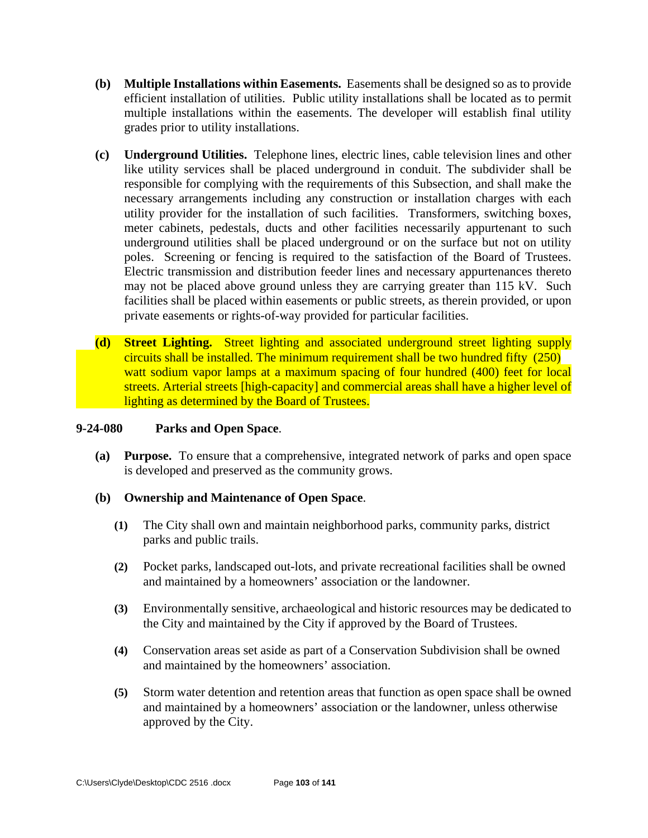- **(b) Multiple Installations within Easements.** Easements shall be designed so as to provide efficient installation of utilities. Public utility installations shall be located as to permit multiple installations within the easements. The developer will establish final utility grades prior to utility installations.
- **(c) Underground Utilities.** Telephone lines, electric lines, cable television lines and other like utility services shall be placed underground in conduit. The subdivider shall be responsible for complying with the requirements of this Subsection, and shall make the necessary arrangements including any construction or installation charges with each utility provider for the installation of such facilities. Transformers, switching boxes, meter cabinets, pedestals, ducts and other facilities necessarily appurtenant to such underground utilities shall be placed underground or on the surface but not on utility poles. Screening or fencing is required to the satisfaction of the Board of Trustees. Electric transmission and distribution feeder lines and necessary appurtenances thereto may not be placed above ground unless they are carrying greater than 115 kV. Such facilities shall be placed within easements or public streets, as therein provided, or upon private easements or rights-of-way provided for particular facilities.
- **(d) Street Lighting.** Street lighting and associated underground street lighting supply circuits shall be installed. The minimum requirement shall be two hundred fifty (250) watt sodium vapor lamps at a maximum spacing of four hundred (400) feet for local streets. Arterial streets [high-capacity] and commercial areas shall have a higher level of lighting as determined by the Board of Trustees.

#### **9-24-080 Parks and Open Space**.

**(a) Purpose.** To ensure that a comprehensive, integrated network of parks and open space is developed and preserved as the community grows.

#### **(b) Ownership and Maintenance of Open Space**.

- **(1)** The City shall own and maintain neighborhood parks, community parks, district parks and public trails.
- **(2)** Pocket parks, landscaped out-lots, and private recreational facilities shall be owned and maintained by a homeowners' association or the landowner.
- **(3)** Environmentally sensitive, archaeological and historic resources may be dedicated to the City and maintained by the City if approved by the Board of Trustees.
- **(4)** Conservation areas set aside as part of a Conservation Subdivision shall be owned and maintained by the homeowners' association.
- **(5)** Storm water detention and retention areas that function as open space shall be owned and maintained by a homeowners' association or the landowner, unless otherwise approved by the City.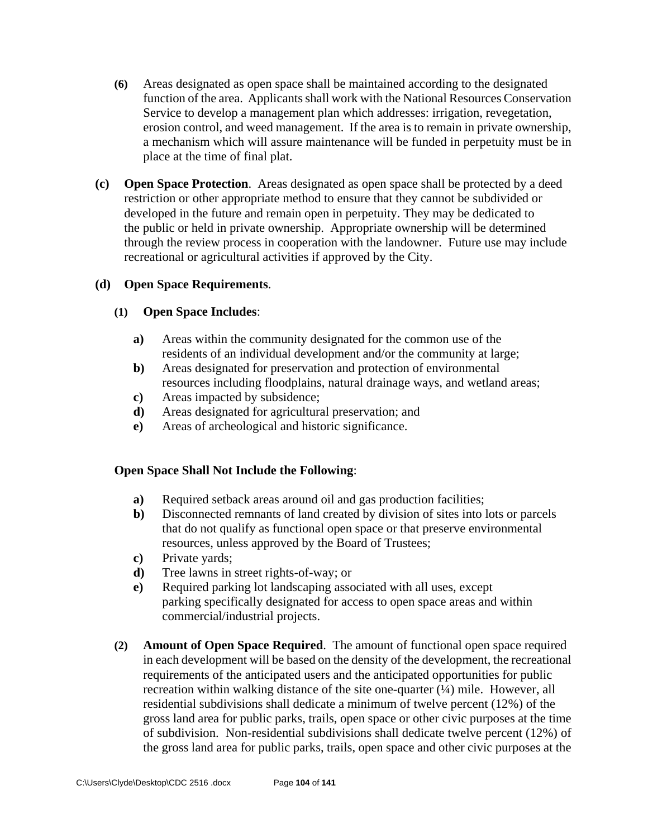- **(6)** Areas designated as open space shall be maintained according to the designated function of the area. Applicants shall work with the National Resources Conservation Service to develop a management plan which addresses: irrigation, revegetation, erosion control, and weed management. If the area is to remain in private ownership, a mechanism which will assure maintenance will be funded in perpetuity must be in place at the time of final plat.
- **(c) Open Space Protection**. Areas designated as open space shall be protected by a deed restriction or other appropriate method to ensure that they cannot be subdivided or developed in the future and remain open in perpetuity. They may be dedicated to the public or held in private ownership. Appropriate ownership will be determined through the review process in cooperation with the landowner. Future use may include recreational or agricultural activities if approved by the City.

### **(d) Open Space Requirements**.

### **(1) Open Space Includes**:

- **a)** Areas within the community designated for the common use of the residents of an individual development and/or the community at large;
- **b)** Areas designated for preservation and protection of environmental resources including floodplains, natural drainage ways, and wetland areas;
- **c)** Areas impacted by subsidence;
- **d)** Areas designated for agricultural preservation; and
- **e)** Areas of archeological and historic significance.

#### **Open Space Shall Not Include the Following**:

- **a)** Required setback areas around oil and gas production facilities;
- **b)** Disconnected remnants of land created by division of sites into lots or parcels that do not qualify as functional open space or that preserve environmental resources, unless approved by the Board of Trustees;
- **c)** Private yards;
- **d)** Tree lawns in street rights-of-way; or
- **e)** Required parking lot landscaping associated with all uses, except parking specifically designated for access to open space areas and within commercial/industrial projects.
- **(2) Amount of Open Space Required**. The amount of functional open space required in each development will be based on the density of the development, the recreational requirements of the anticipated users and the anticipated opportunities for public recreation within walking distance of the site one-quarter (¼) mile. However, all residential subdivisions shall dedicate a minimum of twelve percent (12%) of the gross land area for public parks, trails, open space or other civic purposes at the time of subdivision. Non-residential subdivisions shall dedicate twelve percent (12%) of the gross land area for public parks, trails, open space and other civic purposes at the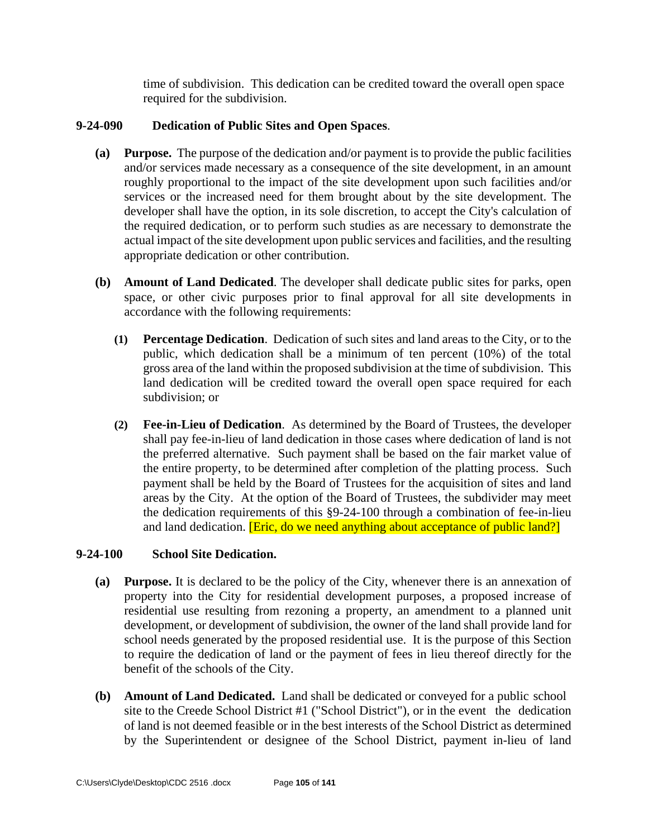time of subdivision. This dedication can be credited toward the overall open space required for the subdivision.

# **9-24-090 Dedication of Public Sites and Open Spaces**.

- **(a) Purpose.** The purpose of the dedication and/or payment is to provide the public facilities and/or services made necessary as a consequence of the site development, in an amount roughly proportional to the impact of the site development upon such facilities and/or services or the increased need for them brought about by the site development. The developer shall have the option, in its sole discretion, to accept the City's calculation of the required dedication, or to perform such studies as are necessary to demonstrate the actual impact of the site development upon public services and facilities, and the resulting appropriate dedication or other contribution.
- **(b) Amount of Land Dedicated**. The developer shall dedicate public sites for parks, open space, or other civic purposes prior to final approval for all site developments in accordance with the following requirements:
	- **(1) Percentage Dedication**. Dedication of such sites and land areas to the City, or to the public, which dedication shall be a minimum of ten percent (10%) of the total gross area of the land within the proposed subdivision at the time of subdivision. This land dedication will be credited toward the overall open space required for each subdivision; or
	- **(2) Fee-in-Lieu of Dedication**. As determined by the Board of Trustees, the developer shall pay fee-in-lieu of land dedication in those cases where dedication of land is not the preferred alternative. Such payment shall be based on the fair market value of the entire property, to be determined after completion of the platting process. Such payment shall be held by the Board of Trustees for the acquisition of sites and land areas by the City. At the option of the Board of Trustees, the subdivider may meet the dedication requirements of this §9-24-100 through a combination of fee-in-lieu and land dedication. **[Eric, do we need anything about acceptance of public land?]**

# **9-24-100 School Site Dedication.**

- **(a) Purpose.** It is declared to be the policy of the City, whenever there is an annexation of property into the City for residential development purposes, a proposed increase of residential use resulting from rezoning a property, an amendment to a planned unit development, or development of subdivision, the owner of the land shall provide land for school needs generated by the proposed residential use. It is the purpose of this Section to require the dedication of land or the payment of fees in lieu thereof directly for the benefit of the schools of the City.
- **(b) Amount of Land Dedicated.** Land shall be dedicated or conveyed for a public school site to the Creede School District #1 ("School District"), or in the event the dedication of land is not deemed feasible or in the best interests of the School District as determined by the Superintendent or designee of the School District, payment in-lieu of land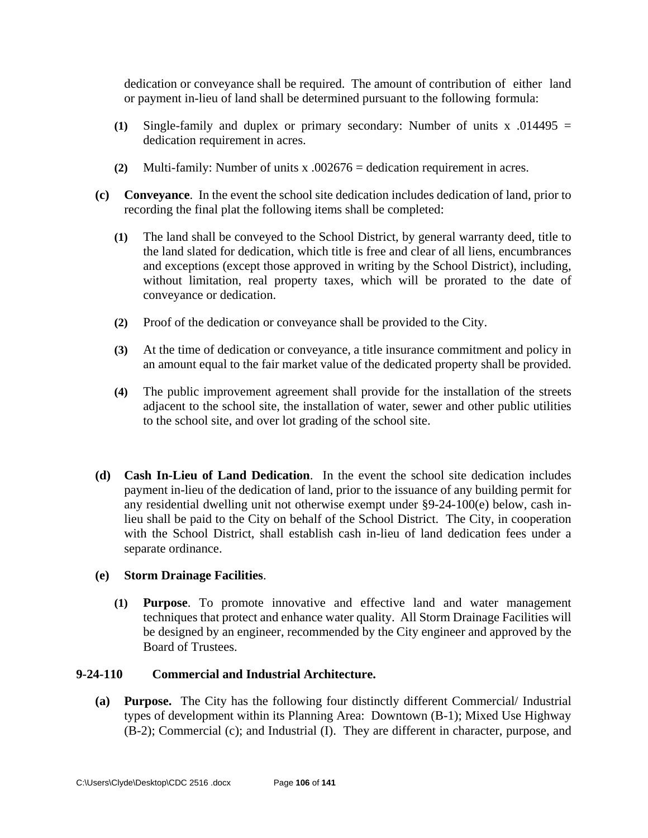dedication or conveyance shall be required. The amount of contribution of either land or payment in-lieu of land shall be determined pursuant to the following formula:

- **(1)** Single-family and duplex or primary secondary: Number of units x .014495 = dedication requirement in acres.
- **(2)** Multi-family: Number of units x .002676 = dedication requirement in acres.
- **(c) Conveyance**. In the event the school site dedication includes dedication of land, prior to recording the final plat the following items shall be completed:
	- **(1)** The land shall be conveyed to the School District, by general warranty deed, title to the land slated for dedication, which title is free and clear of all liens, encumbrances and exceptions (except those approved in writing by the School District), including, without limitation, real property taxes, which will be prorated to the date of conveyance or dedication.
	- **(2)** Proof of the dedication or conveyance shall be provided to the City.
	- **(3)** At the time of dedication or conveyance, a title insurance commitment and policy in an amount equal to the fair market value of the dedicated property shall be provided.
	- **(4)** The public improvement agreement shall provide for the installation of the streets adjacent to the school site, the installation of water, sewer and other public utilities to the school site, and over lot grading of the school site.
- **(d) Cash In-Lieu of Land Dedication**. In the event the school site dedication includes payment in-lieu of the dedication of land, prior to the issuance of any building permit for any residential dwelling unit not otherwise exempt under §9-24-100(e) below, cash in lieu shall be paid to the City on behalf of the School District. The City, in cooperation with the School District, shall establish cash in-lieu of land dedication fees under a separate ordinance.

#### **(e) Storm Drainage Facilities**.

**(1) Purpose**. To promote innovative and effective land and water management techniques that protect and enhance water quality. All Storm Drainage Facilities will be designed by an engineer, recommended by the City engineer and approved by the Board of Trustees.

#### **9-24-110 Commercial and Industrial Architecture.**

**(a) Purpose.** The City has the following four distinctly different Commercial/ Industrial types of development within its Planning Area: Downtown (B-1); Mixed Use Highway (B-2); Commercial (c); and Industrial (I). They are different in character, purpose, and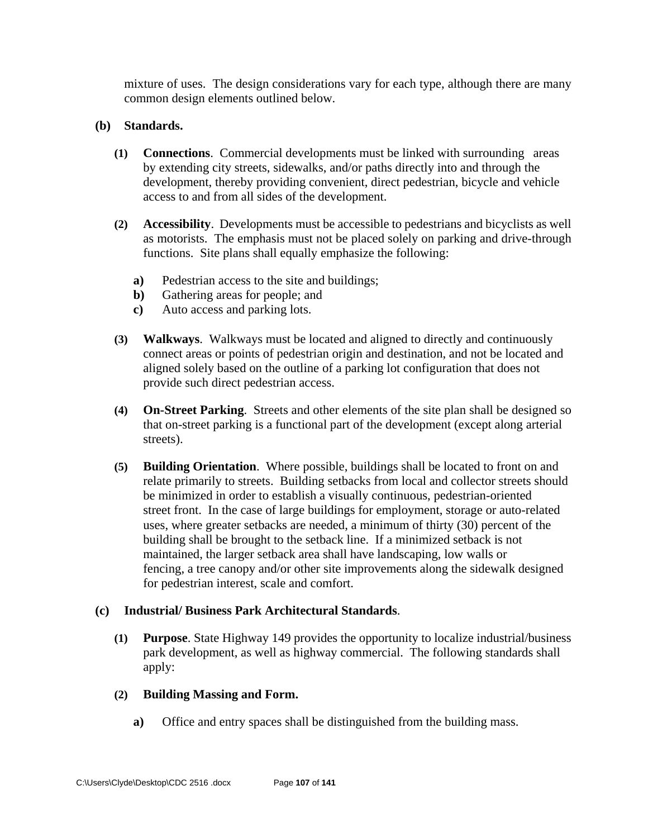mixture of uses. The design considerations vary for each type, although there are many common design elements outlined below.

### **(b) Standards.**

- **(1) Connections**. Commercial developments must be linked with surrounding areas by extending city streets, sidewalks, and/or paths directly into and through the development, thereby providing convenient, direct pedestrian, bicycle and vehicle access to and from all sides of the development.
- **(2) Accessibility**. Developments must be accessible to pedestrians and bicyclists as well as motorists. The emphasis must not be placed solely on parking and drive-through functions. Site plans shall equally emphasize the following:
	- **a)** Pedestrian access to the site and buildings;
	- **b)** Gathering areas for people; and
	- **c)** Auto access and parking lots.
- **(3) Walkways**. Walkways must be located and aligned to directly and continuously connect areas or points of pedestrian origin and destination, and not be located and aligned solely based on the outline of a parking lot configuration that does not provide such direct pedestrian access.
- **(4) On-Street Parking**. Streets and other elements of the site plan shall be designed so that on-street parking is a functional part of the development (except along arterial streets).
- **(5) Building Orientation**. Where possible, buildings shall be located to front on and relate primarily to streets. Building setbacks from local and collector streets should be minimized in order to establish a visually continuous, pedestrian-oriented street front. In the case of large buildings for employment, storage or auto-related uses, where greater setbacks are needed, a minimum of thirty (30) percent of the building shall be brought to the setback line. If a minimized setback is not maintained, the larger setback area shall have landscaping, low walls or fencing, a tree canopy and/or other site improvements along the sidewalk designed for pedestrian interest, scale and comfort.

#### **(c) Industrial/ Business Park Architectural Standards**.

**(1) Purpose**. State Highway 149 provides the opportunity to localize industrial/business park development, as well as highway commercial. The following standards shall apply:

#### **(2) Building Massing and Form.**

**a)** Office and entry spaces shall be distinguished from the building mass.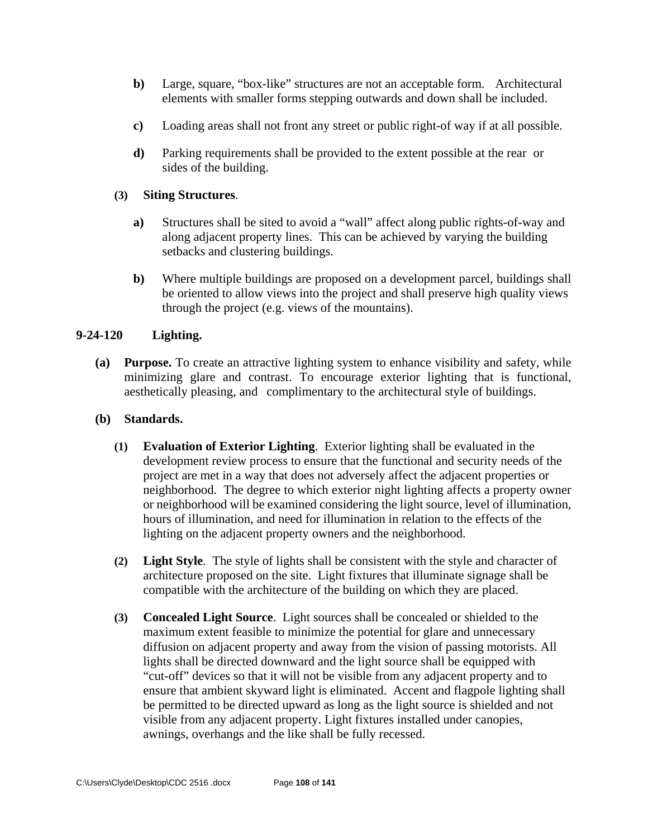- **b)** Large, square, "box-like" structures are not an acceptable form. Architectural elements with smaller forms stepping outwards and down shall be included.
- **c)** Loading areas shall not front any street or public right-of way if at all possible.
- **d)** Parking requirements shall be provided to the extent possible at the rear or sides of the building.

### **(3) Siting Structures**.

- **a)** Structures shall be sited to avoid a "wall" affect along public rights-of-way and along adjacent property lines. This can be achieved by varying the building setbacks and clustering buildings.
- **b)** Where multiple buildings are proposed on a development parcel, buildings shall be oriented to allow views into the project and shall preserve high quality views through the project (e.g. views of the mountains).

### **9-24-120 Lighting.**

**(a) Purpose.** To create an attractive lighting system to enhance visibility and safety, while minimizing glare and contrast. To encourage exterior lighting that is functional, aesthetically pleasing, and complimentary to the architectural style of buildings.

### **(b) Standards.**

- **(1) Evaluation of Exterior Lighting**. Exterior lighting shall be evaluated in the development review process to ensure that the functional and security needs of the project are met in a way that does not adversely affect the adjacent properties or neighborhood. The degree to which exterior night lighting affects a property owner or neighborhood will be examined considering the light source, level of illumination, hours of illumination, and need for illumination in relation to the effects of the lighting on the adjacent property owners and the neighborhood.
- **(2) Light Style**. The style of lights shall be consistent with the style and character of architecture proposed on the site. Light fixtures that illuminate signage shall be compatible with the architecture of the building on which they are placed.
- **(3) Concealed Light Source**. Light sources shall be concealed or shielded to the maximum extent feasible to minimize the potential for glare and unnecessary diffusion on adjacent property and away from the vision of passing motorists. All lights shall be directed downward and the light source shall be equipped with "cut-off" devices so that it will not be visible from any adjacent property and to ensure that ambient skyward light is eliminated. Accent and flagpole lighting shall be permitted to be directed upward as long as the light source is shielded and not visible from any adjacent property. Light fixtures installed under canopies, awnings, overhangs and the like shall be fully recessed.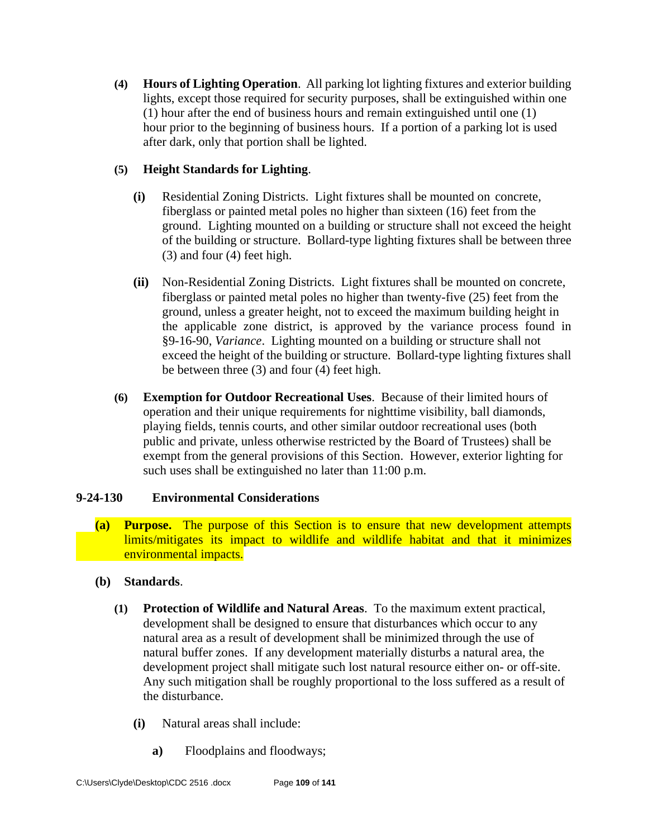**(4) Hours of Lighting Operation**. All parking lot lighting fixtures and exterior building lights, except those required for security purposes, shall be extinguished within one (1) hour after the end of business hours and remain extinguished until one (1) hour prior to the beginning of business hours. If a portion of a parking lot is used after dark, only that portion shall be lighted.

# **(5) Height Standards for Lighting**.

- **(i)** Residential Zoning Districts. Light fixtures shall be mounted on concrete, fiberglass or painted metal poles no higher than sixteen (16) feet from the ground. Lighting mounted on a building or structure shall not exceed the height of the building or structure. Bollard-type lighting fixtures shall be between three (3) and four (4) feet high.
- **(ii)** Non-Residential Zoning Districts. Light fixtures shall be mounted on concrete, fiberglass or painted metal poles no higher than twenty-five (25) feet from the ground, unless a greater height, not to exceed the maximum building height in the applicable zone district, is approved by the variance process found in §9-16-90, *Variance*. Lighting mounted on a building or structure shall not exceed the height of the building or structure. Bollard-type lighting fixtures shall be between three (3) and four (4) feet high.
- **(6) Exemption for Outdoor Recreational Uses**. Because of their limited hours of operation and their unique requirements for nighttime visibility, ball diamonds, playing fields, tennis courts, and other similar outdoor recreational uses (both public and private, unless otherwise restricted by the Board of Trustees) shall be exempt from the general provisions of this Section. However, exterior lighting for such uses shall be extinguished no later than 11:00 p.m.

# **9-24-130 Environmental Considerations**

**(a) Purpose.** The purpose of this Section is to ensure that new development attempts limits/mitigates its impact to wildlife and wildlife habitat and that it minimizes environmental impacts.

# **(b) Standards**.

- **(1) Protection of Wildlife and Natural Areas**. To the maximum extent practical, development shall be designed to ensure that disturbances which occur to any natural area as a result of development shall be minimized through the use of natural buffer zones. If any development materially disturbs a natural area, the development project shall mitigate such lost natural resource either on- or off-site. Any such mitigation shall be roughly proportional to the loss suffered as a result of the disturbance.
	- **(i)** Natural areas shall include:
		- **a)** Floodplains and floodways;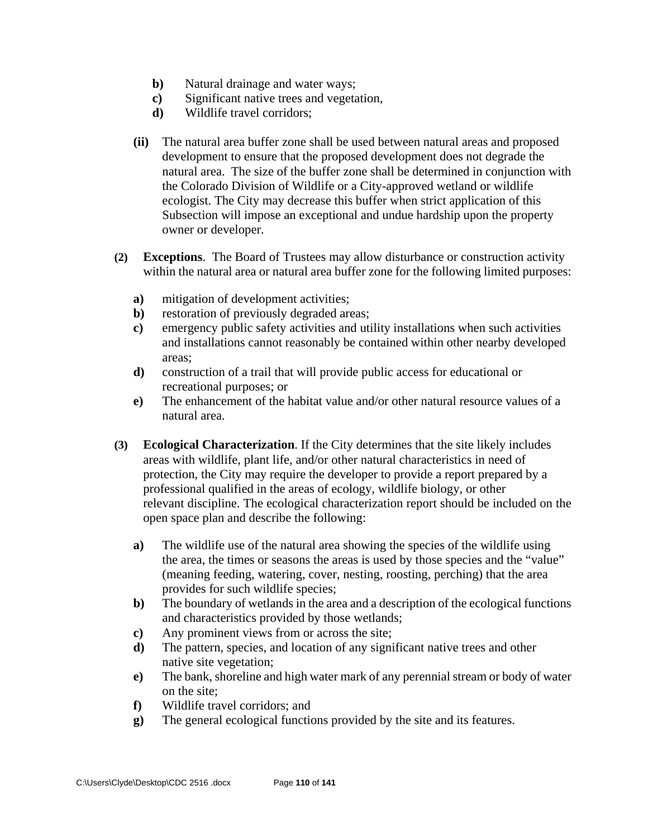- **b**) Natural drainage and water ways;
- **c)** Significant native trees and vegetation,
- **d)** Wildlife travel corridors;
- **(ii)** The natural area buffer zone shall be used between natural areas and proposed development to ensure that the proposed development does not degrade the natural area. The size of the buffer zone shall be determined in conjunction with the Colorado Division of Wildlife or a City-approved wetland or wildlife ecologist. The City may decrease this buffer when strict application of this Subsection will impose an exceptional and undue hardship upon the property owner or developer.
- **(2) Exceptions**. The Board of Trustees may allow disturbance or construction activity within the natural area or natural area buffer zone for the following limited purposes:
	- **a)** mitigation of development activities;
	- **b)** restoration of previously degraded areas;
	- **c)** emergency public safety activities and utility installations when such activities and installations cannot reasonably be contained within other nearby developed areas;
	- **d)** construction of a trail that will provide public access for educational or recreational purposes; or
	- **e)** The enhancement of the habitat value and/or other natural resource values of a natural area.
- **(3) Ecological Characterization**. If the City determines that the site likely includes areas with wildlife, plant life, and/or other natural characteristics in need of protection, the City may require the developer to provide a report prepared by a professional qualified in the areas of ecology, wildlife biology, or other relevant discipline. The ecological characterization report should be included on the open space plan and describe the following:
	- **a)** The wildlife use of the natural area showing the species of the wildlife using the area, the times or seasons the areas is used by those species and the "value" (meaning feeding, watering, cover, nesting, roosting, perching) that the area provides for such wildlife species;
	- **b)** The boundary of wetlands in the area and a description of the ecological functions and characteristics provided by those wetlands;
	- **c)** Any prominent views from or across the site;
	- **d)** The pattern, species, and location of any significant native trees and other native site vegetation;
	- **e)** The bank, shoreline and high water mark of any perennial stream or body of water on the site;
	- **f)** Wildlife travel corridors; and
	- **g)** The general ecological functions provided by the site and its features.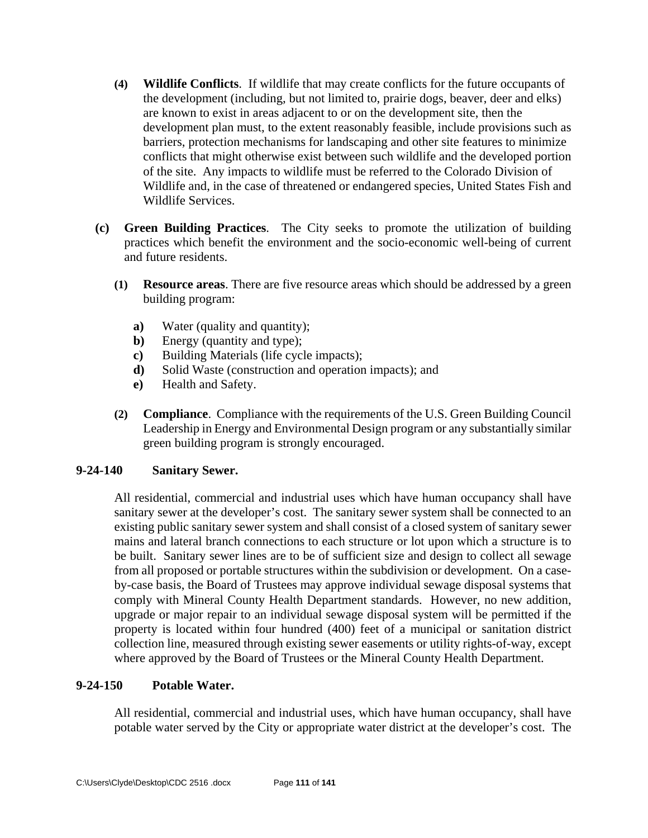- **(4) Wildlife Conflicts**. If wildlife that may create conflicts for the future occupants of the development (including, but not limited to, prairie dogs, beaver, deer and elks) are known to exist in areas adjacent to or on the development site, then the development plan must, to the extent reasonably feasible, include provisions such as barriers, protection mechanisms for landscaping and other site features to minimize conflicts that might otherwise exist between such wildlife and the developed portion of the site. Any impacts to wildlife must be referred to the Colorado Division of Wildlife and, in the case of threatened or endangered species, United States Fish and Wildlife Services.
- **(c) Green Building Practices**. The City seeks to promote the utilization of building practices which benefit the environment and the socio-economic well-being of current and future residents.
	- **(1) Resource areas**. There are five resource areas which should be addressed by a green building program:
		- **a)** Water (quality and quantity);
		- **b**) Energy (quantity and type);
		- **c)** Building Materials (life cycle impacts);
		- **d)** Solid Waste (construction and operation impacts); and
		- **e)** Health and Safety.
	- **(2) Compliance**. Compliance with the requirements of the U.S. Green Building Council Leadership in Energy and Environmental Design program or any substantially similar green building program is strongly encouraged.

### **9-24-140 Sanitary Sewer.**

All residential, commercial and industrial uses which have human occupancy shall have sanitary sewer at the developer's cost. The sanitary sewer system shall be connected to an existing public sanitary sewer system and shall consist of a closed system of sanitary sewer mains and lateral branch connections to each structure or lot upon which a structure is to be built. Sanitary sewer lines are to be of sufficient size and design to collect all sewage from all proposed or portable structures within the subdivision or development. On a case by-case basis, the Board of Trustees may approve individual sewage disposal systems that comply with Mineral County Health Department standards. However, no new addition, upgrade or major repair to an individual sewage disposal system will be permitted if the property is located within four hundred (400) feet of a municipal or sanitation district collection line, measured through existing sewer easements or utility rights-of-way, except where approved by the Board of Trustees or the Mineral County Health Department.

### **9-24-150 Potable Water.**

All residential, commercial and industrial uses, which have human occupancy, shall have potable water served by the City or appropriate water district at the developer's cost. The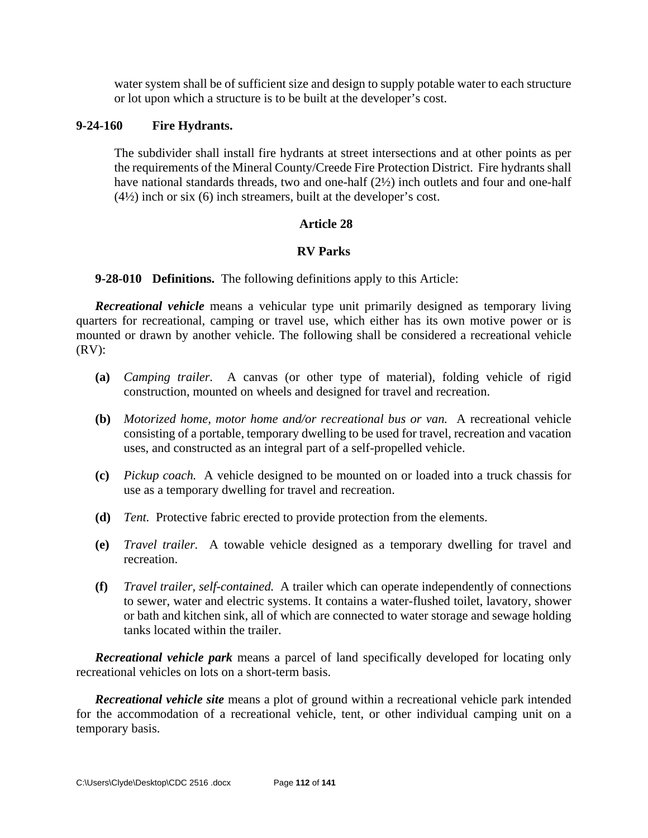water system shall be of sufficient size and design to supply potable water to each structure or lot upon which a structure is to be built at the developer's cost.

## **9-24-160 Fire Hydrants.**

The subdivider shall install fire hydrants at street intersections and at other points as per the requirements of the Mineral County/Creede Fire Protection District. Fire hydrants shall have national standards threads, two and one-half (2½) inch outlets and four and one-half  $(4\frac{1}{2})$  inch or six  $(6)$  inch streamers, built at the developer's cost.

## **Article 28**

## **RV Parks**

**9-28-010 Definitions.** The following definitions apply to this Article:

*Recreational vehicle* means a vehicular type unit primarily designed as temporary living quarters for recreational, camping or travel use, which either has its own motive power or is mounted or drawn by another vehicle. The following shall be considered a recreational vehicle (RV):

- **(a)** *Camping trailer.* A canvas (or other type of material), folding vehicle of rigid construction, mounted on wheels and designed for travel and recreation.
- **(b)** *Motorized home, motor home and/or recreational bus or van.* A recreational vehicle consisting of a portable, temporary dwelling to be used for travel, recreation and vacation uses, and constructed as an integral part of a self-propelled vehicle.
- **(c)** *Pickup coach.* A vehicle designed to be mounted on or loaded into a truck chassis for use as a temporary dwelling for travel and recreation.
- **(d)** *Tent.* Protective fabric erected to provide protection from the elements.
- **(e)** *Travel trailer.* A towable vehicle designed as a temporary dwelling for travel and recreation.
- **(f)** *Travel trailer, self-contained.* A trailer which can operate independently of connections to sewer, water and electric systems. It contains a water-flushed toilet, lavatory, shower or bath and kitchen sink, all of which are connected to water storage and sewage holding tanks located within the trailer.

*Recreational vehicle park* means a parcel of land specifically developed for locating only recreational vehicles on lots on a short-term basis.

*Recreational vehicle site* means a plot of ground within a recreational vehicle park intended for the accommodation of a recreational vehicle, tent, or other individual camping unit on a temporary basis.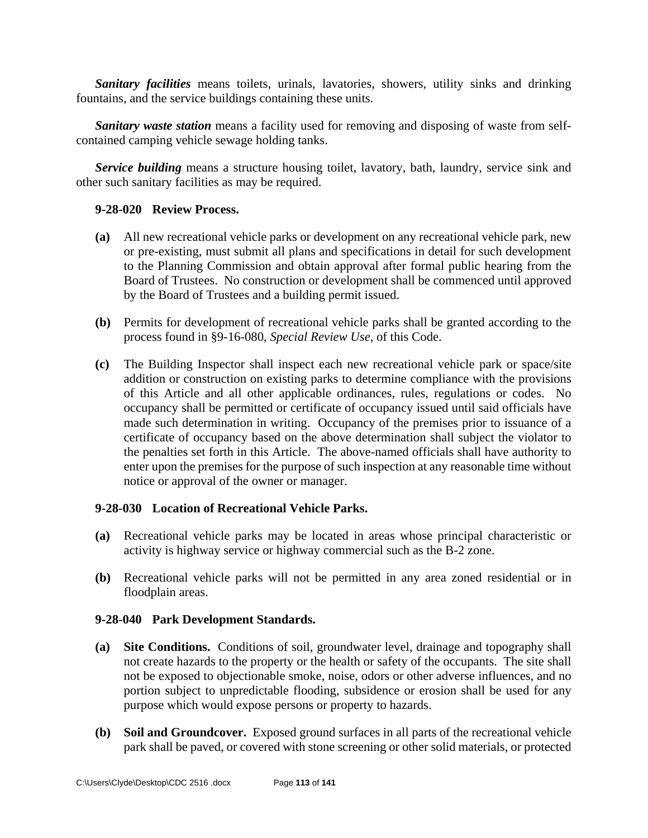*Sanitary facilities* means toilets, urinals, lavatories, showers, utility sinks and drinking fountains, and the service buildings containing these units.

**Sanitary waste station** means a facility used for removing and disposing of waste from selfcontained camping vehicle sewage holding tanks.

*Service building* means a structure housing toilet, lavatory, bath, laundry, service sink and other such sanitary facilities as may be required.

#### **9-28-020 Review Process.**

- **(a)** All new recreational vehicle parks or development on any recreational vehicle park, new or pre-existing, must submit all plans and specifications in detail for such development to the Planning Commission and obtain approval after formal public hearing from the Board of Trustees. No construction or development shall be commenced until approved by the Board of Trustees and a building permit issued.
- **(b)** Permits for development of recreational vehicle parks shall be granted according to the process found in §9-16-080, *Special Review Use,* of this Code.
- **(c)** The Building Inspector shall inspect each new recreational vehicle park or space/site addition or construction on existing parks to determine compliance with the provisions of this Article and all other applicable ordinances, rules, regulations or codes. No occupancy shall be permitted or certificate of occupancy issued until said officials have made such determination in writing. Occupancy of the premises prior to issuance of a certificate of occupancy based on the above determination shall subject the violator to the penalties set forth in this Article. The above-named officials shall have authority to enter upon the premises for the purpose of such inspection at any reasonable time without notice or approval of the owner or manager.

### **9-28-030 Location of Recreational Vehicle Parks.**

- **(a)** Recreational vehicle parks may be located in areas whose principal characteristic or activity is highway service or highway commercial such as the B-2 zone.
- **(b)** Recreational vehicle parks will not be permitted in any area zoned residential or in floodplain areas.

### **9-28-040 Park Development Standards.**

- **(a) Site Conditions.** Conditions of soil, groundwater level, drainage and topography shall not create hazards to the property or the health or safety of the occupants. The site shall not be exposed to objectionable smoke, noise, odors or other adverse influences, and no portion subject to unpredictable flooding, subsidence or erosion shall be used for any purpose which would expose persons or property to hazards.
- **(b) Soil and Groundcover.** Exposed ground surfaces in all parts of the recreational vehicle park shall be paved, or covered with stone screening or other solid materials, or protected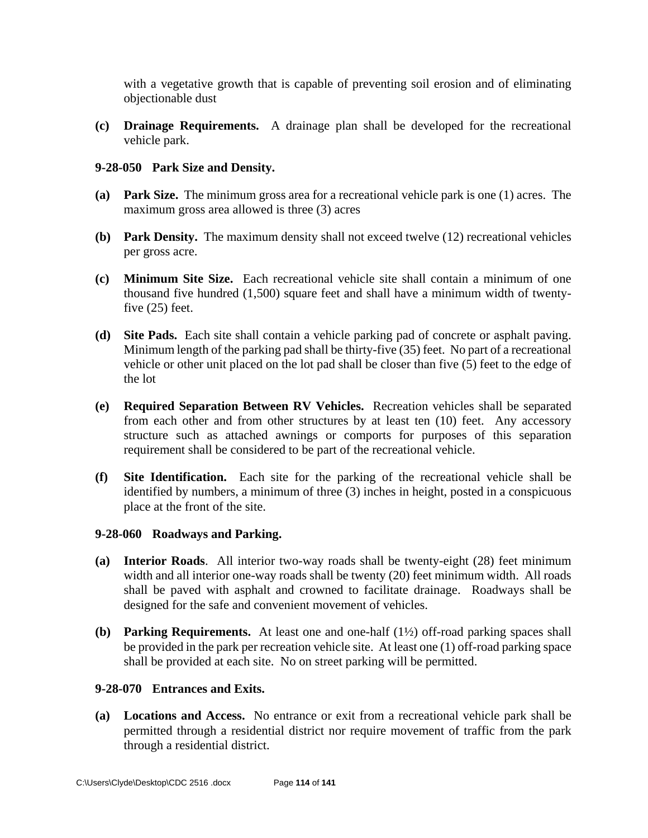with a vegetative growth that is capable of preventing soil erosion and of eliminating objectionable dust

**(c) Drainage Requirements.** A drainage plan shall be developed for the recreational vehicle park.

### **9-28-050 Park Size and Density.**

- **(a) Park Size.** The minimum gross area for a recreational vehicle park is one (1) acres. The maximum gross area allowed is three (3) acres
- **(b) Park Density.** The maximum density shall not exceed twelve (12) recreational vehicles per gross acre.
- **(c) Minimum Site Size.** Each recreational vehicle site shall contain a minimum of one thousand five hundred (1,500) square feet and shall have a minimum width of twenty five (25) feet.
- **(d) Site Pads.** Each site shall contain a vehicle parking pad of concrete or asphalt paving. Minimum length of the parking pad shall be thirty-five (35) feet. No part of a recreational vehicle or other unit placed on the lot pad shall be closer than five (5) feet to the edge of the lot
- **(e) Required Separation Between RV Vehicles.** Recreation vehicles shall be separated from each other and from other structures by at least ten (10) feet. Any accessory structure such as attached awnings or comports for purposes of this separation requirement shall be considered to be part of the recreational vehicle.
- **(f) Site Identification.** Each site for the parking of the recreational vehicle shall be identified by numbers, a minimum of three (3) inches in height, posted in a conspicuous place at the front of the site.

### **9-28-060 Roadways and Parking.**

- **(a) Interior Roads**. All interior two-way roads shall be twenty-eight (28) feet minimum width and all interior one-way roads shall be twenty (20) feet minimum width. All roads shall be paved with asphalt and crowned to facilitate drainage. Roadways shall be designed for the safe and convenient movement of vehicles.
- **(b) Parking Requirements.** At least one and one-half (1½) off-road parking spaces shall be provided in the park per recreation vehicle site. At least one (1) off-road parking space shall be provided at each site. No on street parking will be permitted.

### **9-28-070 Entrances and Exits.**

**(a) Locations and Access.** No entrance or exit from a recreational vehicle park shall be permitted through a residential district nor require movement of traffic from the park through a residential district.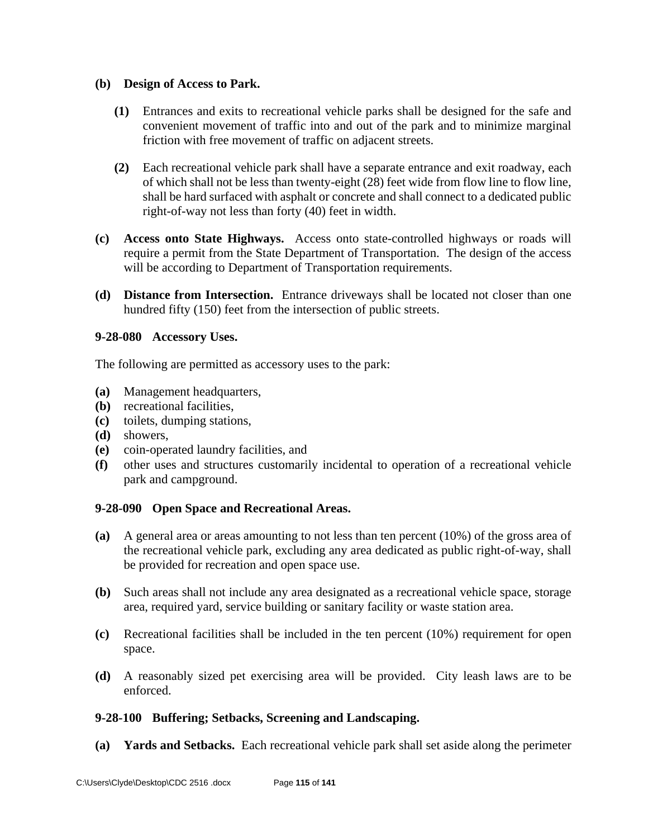### **(b) Design of Access to Park.**

- **(1)** Entrances and exits to recreational vehicle parks shall be designed for the safe and convenient movement of traffic into and out of the park and to minimize marginal friction with free movement of traffic on adjacent streets.
- **(2)** Each recreational vehicle park shall have a separate entrance and exit roadway, each of which shall not be less than twenty-eight (28) feet wide from flow line to flow line, shall be hard surfaced with asphalt or concrete and shall connect to a dedicated public right-of-way not less than forty (40) feet in width.
- **(c) Access onto State Highways.** Access onto state-controlled highways or roads will require a permit from the State Department of Transportation. The design of the access will be according to Department of Transportation requirements.
- **(d) Distance from Intersection.** Entrance driveways shall be located not closer than one hundred fifty (150) feet from the intersection of public streets.

### **9-28-080 Accessory Uses.**

The following are permitted as accessory uses to the park:

- **(a)** Management headquarters,
- **(b)** recreational facilities,
- **(c)** toilets, dumping stations,
- **(d)** showers,
- **(e)** coin-operated laundry facilities, and
- **(f)** other uses and structures customarily incidental to operation of a recreational vehicle park and campground.

### **9-28-090 Open Space and Recreational Areas.**

- **(a)** A general area or areas amounting to not less than ten percent (10%) of the gross area of the recreational vehicle park, excluding any area dedicated as public right-of-way, shall be provided for recreation and open space use.
- **(b)** Such areas shall not include any area designated as a recreational vehicle space, storage area, required yard, service building or sanitary facility or waste station area.
- **(c)** Recreational facilities shall be included in the ten percent (10%) requirement for open space.
- **(d)** A reasonably sized pet exercising area will be provided. City leash laws are to be enforced.

### **9-28-100 Buffering; Setbacks, Screening and Landscaping.**

**(a) Yards and Setbacks.** Each recreational vehicle park shall set aside along the perimeter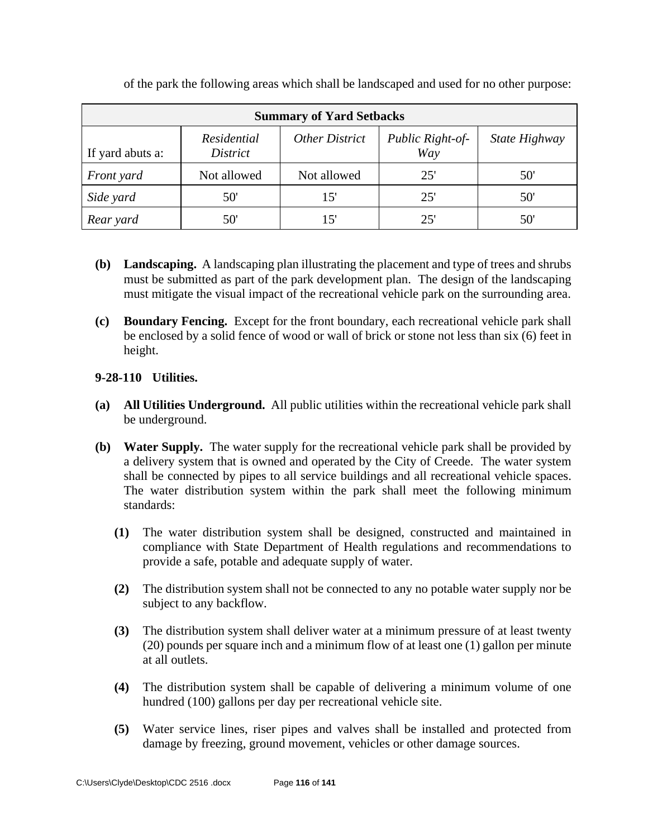| <b>Summary of Yard Setbacks</b> |                                |                |                         |               |  |  |  |  |  |
|---------------------------------|--------------------------------|----------------|-------------------------|---------------|--|--|--|--|--|
| If yard abuts a:                | Residential<br><i>District</i> | Other District | Public Right-of-<br>Way | State Highway |  |  |  |  |  |
| Front yard                      | Not allowed                    | Not allowed    | 25'                     | 50'           |  |  |  |  |  |
| Side yard                       | 50'                            | 15'            | 25'                     | 50'           |  |  |  |  |  |
| Rear yard                       | 50'                            |                | 25'                     |               |  |  |  |  |  |

of the park the following areas which shall be landscaped and used for no other purpose:

- **(b) Landscaping.** A landscaping plan illustrating the placement and type of trees and shrubs must be submitted as part of the park development plan. The design of the landscaping must mitigate the visual impact of the recreational vehicle park on the surrounding area.
- **(c) Boundary Fencing.** Except for the front boundary, each recreational vehicle park shall be enclosed by a solid fence of wood or wall of brick or stone not less than six (6) feet in height.

# **9-28-110 Utilities.**

- **(a) All Utilities Underground.** All public utilities within the recreational vehicle park shall be underground.
- **(b) Water Supply.** The water supply for the recreational vehicle park shall be provided by a delivery system that is owned and operated by the City of Creede. The water system shall be connected by pipes to all service buildings and all recreational vehicle spaces. The water distribution system within the park shall meet the following minimum standards:
	- **(1)** The water distribution system shall be designed, constructed and maintained in compliance with State Department of Health regulations and recommendations to provide a safe, potable and adequate supply of water.
	- **(2)** The distribution system shall not be connected to any no potable water supply nor be subject to any backflow.
	- **(3)** The distribution system shall deliver water at a minimum pressure of at least twenty (20) pounds per square inch and a minimum flow of at least one (1) gallon per minute at all outlets.
	- **(4)** The distribution system shall be capable of delivering a minimum volume of one hundred (100) gallons per day per recreational vehicle site.
	- **(5)** Water service lines, riser pipes and valves shall be installed and protected from damage by freezing, ground movement, vehicles or other damage sources.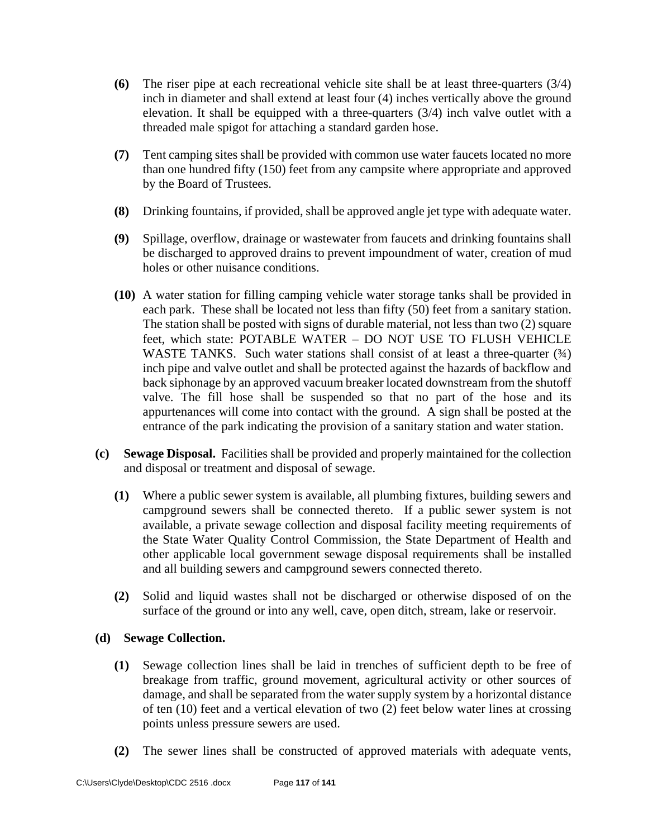- **(6)** The riser pipe at each recreational vehicle site shall be at least three-quarters (3/4) inch in diameter and shall extend at least four (4) inches vertically above the ground elevation. It shall be equipped with a three-quarters (3/4) inch valve outlet with a threaded male spigot for attaching a standard garden hose.
- **(7)** Tent camping sites shall be provided with common use water faucets located no more than one hundred fifty (150) feet from any campsite where appropriate and approved by the Board of Trustees.
- **(8)** Drinking fountains, if provided, shall be approved angle jet type with adequate water.
- **(9)** Spillage, overflow, drainage or wastewater from faucets and drinking fountains shall be discharged to approved drains to prevent impoundment of water, creation of mud holes or other nuisance conditions.
- **(10)** A water station for filling camping vehicle water storage tanks shall be provided in each park. These shall be located not less than fifty (50) feet from a sanitary station. The station shall be posted with signs of durable material, not less than two (2) square feet, which state: POTABLE WATER – DO NOT USE TO FLUSH VEHICLE WASTE TANKS. Such water stations shall consist of at least a three-quarter  $(34)$  inch pipe and valve outlet and shall be protected against the hazards of backflow and back siphonage by an approved vacuum breaker located downstream from the shutoff valve. The fill hose shall be suspended so that no part of the hose and its appurtenances will come into contact with the ground. A sign shall be posted at the entrance of the park indicating the provision of a sanitary station and water station.
- **(c) Sewage Disposal.** Facilities shall be provided and properly maintained for the collection and disposal or treatment and disposal of sewage.
	- **(1)** Where a public sewer system is available, all plumbing fixtures, building sewers and campground sewers shall be connected thereto. If a public sewer system is not available, a private sewage collection and disposal facility meeting requirements of the State Water Quality Control Commission, the State Department of Health and other applicable local government sewage disposal requirements shall be installed and all building sewers and campground sewers connected thereto.
	- **(2)** Solid and liquid wastes shall not be discharged or otherwise disposed of on the surface of the ground or into any well, cave, open ditch, stream, lake or reservoir.

### **(d) Sewage Collection.**

- **(1)** Sewage collection lines shall be laid in trenches of sufficient depth to be free of breakage from traffic, ground movement, agricultural activity or other sources of damage, and shall be separated from the water supply system by a horizontal distance of ten (10) feet and a vertical elevation of two (2) feet below water lines at crossing points unless pressure sewers are used.
- **(2)** The sewer lines shall be constructed of approved materials with adequate vents,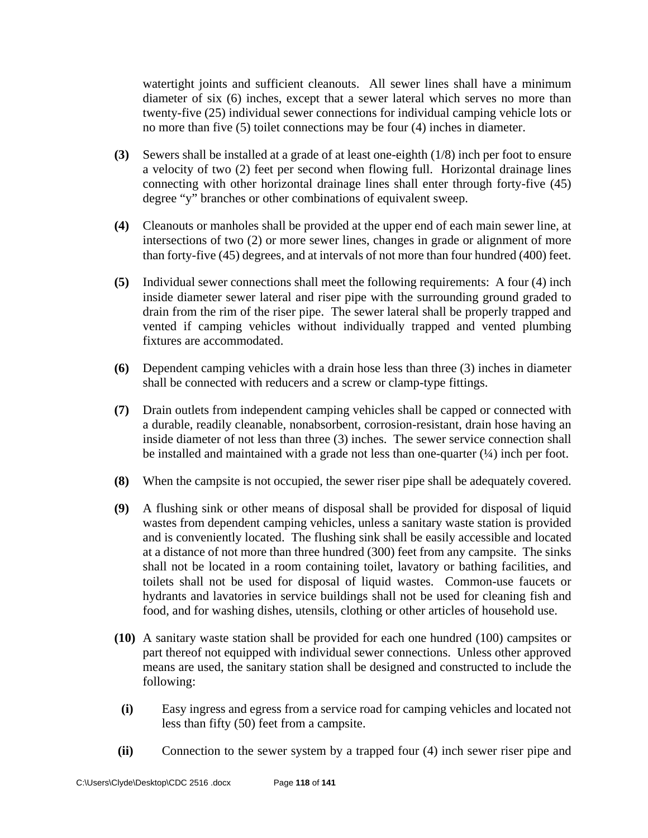watertight joints and sufficient cleanouts. All sewer lines shall have a minimum diameter of six (6) inches, except that a sewer lateral which serves no more than twenty-five (25) individual sewer connections for individual camping vehicle lots or no more than five (5) toilet connections may be four (4) inches in diameter.

- **(3)** Sewers shall be installed at a grade of at least one-eighth (1/8) inch per foot to ensure a velocity of two (2) feet per second when flowing full. Horizontal drainage lines connecting with other horizontal drainage lines shall enter through forty-five (45) degree "y" branches or other combinations of equivalent sweep.
- **(4)** Cleanouts or manholes shall be provided at the upper end of each main sewer line, at intersections of two (2) or more sewer lines, changes in grade or alignment of more than forty-five (45) degrees, and at intervals of not more than four hundred (400) feet.
- **(5)** Individual sewer connections shall meet the following requirements: A four (4) inch inside diameter sewer lateral and riser pipe with the surrounding ground graded to drain from the rim of the riser pipe. The sewer lateral shall be properly trapped and vented if camping vehicles without individually trapped and vented plumbing fixtures are accommodated.
- **(6)** Dependent camping vehicles with a drain hose less than three (3) inches in diameter shall be connected with reducers and a screw or clamp-type fittings.
- **(7)** Drain outlets from independent camping vehicles shall be capped or connected with a durable, readily cleanable, nonabsorbent, corrosion-resistant, drain hose having an inside diameter of not less than three (3) inches. The sewer service connection shall be installed and maintained with a grade not less than one-quarter (¼) inch per foot.
- **(8)** When the campsite is not occupied, the sewer riser pipe shall be adequately covered.
- **(9)** A flushing sink or other means of disposal shall be provided for disposal of liquid wastes from dependent camping vehicles, unless a sanitary waste station is provided and is conveniently located. The flushing sink shall be easily accessible and located at a distance of not more than three hundred (300) feet from any campsite. The sinks shall not be located in a room containing toilet, lavatory or bathing facilities, and toilets shall not be used for disposal of liquid wastes. Common-use faucets or hydrants and lavatories in service buildings shall not be used for cleaning fish and food, and for washing dishes, utensils, clothing or other articles of household use.
- **(10)** A sanitary waste station shall be provided for each one hundred (100) campsites or part thereof not equipped with individual sewer connections. Unless other approved means are used, the sanitary station shall be designed and constructed to include the following:
- **(i)** Easy ingress and egress from a service road for camping vehicles and located not less than fifty (50) feet from a campsite.
- **(ii)** Connection to the sewer system by a trapped four (4) inch sewer riser pipe and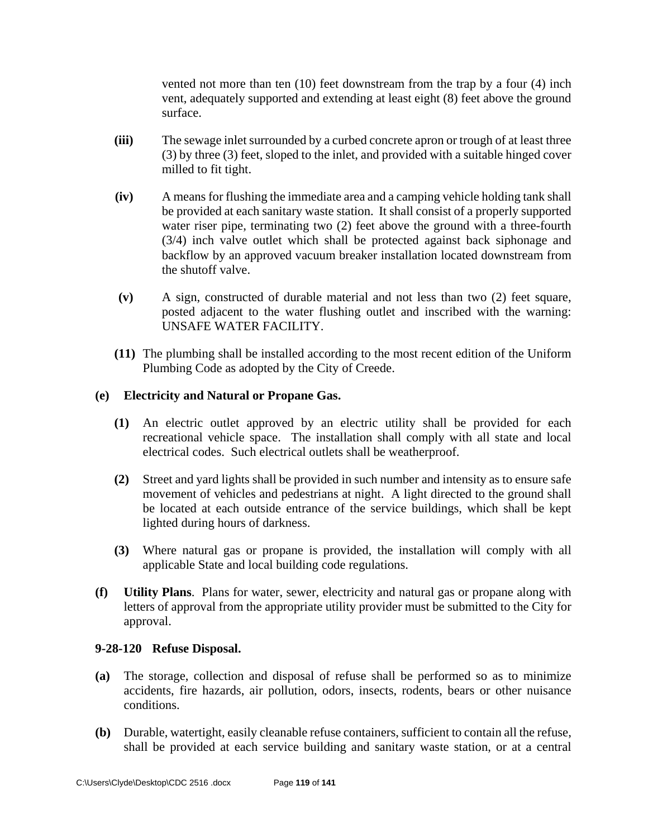vented not more than ten (10) feet downstream from the trap by a four (4) inch vent, adequately supported and extending at least eight (8) feet above the ground surface.

- **(iii)** The sewage inlet surrounded by a curbed concrete apron or trough of at least three (3) by three (3) feet, sloped to the inlet, and provided with a suitable hinged cover milled to fit tight.
- **(iv)** A means for flushing the immediate area and a camping vehicle holding tank shall be provided at each sanitary waste station. It shall consist of a properly supported water riser pipe, terminating two (2) feet above the ground with a three-fourth (3/4) inch valve outlet which shall be protected against back siphonage and backflow by an approved vacuum breaker installation located downstream from the shutoff valve.
- **(v)** A sign, constructed of durable material and not less than two (2) feet square, posted adjacent to the water flushing outlet and inscribed with the warning: UNSAFE WATER FACILITY.
- **(11)** The plumbing shall be installed according to the most recent edition of the Uniform Plumbing Code as adopted by the City of Creede.

### **(e) Electricity and Natural or Propane Gas.**

- **(1)** An electric outlet approved by an electric utility shall be provided for each recreational vehicle space. The installation shall comply with all state and local electrical codes. Such electrical outlets shall be weatherproof.
- **(2)** Street and yard lights shall be provided in such number and intensity as to ensure safe movement of vehicles and pedestrians at night. A light directed to the ground shall be located at each outside entrance of the service buildings, which shall be kept lighted during hours of darkness.
- **(3)** Where natural gas or propane is provided, the installation will comply with all applicable State and local building code regulations.
- **(f) Utility Plans**. Plans for water, sewer, electricity and natural gas or propane along with letters of approval from the appropriate utility provider must be submitted to the City for approval.

### **9-28-120 Refuse Disposal.**

- **(a)** The storage, collection and disposal of refuse shall be performed so as to minimize accidents, fire hazards, air pollution, odors, insects, rodents, bears or other nuisance conditions.
- **(b)** Durable, watertight, easily cleanable refuse containers, sufficient to contain all the refuse, shall be provided at each service building and sanitary waste station, or at a central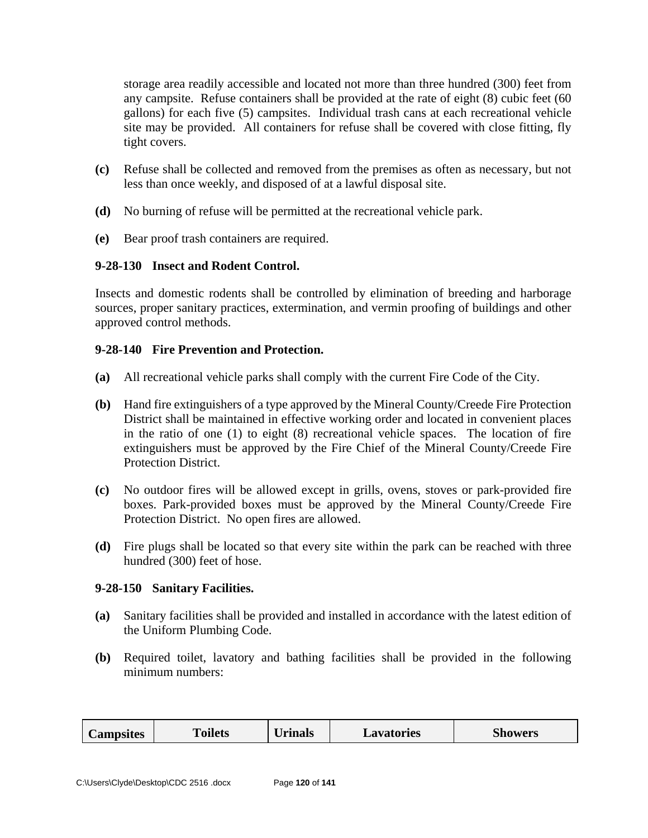storage area readily accessible and located not more than three hundred (300) feet from any campsite. Refuse containers shall be provided at the rate of eight (8) cubic feet (60 gallons) for each five (5) campsites. Individual trash cans at each recreational vehicle site may be provided. All containers for refuse shall be covered with close fitting, fly tight covers.

- **(c)** Refuse shall be collected and removed from the premises as often as necessary, but not less than once weekly, and disposed of at a lawful disposal site.
- **(d)** No burning of refuse will be permitted at the recreational vehicle park.
- **(e)** Bear proof trash containers are required.

### **9-28-130 Insect and Rodent Control.**

Insects and domestic rodents shall be controlled by elimination of breeding and harborage sources, proper sanitary practices, extermination, and vermin proofing of buildings and other approved control methods.

### **9-28-140 Fire Prevention and Protection.**

- **(a)** All recreational vehicle parks shall comply with the current Fire Code of the City.
- **(b)** Hand fire extinguishers of a type approved by the Mineral County/Creede Fire Protection District shall be maintained in effective working order and located in convenient places in the ratio of one (1) to eight (8) recreational vehicle spaces. The location of fire extinguishers must be approved by the Fire Chief of the Mineral County/Creede Fire Protection District.
- **(c)** No outdoor fires will be allowed except in grills, ovens, stoves or park-provided fire boxes. Park-provided boxes must be approved by the Mineral County/Creede Fire Protection District. No open fires are allowed.
- **(d)** Fire plugs shall be located so that every site within the park can be reached with three hundred (300) feet of hose.

### **9-28-150 Sanitary Facilities.**

- **(a)** Sanitary facilities shall be provided and installed in accordance with the latest edition of the Uniform Plumbing Code.
- **(b)** Required toilet, lavatory and bathing facilities shall be provided in the following minimum numbers:

| <b>Lampsites</b> | <b>Toilets</b> | Jrınals | Lavatories | Showers |
|------------------|----------------|---------|------------|---------|
|------------------|----------------|---------|------------|---------|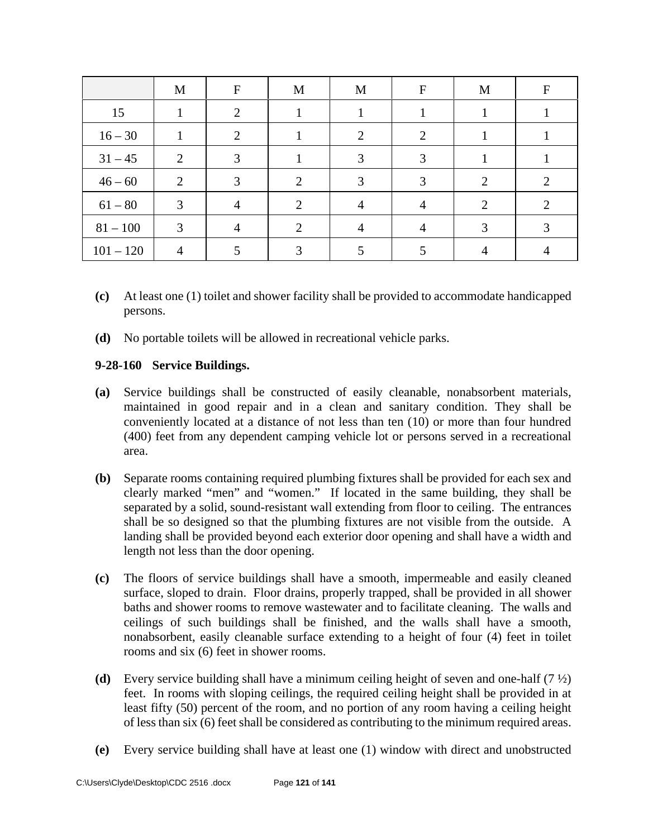|             | M | ${\bf F}$ | $\mathbf{M}$ | M              | $\mathbf F$    | M | $\boldsymbol{F}$ |
|-------------|---|-----------|--------------|----------------|----------------|---|------------------|
| 15          |   | 2         |              |                |                |   |                  |
| $16 - 30$   |   | 2         |              | $\overline{2}$ | 2              |   |                  |
| $31 - 45$   | 2 | 3         |              | 3              | 3              |   |                  |
| $46 - 60$   | 2 | 3         | 2            | 3              | 3              | 2 | 2                |
| $61 - 80$   | 3 | 4         | 2            | 4              | 4              | 2 | $\overline{2}$   |
| $81 - 100$  | 3 | 4         | 2            | 4              | $\overline{4}$ | 3 |                  |
| $101 - 120$ |   |           |              |                |                |   |                  |

- **(c)** At least one (1) toilet and shower facility shall be provided to accommodate handicapped persons.
- **(d)** No portable toilets will be allowed in recreational vehicle parks.

## **9-28-160 Service Buildings.**

- **(a)** Service buildings shall be constructed of easily cleanable, nonabsorbent materials, maintained in good repair and in a clean and sanitary condition. They shall be conveniently located at a distance of not less than ten (10) or more than four hundred (400) feet from any dependent camping vehicle lot or persons served in a recreational area.
- **(b)** Separate rooms containing required plumbing fixtures shall be provided for each sex and clearly marked "men" and "women." If located in the same building, they shall be separated by a solid, sound-resistant wall extending from floor to ceiling. The entrances shall be so designed so that the plumbing fixtures are not visible from the outside. A landing shall be provided beyond each exterior door opening and shall have a width and length not less than the door opening.
- **(c)** The floors of service buildings shall have a smooth, impermeable and easily cleaned surface, sloped to drain. Floor drains, properly trapped, shall be provided in all shower baths and shower rooms to remove wastewater and to facilitate cleaning. The walls and ceilings of such buildings shall be finished, and the walls shall have a smooth, nonabsorbent, easily cleanable surface extending to a height of four (4) feet in toilet rooms and six (6) feet in shower rooms.
- **(d)** Every service building shall have a minimum ceiling height of seven and one-half (7 ½) feet. In rooms with sloping ceilings, the required ceiling height shall be provided in at least fifty (50) percent of the room, and no portion of any room having a ceiling height of less than six (6) feet shall be considered as contributing to the minimum required areas.
- **(e)** Every service building shall have at least one (1) window with direct and unobstructed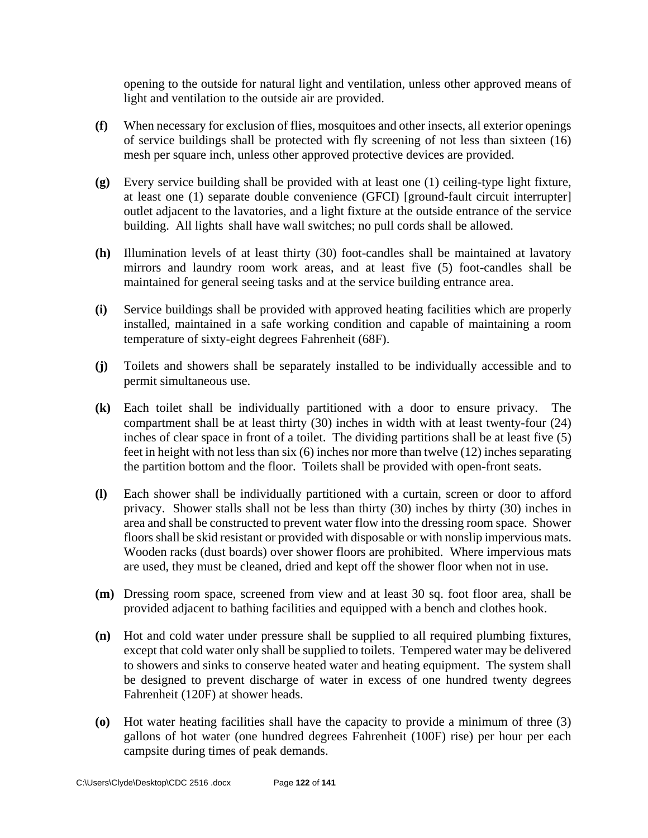opening to the outside for natural light and ventilation, unless other approved means of light and ventilation to the outside air are provided.

- **(f)** When necessary for exclusion of flies, mosquitoes and other insects, all exterior openings of service buildings shall be protected with fly screening of not less than sixteen (16) mesh per square inch, unless other approved protective devices are provided.
- **(g)** Every service building shall be provided with at least one (1) ceiling-type light fixture, at least one (1) separate double convenience (GFCI) [ground-fault circuit interrupter] outlet adjacent to the lavatories, and a light fixture at the outside entrance of the service building. All lights shall have wall switches; no pull cords shall be allowed.
- **(h)** Illumination levels of at least thirty (30) foot-candles shall be maintained at lavatory mirrors and laundry room work areas, and at least five (5) foot-candles shall be maintained for general seeing tasks and at the service building entrance area.
- **(i)** Service buildings shall be provided with approved heating facilities which are properly installed, maintained in a safe working condition and capable of maintaining a room temperature of sixty-eight degrees Fahrenheit (68F).
- **(j)** Toilets and showers shall be separately installed to be individually accessible and to permit simultaneous use.
- **(k)** Each toilet shall be individually partitioned with a door to ensure privacy. The compartment shall be at least thirty (30) inches in width with at least twenty-four (24) inches of clear space in front of a toilet. The dividing partitions shall be at least five (5) feet in height with not less than six (6) inches nor more than twelve (12) inches separating the partition bottom and the floor. Toilets shall be provided with open-front seats.
- **(l)** Each shower shall be individually partitioned with a curtain, screen or door to afford privacy. Shower stalls shall not be less than thirty (30) inches by thirty (30) inches in area and shall be constructed to prevent water flow into the dressing room space. Shower floors shall be skid resistant or provided with disposable or with nonslip impervious mats. Wooden racks (dust boards) over shower floors are prohibited. Where impervious mats are used, they must be cleaned, dried and kept off the shower floor when not in use.
- **(m)** Dressing room space, screened from view and at least 30 sq. foot floor area, shall be provided adjacent to bathing facilities and equipped with a bench and clothes hook.
- **(n)** Hot and cold water under pressure shall be supplied to all required plumbing fixtures, except that cold water only shall be supplied to toilets. Tempered water may be delivered to showers and sinks to conserve heated water and heating equipment. The system shall be designed to prevent discharge of water in excess of one hundred twenty degrees Fahrenheit (120F) at shower heads.
- **(o)** Hot water heating facilities shall have the capacity to provide a minimum of three (3) gallons of hot water (one hundred degrees Fahrenheit (100F) rise) per hour per each campsite during times of peak demands.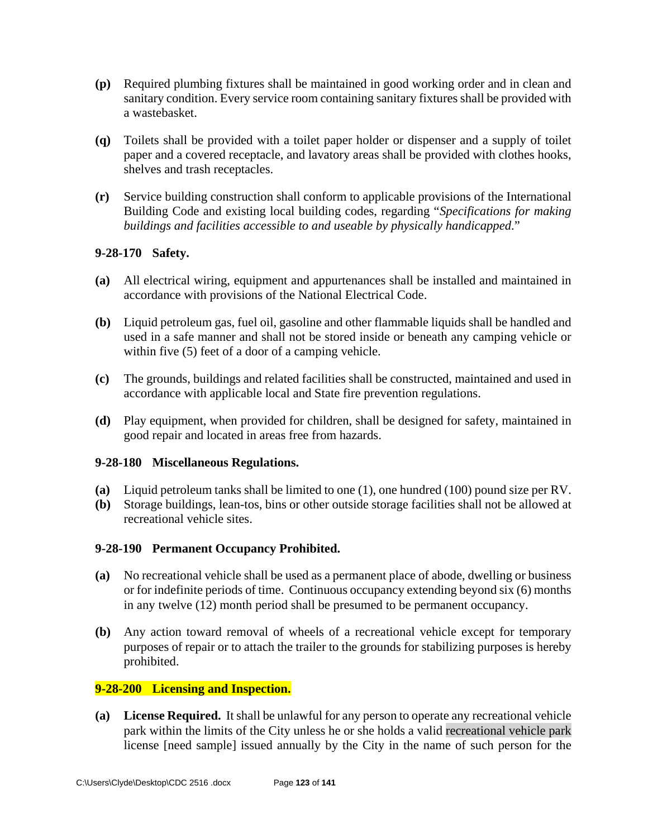- **(p)** Required plumbing fixtures shall be maintained in good working order and in clean and sanitary condition. Every service room containing sanitary fixtures shall be provided with a wastebasket.
- **(q)** Toilets shall be provided with a toilet paper holder or dispenser and a supply of toilet paper and a covered receptacle, and lavatory areas shall be provided with clothes hooks, shelves and trash receptacles.
- **(r)** Service building construction shall conform to applicable provisions of the International Building Code and existing local building codes, regarding "*Specifications for making buildings and facilities accessible to and useable by physically handicapped*."

## **9-28-170 Safety.**

- **(a)** All electrical wiring, equipment and appurtenances shall be installed and maintained in accordance with provisions of the National Electrical Code.
- **(b)** Liquid petroleum gas, fuel oil, gasoline and other flammable liquids shall be handled and used in a safe manner and shall not be stored inside or beneath any camping vehicle or within five (5) feet of a door of a camping vehicle.
- **(c)** The grounds, buildings and related facilities shall be constructed, maintained and used in accordance with applicable local and State fire prevention regulations.
- **(d)** Play equipment, when provided for children, shall be designed for safety, maintained in good repair and located in areas free from hazards.

### **9-28-180 Miscellaneous Regulations.**

- **(a)** Liquid petroleum tanks shall be limited to one (1), one hundred (100) pound size per RV.
- **(b)** Storage buildings, lean-tos, bins or other outside storage facilities shall not be allowed at recreational vehicle sites.

# **9-28-190 Permanent Occupancy Prohibited.**

- **(a)** No recreational vehicle shall be used as a permanent place of abode, dwelling or business or for indefinite periods of time. Continuous occupancy extending beyond six (6) months in any twelve (12) month period shall be presumed to be permanent occupancy.
- **(b)** Any action toward removal of wheels of a recreational vehicle except for temporary purposes of repair or to attach the trailer to the grounds for stabilizing purposes is hereby prohibited.

### **9-28-200 Licensing and Inspection.**

**(a) License Required.** It shall be unlawful for any person to operate any recreational vehicle park within the limits of the City unless he or she holds a valid recreational vehicle park license [need sample] issued annually by the City in the name of such person for the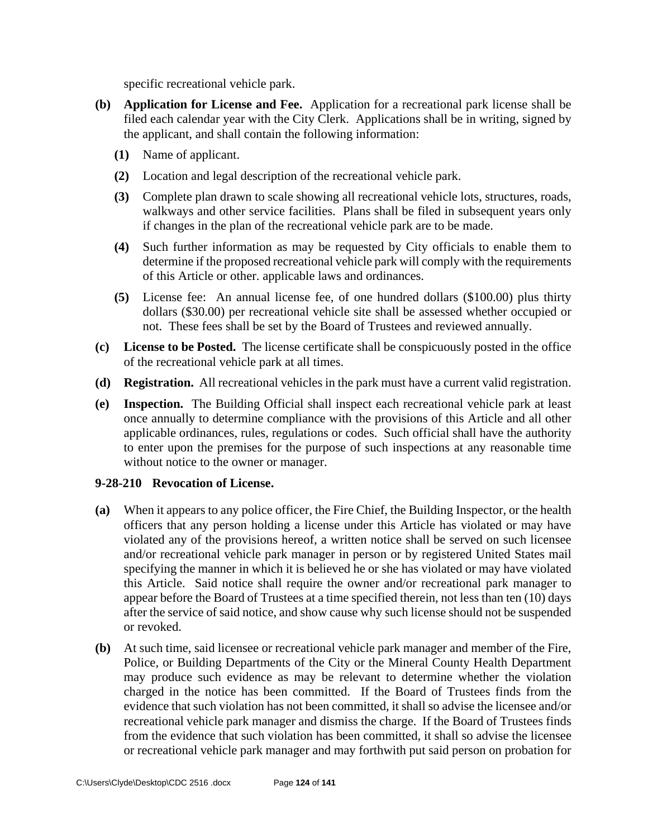specific recreational vehicle park.

- **(b) Application for License and Fee.** Application for a recreational park license shall be filed each calendar year with the City Clerk. Applications shall be in writing, signed by the applicant, and shall contain the following information:
	- **(1)** Name of applicant.
	- **(2)** Location and legal description of the recreational vehicle park.
	- **(3)** Complete plan drawn to scale showing all recreational vehicle lots, structures, roads, walkways and other service facilities. Plans shall be filed in subsequent years only if changes in the plan of the recreational vehicle park are to be made.
	- **(4)** Such further information as may be requested by City officials to enable them to determine if the proposed recreational vehicle park will comply with the requirements of this Article or other. applicable laws and ordinances.
	- **(5)** License fee: An annual license fee, of one hundred dollars (\$100.00) plus thirty dollars (\$30.00) per recreational vehicle site shall be assessed whether occupied or not. These fees shall be set by the Board of Trustees and reviewed annually.
- **(c) License to be Posted.** The license certificate shall be conspicuously posted in the office of the recreational vehicle park at all times.
- **(d) Registration.** All recreational vehicles in the park must have a current valid registration.
- **(e) Inspection.** The Building Official shall inspect each recreational vehicle park at least once annually to determine compliance with the provisions of this Article and all other applicable ordinances, rules, regulations or codes. Such official shall have the authority to enter upon the premises for the purpose of such inspections at any reasonable time without notice to the owner or manager.

### **9-28-210 Revocation of License.**

- **(a)** When it appears to any police officer, the Fire Chief, the Building Inspector, or the health officers that any person holding a license under this Article has violated or may have violated any of the provisions hereof, a written notice shall be served on such licensee and/or recreational vehicle park manager in person or by registered United States mail specifying the manner in which it is believed he or she has violated or may have violated this Article. Said notice shall require the owner and/or recreational park manager to appear before the Board of Trustees at a time specified therein, not less than ten (10) days after the service of said notice, and show cause why such license should not be suspended or revoked.
- **(b)** At such time, said licensee or recreational vehicle park manager and member of the Fire, Police, or Building Departments of the City or the Mineral County Health Department may produce such evidence as may be relevant to determine whether the violation charged in the notice has been committed. If the Board of Trustees finds from the evidence that such violation has not been committed, it shall so advise the licensee and/or recreational vehicle park manager and dismiss the charge. If the Board of Trustees finds from the evidence that such violation has been committed, it shall so advise the licensee or recreational vehicle park manager and may forthwith put said person on probation for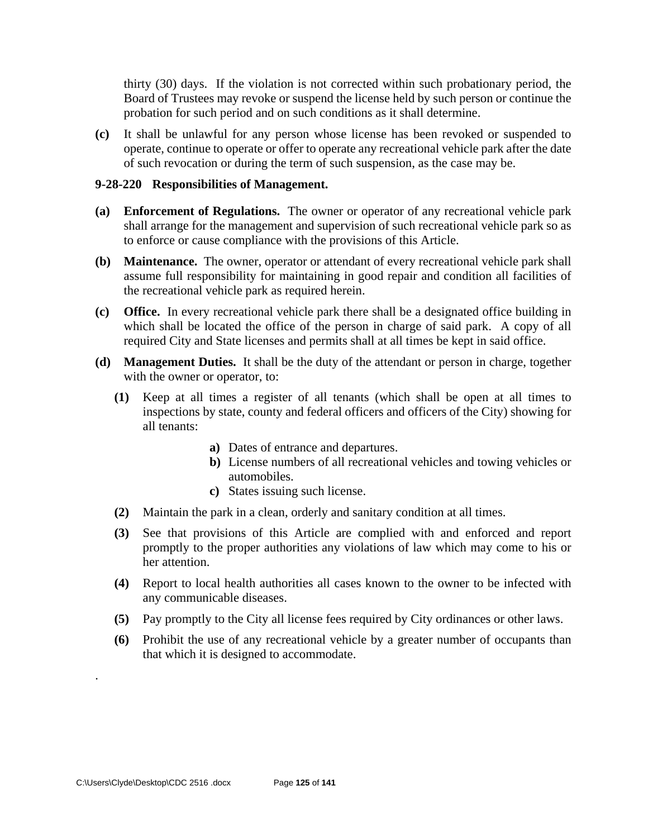thirty (30) days. If the violation is not corrected within such probationary period, the Board of Trustees may revoke or suspend the license held by such person or continue the probation for such period and on such conditions as it shall determine.

**(c)** It shall be unlawful for any person whose license has been revoked or suspended to operate, continue to operate or offer to operate any recreational vehicle park after the date of such revocation or during the term of such suspension, as the case may be.

### **9-28-220 Responsibilities of Management.**

- **(a) Enforcement of Regulations.** The owner or operator of any recreational vehicle park shall arrange for the management and supervision of such recreational vehicle park so as to enforce or cause compliance with the provisions of this Article.
- **(b) Maintenance.** The owner, operator or attendant of every recreational vehicle park shall assume full responsibility for maintaining in good repair and condition all facilities of the recreational vehicle park as required herein.
- **(c) Office.** In every recreational vehicle park there shall be a designated office building in which shall be located the office of the person in charge of said park. A copy of all required City and State licenses and permits shall at all times be kept in said office.
- **(d) Management Duties.** It shall be the duty of the attendant or person in charge, together with the owner or operator, to:
	- **(1)** Keep at all times a register of all tenants (which shall be open at all times to inspections by state, county and federal officers and officers of the City) showing for all tenants:
		- **a)** Dates of entrance and departures.
		- **b)** License numbers of all recreational vehicles and towing vehicles or automobiles.
		- **c)** States issuing such license.
	- **(2)** Maintain the park in a clean, orderly and sanitary condition at all times.
	- **(3)** See that provisions of this Article are complied with and enforced and report promptly to the proper authorities any violations of law which may come to his or her attention.
	- **(4)** Report to local health authorities all cases known to the owner to be infected with any communicable diseases.
	- **(5)** Pay promptly to the City all license fees required by City ordinances or other laws.
	- **(6)** Prohibit the use of any recreational vehicle by a greater number of occupants than that which it is designed to accommodate.

.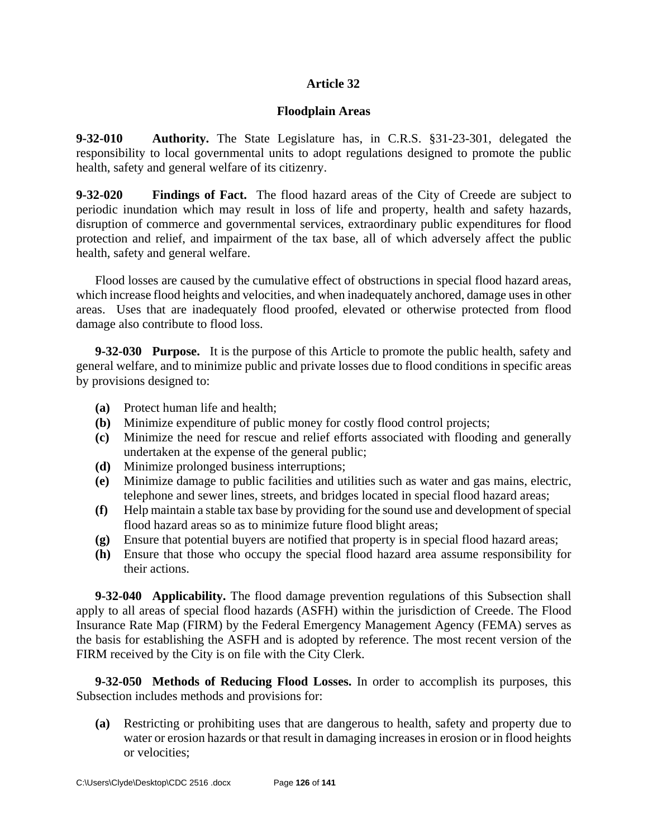## **Article 32**

### **Floodplain Areas**

**9-32-010 Authority.** The State Legislature has, in C.R.S. §31-23-301, delegated the responsibility to local governmental units to adopt regulations designed to promote the public health, safety and general welfare of its citizenry.

**9-32-020 Findings of Fact.** The flood hazard areas of the City of Creede are subject to periodic inundation which may result in loss of life and property, health and safety hazards, disruption of commerce and governmental services, extraordinary public expenditures for flood protection and relief, and impairment of the tax base, all of which adversely affect the public health, safety and general welfare.

Flood losses are caused by the cumulative effect of obstructions in special flood hazard areas, which increase flood heights and velocities, and when inadequately anchored, damage uses in other areas. Uses that are inadequately flood proofed, elevated or otherwise protected from flood damage also contribute to flood loss.

**9-32-030 Purpose.** It is the purpose of this Article to promote the public health, safety and general welfare, and to minimize public and private losses due to flood conditions in specific areas by provisions designed to:

- **(a)** Protect human life and health;
- **(b)** Minimize expenditure of public money for costly flood control projects;
- **(c)** Minimize the need for rescue and relief efforts associated with flooding and generally undertaken at the expense of the general public;
- **(d)** Minimize prolonged business interruptions;
- **(e)** Minimize damage to public facilities and utilities such as water and gas mains, electric, telephone and sewer lines, streets, and bridges located in special flood hazard areas;
- **(f)** Help maintain a stable tax base by providing for the sound use and development of special flood hazard areas so as to minimize future flood blight areas;
- **(g)** Ensure that potential buyers are notified that property is in special flood hazard areas;
- **(h)** Ensure that those who occupy the special flood hazard area assume responsibility for their actions.

**9-32-040 Applicability.** The flood damage prevention regulations of this Subsection shall apply to all areas of special flood hazards (ASFH) within the jurisdiction of Creede. The Flood Insurance Rate Map (FIRM) by the Federal Emergency Management Agency (FEMA) serves as the basis for establishing the ASFH and is adopted by reference. The most recent version of the FIRM received by the City is on file with the City Clerk.

**9-32-050 Methods of Reducing Flood Losses.** In order to accomplish its purposes, this Subsection includes methods and provisions for:

**(a)** Restricting or prohibiting uses that are dangerous to health, safety and property due to water or erosion hazards or that result in damaging increases in erosion or in flood heights or velocities;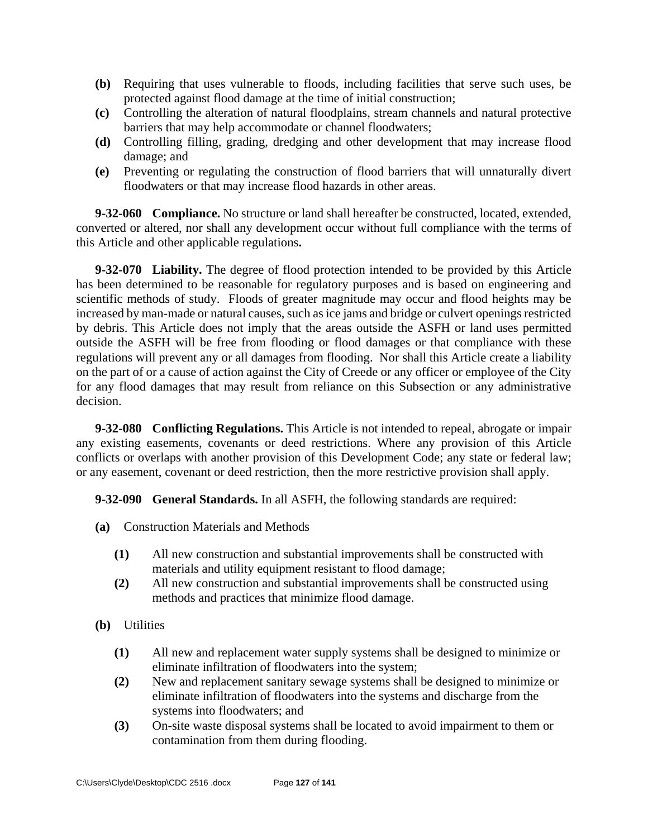- **(b)** Requiring that uses vulnerable to floods, including facilities that serve such uses, be protected against flood damage at the time of initial construction;
- **(c)** Controlling the alteration of natural floodplains, stream channels and natural protective barriers that may help accommodate or channel floodwaters;
- **(d)** Controlling filling, grading, dredging and other development that may increase flood damage; and
- **(e)** Preventing or regulating the construction of flood barriers that will unnaturally divert floodwaters or that may increase flood hazards in other areas.

**9-32-060 Compliance.** No structure or land shall hereafter be constructed, located, extended, converted or altered, nor shall any development occur without full compliance with the terms of this Article and other applicable regulations**.** 

**9-32-070 Liability.** The degree of flood protection intended to be provided by this Article has been determined to be reasonable for regulatory purposes and is based on engineering and scientific methods of study. Floods of greater magnitude may occur and flood heights may be increased by man-made or natural causes, such as ice jams and bridge or culvert openings restricted by debris. This Article does not imply that the areas outside the ASFH or land uses permitted outside the ASFH will be free from flooding or flood damages or that compliance with these regulations will prevent any or all damages from flooding. Nor shall this Article create a liability on the part of or a cause of action against the City of Creede or any officer or employee of the City for any flood damages that may result from reliance on this Subsection or any administrative decision.

**9-32-080 Conflicting Regulations.** This Article is not intended to repeal, abrogate or impair any existing easements, covenants or deed restrictions. Where any provision of this Article conflicts or overlaps with another provision of this Development Code; any state or federal law; or any easement, covenant or deed restriction, then the more restrictive provision shall apply.

**9-32-090 General Standards.** In all ASFH, the following standards are required:

- **(a)** Construction Materials and Methods
	- **(1)** All new construction and substantial improvements shall be constructed with materials and utility equipment resistant to flood damage;
	- **(2)** All new construction and substantial improvements shall be constructed using methods and practices that minimize flood damage.
- **(b)** Utilities
	- **(1)** All new and replacement water supply systems shall be designed to minimize or eliminate infiltration of floodwaters into the system;
	- **(2)** New and replacement sanitary sewage systems shall be designed to minimize or eliminate infiltration of floodwaters into the systems and discharge from the systems into floodwaters; and
	- **(3)** On-site waste disposal systems shall be located to avoid impairment to them or contamination from them during flooding.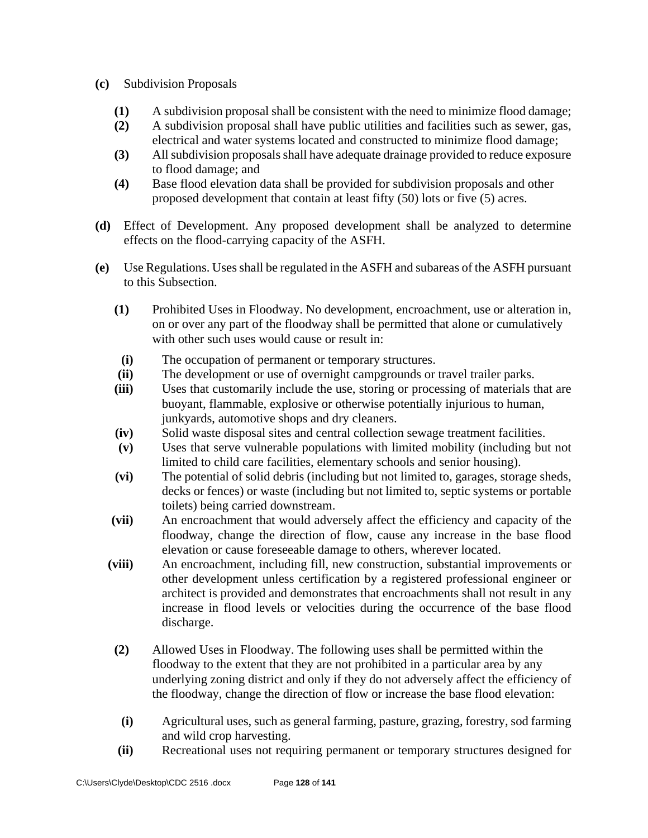- **(c)** Subdivision Proposals
	- **(1)** A subdivision proposal shall be consistent with the need to minimize flood damage;
	- **(2)** A subdivision proposal shall have public utilities and facilities such as sewer, gas, electrical and water systems located and constructed to minimize flood damage;
	- **(3)** All subdivision proposals shall have adequate drainage provided to reduce exposure to flood damage; and
	- **(4)** Base flood elevation data shall be provided for subdivision proposals and other proposed development that contain at least fifty (50) lots or five (5) acres.
- **(d)** Effect of Development. Any proposed development shall be analyzed to determine effects on the flood-carrying capacity of the ASFH.
- **(e)** Use Regulations. Uses shall be regulated in the ASFH and subareas of the ASFH pursuant to this Subsection.
	- **(1)** Prohibited Uses in Floodway. No development, encroachment, use or alteration in, on or over any part of the floodway shall be permitted that alone or cumulatively with other such uses would cause or result in:
	- **(i)** The occupation of permanent or temporary structures.
	- **(ii)** The development or use of overnight campgrounds or travel trailer parks.
	- **(iii)** Uses that customarily include the use, storing or processing of materials that are buoyant, flammable, explosive or otherwise potentially injurious to human, junkyards, automotive shops and dry cleaners.
	- **(iv)** Solid waste disposal sites and central collection sewage treatment facilities.
	- **(v)** Uses that serve vulnerable populations with limited mobility (including but not limited to child care facilities, elementary schools and senior housing).
	- **(vi)** The potential of solid debris (including but not limited to, garages, storage sheds, decks or fences) or waste (including but not limited to, septic systems or portable toilets) being carried downstream.
	- **(vii)** An encroachment that would adversely affect the efficiency and capacity of the floodway, change the direction of flow, cause any increase in the base flood elevation or cause foreseeable damage to others, wherever located.
	- **(viii)** An encroachment, including fill, new construction, substantial improvements or other development unless certification by a registered professional engineer or architect is provided and demonstrates that encroachments shall not result in any increase in flood levels or velocities during the occurrence of the base flood discharge.
	- **(2)** Allowed Uses in Floodway. The following uses shall be permitted within the floodway to the extent that they are not prohibited in a particular area by any underlying zoning district and only if they do not adversely affect the efficiency of the floodway, change the direction of flow or increase the base flood elevation:
	- **(i)** Agricultural uses, such as general farming, pasture, grazing, forestry, sod farming and wild crop harvesting.
	- **(ii)** Recreational uses not requiring permanent or temporary structures designed for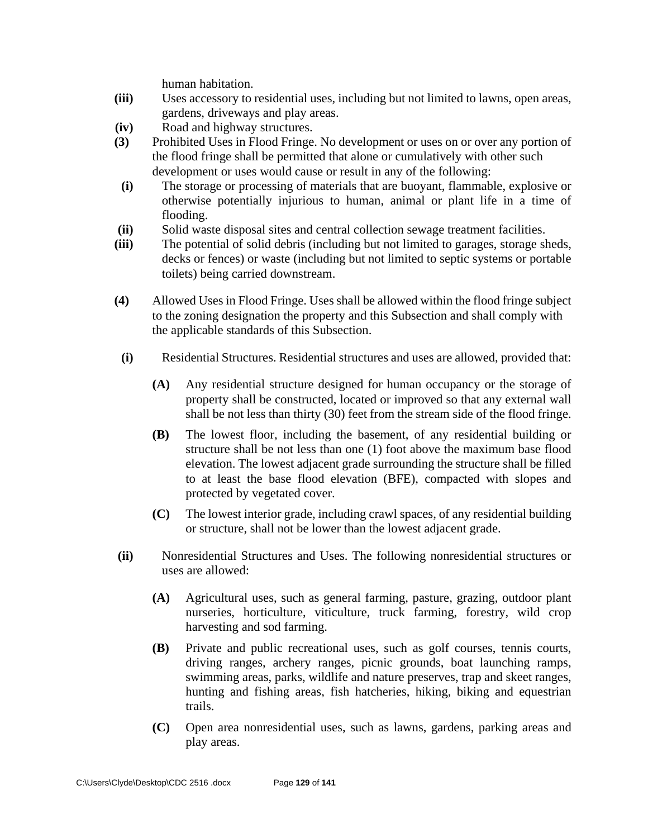human habitation.

- **(iii)** Uses accessory to residential uses, including but not limited to lawns, open areas, gardens, driveways and play areas.
- **(iv)** Road and highway structures.
- **(3)** Prohibited Uses in Flood Fringe. No development or uses on or over any portion of the flood fringe shall be permitted that alone or cumulatively with other such development or uses would cause or result in any of the following:
- **(i)** The storage or processing of materials that are buoyant, flammable, explosive or otherwise potentially injurious to human, animal or plant life in a time of flooding.
- **(ii)** Solid waste disposal sites and central collection sewage treatment facilities.
- **(iii)** The potential of solid debris (including but not limited to garages, storage sheds, decks or fences) or waste (including but not limited to septic systems or portable toilets) being carried downstream.
- **(4)** Allowed Uses in Flood Fringe. Uses shall be allowed within the flood fringe subject to the zoning designation the property and this Subsection and shall comply with the applicable standards of this Subsection.
- **(i)** Residential Structures. Residential structures and uses are allowed, provided that:
	- **(A)** Any residential structure designed for human occupancy or the storage of property shall be constructed, located or improved so that any external wall shall be not less than thirty (30) feet from the stream side of the flood fringe.
	- **(B)** The lowest floor, including the basement, of any residential building or structure shall be not less than one (1) foot above the maximum base flood elevation. The lowest adjacent grade surrounding the structure shall be filled to at least the base flood elevation (BFE), compacted with slopes and protected by vegetated cover.
	- **(C)** The lowest interior grade, including crawl spaces, of any residential building or structure, shall not be lower than the lowest adjacent grade.
- **(ii)** Nonresidential Structures and Uses. The following nonresidential structures or uses are allowed:
	- **(A)** Agricultural uses, such as general farming, pasture, grazing, outdoor plant nurseries, horticulture, viticulture, truck farming, forestry, wild crop harvesting and sod farming.
	- **(B)** Private and public recreational uses, such as golf courses, tennis courts, driving ranges, archery ranges, picnic grounds, boat launching ramps, swimming areas, parks, wildlife and nature preserves, trap and skeet ranges, hunting and fishing areas, fish hatcheries, hiking, biking and equestrian trails.
	- **(C)** Open area nonresidential uses, such as lawns, gardens, parking areas and play areas.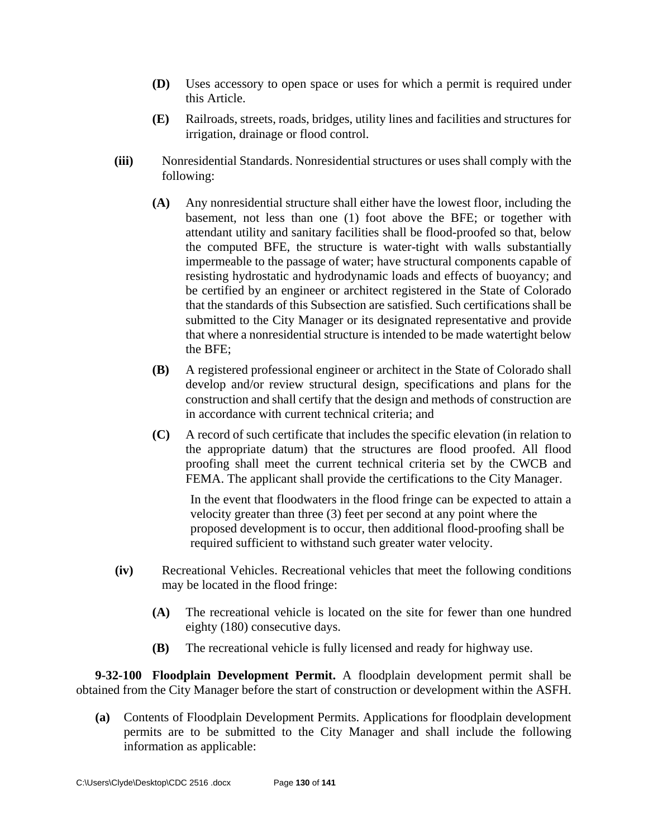- **(D)** Uses accessory to open space or uses for which a permit is required under this Article.
- **(E)** Railroads, streets, roads, bridges, utility lines and facilities and structures for irrigation, drainage or flood control.
- **(iii)** Nonresidential Standards. Nonresidential structures or uses shall comply with the following:
	- **(A)** Any nonresidential structure shall either have the lowest floor, including the basement, not less than one (1) foot above the BFE; or together with attendant utility and sanitary facilities shall be flood-proofed so that, below the computed BFE, the structure is water-tight with walls substantially impermeable to the passage of water; have structural components capable of resisting hydrostatic and hydrodynamic loads and effects of buoyancy; and be certified by an engineer or architect registered in the State of Colorado that the standards of this Subsection are satisfied. Such certifications shall be submitted to the City Manager or its designated representative and provide that where a nonresidential structure is intended to be made watertight below the BFE;
	- **(B)** A registered professional engineer or architect in the State of Colorado shall develop and/or review structural design, specifications and plans for the construction and shall certify that the design and methods of construction are in accordance with current technical criteria; and
	- **(C)** A record of such certificate that includes the specific elevation (in relation to the appropriate datum) that the structures are flood proofed. All flood proofing shall meet the current technical criteria set by the CWCB and FEMA. The applicant shall provide the certifications to the City Manager.

 In the event that floodwaters in the flood fringe can be expected to attain a velocity greater than three (3) feet per second at any point where the proposed development is to occur, then additional flood-proofing shall be required sufficient to withstand such greater water velocity.

- **(iv)** Recreational Vehicles. Recreational vehicles that meet the following conditions may be located in the flood fringe:
	- **(A)** The recreational vehicle is located on the site for fewer than one hundred eighty (180) consecutive days.
	- **(B)** The recreational vehicle is fully licensed and ready for highway use.

**9-32-100 Floodplain Development Permit.** A floodplain development permit shall be obtained from the City Manager before the start of construction or development within the ASFH.

**(a)** Contents of Floodplain Development Permits. Applications for floodplain development permits are to be submitted to the City Manager and shall include the following information as applicable: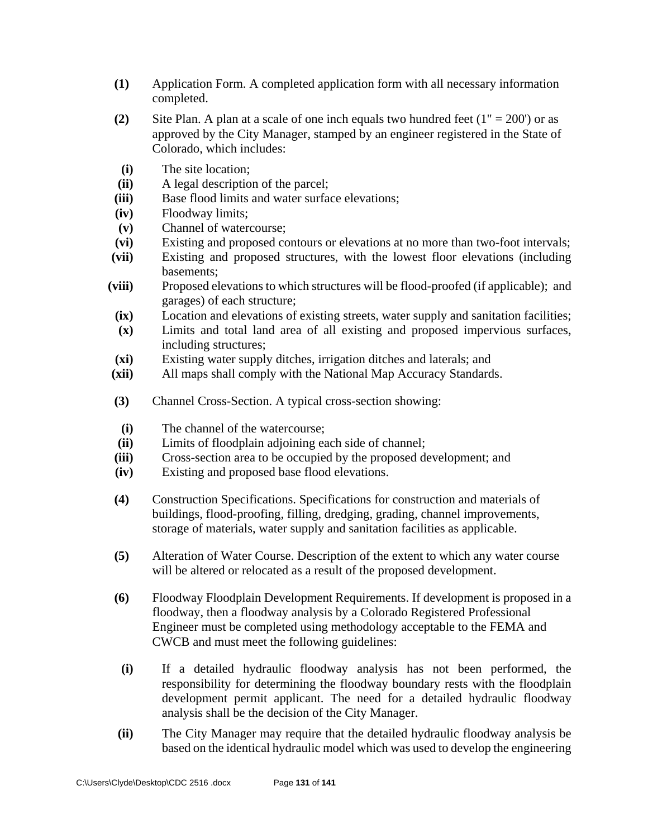- **(1)** Application Form. A completed application form with all necessary information completed.
- **(2)** Site Plan. A plan at a scale of one inch equals two hundred feet (1" = 200') or as approved by the City Manager, stamped by an engineer registered in the State of Colorado, which includes:
- **(i)** The site location;
- **(ii)** A legal description of the parcel;
- **(iii)** Base flood limits and water surface elevations;
- **(iv)** Floodway limits;
- **(v)** Channel of watercourse;
- **(vi)** Existing and proposed contours or elevations at no more than two-foot intervals;
- **(vii)** Existing and proposed structures, with the lowest floor elevations (including basements;
- **(viii)** Proposed elevations to which structures will be flood-proofed (if applicable); and garages) of each structure;
- **(ix)** Location and elevations of existing streets, water supply and sanitation facilities;
- **(x)** Limits and total land area of all existing and proposed impervious surfaces, including structures;
- **(xi)** Existing water supply ditches, irrigation ditches and laterals; and
- **(xii)** All maps shall comply with the National Map Accuracy Standards.
- **(3)** Channel Cross-Section. A typical cross-section showing:
- **(i)** The channel of the watercourse;
- **(ii)** Limits of floodplain adjoining each side of channel;
- **(iii)** Cross-section area to be occupied by the proposed development; and
- **(iv)** Existing and proposed base flood elevations.
- **(4)** Construction Specifications. Specifications for construction and materials of buildings, flood-proofing, filling, dredging, grading, channel improvements, storage of materials, water supply and sanitation facilities as applicable.
- **(5)** Alteration of Water Course. Description of the extent to which any water course will be altered or relocated as a result of the proposed development.
- **(6)** Floodway Floodplain Development Requirements. If development is proposed in a floodway, then a floodway analysis by a Colorado Registered Professional Engineer must be completed using methodology acceptable to the FEMA and CWCB and must meet the following guidelines:
- **(i)** If a detailed hydraulic floodway analysis has not been performed, the responsibility for determining the floodway boundary rests with the floodplain development permit applicant. The need for a detailed hydraulic floodway analysis shall be the decision of the City Manager.
- **(ii)** The City Manager may require that the detailed hydraulic floodway analysis be based on the identical hydraulic model which was used to develop the engineering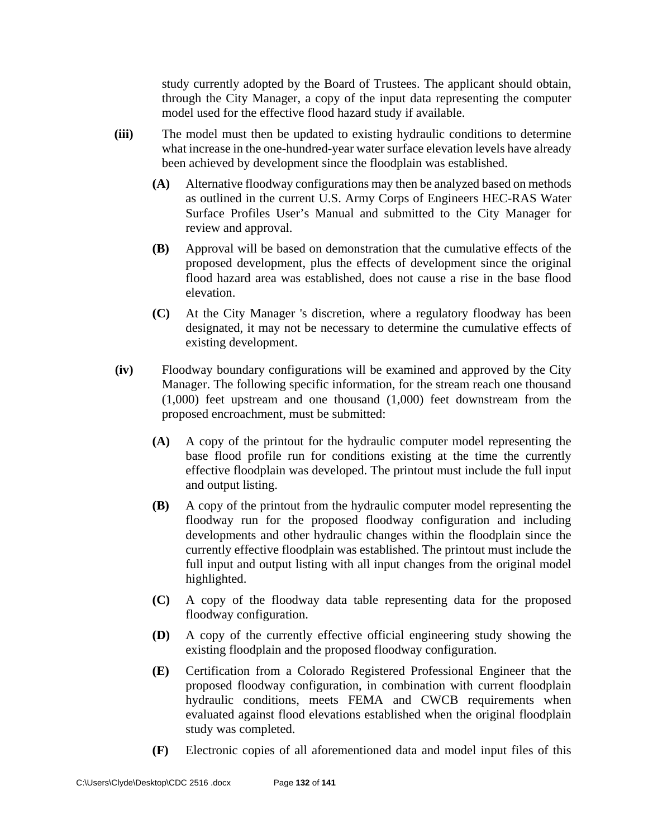study currently adopted by the Board of Trustees. The applicant should obtain, through the City Manager, a copy of the input data representing the computer model used for the effective flood hazard study if available.

- **(iii)** The model must then be updated to existing hydraulic conditions to determine what increase in the one-hundred-year water surface elevation levels have already been achieved by development since the floodplain was established.
	- **(A)** Alternative floodway configurations may then be analyzed based on methods as outlined in the current U.S. Army Corps of Engineers HEC-RAS Water Surface Profiles User's Manual and submitted to the City Manager for review and approval.
	- **(B)** Approval will be based on demonstration that the cumulative effects of the proposed development, plus the effects of development since the original flood hazard area was established, does not cause a rise in the base flood elevation.
	- **(C)** At the City Manager 's discretion, where a regulatory floodway has been designated, it may not be necessary to determine the cumulative effects of existing development.
- **(iv)** Floodway boundary configurations will be examined and approved by the City Manager. The following specific information, for the stream reach one thousand (1,000) feet upstream and one thousand (1,000) feet downstream from the proposed encroachment, must be submitted:
	- **(A)** A copy of the printout for the hydraulic computer model representing the base flood profile run for conditions existing at the time the currently effective floodplain was developed. The printout must include the full input and output listing.
	- **(B)** A copy of the printout from the hydraulic computer model representing the floodway run for the proposed floodway configuration and including developments and other hydraulic changes within the floodplain since the currently effective floodplain was established. The printout must include the full input and output listing with all input changes from the original model highlighted.
	- **(C)** A copy of the floodway data table representing data for the proposed floodway configuration.
	- **(D)** A copy of the currently effective official engineering study showing the existing floodplain and the proposed floodway configuration.
	- **(E)** Certification from a Colorado Registered Professional Engineer that the proposed floodway configuration, in combination with current floodplain hydraulic conditions, meets FEMA and CWCB requirements when evaluated against flood elevations established when the original floodplain study was completed.
	- **(F)** Electronic copies of all aforementioned data and model input files of this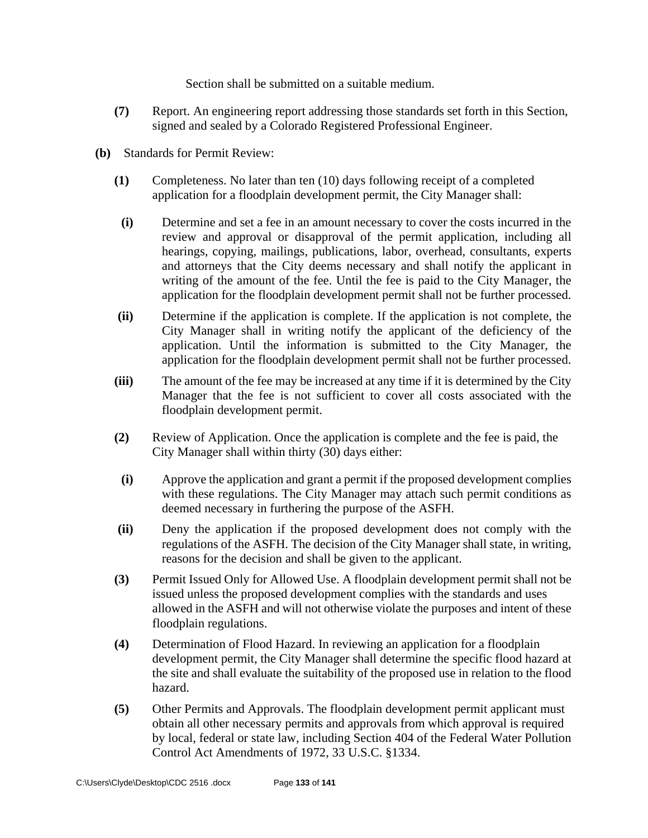Section shall be submitted on a suitable medium.

- **(7)** Report. An engineering report addressing those standards set forth in this Section, signed and sealed by a Colorado Registered Professional Engineer.
- **(b)** Standards for Permit Review:
	- **(1)** Completeness. No later than ten (10) days following receipt of a completed application for a floodplain development permit, the City Manager shall:
	- **(i)** Determine and set a fee in an amount necessary to cover the costs incurred in the review and approval or disapproval of the permit application, including all hearings, copying, mailings, publications, labor, overhead, consultants, experts and attorneys that the City deems necessary and shall notify the applicant in writing of the amount of the fee. Until the fee is paid to the City Manager, the application for the floodplain development permit shall not be further processed.
	- **(ii)** Determine if the application is complete. If the application is not complete, the City Manager shall in writing notify the applicant of the deficiency of the application. Until the information is submitted to the City Manager, the application for the floodplain development permit shall not be further processed.
	- **(iii)** The amount of the fee may be increased at any time if it is determined by the City Manager that the fee is not sufficient to cover all costs associated with the floodplain development permit.
	- **(2)** Review of Application. Once the application is complete and the fee is paid, the City Manager shall within thirty (30) days either:
	- **(i)** Approve the application and grant a permit if the proposed development complies with these regulations. The City Manager may attach such permit conditions as deemed necessary in furthering the purpose of the ASFH.
	- **(ii)** Deny the application if the proposed development does not comply with the regulations of the ASFH. The decision of the City Manager shall state, in writing, reasons for the decision and shall be given to the applicant.
	- **(3)** Permit Issued Only for Allowed Use. A floodplain development permit shall not be issued unless the proposed development complies with the standards and uses allowed in the ASFH and will not otherwise violate the purposes and intent of these floodplain regulations.
	- **(4)** Determination of Flood Hazard. In reviewing an application for a floodplain development permit, the City Manager shall determine the specific flood hazard at the site and shall evaluate the suitability of the proposed use in relation to the flood hazard.
	- **(5)** Other Permits and Approvals. The floodplain development permit applicant must obtain all other necessary permits and approvals from which approval is required by local, federal or state law, including Section 404 of the Federal Water Pollution Control Act Amendments of 1972, 33 U.S.C. §1334.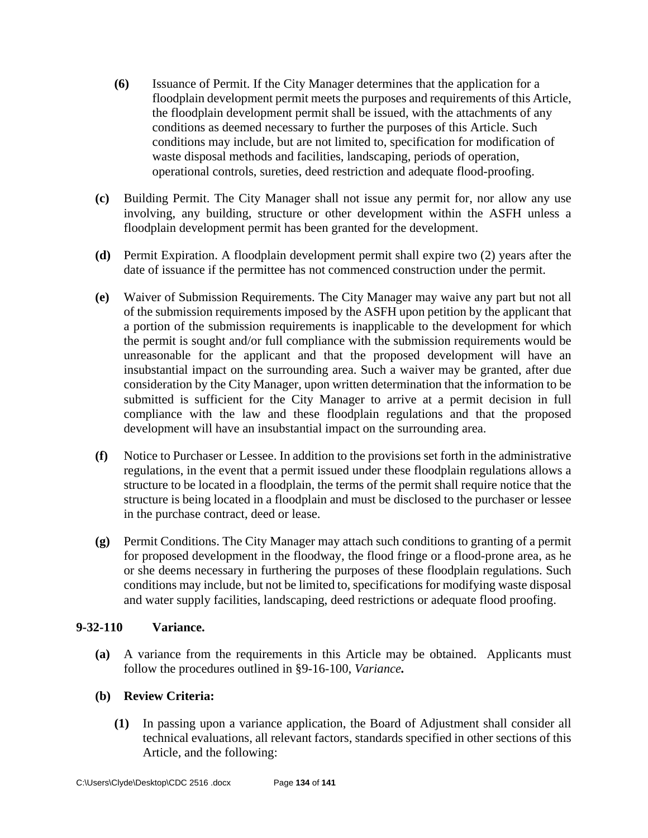- **(6)** Issuance of Permit. If the City Manager determines that the application for a floodplain development permit meets the purposes and requirements of this Article, the floodplain development permit shall be issued, with the attachments of any conditions as deemed necessary to further the purposes of this Article. Such conditions may include, but are not limited to, specification for modification of waste disposal methods and facilities, landscaping, periods of operation, operational controls, sureties, deed restriction and adequate flood-proofing.
- **(c)** Building Permit. The City Manager shall not issue any permit for, nor allow any use involving, any building, structure or other development within the ASFH unless a floodplain development permit has been granted for the development.
- **(d)** Permit Expiration. A floodplain development permit shall expire two (2) years after the date of issuance if the permittee has not commenced construction under the permit.
- **(e)** Waiver of Submission Requirements. The City Manager may waive any part but not all of the submission requirements imposed by the ASFH upon petition by the applicant that a portion of the submission requirements is inapplicable to the development for which the permit is sought and/or full compliance with the submission requirements would be unreasonable for the applicant and that the proposed development will have an insubstantial impact on the surrounding area. Such a waiver may be granted, after due consideration by the City Manager, upon written determination that the information to be submitted is sufficient for the City Manager to arrive at a permit decision in full compliance with the law and these floodplain regulations and that the proposed development will have an insubstantial impact on the surrounding area.
- **(f)** Notice to Purchaser or Lessee. In addition to the provisions set forth in the administrative regulations, in the event that a permit issued under these floodplain regulations allows a structure to be located in a floodplain, the terms of the permit shall require notice that the structure is being located in a floodplain and must be disclosed to the purchaser or lessee in the purchase contract, deed or lease.
- **(g)** Permit Conditions. The City Manager may attach such conditions to granting of a permit for proposed development in the floodway, the flood fringe or a flood-prone area, as he or she deems necessary in furthering the purposes of these floodplain regulations. Such conditions may include, but not be limited to, specifications for modifying waste disposal and water supply facilities, landscaping, deed restrictions or adequate flood proofing.

### **9-32-110 Variance.**

**(a)** A variance from the requirements in this Article may be obtained. Applicants must follow the procedures outlined in §9-16-100, *Variance.* 

### **(b) Review Criteria:**

**(1)** In passing upon a variance application, the Board of Adjustment shall consider all technical evaluations, all relevant factors, standards specified in other sections of this Article, and the following: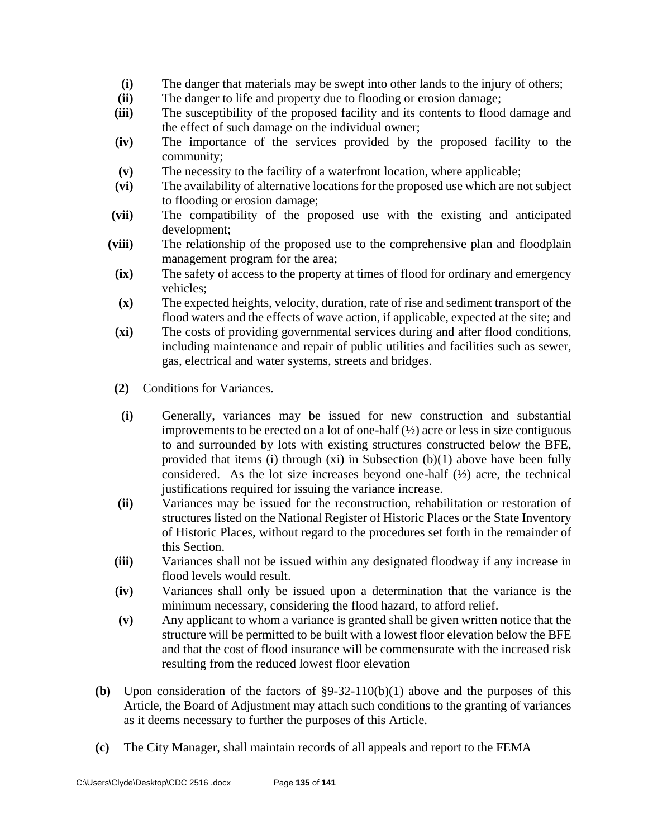- **(i)** The danger that materials may be swept into other lands to the injury of others;
- **(ii)** The danger to life and property due to flooding or erosion damage;
- **(iii)** The susceptibility of the proposed facility and its contents to flood damage and the effect of such damage on the individual owner;
- **(iv)** The importance of the services provided by the proposed facility to the community;
- **(v)** The necessity to the facility of a waterfront location, where applicable;
- **(vi)** The availability of alternative locations for the proposed use which are not subject to flooding or erosion damage;
- **(vii)** The compatibility of the proposed use with the existing and anticipated development;
- **(viii)** The relationship of the proposed use to the comprehensive plan and floodplain management program for the area;
- **(ix)** The safety of access to the property at times of flood for ordinary and emergency vehicles;
- **(x)** The expected heights, velocity, duration, rate of rise and sediment transport of the flood waters and the effects of wave action, if applicable, expected at the site; and
- **(xi)** The costs of providing governmental services during and after flood conditions, including maintenance and repair of public utilities and facilities such as sewer, gas, electrical and water systems, streets and bridges.
- **(2)** Conditions for Variances.
- **(i)** Generally, variances may be issued for new construction and substantial improvements to be erected on a lot of one-half (½) acre or less in size contiguous to and surrounded by lots with existing structures constructed below the BFE, provided that items (i) through (xi) in Subsection (b)(1) above have been fully considered. As the lot size increases beyond one-half  $(\frac{1}{2})$  acre, the technical justifications required for issuing the variance increase.
- **(ii)** Variances may be issued for the reconstruction, rehabilitation or restoration of structures listed on the National Register of Historic Places or the State Inventory of Historic Places, without regard to the procedures set forth in the remainder of this Section.
- **(iii)** Variances shall not be issued within any designated floodway if any increase in flood levels would result.
- **(iv)** Variances shall only be issued upon a determination that the variance is the minimum necessary, considering the flood hazard, to afford relief.
- **(v)** Any applicant to whom a variance is granted shall be given written notice that the structure will be permitted to be built with a lowest floor elevation below the BFE and that the cost of flood insurance will be commensurate with the increased risk resulting from the reduced lowest floor elevation
- **(b)** Upon consideration of the factors of §9-32-110(b)(1) above and the purposes of this Article, the Board of Adjustment may attach such conditions to the granting of variances as it deems necessary to further the purposes of this Article.
- **(c)** The City Manager, shall maintain records of all appeals and report to the FEMA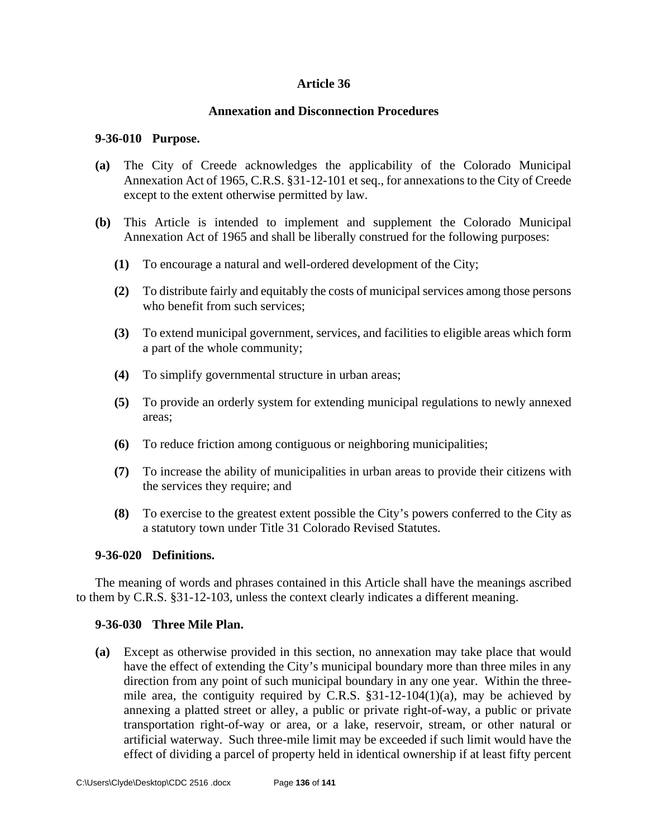## **Article 36**

### **Annexation and Disconnection Procedures**

#### **9-36-010 Purpose.**

- **(a)** The City of Creede acknowledges the applicability of the Colorado Municipal Annexation Act of 1965, C.R.S. §31-12-101 et seq., for annexations to the City of Creede except to the extent otherwise permitted by law.
- **(b)** This Article is intended to implement and supplement the Colorado Municipal Annexation Act of 1965 and shall be liberally construed for the following purposes:
	- **(1)** To encourage a natural and well-ordered development of the City;
	- **(2)** To distribute fairly and equitably the costs of municipal services among those persons who benefit from such services;
	- **(3)** To extend municipal government, services, and facilities to eligible areas which form a part of the whole community;
	- **(4)** To simplify governmental structure in urban areas;
	- **(5)** To provide an orderly system for extending municipal regulations to newly annexed areas;
	- **(6)** To reduce friction among contiguous or neighboring municipalities;
	- **(7)** To increase the ability of municipalities in urban areas to provide their citizens with the services they require; and
	- **(8)** To exercise to the greatest extent possible the City's powers conferred to the City as a statutory town under Title 31 Colorado Revised Statutes.

### **9-36-020 Definitions.**

The meaning of words and phrases contained in this Article shall have the meanings ascribed to them by C.R.S. §31-12-103, unless the context clearly indicates a different meaning.

### **9-36-030 Three Mile Plan.**

**(a)** Except as otherwise provided in this section, no annexation may take place that would have the effect of extending the City's municipal boundary more than three miles in any direction from any point of such municipal boundary in any one year. Within the three mile area, the contiguity required by C.R.S.  $\S 31-12-104(1)(a)$ , may be achieved by annexing a platted street or alley, a public or private right-of-way, a public or private transportation right-of-way or area, or a lake, reservoir, stream, or other natural or artificial waterway. Such three-mile limit may be exceeded if such limit would have the effect of dividing a parcel of property held in identical ownership if at least fifty percent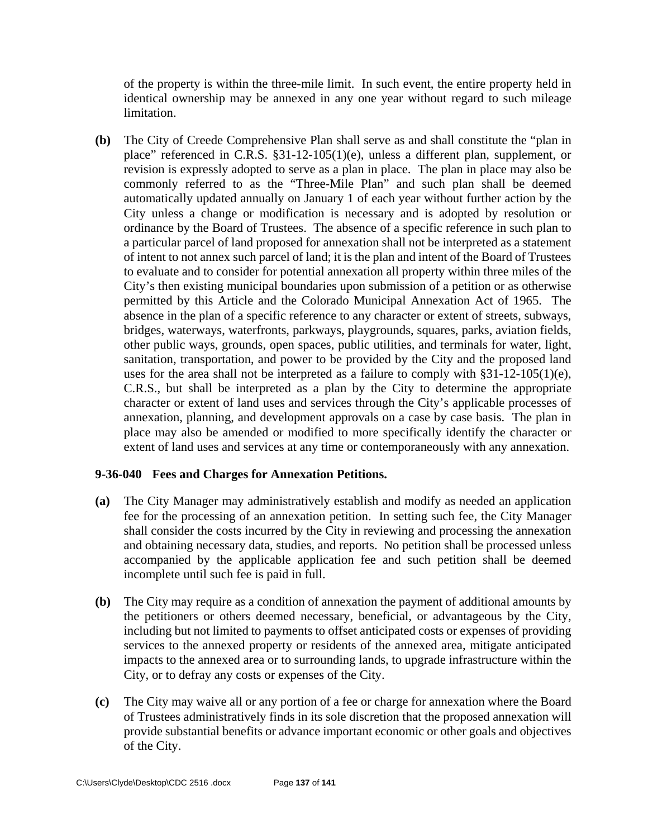of the property is within the three-mile limit. In such event, the entire property held in identical ownership may be annexed in any one year without regard to such mileage limitation.

**(b)** The City of Creede Comprehensive Plan shall serve as and shall constitute the "plan in place" referenced in C.R.S. §31-12-105(1)(e), unless a different plan, supplement, or revision is expressly adopted to serve as a plan in place. The plan in place may also be commonly referred to as the "Three-Mile Plan" and such plan shall be deemed automatically updated annually on January 1 of each year without further action by the City unless a change or modification is necessary and is adopted by resolution or ordinance by the Board of Trustees. The absence of a specific reference in such plan to a particular parcel of land proposed for annexation shall not be interpreted as a statement of intent to not annex such parcel of land; it is the plan and intent of the Board of Trustees to evaluate and to consider for potential annexation all property within three miles of the City's then existing municipal boundaries upon submission of a petition or as otherwise permitted by this Article and the Colorado Municipal Annexation Act of 1965. The absence in the plan of a specific reference to any character or extent of streets, subways, bridges, waterways, waterfronts, parkways, playgrounds, squares, parks, aviation fields, other public ways, grounds, open spaces, public utilities, and terminals for water, light, sanitation, transportation, and power to be provided by the City and the proposed land uses for the area shall not be interpreted as a failure to comply with  $§31-12-105(1)(e)$ , C.R.S., but shall be interpreted as a plan by the City to determine the appropriate character or extent of land uses and services through the City's applicable processes of annexation, planning, and development approvals on a case by case basis. The plan in place may also be amended or modified to more specifically identify the character or extent of land uses and services at any time or contemporaneously with any annexation.

# **9-36-040 Fees and Charges for Annexation Petitions.**

- **(a)** The City Manager may administratively establish and modify as needed an application fee for the processing of an annexation petition. In setting such fee, the City Manager shall consider the costs incurred by the City in reviewing and processing the annexation and obtaining necessary data, studies, and reports. No petition shall be processed unless accompanied by the applicable application fee and such petition shall be deemed incomplete until such fee is paid in full.
- **(b)** The City may require as a condition of annexation the payment of additional amounts by the petitioners or others deemed necessary, beneficial, or advantageous by the City, including but not limited to payments to offset anticipated costs or expenses of providing services to the annexed property or residents of the annexed area, mitigate anticipated impacts to the annexed area or to surrounding lands, to upgrade infrastructure within the City, or to defray any costs or expenses of the City.
- **(c)** The City may waive all or any portion of a fee or charge for annexation where the Board of Trustees administratively finds in its sole discretion that the proposed annexation will provide substantial benefits or advance important economic or other goals and objectives of the City.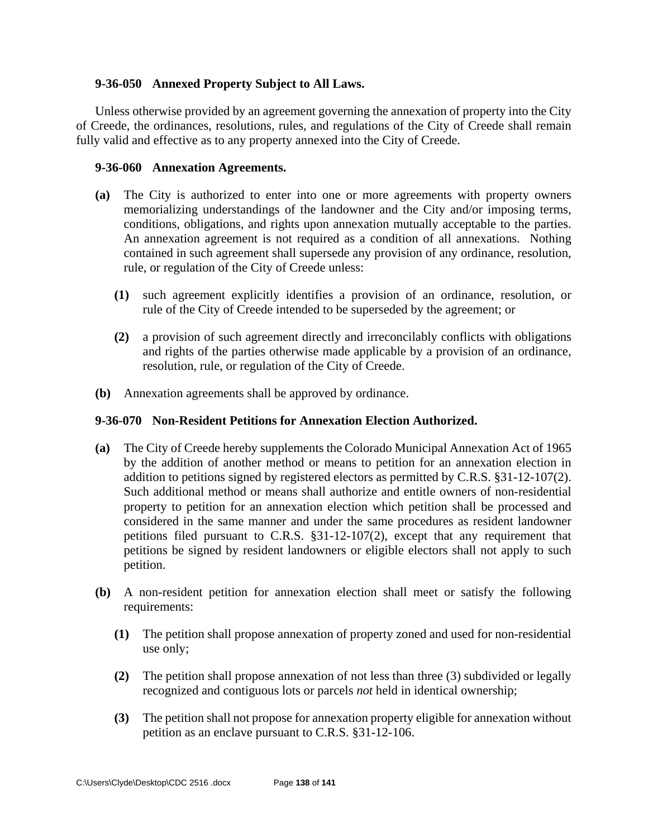### **9-36-050 Annexed Property Subject to All Laws.**

Unless otherwise provided by an agreement governing the annexation of property into the City of Creede, the ordinances, resolutions, rules, and regulations of the City of Creede shall remain fully valid and effective as to any property annexed into the City of Creede.

#### **9-36-060 Annexation Agreements.**

- **(a)** The City is authorized to enter into one or more agreements with property owners memorializing understandings of the landowner and the City and/or imposing terms, conditions, obligations, and rights upon annexation mutually acceptable to the parties. An annexation agreement is not required as a condition of all annexations. Nothing contained in such agreement shall supersede any provision of any ordinance, resolution, rule, or regulation of the City of Creede unless:
	- **(1)** such agreement explicitly identifies a provision of an ordinance, resolution, or rule of the City of Creede intended to be superseded by the agreement; or
	- **(2)** a provision of such agreement directly and irreconcilably conflicts with obligations and rights of the parties otherwise made applicable by a provision of an ordinance, resolution, rule, or regulation of the City of Creede.
- **(b)** Annexation agreements shall be approved by ordinance.

### **9-36-070 Non-Resident Petitions for Annexation Election Authorized.**

- **(a)** The City of Creede hereby supplements the Colorado Municipal Annexation Act of 1965 by the addition of another method or means to petition for an annexation election in addition to petitions signed by registered electors as permitted by C.R.S. §31-12-107(2). Such additional method or means shall authorize and entitle owners of non-residential property to petition for an annexation election which petition shall be processed and considered in the same manner and under the same procedures as resident landowner petitions filed pursuant to C.R.S. §31-12-107(2), except that any requirement that petitions be signed by resident landowners or eligible electors shall not apply to such petition.
- **(b)** A non-resident petition for annexation election shall meet or satisfy the following requirements:
	- **(1)** The petition shall propose annexation of property zoned and used for non-residential use only;
	- **(2)** The petition shall propose annexation of not less than three (3) subdivided or legally recognized and contiguous lots or parcels *not* held in identical ownership;
	- **(3)** The petition shall not propose for annexation property eligible for annexation without petition as an enclave pursuant to C.R.S. §31-12-106.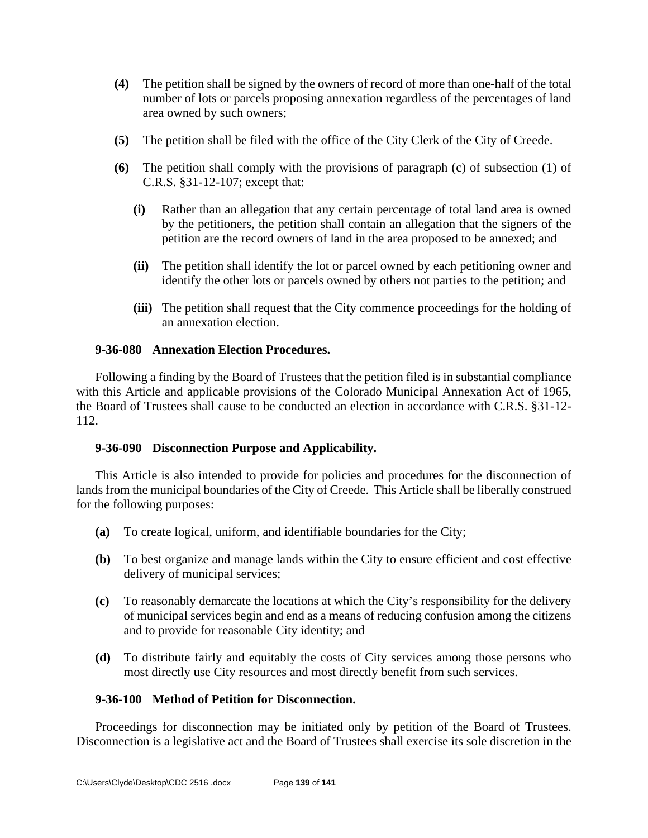- **(4)** The petition shall be signed by the owners of record of more than one-half of the total number of lots or parcels proposing annexation regardless of the percentages of land area owned by such owners;
- **(5)** The petition shall be filed with the office of the City Clerk of the City of Creede.
- **(6)** The petition shall comply with the provisions of paragraph (c) of subsection (1) of C.R.S. §31-12-107; except that:
	- **(i)** Rather than an allegation that any certain percentage of total land area is owned by the petitioners, the petition shall contain an allegation that the signers of the petition are the record owners of land in the area proposed to be annexed; and
	- **(ii)** The petition shall identify the lot or parcel owned by each petitioning owner and identify the other lots or parcels owned by others not parties to the petition; and
	- **(iii)** The petition shall request that the City commence proceedings for the holding of an annexation election.

### **9-36-080 Annexation Election Procedures.**

Following a finding by the Board of Trustees that the petition filed is in substantial compliance with this Article and applicable provisions of the Colorado Municipal Annexation Act of 1965, the Board of Trustees shall cause to be conducted an election in accordance with C.R.S. §31-12- 112.

### **9-36-090 Disconnection Purpose and Applicability.**

This Article is also intended to provide for policies and procedures for the disconnection of lands from the municipal boundaries of the City of Creede. This Article shall be liberally construed for the following purposes:

- **(a)** To create logical, uniform, and identifiable boundaries for the City;
- **(b)** To best organize and manage lands within the City to ensure efficient and cost effective delivery of municipal services;
- **(c)** To reasonably demarcate the locations at which the City's responsibility for the delivery of municipal services begin and end as a means of reducing confusion among the citizens and to provide for reasonable City identity; and
- **(d)** To distribute fairly and equitably the costs of City services among those persons who most directly use City resources and most directly benefit from such services.

#### **9-36-100 Method of Petition for Disconnection.**

Proceedings for disconnection may be initiated only by petition of the Board of Trustees. Disconnection is a legislative act and the Board of Trustees shall exercise its sole discretion in the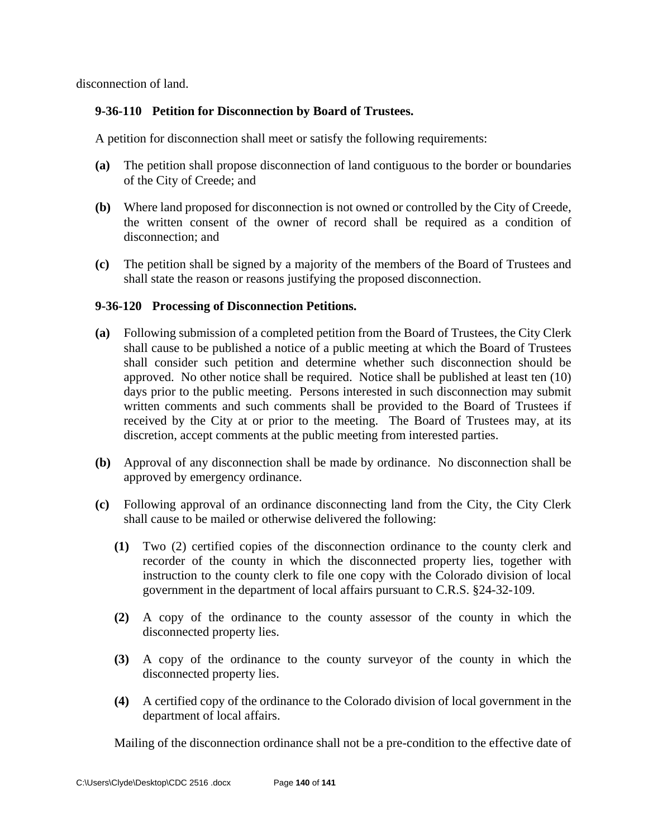disconnection of land.

### **9-36-110 Petition for Disconnection by Board of Trustees.**

A petition for disconnection shall meet or satisfy the following requirements:

- **(a)** The petition shall propose disconnection of land contiguous to the border or boundaries of the City of Creede; and
- **(b)** Where land proposed for disconnection is not owned or controlled by the City of Creede, the written consent of the owner of record shall be required as a condition of disconnection; and
- **(c)** The petition shall be signed by a majority of the members of the Board of Trustees and shall state the reason or reasons justifying the proposed disconnection.

## **9-36-120 Processing of Disconnection Petitions.**

- **(a)** Following submission of a completed petition from the Board of Trustees, the City Clerk shall cause to be published a notice of a public meeting at which the Board of Trustees shall consider such petition and determine whether such disconnection should be approved. No other notice shall be required. Notice shall be published at least ten (10) days prior to the public meeting. Persons interested in such disconnection may submit written comments and such comments shall be provided to the Board of Trustees if received by the City at or prior to the meeting. The Board of Trustees may, at its discretion, accept comments at the public meeting from interested parties.
- **(b)** Approval of any disconnection shall be made by ordinance. No disconnection shall be approved by emergency ordinance.
- **(c)** Following approval of an ordinance disconnecting land from the City, the City Clerk shall cause to be mailed or otherwise delivered the following:
	- **(1)** Two (2) certified copies of the disconnection ordinance to the county clerk and recorder of the county in which the disconnected property lies, together with instruction to the county clerk to file one copy with the Colorado division of local government in the department of local affairs pursuant to C.R.S. §24-32-109.
	- **(2)** A copy of the ordinance to the county assessor of the county in which the disconnected property lies.
	- **(3)** A copy of the ordinance to the county surveyor of the county in which the disconnected property lies.
	- **(4)** A certified copy of the ordinance to the Colorado division of local government in the department of local affairs.

Mailing of the disconnection ordinance shall not be a pre-condition to the effective date of